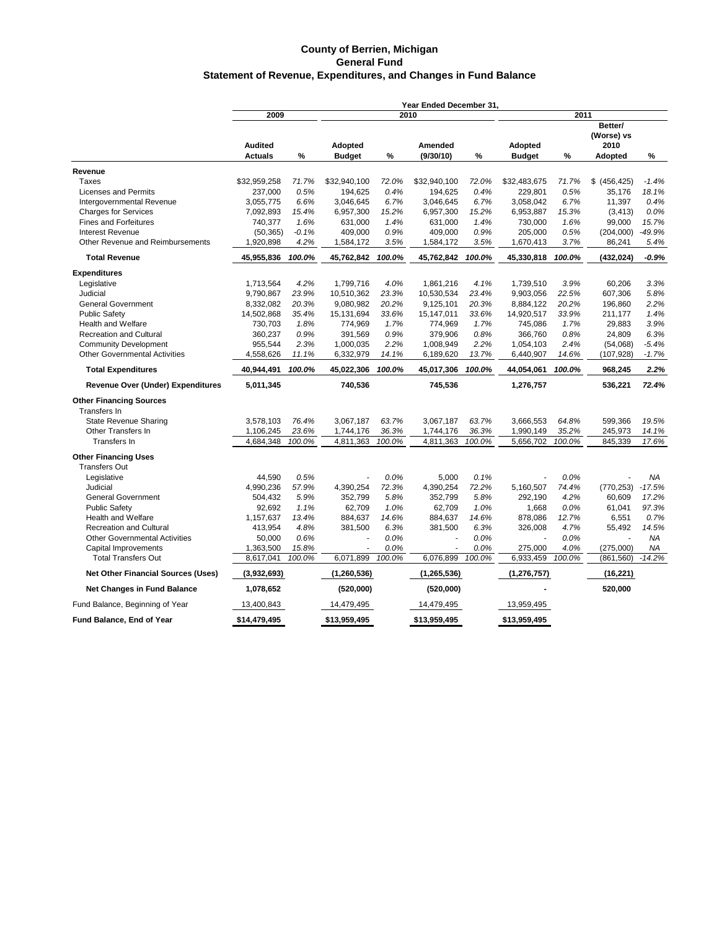#### **County of Berrien, Michigan General Fund Statement of Revenue, Expenditures, and Changes in Fund Balance**

|                                           | Year Ended December 31, |         |               |        |                          |        |               |        |                               |          |
|-------------------------------------------|-------------------------|---------|---------------|--------|--------------------------|--------|---------------|--------|-------------------------------|----------|
|                                           | 2009                    |         |               |        | 2010                     |        | 2011          |        |                               |          |
|                                           | <b>Audited</b>          |         | Adopted       |        | <b>Amended</b>           |        | Adopted       |        | Better/<br>(Worse) vs<br>2010 |          |
|                                           | <b>Actuals</b>          | %       | <b>Budget</b> | %      | (9/30/10)                | %      | <b>Budget</b> | %      | <b>Adopted</b>                | $\%$     |
| Revenue                                   |                         |         |               |        |                          |        |               |        |                               |          |
| Taxes                                     | \$32,959,258            | 71.7%   | \$32,940,100  | 72.0%  | \$32,940,100             | 72.0%  | \$32,483,675  | 71.7%  | \$ (456, 425)                 | $-1.4%$  |
| <b>Licenses and Permits</b>               | 237,000                 | 0.5%    | 194,625       | 0.4%   | 194,625                  | 0.4%   | 229,801       | 0.5%   | 35,176                        | 18.1%    |
| Intergovernmental Revenue                 | 3,055,775               | 6.6%    | 3,046,645     | 6.7%   | 3,046,645                | 6.7%   | 3,058,042     | 6.7%   | 11,397                        | 0.4%     |
| <b>Charges for Services</b>               | 7,092,893               | 15.4%   | 6,957,300     | 15.2%  | 6,957,300                | 15.2%  | 6,953,887     | 15.3%  | (3, 413)                      | 0.0%     |
| <b>Fines and Forfeitures</b>              | 740,377                 | 1.6%    | 631,000       | 1.4%   | 631,000                  | 1.4%   | 730,000       | 1.6%   | 99,000                        | 15.7%    |
| <b>Interest Revenue</b>                   | (50, 365)               | $-0.1%$ | 409,000       | 0.9%   | 409,000                  | 0.9%   | 205,000       | 0.5%   | (204,000)                     | -49.9%   |
| Other Revenue and Reimbursements          | 1,920,898               | 4.2%    | 1,584,172     | 3.5%   | 1,584,172                | 3.5%   | 1,670,413     | 3.7%   | 86,241                        | 5.4%     |
|                                           |                         |         |               |        |                          |        |               |        |                               |          |
| <b>Total Revenue</b>                      | 45,955,836              | 100.0%  | 45,762,842    | 100.0% | 45,762,842               | 100.0% | 45,330,818    | 100.0% | (432, 024)                    | $-0.9%$  |
| <b>Expenditures</b>                       |                         |         |               |        |                          |        |               |        |                               |          |
| Legislative                               | 1,713,564               | 4.2%    | 1,799,716     | 4.0%   | 1,861,216                | 4.1%   | 1,739,510     | 3.9%   | 60,206                        | 3.3%     |
| Judicial                                  | 9,790,867               | 23.9%   | 10,510,362    | 23.3%  | 10,530,534               | 23.4%  | 9,903,056     | 22.5%  | 607,306                       | 5.8%     |
| <b>General Government</b>                 | 8,332,082               | 20.3%   | 9,080,982     | 20.2%  | 9,125,101                | 20.3%  | 8,884,122     | 20.2%  | 196,860                       | 2.2%     |
| <b>Public Safety</b>                      | 14,502,868              | 35.4%   | 15,131,694    | 33.6%  | 15,147,011               | 33.6%  | 14,920,517    | 33.9%  | 211,177                       | 1.4%     |
| <b>Health and Welfare</b>                 | 730,703                 | 1.8%    | 774,969       | 1.7%   | 774,969                  | 1.7%   | 745,086       | 1.7%   | 29,883                        | 3.9%     |
| <b>Recreation and Cultural</b>            | 360,237                 | 0.9%    | 391,569       | 0.9%   | 379,906                  | 0.8%   | 366,760       | 0.8%   | 24,809                        | 6.3%     |
| <b>Community Development</b>              | 955,544                 | 2.3%    | 1,000,035     | 2.2%   | 1,008,949                | 2.2%   | 1,054,103     | 2.4%   | (54,068)                      | $-5.4%$  |
| <b>Other Governmental Activities</b>      | 4,558,626               | 11.1%   | 6,332,979     | 14.1%  | 6,189,620                | 13.7%  | 6,440,907     | 14.6%  | (107,928)                     | $-1.7%$  |
| <b>Total Expenditures</b>                 | 40,944,491              | 100.0%  | 45,022,306    | 100.0% | 45,017,306               | 100.0% | 44,054,061    | 100.0% | 968,245                       | 2.2%     |
| <b>Revenue Over (Under) Expenditures</b>  | 5,011,345               |         | 740,536       |        | 745,536                  |        | 1,276,757     |        | 536,221                       | 72.4%    |
| <b>Other Financing Sources</b>            |                         |         |               |        |                          |        |               |        |                               |          |
| Transfers In                              |                         |         |               |        |                          |        |               |        |                               |          |
| <b>State Revenue Sharing</b>              | 3,578,103               | 76.4%   | 3,067,187     | 63.7%  | 3,067,187                | 63.7%  | 3.666.553     | 64.8%  | 599,366                       | 19.5%    |
| Other Transfers In                        | 1,106,245               | 23.6%   | 1,744,176     | 36.3%  | 1,744,176                | 36.3%  | 1,990,149     | 35.2%  | 245,973                       | 14.1%    |
| Transfers In                              | 4,684,348               | 100.0%  | 4,811,363     | 100.0% | 4,811,363                | 100.0% | 5,656,702     | 100.0% | 845,339                       | 17.6%    |
| <b>Other Financing Uses</b>               |                         |         |               |        |                          |        |               |        |                               |          |
| <b>Transfers Out</b>                      |                         |         |               |        |                          |        |               |        |                               |          |
| Legislative                               | 44,590                  | 0.5%    | ÷,            | 0.0%   | 5,000                    | 0.1%   |               | 0.0%   |                               | NA       |
| Judicial                                  | 4,990,236               | 57.9%   | 4,390,254     | 72.3%  | 4,390,254                | 72.2%  | 5,160,507     | 74.4%  | (770, 253)                    | $-17.5%$ |
| <b>General Government</b>                 | 504,432                 | 5.9%    | 352,799       | 5.8%   | 352,799                  | 5.8%   | 292,190       | 4.2%   | 60,609                        | 17.2%    |
| <b>Public Safety</b>                      | 92,692                  | 1.1%    | 62,709        | 1.0%   | 62,709                   | 1.0%   | 1,668         | 0.0%   | 61,041                        | 97.3%    |
| <b>Health and Welfare</b>                 | 1,157,637               | 13.4%   | 884,637       | 14.6%  | 884,637                  | 14.6%  | 878,086       | 12.7%  | 6,551                         | 0.7%     |
| <b>Recreation and Cultural</b>            | 413,954                 | 4.8%    | 381,500       | 6.3%   | 381,500                  | 6.3%   | 326,008       | 4.7%   | 55,492                        | 14.5%    |
| <b>Other Governmental Activities</b>      | 50,000                  | 0.6%    | Ĭ.            | 0.0%   | $\overline{\phantom{a}}$ | 0.0%   | ÷,            | 0.0%   |                               | ΝA       |
| Capital Improvements                      | 1,363,500               | 15.8%   |               | 0.0%   |                          | 0.0%   | 275,000       | 4.0%   | (275,000)                     | ΝA       |
| <b>Total Transfers Out</b>                | 8,617,041               | 100.0%  | 6,071,899     | 100.0% | 6,076,899                | 100.0% | 6,933,459     | 100.0% | (861, 560)                    | $-14.2%$ |
| <b>Net Other Financial Sources (Uses)</b> | (3,932,693)             |         | (1,260,536)   |        | (1, 265, 536)            |        | (1, 276, 757) |        | (16, 221)                     |          |
| <b>Net Changes in Fund Balance</b>        | 1,078,652               |         | (520,000)     |        | (520,000)                |        |               |        | 520,000                       |          |
| Fund Balance, Beginning of Year           | 13,400,843              |         | 14,479,495    |        | 14,479,495               |        | 13,959,495    |        |                               |          |
| <b>Fund Balance, End of Year</b>          | \$14,479,495            |         | \$13,959,495  |        | \$13,959,495             |        | \$13,959,495  |        |                               |          |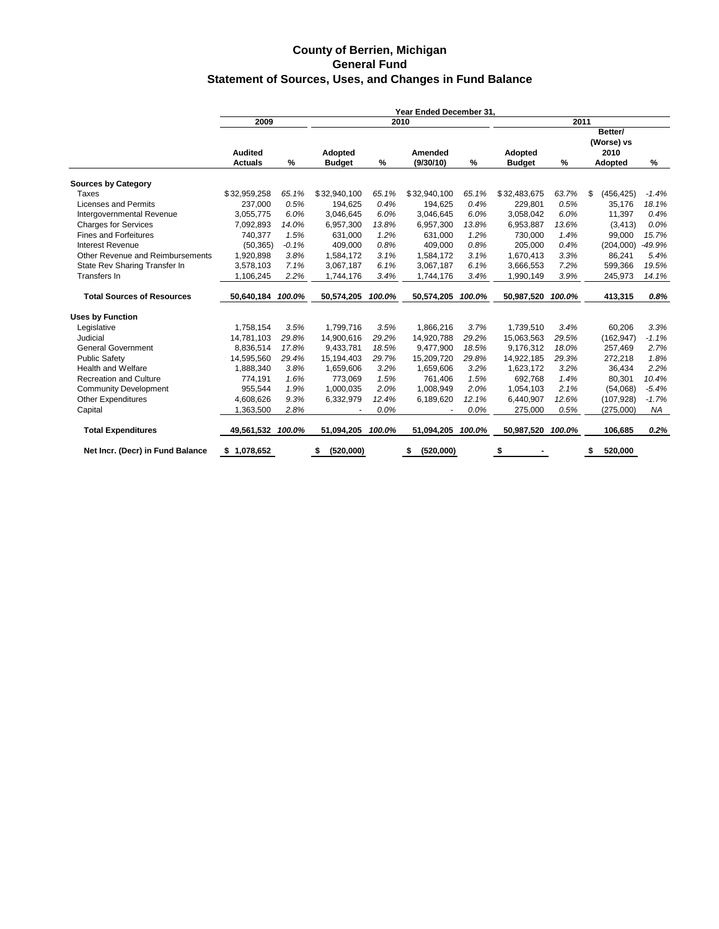#### **County of Berrien, Michigan General Fund Statement of Sources, Uses, and Changes in Fund Balance**

|                                   | Year Ended December 31.          |         |                                 |        |                      |        |                          |        |                        |           |  |
|-----------------------------------|----------------------------------|---------|---------------------------------|--------|----------------------|--------|--------------------------|--------|------------------------|-----------|--|
|                                   | 2009                             |         |                                 | 2010   |                      |        |                          | 2011   |                        |           |  |
|                                   |                                  |         |                                 |        |                      |        |                          |        | Better/<br>(Worse) vs  |           |  |
|                                   | <b>Audited</b><br><b>Actuals</b> | %       | <b>Adopted</b><br><b>Budget</b> | %      | Amended<br>(9/30/10) | %      | Adopted<br><b>Budget</b> | %      | 2010<br><b>Adopted</b> | %         |  |
| <b>Sources by Category</b>        |                                  |         |                                 |        |                      |        |                          |        |                        |           |  |
| Taxes                             | \$32,959,258                     | 65.1%   | \$32,940,100                    | 65.1%  | \$32,940,100         | 65.1%  | \$32,483,675             | 63.7%  | \$<br>(456, 425)       | $-1.4%$   |  |
| <b>Licenses and Permits</b>       | 237,000                          | 0.5%    | 194,625                         | 0.4%   | 194,625              | 0.4%   | 229,801                  | 0.5%   | 35,176                 | 18.1%     |  |
| Intergovernmental Revenue         | 3,055,775                        | 6.0%    | 3,046,645                       | 6.0%   | 3,046,645            | 6.0%   | 3,058,042                | 6.0%   | 11,397                 | 0.4%      |  |
| <b>Charges for Services</b>       | 7,092,893                        | 14.0%   | 6,957,300                       | 13.8%  | 6,957,300            | 13.8%  | 6,953,887                | 13.6%  | (3, 413)               | 0.0%      |  |
| <b>Fines and Forfeitures</b>      | 740,377                          | 1.5%    | 631,000                         | 1.2%   | 631,000              | 1.2%   | 730,000                  | 1.4%   | 99,000                 | 15.7%     |  |
| <b>Interest Revenue</b>           | (50, 365)                        | $-0.1%$ | 409,000                         | 0.8%   | 409,000              | 0.8%   | 205,000                  | 0.4%   | (204,000)              | 49.9%     |  |
| Other Revenue and Reimbursements  | 1,920,898                        | 3.8%    | 1,584,172                       | 3.1%   | 1,584,172            | 3.1%   | 1,670,413                | 3.3%   | 86,241                 | 5.4%      |  |
| State Rev Sharing Transfer In     | 3,578,103                        | 7.1%    | 3,067,187                       | 6.1%   | 3,067,187            | 6.1%   | 3,666,553                | 7.2%   | 599,366                | 19.5%     |  |
| Transfers In                      | 1,106,245                        | 2.2%    | 1,744,176                       | 3.4%   | 1,744,176            | 3.4%   | 1,990,149                | 3.9%   | 245,973                | 14.1%     |  |
| <b>Total Sources of Resources</b> | 50,640,184                       | 100.0%  | 50,574,205                      | 100.0% | 50,574,205           | 100.0% | 50,987,520               | 100.0% | 413,315                | 0.8%      |  |
| <b>Uses by Function</b>           |                                  |         |                                 |        |                      |        |                          |        |                        |           |  |
| Legislative                       | 1,758,154                        | 3.5%    | 1,799,716                       | 3.5%   | 1,866,216            | 3.7%   | 1,739,510                | 3.4%   | 60,206                 | 3.3%      |  |
| Judicial                          | 14,781,103                       | 29.8%   | 14,900,616                      | 29.2%  | 14,920,788           | 29.2%  | 15,063,563               | 29.5%  | (162, 947)             | $-1.1%$   |  |
| <b>General Government</b>         | 8.836.514                        | 17.8%   | 9,433,781                       | 18.5%  | 9.477.900            | 18.5%  | 9,176,312                | 18.0%  | 257,469                | 2.7%      |  |
| <b>Public Safety</b>              | 14,595,560                       | 29.4%   | 15,194,403                      | 29.7%  | 15,209,720           | 29.8%  | 14,922,185               | 29.3%  | 272,218                | 1.8%      |  |
| <b>Health and Welfare</b>         | 1,888,340                        | 3.8%    | 1,659,606                       | 3.2%   | 1,659,606            | 3.2%   | 1,623,172                | 3.2%   | 36,434                 | 2.2%      |  |
| <b>Recreation and Culture</b>     | 774,191                          | 1.6%    | 773,069                         | 1.5%   | 761,406              | 1.5%   | 692,768                  | 1.4%   | 80,301                 | 10.4%     |  |
| <b>Community Development</b>      | 955,544                          | 1.9%    | 1,000,035                       | 2.0%   | 1,008,949            | 2.0%   | 1,054,103                | 2.1%   | (54,068)               | $-5.4%$   |  |
| <b>Other Expenditures</b>         | 4,608,626                        | 9.3%    | 6,332,979                       | 12.4%  | 6,189,620            | 12.1%  | 6,440,907                | 12.6%  | (107, 928)             | $-1.7%$   |  |
| Capital                           | 1,363,500                        | 2.8%    |                                 | 0.0%   |                      | 0.0%   | 275,000                  | 0.5%   | (275,000)              | <b>NA</b> |  |
| <b>Total Expenditures</b>         | 49,561,532 100.0%                |         | 51,094,205                      | 100.0% | 51,094,205           | 100.0% | 50,987,520               | 100.0% | 106,685                | 0.2%      |  |
| Net Incr. (Decr) in Fund Balance  | \$1,078,652                      |         | (520,000)<br>\$                 |        | (520,000)<br>\$      |        | \$                       |        | 520,000<br>\$          |           |  |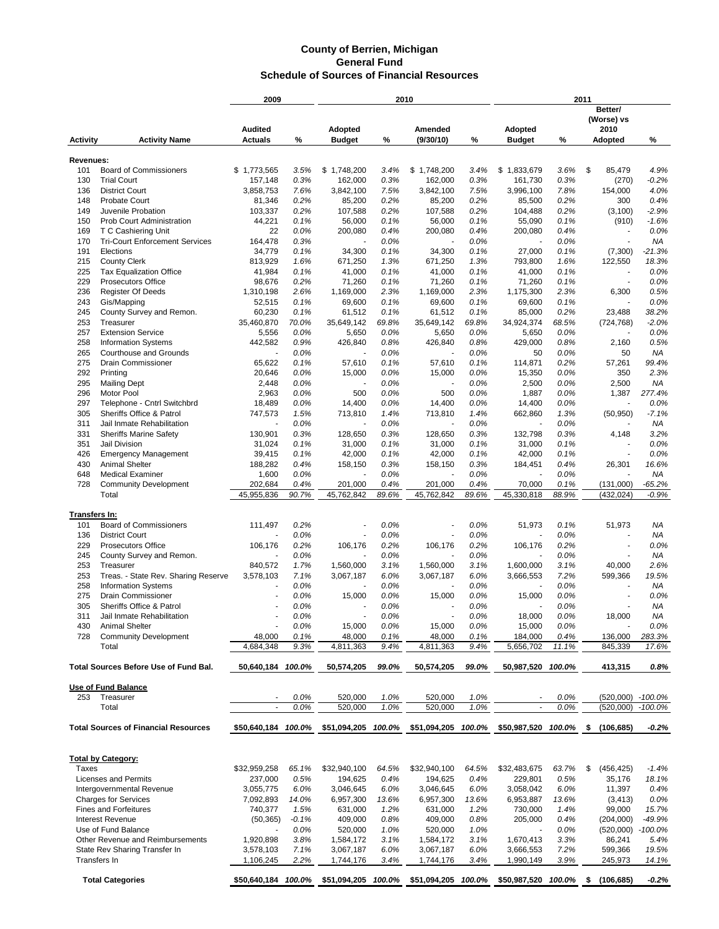|                 |                                                      | 2009                             |              | 2010                            |              |                      | 2011         |                          |              |                                   |                     |
|-----------------|------------------------------------------------------|----------------------------------|--------------|---------------------------------|--------------|----------------------|--------------|--------------------------|--------------|-----------------------------------|---------------------|
|                 |                                                      |                                  |              |                                 |              |                      |              |                          |              | Better/<br>(Worse) vs             |                     |
| <b>Activity</b> | <b>Activity Name</b>                                 | <b>Audited</b><br><b>Actuals</b> | %            | <b>Adopted</b><br><b>Budget</b> | %            | Amended<br>(9/30/10) | %            | Adopted<br><b>Budget</b> | %            | 2010<br><b>Adopted</b>            | %                   |
|                 |                                                      |                                  |              |                                 |              |                      |              |                          |              |                                   |                     |
| Revenues:       |                                                      |                                  |              |                                 |              |                      |              |                          |              |                                   |                     |
| 101             | <b>Board of Commissioners</b>                        | \$1,773,565                      | 3.5%         | \$1,748,200                     | 3.4%         | \$1,748,200          | 3.4%         | \$<br>1,833,679          | 3.6%         | \$<br>85,479                      | 4.9%                |
| 130             | <b>Trial Court</b>                                   | 157,148                          | 0.3%         | 162,000                         | 0.3%         | 162,000              | 0.3%         | 161,730                  | 0.3%         | (270)                             | $-0.2%$             |
| 136             | <b>District Court</b>                                | 3,858,753                        | 7.6%         | 3,842,100                       | 7.5%         | 3,842,100            | 7.5%         | 3,996,100                | 7.8%         | 154,000                           | 4.0%                |
| 148             | <b>Probate Court</b>                                 | 81,346                           | 0.2%         | 85,200                          | 0.2%         | 85,200               | 0.2%         | 85,500                   | 0.2%         | 300                               | 0.4%                |
| 149             | Juvenile Probation                                   | 103,337                          | 0.2%         | 107,588                         | 0.2%         | 107,588              | 0.2%         | 104,488                  | 0.2%         | (3, 100)                          | $-2.9%$             |
| 150             | Prob Court Administration                            | 44,221                           | 0.1%         | 56,000                          | 0.1%         | 56,000               | 0.1%         | 55,090                   | 0.1%         | (910)                             | $-1.6%$             |
| 169             | T C Cashiering Unit                                  | 22                               | 0.0%         | 200,080                         | 0.4%         | 200,080              | 0.4%         | 200,080                  | 0.4%         |                                   | 0.0%                |
| 170             | <b>Tri-Court Enforcement Services</b>                | 164,478                          | 0.3%         |                                 | 0.0%         |                      | 0.0%         |                          | 0.0%         | ä,                                | ΝA                  |
| 191             | Elections                                            | 34,779                           | 0.1%         | 34,300                          | 0.1%         | 34,300               | 0.1%         | 27,000                   | 0.1%         | (7,300)                           | $-21.3%$            |
| 215             | <b>County Clerk</b>                                  | 813.929                          | 1.6%         | 671,250                         | 1.3%         | 671,250              | 1.3%         | 793,800                  | 1.6%         | 122,550                           | 18.3%               |
| 225             | Tax Equalization Office                              | 41,984                           | 0.1%         | 41,000                          | 0.1%         | 41,000               | 0.1%         | 41,000                   | 0.1%         |                                   | 0.0%                |
| 229<br>236      | <b>Prosecutors Office</b>                            | 98,676                           | 0.2%<br>2.6% | 71,260                          | 0.1%         | 71,260               | 0.1%<br>2.3% | 71,260                   | 0.1%<br>2.3% | ٠                                 | 0.0%                |
| 243             | <b>Register Of Deeds</b>                             | 1,310,198<br>52,515              | 0.1%         | 1,169,000<br>69,600             | 2.3%<br>0.1% | 1,169,000            | 0.1%         | 1,175,300                | 0.1%         | 6,300                             | 0.5%<br>0.0%        |
| 245             | Gis/Mapping<br>County Survey and Remon.              | 60,230                           | 0.1%         | 61,512                          | 0.1%         | 69,600<br>61,512     | 0.1%         | 69,600<br>85,000         | 0.2%         | 23,488                            | 38.2%               |
|                 | Treasurer                                            | 35,460,870                       | 70.0%        | 35,649,142                      | 69.8%        | 35,649,142           | 69.8%        | 34,924,374               | 68.5%        |                                   | $-2.0%$             |
| 253             |                                                      |                                  | 0.0%         |                                 | 0.0%         |                      | 0.0%         |                          | 0.0%         | (724, 768)                        |                     |
| 257<br>258      | <b>Extension Service</b>                             | 5,556                            |              | 5,650                           |              | 5,650                | 0.8%         | 5,650<br>429,000         | 0.8%         |                                   | 0.0%                |
| 265             | <b>Information Systems</b><br>Courthouse and Grounds | 442,582<br>ä,                    | 0.9%<br>0.0% | 426,840                         | 0.8%<br>0.0% | 426,840<br>÷,        | 0.0%         | 50                       | 0.0%         | 2,160<br>50                       | 0.5%<br>ΝA          |
| 275             | <b>Drain Commissioner</b>                            | 65,622                           | 0.1%         |                                 | 0.1%         |                      | 0.1%         |                          | 0.2%         |                                   | 99.4%               |
| 292             |                                                      |                                  |              | 57,610                          |              | 57,610               | 0.0%         | 114,871                  | 0.0%         | 57,261                            | 2.3%                |
| 295             | Printing                                             | 20,646                           | 0.0%<br>0.0% | 15,000                          | 0.0%<br>0.0% | 15,000               | 0.0%         | 15,350<br>2,500          | 0.0%         | 350<br>2,500                      | ΝA                  |
| 296             | <b>Mailing Dept</b><br>Motor Pool                    | 2,448<br>2,963                   |              | 500                             |              | 500                  | 0.0%         |                          | 0.0%         |                                   | 277.4%              |
|                 |                                                      |                                  | 0.0%         |                                 | 0.0%         |                      |              | 1,887                    |              | 1,387                             |                     |
| 297             | Telephone - Cntrl Switchbrd                          | 18,489                           | 0.0%         | 14,400                          | 0.0%         | 14,400               | 0.0%         | 14,400                   | 0.0%         |                                   | 0.0%                |
| 305             | Sheriffs Office & Patrol                             | 747,573                          | 1.5%         | 713,810                         | 1.4%         | 713,810              | 1.4%         | 662,860                  | 1.3%         | (50, 950)                         | $-7.1%$             |
| 311             | Jail Inmate Rehabilitation                           |                                  | 0.0%         |                                 | 0.0%         |                      | 0.0%         |                          | 0.0%         |                                   | ΝA                  |
| 331             | <b>Sheriffs Marine Safety</b>                        | 130,901                          | 0.3%         | 128,650                         | 0.3%         | 128,650              | 0.3%         | 132,798                  | 0.3%         | 4,148<br>$\overline{\phantom{a}}$ | 3.2%                |
| 351<br>426      | Jail Division                                        | 31,024                           | 0.1%<br>0.1% | 31,000                          | 0.1%<br>0.1% | 31,000               | 0.1%<br>0.1% | 31,000                   | 0.1%<br>0.1% | ٠                                 | 0.0%<br>0.0%        |
| 430             | <b>Emergency Management</b><br><b>Animal Shelter</b> | 39,415                           |              | 42,000                          |              | 42,000               | 0.3%         | 42,000                   | 0.4%         |                                   | 16.6%               |
|                 |                                                      | 188,282                          | 0.4%<br>0.0% | 158,150                         | 0.3%<br>0.0% | 158,150              | 0.0%         | 184,451                  | 0.0%         | 26,301                            | ΝA                  |
| 648<br>728      | <b>Medical Examiner</b>                              | 1,600<br>202,684                 | 0.4%         | 201,000                         | 0.4%         | 201,000              | 0.4%         | 70,000                   | 0.1%         | (131,000)                         |                     |
|                 | <b>Community Development</b><br>Total                | 45,955,836                       | 90.7%        | 45,762,842                      | 89.6%        | 45,762,842           | 89.6%        | 45,330,818               | 88.9%        | (432, 024)                        | $-65.2%$<br>$-0.9%$ |
|                 |                                                      |                                  |              |                                 |              |                      |              |                          |              |                                   |                     |
| Transfers In:   |                                                      |                                  |              |                                 |              |                      |              |                          |              |                                   |                     |
| 101             | <b>Board of Commissioners</b>                        | 111,497                          | 0.2%         |                                 | 0.0%         |                      | 0.0%         | 51,973                   | 0.1%         | 51,973                            | NA                  |
| 136             | <b>District Court</b>                                |                                  | 0.0%         |                                 | 0.0%         |                      | 0.0%         |                          | 0.0%         |                                   | ΝA                  |
| 229             | <b>Prosecutors Office</b>                            | 106,176                          | 0.2%         | 106,176                         | 0.2%         | 106,176              | 0.2%         | 106,176                  | 0.2%         | $\overline{\phantom{a}}$          | 0.0%                |
| 245             | County Survey and Remon.                             |                                  | 0.0%         |                                 | 0.0%         |                      | 0.0%         |                          | 0.0%         |                                   | ΝA                  |
| 253             | Treasurer                                            | 840,572                          | 1.7%         | 1,560,000                       | 3.1%         | 1,560,000            | 3.1%         | 1,600,000                | 3.1%         | 40,000                            | 2.6%                |
| 253             | Treas. - State Rev. Sharing Reserve                  | 3,578,103                        | 7.1%         | 3,067,187                       | 6.0%         | 3,067,187            | 6.0%         | 3,666,553                | 7.2%         | 599,366                           | 19.5%               |
| 258             | <b>Information Systems</b>                           |                                  | 0.0%         |                                 | 0.0%         |                      | 0.0%         |                          | 0.0%         |                                   | ΝA                  |
| 275             | <b>Drain Commissioner</b>                            |                                  | 0.0%         | 15,000                          | 0.0%         | 15,000               | 0.0%         | 15,000                   | 0.0%         |                                   | 0.0%                |
| 305             | Sheriffs Office & Patrol                             |                                  | 0.0%         |                                 | 0.0%         |                      | 0.0%         |                          | 0.0%         |                                   | NA                  |
| 311             | Jail Inmate Rehabilitation                           |                                  | 0.0%         |                                 | 0.0%         |                      | 0.0%         | 18,000                   | 0.0%         | 18,000                            | NA                  |
| 430             | <b>Animal Shelter</b>                                |                                  |              |                                 | 0.0%         |                      | 0.0%         |                          | 0.0%         |                                   | 0.0%                |
| 728             | <b>Community Development</b>                         | 48,000                           | 0.0%<br>0.1% | 15,000<br>48,000                | 0.1%         | 15,000<br>48,000     | 0.1%         | 15,000<br>184,000        | 0.4%         | 136,000                           | 283.3%              |
|                 | Total                                                |                                  | 9.3%         | 4,811,363                       | 9.4%         |                      | 9.4%         | 5,656,702                | 11.1%        | 845,339                           | 17.6%               |
|                 |                                                      | 4,684,348                        |              |                                 |              | 4,811,363            |              |                          |              |                                   |                     |
|                 | Total Sources Before Use of Fund Bal.                | 50,640,184 100.0%                |              | 50,574,205                      | 99.0%        | 50,574,205           | 99.0%        | 50,987,520 100.0%        |              | 413,315                           | 0.8%                |
|                 |                                                      |                                  |              |                                 |              |                      |              |                          |              |                                   |                     |
|                 | <b>Use of Fund Balance</b>                           |                                  |              |                                 |              |                      |              |                          |              |                                   |                     |
| 253             | Treasurer                                            | ٠                                | 0.0%         | 520,000                         | 1.0%         | 520,000              | 1.0%         | $\overline{\phantom{a}}$ | 0.0%         |                                   | (520,000) -100.0%   |
|                 | Total                                                |                                  | 0.0%         | 520,000                         | 1.0%         | 520,000              | 1.0%         |                          | 0.0%         | (520,000)                         | $-100.0%$           |
|                 |                                                      |                                  |              |                                 |              |                      |              |                          |              |                                   |                     |
|                 | <b>Total Sources of Financial Resources</b>          | \$50,640,184 100.0%              |              | \$51,094,205 100.0%             |              | \$51,094,205         | 100.0%       | \$50,987,520 100.0%      |              | (106, 685)<br>- \$                | $-0.2%$             |
|                 |                                                      |                                  |              |                                 |              |                      |              |                          |              |                                   |                     |
|                 |                                                      |                                  |              |                                 |              |                      |              |                          |              |                                   |                     |
|                 | <b>Total by Category:</b>                            |                                  |              |                                 |              |                      |              |                          |              |                                   |                     |
| Taxes           |                                                      | \$32,959,258                     | 65.1%        | \$32,940,100                    | 64.5%        | \$32,940,100         | 64.5%        | \$32,483,675             | 63.7%        | \$<br>(456, 425)                  | $-1.4%$             |
|                 | Licenses and Permits                                 | 237,000                          | 0.5%         | 194,625                         | 0.4%         | 194,625              | 0.4%         | 229,801                  | 0.5%         | 35,176                            | 18.1%               |
|                 | Intergovernmental Revenue                            | 3,055,775                        | 6.0%         | 3,046,645                       | 6.0%         | 3,046,645            | 6.0%         | 3,058,042                | 6.0%         | 11,397                            | 0.4%                |
|                 | <b>Charges for Services</b>                          | 7,092,893                        | 14.0%        | 6,957,300                       | 13.6%        | 6,957,300            | 13.6%        | 6,953,887                | 13.6%        | (3, 413)                          | 0.0%                |
|                 | <b>Fines and Forfeitures</b>                         | 740,377                          | 1.5%         | 631,000                         | 1.2%         | 631,000              | 1.2%         | 730,000                  | 1.4%         | 99,000                            | 15.7%               |
|                 | <b>Interest Revenue</b>                              | (50, 365)                        | $-0.1%$      | 409,000                         | 0.8%         | 409,000              | 0.8%         | 205,000                  | 0.4%         | (204,000)                         | -49.9%              |
|                 | Use of Fund Balance                                  |                                  | 0.0%         | 520,000                         | 1.0%         | 520,000              | 1.0%         |                          | 0.0%         | (520,000)                         | $-100.0\%$          |
|                 | Other Revenue and Reimbursements                     | 1,920,898                        | 3.8%         | 1,584,172                       | 3.1%         | 1,584,172            | 3.1%         | 1,670,413                | 3.3%         | 86,241                            | 5.4%                |
|                 | State Rev Sharing Transfer In                        | 3,578,103                        | 7.1%         | 3,067,187                       | 6.0%         | 3,067,187            | 6.0%         | 3,666,553                | 7.2%         | 599,366                           | 19.5%               |
|                 | Transfers In                                         | 1,106,245                        | 2.2%         | 1,744,176                       | 3.4%         | 1,744,176            | 3.4%         | 1,990,149                | 3.9%         | 245,973                           | 14.1%               |
|                 |                                                      |                                  |              |                                 |              |                      |              |                          |              |                                   |                     |
|                 | <b>Total Categories</b>                              | \$50,640,184 100.0%              |              | \$51,094,205 100.0%             |              | \$51,094,205         | 100.0%       | \$50,987,520 100.0%      |              | -\$<br>(106, 685)                 | $-0.2%$             |
|                 |                                                      |                                  |              |                                 |              |                      |              |                          |              |                                   |                     |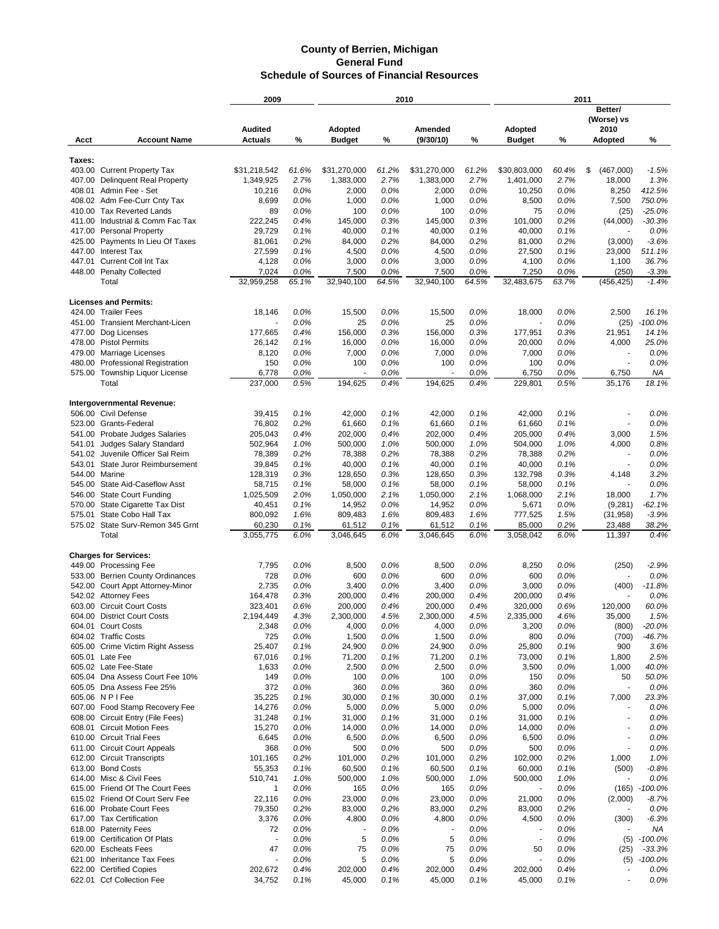|        |                                                                    | 2009                             |              | 2010                     |              |                      | 2011         |                          |              |                                            |                 |
|--------|--------------------------------------------------------------------|----------------------------------|--------------|--------------------------|--------------|----------------------|--------------|--------------------------|--------------|--------------------------------------------|-----------------|
|        |                                                                    |                                  |              |                          |              |                      |              |                          |              | Better/<br>(Worse) vs                      |                 |
| Acct   | <b>Account Name</b>                                                | <b>Audited</b><br><b>Actuals</b> | %            | Adopted<br><b>Budget</b> | %            | Amended<br>(9/30/10) | %            | Adopted<br><b>Budget</b> | %            | 2010<br><b>Adopted</b>                     | %               |
|        |                                                                    |                                  |              |                          |              |                      |              |                          |              |                                            |                 |
| Taxes: | 403.00 Current Property Tax                                        | \$31,218,542                     | 61.6%        | \$31,270,000             | 61.2%        | \$31,270,000         | 61.2%        | \$30.803.000             | 60.4%        | \$<br>(467,000)                            | $-1.5%$         |
|        | 407.00 Delinquent Real Property                                    | 1,349,925                        | 2.7%         | 1,383,000                | 2.7%         | 1,383,000            | 2.7%         | 1,401,000                | 2.7%         | 18,000                                     | 1.3%            |
|        | 408.01 Admin Fee - Set                                             | 10,216                           | 0.0%         | 2,000                    | 0.0%         | 2,000                | 0.0%         | 10,250                   | 0.0%         | 8,250                                      | 412.5%          |
|        | 408.02 Adm Fee-Curr Cnty Tax                                       | 8,699                            | 0.0%         | 1,000                    | 0.0%         | 1,000                | 0.0%         | 8,500                    | 0.0%         | 7,500                                      | 750.0%          |
|        | 410.00 Tax Reverted Lands                                          | 89                               | 0.0%         | 100                      | 0.0%         | 100                  | 0.0%         | 75                       | 0.0%         | (25)                                       | $-25.0%$        |
| 411.00 | Industrial & Comm Fac Tax                                          | 222,245                          | 0.4%         | 145,000                  | 0.3%         | 145,000              | 0.3%         | 101,000                  | 0.2%         | (44,000)                                   | $-30.3%$        |
|        | 417.00 Personal Property                                           | 29,729                           | 0.1%<br>0.2% | 40,000                   | 0.1%<br>0.2% | 40,000               | 0.1%<br>0.2% | 40,000                   | 0.1%<br>0.2% |                                            | 0.0%<br>$-3.6%$ |
|        | 425.00 Payments In Lieu Of Taxes<br>447.00 Interest Tax            | 81,061<br>27,599                 | 0.1%         | 84,000<br>4,500          | 0.0%         | 84,000<br>4,500      | 0.0%         | 81,000<br>27,500         | 0.1%         | (3,000)<br>23,000                          | 511.1%          |
|        | 447.01 Current Coll Int Tax                                        | 4,128                            | 0.0%         | 3,000                    | 0.0%         | 3,000                | 0.0%         | 4,100                    | 0.0%         | 1,100                                      | 36.7%           |
|        | 448.00 Penalty Collected                                           | 7,024                            | 0.0%         | 7,500                    | 0.0%         | 7,500                | 0.0%         | 7,250                    | 0.0%         | (250)                                      | $-3.3%$         |
|        | Total                                                              | 32,959,258                       | 65.1%        | 32,940,100               | 64.5%        | 32,940,100           | 64.5%        | 32,483,675               | 63.7%        | (456, 425)                                 | $-1.4%$         |
|        | <b>Licenses and Permits:</b>                                       |                                  |              |                          |              |                      |              |                          |              |                                            |                 |
|        | 424.00 Trailer Fees                                                | 18,146                           | 0.0%         | 15,500                   | $0.0\%$      | 15,500               | 0.0%         | 18,000                   | 0.0%         | 2,500                                      | 16.1%           |
|        | 451.00 Transient Merchant-Licen                                    |                                  | 0.0%         | 25                       | 0.0%         | 25                   | 0.0%         |                          | 0.0%         | (25)                                       | $-100.0%$       |
| 477.00 | Dog Licenses                                                       | 177,665                          | 0.4%         | 156.000                  | 0.3%         | 156,000              | 0.3%         | 177,951                  | 0.3%         | 21,951                                     | 14.1%           |
|        | 478.00 Pistol Permits<br>479.00 Marriage Licenses                  | 26,142<br>8,120                  | 0.1%<br>0.0% | 16,000<br>7,000          | 0.0%<br>0.0% | 16,000<br>7,000      | 0.0%<br>0.0% | 20,000<br>7,000          | 0.0%<br>0.0% | 4,000<br>$\overline{\phantom{a}}$          | 25.0%<br>0.0%   |
| 480.00 | <b>Professional Registration</b>                                   | 150                              | 0.0%         | 100                      | 0.0%         | 100                  | 0.0%         | 100                      | 0.0%         | $\sim$                                     | 0.0%            |
|        | 575.00 Township Liquor License                                     | 6,778                            | 0.0%         |                          | 0.0%         |                      | 0.0%         | 6,750                    | 0.0%         | 6,750                                      | ΝA              |
|        | Total                                                              | 237,000                          | 0.5%         | 194.625                  | 0.4%         | 194,625              | 0.4%         | 229.801                  | 0.5%         | 35,176                                     | 18.1%           |
|        | Intergovernmental Revenue:                                         |                                  |              |                          |              |                      |              |                          |              |                                            |                 |
|        | 506.00 Civil Defense                                               | 39,415                           | 0.1%         | 42,000                   | 0.1%         | 42,000               | 0.1%         | 42,000                   | 0.1%         |                                            | 0.0%            |
|        | 523.00 Grants-Federal                                              | 76,802                           | 0.2%         | 61,660                   | 0.1%         | 61,660               | 0.1%         | 61,660                   | 0.1%         |                                            | 0.0%            |
|        | 541.00 Probate Judges Salaries                                     | 205,043                          | 0.4%         | 202,000                  | 0.4%         | 202,000              | 0.4%         | 205,000                  | 0.4%         | 3,000                                      | 1.5%            |
| 541.01 | <b>Judges Salary Standard</b>                                      | 502,964                          | 1.0%         | 500,000                  | 1.0%         | 500,000              | 1.0%         | 504,000                  | 1.0%         | 4,000                                      | 0.8%            |
| 541.02 | Juvenile Officer Sal Reim                                          | 78,389                           | 0.2%         | 78,388                   | 0.2%         | 78,388               | 0.2%         | 78,388                   | 0.2%         |                                            | 0.0%            |
|        | 543.01 State Juror Reimbursement                                   | 39,845                           | 0.1%         | 40,000                   | 0.1%         | 40,000               | 0.1%         | 40,000                   | 0.1%         |                                            | 0.0%            |
|        | 544.00 Marine<br>545.00 State Aid-Caseflow Asst                    | 128,319<br>58,715                | 0.3%<br>0.1% | 128,650<br>58,000        | 0.3%<br>0.1% | 128,650<br>58,000    | 0.3%<br>0.1% | 132,798<br>58,000        | 0.3%<br>0.1% | 4,148                                      | 3.2%<br>0.0%    |
| 546.00 | <b>State Court Funding</b>                                         | 1,025,509                        | 2.0%         | 1,050,000                | 2.1%         | 1,050,000            | 2.1%         | 1,068,000                | 2.1%         | 18,000                                     | 1.7%            |
| 570.00 | State Cigarette Tax Dist                                           | 40,451                           | 0.1%         | 14,952                   | 0.0%         | 14,952               | 0.0%         | 5,671                    | 0.0%         | (9,281)                                    | $-62.1%$        |
| 575.01 | State Cobo Hall Tax                                                | 800,092                          | 1.6%         | 809,483                  | 1.6%         | 809,483              | 1.6%         | 777,525                  | 1.5%         | (31, 958)                                  | $-3.9%$         |
|        | 575.02 State Surv-Remon 345 Grnt                                   | 60,230                           | 0.1%         | 61,512                   | 0.1%         | 61,512               | 0.1%         | 85,000                   | 0.2%         | 23,488                                     | 38.2%           |
|        | Total                                                              | 3,055,775                        | 6.0%         | 3,046,645                | 6.0%         | 3,046,645            | 6.0%         | 3,058,042                | 6.0%         | 11,397                                     | 0.4%            |
|        | <b>Charges for Services:</b>                                       |                                  |              |                          |              |                      |              |                          |              |                                            |                 |
|        | 449.00 Processing Fee                                              | 7,795                            | 0.0%         | 8,500                    | 0.0%         | 8,500                | 0.0%         | 8,250                    | 0.0%         | (250)                                      | $-2.9%$         |
|        | 533.00 Berrien County Ordinances                                   | 728                              | 0.0%         | 600                      | 0.0%         | 600                  | 0.0%         | 600                      | 0.0%         |                                            | 0.0%            |
|        | 542.00 Court Appt Attorney-Minor                                   | 2,735                            | 0.0%         | 3,400                    | 0.0%         | 3,400                | 0.0%         | 3,000                    | 0.0%         | (400)                                      | $-11.8%$        |
|        | 542.02 Attorney Fees<br>603.00 Circuit Court Costs                 | 164,478<br>323,401               | 0.3%<br>0.6% | 200,000<br>200,000       | 0.4%<br>0.4% | 200,000<br>200,000   | 0.4%<br>0.4% | 200,000<br>320,000       | 0.4%<br>0.6% | 120,000                                    | 0.0%<br>60.0%   |
|        | 604.00 District Court Costs                                        | 2,194,449                        | 4.3%         | 2,300,000                | 4.5%         | 2,300,000            | 4.5%         | 2,335,000                | 4.6%         | 35,000                                     | 1.5%            |
|        | 604.01 Court Costs                                                 | 2,348                            | 0.0%         | 4,000                    | 0.0%         | 4,000                | 0.0%         | 3,200                    | 0.0%         | (800)                                      | $-20.0%$        |
|        | 604.02 Traffic Costs                                               | 725                              | 0.0%         | 1,500                    | 0.0%         | 1,500                | 0.0%         | 800                      | 0.0%         | (700)                                      | $-46.7%$        |
|        | 605.00 Crime Victim Right Assess                                   | 25,407                           | 0.1%         | 24,900                   | 0.0%         | 24,900               | 0.0%         | 25,800                   | 0.1%         | 900                                        | 3.6%            |
|        | 605.01 Late Fee                                                    | 67,016                           | 0.1%         | 71,200                   | 0.1%         | 71,200               | 0.1%         | 73,000                   | 0.1%         | 1,800                                      | 2.5%            |
|        | 605.02 Late Fee-State                                              | 1,633                            | 0.0%         | 2,500                    | 0.0%         | 2,500                | 0.0%         | 3,500                    | 0.0%         | 1,000                                      | 40.0%           |
|        | 605.04 Dna Assess Court Fee 10%                                    | 149                              | 0.0%         | 100                      | 0.0%         | 100                  | 0.0%         | 150                      | 0.0%         | 50                                         | 50.0%           |
|        | 605.05 Dna Assess Fee 25%                                          | 372                              | 0.0%         | 360                      | 0.0%         | 360                  | 0.0%         | 360                      | 0.0%         | $\sim$                                     | 0.0%            |
|        | 605.06 N P I Fee                                                   | 35,225                           | 0.1%         | 30,000                   | 0.1%         | 30,000               | 0.1%         | 37,000                   | 0.1%         | 7,000                                      | 23.3%           |
|        | 607.00 Food Stamp Recovery Fee<br>608.00 Circuit Entry (File Fees) | 14,276<br>31,248                 | 0.0%<br>0.1% | 5,000<br>31,000          | 0.0%<br>0.1% | 5,000<br>31,000      | 0.0%<br>0.1% | 5,000<br>31,000          | 0.0%<br>0.1% | $\overline{\phantom{a}}$<br>$\blacksquare$ | 0.0%<br>0.0%    |
|        | 608.01 Circuit Motion Fees                                         | 15,270                           | 0.0%         | 14,000                   | 0.0%         | 14,000               | 0.0%         | 14,000                   | 0.0%         | $\blacksquare$                             | 0.0%            |
|        | 610.00 Circuit Trial Fees                                          | 6,645                            | 0.0%         | 6,500                    | 0.0%         | 6,500                | 0.0%         | 6,500                    | 0.0%         | $\overline{\phantom{a}}$                   | 0.0%            |
|        | 611.00 Circuit Court Appeals                                       | 368                              | 0.0%         | 500                      | 0.0%         | 500                  | 0.0%         | 500                      | 0.0%         | $\overline{\phantom{a}}$                   | 0.0%            |
|        | 612.00 Circuit Transcripts                                         | 101,165                          | 0.2%         | 101,000                  | 0.2%         | 101,000              | 0.2%         | 102,000                  | 0.2%         | 1,000                                      | 1.0%            |
|        | 613.00 Bond Costs                                                  | 55,353                           | 0.1%         | 60,500                   | 0.1%         | 60,500               | 0.1%         | 60,000                   | 0.1%         | (500)                                      | $-0.8%$         |
|        | 614.00 Misc & Civil Fees                                           | 510,741                          | 1.0%         | 500,000                  | 1.0%         | 500,000              | 1.0%         | 500,000                  | 1.0%         |                                            | 0.0%            |
|        | 615.00 Friend Of The Court Fees                                    | 1                                | 0.0%         | 165                      | 0.0%         | 165                  | 0.0%         |                          | 0.0%         | (165)                                      | $-100.0%$       |
|        | 615.02 Friend Of Court Serv Fee                                    | 22,116                           | 0.0%         | 23,000                   | 0.0%         | 23,000               | 0.0%         | 21,000                   | 0.0%         | (2,000)                                    | $-8.7%$         |
|        | 616.00 Probate Court Fees                                          | 79,350                           | 0.2%         | 83,000                   | 0.2%         | 83,000               | 0.2%         | 83,000                   | 0.2%         | $\overline{\phantom{a}}$                   | 0.0%            |
|        | 617.00 Tax Certification<br>618.00 Paternity Fees                  | 3,376<br>72                      | 0.0%<br>0.0% | 4,800                    | 0.0%<br>0.0% | 4,800                | 0.0%<br>0.0% | 4,500<br>÷,              | 0.0%<br>0.0% | (300)<br>$\blacksquare$                    | $-6.3%$<br>ΝA   |
|        | 619.00 Certification Of Plats                                      | ÷,                               | 0.0%         | 5                        | 0.0%         | 5                    | 0.0%         | $\overline{\phantom{a}}$ | 0.0%         | (5)                                        | $-100.0%$       |
|        | 620.00 Escheats Fees                                               | 47                               | 0.0%         | 75                       | 0.0%         | 75                   | 0.0%         | 50                       | 0.0%         | (25)                                       | $-33.3%$        |
|        | 621.00 Inheritance Tax Fees                                        |                                  | 0.0%         | 5                        | 0.0%         | 5                    | 0.0%         | ÷,                       | 0.0%         | (5)                                        | $-100.0%$       |
|        | 622.00 Certified Copies                                            | 202,672                          | 0.4%         | 202,000                  | 0.4%         | 202,000              | 0.4%         | 202,000                  | 0.4%         |                                            | 0.0%            |
|        | 622.01 Ccf Collection Fee                                          | 34,752                           | 0.1%         | 45,000                   | 0.1%         | 45,000               | 0.1%         | 45,000                   | 0.1%         |                                            | 0.0%            |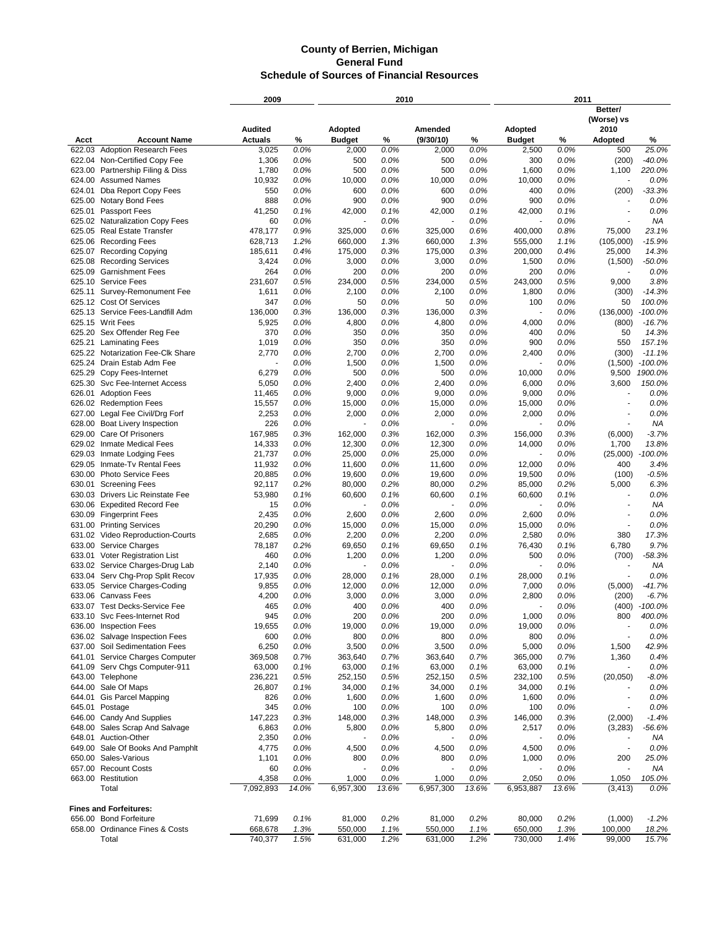| Better/<br>(Worse) vs<br><b>Audited</b><br>Adopted<br>Adopted<br>2010<br>Amended<br>(9/30/10)<br><b>Account Name</b><br><b>Actuals</b><br>%<br><b>Budget</b><br>%<br>%<br><b>Budget</b><br>%<br>Adopted<br>%<br>Acct<br><b>Adoption Research Fees</b><br>0.0%<br>0.0%<br>25.0%<br>622.03<br>2,000<br>0.0%<br>0.0%<br>500<br>3,025<br>2,000<br>2,500<br>1,306<br>0.0%<br>500<br>500<br>300<br>$-40.0%$<br>622.04 Non-Certified Copy Fee<br>0.0%<br>0.0%<br>0.0%<br>(200)<br>1,780<br>0.0%<br>500<br>0.0%<br>500<br>0.0%<br>1,600<br>0.0%<br>1,100<br>220.0%<br>623.00<br>Partnership Filing & Diss<br>10,932<br>0.0%<br>10,000<br>0.0%<br>10,000<br>0.0%<br>10,000<br>0.0%<br>0.0%<br>624.00 Assumed Names<br>0.0%<br>$-33.3%$<br>624.01<br>Dba Report Copy Fees<br>550<br>600<br>0.0%<br>600<br>0.0%<br>400<br>0.0%<br>(200)<br>888<br>0.0%<br>900<br>0.0%<br>900<br>0.0%<br>900<br>0.0%<br>0.0%<br>625.00 Notary Bond Fees<br>÷,<br>41,250<br>0.1%<br>42,000<br>0.1%<br>42,000<br>0.1%<br>42,000<br>0.1%<br>0.0%<br>625.01<br><b>Passport Fees</b><br>÷.<br>0.0%<br>0.0%<br>0.0%<br>0.0%<br>625.02<br><b>Naturalization Copy Fees</b><br>60<br>ΝA<br>0.9%<br>23.1%<br>625.05 Real Estate Transfer<br>478,177<br>325,000<br>0.6%<br>325,000<br>0.6%<br>400,000<br>0.8%<br>75,000<br>625.06 Recording Fees<br>1.2%<br>1.3%<br>1.3%<br>$-15.9%$<br>628,713<br>660,000<br>660,000<br>555,000<br>1.1%<br>(105,000)<br>625.07 Recording Copying<br>0.4%<br>0.3%<br>0.3%<br>0.4%<br>14.3%<br>185.611<br>175,000<br>175.000<br>200,000<br>25,000<br>0.0%<br>0.0%<br>0.0%<br>0.0%<br>$-50.0%$<br>625.08 Recording Services<br>3,424<br>3,000<br>3,000<br>1,500<br>(1,500)<br><b>Garnishment Fees</b><br>0.0%<br>200<br>0.0%<br>0.0%<br>200<br>0.0%<br>625.09<br>264<br>200<br>0.0%<br>231,607<br>0.5%<br>234,000<br>0.5%<br>0.5%<br>243,000<br>0.5%<br>9,000<br>3.8%<br>625.10 Service Fees<br>234,000<br>1,611<br>0.0%<br>2,100<br>0.0%<br>2,100<br>0.0%<br>1,800<br>0.0%<br>(300)<br>$-14.3%$<br>625.11<br>Survey-Remonument Fee<br>0.0%<br>0.0%<br>0.0%<br>100.0%<br>625.12 Cost Of Services<br>347<br>50<br>50<br>100<br>0.0%<br>50<br>Service Fees-Landfill Adm<br>0.3%<br>0.3%<br>625.13<br>136,000<br>136,000<br>0.3%<br>136,000<br>0.0%<br>(136,000)<br>$-100.0%$<br>5,925<br>0.0%<br>4,800<br>0.0%<br>4,800<br>0.0%<br>$-16.7%$<br>625.15 Writ Fees<br>4,000<br>0.0%<br>(800)<br>625.20<br>Sex Offender Reg Fee<br>370<br>0.0%<br>350<br>0.0%<br>350<br>0.0%<br>400<br>0.0%<br>14.3%<br>50<br>1,019<br>0.0%<br>350<br>0.0%<br>350<br>0.0%<br>900<br>0.0%<br>157.1%<br>625.21 Laminating Fees<br>550<br>0.0%<br>2,400<br>$-11.1%$<br>625.22 Notarization Fee-Clk Share<br>2,770<br>2,700<br>0.0%<br>2,700<br>0.0%<br>0.0%<br>(300)<br>0.0%<br>625.24 Drain Estab Adm Fee<br>1,500<br>0.0%<br>1,500<br>0.0%<br>0.0%<br>$-100.0%$<br>(1,500)<br>6,279<br>0.0%<br>500<br>0.0%<br>500<br>0.0%<br>10,000<br>0.0%<br>9,500<br>1900.0%<br>625.29<br>Copy Fees-Internet<br>0.0%<br>0.0%<br>2,400<br>0.0%<br>0.0%<br>3,600<br>150.0%<br>625.30<br>Svc Fee-Internet Access<br>5,050<br>2,400<br>6,000<br>0.0%<br>0.0%<br>9,000<br>0.0%<br>626.01<br><b>Adoption Fees</b><br>11,465<br>9,000<br>0.0%<br>9,000<br>0.0%<br>0.0%<br>0.0%<br>0.0%<br>626.02<br><b>Redemption Fees</b><br>15,557<br>15,000<br>15,000<br>15,000<br>0.0%<br>0.0%<br>2,253<br>0.0%<br>2,000<br>0.0%<br>2,000<br>0.0%<br>0.0%<br>627.00<br>Legal Fee Civil/Drg Forf<br>2,000<br>0.0%<br>628.00<br><b>Boat Livery Inspection</b><br>226<br>0.0%<br>0.0%<br>0.0%<br>0.0%<br><b>NA</b><br>J.<br>629.00 Care Of Prisoners<br>167,985<br>0.3%<br>0.3%<br>0.3%<br>0.3%<br>$-3.7%$<br>162,000<br>162,000<br>156,000<br>(6,000)<br>0.0%<br>13.8%<br>629.02 Inmate Medical Fees<br>14,333<br>12,300<br>0.0%<br>12,300<br>0.0%<br>14,000<br>0.0%<br>1,700<br>629.03 Inmate Lodging Fees<br>0.0%<br>0.0%<br>0.0%<br>0.0%<br>$-100.0%$<br>21,737<br>25,000<br>25,000<br>(25,000)<br>11,932<br>0.0%<br>0.0%<br>0.0%<br>0.0%<br>400<br>3.4%<br>629.05<br>Inmate-Tv Rental Fees<br>11,600<br>11,600<br>12,000<br>20,885<br>0.0%<br>0.0%<br>0.0%<br>0.0%<br>$-0.5%$<br>630.00<br><b>Photo Service Fees</b><br>19,600<br>19,600<br>19,500<br>(100)<br>0.2%<br>6.3%<br>630.01<br><b>Screening Fees</b><br>92,117<br>0.2%<br>80,000<br>80,000<br>0.2%<br>85,000<br>0.2%<br>5,000<br>0.1%<br>60,600<br>0.1%<br>0.1%<br>0.1%<br>630.03 Drivers Lic Reinstate Fee<br>53,980<br>60,600<br>60,600<br>0.0%<br>÷,<br>0.0%<br>0.0%<br>0.0%<br>0.0%<br>NA<br>630.06<br><b>Expedited Record Fee</b><br>15<br>÷<br>2,435<br>0.0%<br>2,600<br>0.0%<br>2,600<br>0.0%<br>2,600<br>0.0%<br>0.0%<br>630.09 Fingerprint Fees<br>٠<br>0.0%<br>0.0%<br>0.0%<br>0.0%<br>631.00 Printing Services<br>20,290<br>15,000<br>15,000<br>15,000<br>0.0%<br>0.0%<br>2,200<br>0.0%<br>2,200<br>0.0%<br>2,580<br>0.0%<br>380<br>17.3%<br>631.02 Video Reproduction-Courts<br>2,685<br>633.00<br>78,187<br>0.2%<br>0.1%<br>0.1%<br>0.1%<br>6,780<br>9.7%<br>Service Charges<br>69,650<br>69,650<br>76,430<br>460<br>0.0%<br>0.0%<br>0.0%<br>$-58.3%$<br>633.01<br>Voter Registration List<br>1,200<br>1,200<br>500<br>0.0%<br>(700)<br>0.0%<br>0.0%<br>633.02<br>Service Charges-Drug Lab<br>2,140<br>0.0%<br>0.0%<br>ΝA<br>Serv Chg-Prop Split Recov<br>0.0%<br>0.1%<br>0.1%<br>0.0%<br>633.04<br>17,935<br>28,000<br>28,000<br>28,000<br>0.1%<br>÷,<br>633.05 Service Charges-Coding<br>9,855<br>0.0%<br>12,000<br>0.0%<br>0.0%<br>7,000<br>0.0%<br>(5,000)<br>$-41.7%$<br>12,000<br>633.06 Canvass Fees<br>4,200<br>0.0%<br>0.0%<br>0.0%<br>0.0%<br>$-6.7%$<br>3,000<br>3,000<br>2,800<br>(200)<br>0.0%<br>0.0%<br>$-100.0%$<br>633.07 Test Decks-Service Fee<br>465<br>400<br>0.0%<br>400<br>0.0%<br>(400)<br>945<br>0.0%<br>200<br>0.0%<br>200<br>0.0%<br>1,000<br>0.0%<br>800<br>400.0%<br>633.10 Svc Fees-Internet Rod<br>636.00 Inspection Fees<br>19,655<br>0.0%<br>19,000<br>0.0%<br>19,000<br>0.0%<br>19,000<br>0.0%<br>0.0%<br>600<br>0.0%<br>800<br>0.0%<br>800<br>0.0%<br>800<br>0.0%<br>0.0%<br>636.02 Salvage Inspection Fees<br>÷,<br>637.00 Soil Sedimentation Fees<br>0.0%<br>0.0%<br>0.0%<br>42.9%<br>6,250<br>3,500<br>3,500<br>5,000<br>0.0%<br>1,500<br>Service Charges Computer<br>0.7%<br>363,640<br>0.7%<br>0.7%<br>641.01<br>369,508<br>363,640<br>365,000<br>0.7%<br>1,360<br>0.4%<br>641.09 Serv Chgs Computer-911<br>0.1%<br>63,000<br>0.1%<br>0.1%<br>63,000<br>0.0%<br>63,000<br>63,000<br>0.1%<br>$\overline{\phantom{a}}$<br>643.00 Telephone<br>0.5%<br>252,150<br>0.5%<br>0.5%<br>(20, 050)<br>$-8.0\%$<br>236,221<br>252,150<br>232,100<br>0.5%<br>644.00 Sale Of Maps<br>26,807<br>0.1%<br>34,000<br>0.1%<br>0.1%<br>34,000<br>0.0%<br>34,000<br>0.1%<br>644.01 Gis Parcel Mapping<br>0.0%<br>0.0%<br>0.0%<br>826<br>1,600<br>1,600<br>0.0%<br>1,600<br>0.0%<br>$\overline{\phantom{a}}$<br>345<br>0.0%<br>100<br>0.0%<br>100<br>0.0%<br>100<br>0.0%<br>0.0%<br>645.01 Postage<br>646.00 Candy And Supplies<br>147,223<br>0.3%<br>148,000<br>0.3%<br>0.3%<br>146,000<br>0.3%<br>(2,000)<br>$-1.4%$<br>148,000<br>648.00 Sales Scrap And Salvage<br>0.0%<br>0.0%<br>0.0%<br>0.0%<br>6,863<br>5,800<br>5,800<br>2,517<br>(3,283)<br>-56.6%<br>648.01 Auction-Other<br>2,350<br>0.0%<br>0.0%<br>0.0%<br>0.0%<br>ΝA<br>649.00 Sale Of Books And Pamphlt<br>0.0%<br>4,500<br>0.0%<br>0.0%<br>4,500<br>0.0%<br>4,775<br>4,500<br>0.0%<br>$\overline{\phantom{a}}$<br>650.00 Sales-Various<br>0.0%<br>800<br>0.0%<br>0.0%<br>0.0%<br>25.0%<br>1,101<br>800<br>1,000<br>200<br>657.00 Recount Costs<br>0.0%<br>0.0%<br>0.0%<br>0.0%<br>ΝA<br>60<br>$\overline{\phantom{a}}$<br>$\overline{\phantom{a}}$<br>663.00 Restitution<br>0.0%<br>0.0%<br>0.0%<br>0.0%<br>4,358<br>1,000<br>1,000<br>2,050<br>1,050<br>105.0%<br>Total<br>7,092,893<br>14.0%<br>6,957,300<br>13.6%<br>6,957,300<br>13.6%<br>6,953,887<br>13.6%<br>0.0%<br>(3, 413)<br><b>Fines and Forfeitures:</b><br>656.00 Bond Forfeiture<br>0.1%<br>0.2%<br>0.2%<br>0.2%<br>71,699<br>81,000<br>81,000<br>80,000<br>(1,000)<br>$-1.2%$<br>658.00 Ordinance Fines & Costs<br>1.3%<br>550,000<br>650,000<br>1.3%<br>18.2%<br>668,678<br>1.1%<br>550,000<br>1.1%<br>100,000<br>1.5%<br>1.2%<br>1.2%<br>15.7%<br>Total<br>740,377<br>631,000<br>631,000<br>730,000<br>1.4%<br>99,000 |  | 2009 |  | 2010 |  |  | 2011 |  |
|--------------------------------------------------------------------------------------------------------------------------------------------------------------------------------------------------------------------------------------------------------------------------------------------------------------------------------------------------------------------------------------------------------------------------------------------------------------------------------------------------------------------------------------------------------------------------------------------------------------------------------------------------------------------------------------------------------------------------------------------------------------------------------------------------------------------------------------------------------------------------------------------------------------------------------------------------------------------------------------------------------------------------------------------------------------------------------------------------------------------------------------------------------------------------------------------------------------------------------------------------------------------------------------------------------------------------------------------------------------------------------------------------------------------------------------------------------------------------------------------------------------------------------------------------------------------------------------------------------------------------------------------------------------------------------------------------------------------------------------------------------------------------------------------------------------------------------------------------------------------------------------------------------------------------------------------------------------------------------------------------------------------------------------------------------------------------------------------------------------------------------------------------------------------------------------------------------------------------------------------------------------------------------------------------------------------------------------------------------------------------------------------------------------------------------------------------------------------------------------------------------------------------------------------------------------------------------------------------------------------------------------------------------------------------------------------------------------------------------------------------------------------------------------------------------------------------------------------------------------------------------------------------------------------------------------------------------------------------------------------------------------------------------------------------------------------------------------------------------------------------------------------------------------------------------------------------------------------------------------------------------------------------------------------------------------------------------------------------------------------------------------------------------------------------------------------------------------------------------------------------------------------------------------------------------------------------------------------------------------------------------------------------------------------------------------------------------------------------------------------------------------------------------------------------------------------------------------------------------------------------------------------------------------------------------------------------------------------------------------------------------------------------------------------------------------------------------------------------------------------------------------------------------------------------------------------------------------------------------------------------------------------------------------------------------------------------------------------------------------------------------------------------------------------------------------------------------------------------------------------------------------------------------------------------------------------------------------------------------------------------------------------------------------------------------------------------------------------------------------------------------------------------------------------------------------------------------------------------------------------------------------------------------------------------------------------------------------------------------------------------------------------------------------------------------------------------------------------------------------------------------------------------------------------------------------------------------------------------------------------------------------------------------------------------------------------------------------------------------------------------------------------------------------------------------------------------------------------------------------------------------------------------------------------------------------------------------------------------------------------------------------------------------------------------------------------------------------------------------------------------------------------------------------------------------------------------------------------------------------------------------------------------------------------------------------------------------------------------------------------------------------------------------------------------------------------------------------------------------------------------------------------------------------------------------------------------------------------------------------------------------------------------------------------------------------------------------------------------------------------------------------------------------------------------------------------------------------------------------------------------------------------------------------------------------------------------------------------------------------------------------------------------------------------------------------------------------------------------------------------------------------------------------------------------------------------------------------------------------------------------------------------------------------------------------------------------------------------------------------------------------------------------------------------------------------------------------------------------------------------------------------------------------------------------------------------------------------------------------------------------------------------------------------------------------------------------------------------------------------------------------------------------------------------------------------------------------------------------------------------------------------------------------------------------------------------------------------------------------------------------------------------------------------------------------------------------------------------------------------------------------------------------------------------------------------------------------------------------------------------------------------------------------------------------------------------------------------------------------------------------------------------------------------------------------------------------------------------------------------------------------------------------------------------------------------------------------------------------------------------------------------------------------------|--|------|--|------|--|--|------|--|
|                                                                                                                                                                                                                                                                                                                                                                                                                                                                                                                                                                                                                                                                                                                                                                                                                                                                                                                                                                                                                                                                                                                                                                                                                                                                                                                                                                                                                                                                                                                                                                                                                                                                                                                                                                                                                                                                                                                                                                                                                                                                                                                                                                                                                                                                                                                                                                                                                                                                                                                                                                                                                                                                                                                                                                                                                                                                                                                                                                                                                                                                                                                                                                                                                                                                                                                                                                                                                                                                                                                                                                                                                                                                                                                                                                                                                                                                                                                                                                                                                                                                                                                                                                                                                                                                                                                                                                                                                                                                                                                                                                                                                                                                                                                                                                                                                                                                                                                                                                                                                                                                                                                                                                                                                                                                                                                                                                                                                                                                                                                                                                                                                                                                                                                                                                                                                                                                                                                                                                                                                                                                                                                                                                                                                                                                                                                                                                                                                                                                                                                                                                                                                                                                                                                                                                                                                                                                                                                                                                                                                                                                                                                                                                                                                                                                                                                                                                                                                                                                                                                                                                                                                                                                                                                                                                                                                                                                                                                                                                                                                                                                                                                                                                                                                                                                                      |  |      |  |      |  |  |      |  |
|                                                                                                                                                                                                                                                                                                                                                                                                                                                                                                                                                                                                                                                                                                                                                                                                                                                                                                                                                                                                                                                                                                                                                                                                                                                                                                                                                                                                                                                                                                                                                                                                                                                                                                                                                                                                                                                                                                                                                                                                                                                                                                                                                                                                                                                                                                                                                                                                                                                                                                                                                                                                                                                                                                                                                                                                                                                                                                                                                                                                                                                                                                                                                                                                                                                                                                                                                                                                                                                                                                                                                                                                                                                                                                                                                                                                                                                                                                                                                                                                                                                                                                                                                                                                                                                                                                                                                                                                                                                                                                                                                                                                                                                                                                                                                                                                                                                                                                                                                                                                                                                                                                                                                                                                                                                                                                                                                                                                                                                                                                                                                                                                                                                                                                                                                                                                                                                                                                                                                                                                                                                                                                                                                                                                                                                                                                                                                                                                                                                                                                                                                                                                                                                                                                                                                                                                                                                                                                                                                                                                                                                                                                                                                                                                                                                                                                                                                                                                                                                                                                                                                                                                                                                                                                                                                                                                                                                                                                                                                                                                                                                                                                                                                                                                                                                                                      |  |      |  |      |  |  |      |  |
|                                                                                                                                                                                                                                                                                                                                                                                                                                                                                                                                                                                                                                                                                                                                                                                                                                                                                                                                                                                                                                                                                                                                                                                                                                                                                                                                                                                                                                                                                                                                                                                                                                                                                                                                                                                                                                                                                                                                                                                                                                                                                                                                                                                                                                                                                                                                                                                                                                                                                                                                                                                                                                                                                                                                                                                                                                                                                                                                                                                                                                                                                                                                                                                                                                                                                                                                                                                                                                                                                                                                                                                                                                                                                                                                                                                                                                                                                                                                                                                                                                                                                                                                                                                                                                                                                                                                                                                                                                                                                                                                                                                                                                                                                                                                                                                                                                                                                                                                                                                                                                                                                                                                                                                                                                                                                                                                                                                                                                                                                                                                                                                                                                                                                                                                                                                                                                                                                                                                                                                                                                                                                                                                                                                                                                                                                                                                                                                                                                                                                                                                                                                                                                                                                                                                                                                                                                                                                                                                                                                                                                                                                                                                                                                                                                                                                                                                                                                                                                                                                                                                                                                                                                                                                                                                                                                                                                                                                                                                                                                                                                                                                                                                                                                                                                                                                      |  |      |  |      |  |  |      |  |
|                                                                                                                                                                                                                                                                                                                                                                                                                                                                                                                                                                                                                                                                                                                                                                                                                                                                                                                                                                                                                                                                                                                                                                                                                                                                                                                                                                                                                                                                                                                                                                                                                                                                                                                                                                                                                                                                                                                                                                                                                                                                                                                                                                                                                                                                                                                                                                                                                                                                                                                                                                                                                                                                                                                                                                                                                                                                                                                                                                                                                                                                                                                                                                                                                                                                                                                                                                                                                                                                                                                                                                                                                                                                                                                                                                                                                                                                                                                                                                                                                                                                                                                                                                                                                                                                                                                                                                                                                                                                                                                                                                                                                                                                                                                                                                                                                                                                                                                                                                                                                                                                                                                                                                                                                                                                                                                                                                                                                                                                                                                                                                                                                                                                                                                                                                                                                                                                                                                                                                                                                                                                                                                                                                                                                                                                                                                                                                                                                                                                                                                                                                                                                                                                                                                                                                                                                                                                                                                                                                                                                                                                                                                                                                                                                                                                                                                                                                                                                                                                                                                                                                                                                                                                                                                                                                                                                                                                                                                                                                                                                                                                                                                                                                                                                                                                                      |  |      |  |      |  |  |      |  |
|                                                                                                                                                                                                                                                                                                                                                                                                                                                                                                                                                                                                                                                                                                                                                                                                                                                                                                                                                                                                                                                                                                                                                                                                                                                                                                                                                                                                                                                                                                                                                                                                                                                                                                                                                                                                                                                                                                                                                                                                                                                                                                                                                                                                                                                                                                                                                                                                                                                                                                                                                                                                                                                                                                                                                                                                                                                                                                                                                                                                                                                                                                                                                                                                                                                                                                                                                                                                                                                                                                                                                                                                                                                                                                                                                                                                                                                                                                                                                                                                                                                                                                                                                                                                                                                                                                                                                                                                                                                                                                                                                                                                                                                                                                                                                                                                                                                                                                                                                                                                                                                                                                                                                                                                                                                                                                                                                                                                                                                                                                                                                                                                                                                                                                                                                                                                                                                                                                                                                                                                                                                                                                                                                                                                                                                                                                                                                                                                                                                                                                                                                                                                                                                                                                                                                                                                                                                                                                                                                                                                                                                                                                                                                                                                                                                                                                                                                                                                                                                                                                                                                                                                                                                                                                                                                                                                                                                                                                                                                                                                                                                                                                                                                                                                                                                                                      |  |      |  |      |  |  |      |  |
|                                                                                                                                                                                                                                                                                                                                                                                                                                                                                                                                                                                                                                                                                                                                                                                                                                                                                                                                                                                                                                                                                                                                                                                                                                                                                                                                                                                                                                                                                                                                                                                                                                                                                                                                                                                                                                                                                                                                                                                                                                                                                                                                                                                                                                                                                                                                                                                                                                                                                                                                                                                                                                                                                                                                                                                                                                                                                                                                                                                                                                                                                                                                                                                                                                                                                                                                                                                                                                                                                                                                                                                                                                                                                                                                                                                                                                                                                                                                                                                                                                                                                                                                                                                                                                                                                                                                                                                                                                                                                                                                                                                                                                                                                                                                                                                                                                                                                                                                                                                                                                                                                                                                                                                                                                                                                                                                                                                                                                                                                                                                                                                                                                                                                                                                                                                                                                                                                                                                                                                                                                                                                                                                                                                                                                                                                                                                                                                                                                                                                                                                                                                                                                                                                                                                                                                                                                                                                                                                                                                                                                                                                                                                                                                                                                                                                                                                                                                                                                                                                                                                                                                                                                                                                                                                                                                                                                                                                                                                                                                                                                                                                                                                                                                                                                                                                      |  |      |  |      |  |  |      |  |
|                                                                                                                                                                                                                                                                                                                                                                                                                                                                                                                                                                                                                                                                                                                                                                                                                                                                                                                                                                                                                                                                                                                                                                                                                                                                                                                                                                                                                                                                                                                                                                                                                                                                                                                                                                                                                                                                                                                                                                                                                                                                                                                                                                                                                                                                                                                                                                                                                                                                                                                                                                                                                                                                                                                                                                                                                                                                                                                                                                                                                                                                                                                                                                                                                                                                                                                                                                                                                                                                                                                                                                                                                                                                                                                                                                                                                                                                                                                                                                                                                                                                                                                                                                                                                                                                                                                                                                                                                                                                                                                                                                                                                                                                                                                                                                                                                                                                                                                                                                                                                                                                                                                                                                                                                                                                                                                                                                                                                                                                                                                                                                                                                                                                                                                                                                                                                                                                                                                                                                                                                                                                                                                                                                                                                                                                                                                                                                                                                                                                                                                                                                                                                                                                                                                                                                                                                                                                                                                                                                                                                                                                                                                                                                                                                                                                                                                                                                                                                                                                                                                                                                                                                                                                                                                                                                                                                                                                                                                                                                                                                                                                                                                                                                                                                                                                                      |  |      |  |      |  |  |      |  |
|                                                                                                                                                                                                                                                                                                                                                                                                                                                                                                                                                                                                                                                                                                                                                                                                                                                                                                                                                                                                                                                                                                                                                                                                                                                                                                                                                                                                                                                                                                                                                                                                                                                                                                                                                                                                                                                                                                                                                                                                                                                                                                                                                                                                                                                                                                                                                                                                                                                                                                                                                                                                                                                                                                                                                                                                                                                                                                                                                                                                                                                                                                                                                                                                                                                                                                                                                                                                                                                                                                                                                                                                                                                                                                                                                                                                                                                                                                                                                                                                                                                                                                                                                                                                                                                                                                                                                                                                                                                                                                                                                                                                                                                                                                                                                                                                                                                                                                                                                                                                                                                                                                                                                                                                                                                                                                                                                                                                                                                                                                                                                                                                                                                                                                                                                                                                                                                                                                                                                                                                                                                                                                                                                                                                                                                                                                                                                                                                                                                                                                                                                                                                                                                                                                                                                                                                                                                                                                                                                                                                                                                                                                                                                                                                                                                                                                                                                                                                                                                                                                                                                                                                                                                                                                                                                                                                                                                                                                                                                                                                                                                                                                                                                                                                                                                                                      |  |      |  |      |  |  |      |  |
|                                                                                                                                                                                                                                                                                                                                                                                                                                                                                                                                                                                                                                                                                                                                                                                                                                                                                                                                                                                                                                                                                                                                                                                                                                                                                                                                                                                                                                                                                                                                                                                                                                                                                                                                                                                                                                                                                                                                                                                                                                                                                                                                                                                                                                                                                                                                                                                                                                                                                                                                                                                                                                                                                                                                                                                                                                                                                                                                                                                                                                                                                                                                                                                                                                                                                                                                                                                                                                                                                                                                                                                                                                                                                                                                                                                                                                                                                                                                                                                                                                                                                                                                                                                                                                                                                                                                                                                                                                                                                                                                                                                                                                                                                                                                                                                                                                                                                                                                                                                                                                                                                                                                                                                                                                                                                                                                                                                                                                                                                                                                                                                                                                                                                                                                                                                                                                                                                                                                                                                                                                                                                                                                                                                                                                                                                                                                                                                                                                                                                                                                                                                                                                                                                                                                                                                                                                                                                                                                                                                                                                                                                                                                                                                                                                                                                                                                                                                                                                                                                                                                                                                                                                                                                                                                                                                                                                                                                                                                                                                                                                                                                                                                                                                                                                                                                      |  |      |  |      |  |  |      |  |
|                                                                                                                                                                                                                                                                                                                                                                                                                                                                                                                                                                                                                                                                                                                                                                                                                                                                                                                                                                                                                                                                                                                                                                                                                                                                                                                                                                                                                                                                                                                                                                                                                                                                                                                                                                                                                                                                                                                                                                                                                                                                                                                                                                                                                                                                                                                                                                                                                                                                                                                                                                                                                                                                                                                                                                                                                                                                                                                                                                                                                                                                                                                                                                                                                                                                                                                                                                                                                                                                                                                                                                                                                                                                                                                                                                                                                                                                                                                                                                                                                                                                                                                                                                                                                                                                                                                                                                                                                                                                                                                                                                                                                                                                                                                                                                                                                                                                                                                                                                                                                                                                                                                                                                                                                                                                                                                                                                                                                                                                                                                                                                                                                                                                                                                                                                                                                                                                                                                                                                                                                                                                                                                                                                                                                                                                                                                                                                                                                                                                                                                                                                                                                                                                                                                                                                                                                                                                                                                                                                                                                                                                                                                                                                                                                                                                                                                                                                                                                                                                                                                                                                                                                                                                                                                                                                                                                                                                                                                                                                                                                                                                                                                                                                                                                                                                                      |  |      |  |      |  |  |      |  |
|                                                                                                                                                                                                                                                                                                                                                                                                                                                                                                                                                                                                                                                                                                                                                                                                                                                                                                                                                                                                                                                                                                                                                                                                                                                                                                                                                                                                                                                                                                                                                                                                                                                                                                                                                                                                                                                                                                                                                                                                                                                                                                                                                                                                                                                                                                                                                                                                                                                                                                                                                                                                                                                                                                                                                                                                                                                                                                                                                                                                                                                                                                                                                                                                                                                                                                                                                                                                                                                                                                                                                                                                                                                                                                                                                                                                                                                                                                                                                                                                                                                                                                                                                                                                                                                                                                                                                                                                                                                                                                                                                                                                                                                                                                                                                                                                                                                                                                                                                                                                                                                                                                                                                                                                                                                                                                                                                                                                                                                                                                                                                                                                                                                                                                                                                                                                                                                                                                                                                                                                                                                                                                                                                                                                                                                                                                                                                                                                                                                                                                                                                                                                                                                                                                                                                                                                                                                                                                                                                                                                                                                                                                                                                                                                                                                                                                                                                                                                                                                                                                                                                                                                                                                                                                                                                                                                                                                                                                                                                                                                                                                                                                                                                                                                                                                                                      |  |      |  |      |  |  |      |  |
|                                                                                                                                                                                                                                                                                                                                                                                                                                                                                                                                                                                                                                                                                                                                                                                                                                                                                                                                                                                                                                                                                                                                                                                                                                                                                                                                                                                                                                                                                                                                                                                                                                                                                                                                                                                                                                                                                                                                                                                                                                                                                                                                                                                                                                                                                                                                                                                                                                                                                                                                                                                                                                                                                                                                                                                                                                                                                                                                                                                                                                                                                                                                                                                                                                                                                                                                                                                                                                                                                                                                                                                                                                                                                                                                                                                                                                                                                                                                                                                                                                                                                                                                                                                                                                                                                                                                                                                                                                                                                                                                                                                                                                                                                                                                                                                                                                                                                                                                                                                                                                                                                                                                                                                                                                                                                                                                                                                                                                                                                                                                                                                                                                                                                                                                                                                                                                                                                                                                                                                                                                                                                                                                                                                                                                                                                                                                                                                                                                                                                                                                                                                                                                                                                                                                                                                                                                                                                                                                                                                                                                                                                                                                                                                                                                                                                                                                                                                                                                                                                                                                                                                                                                                                                                                                                                                                                                                                                                                                                                                                                                                                                                                                                                                                                                                                                      |  |      |  |      |  |  |      |  |
|                                                                                                                                                                                                                                                                                                                                                                                                                                                                                                                                                                                                                                                                                                                                                                                                                                                                                                                                                                                                                                                                                                                                                                                                                                                                                                                                                                                                                                                                                                                                                                                                                                                                                                                                                                                                                                                                                                                                                                                                                                                                                                                                                                                                                                                                                                                                                                                                                                                                                                                                                                                                                                                                                                                                                                                                                                                                                                                                                                                                                                                                                                                                                                                                                                                                                                                                                                                                                                                                                                                                                                                                                                                                                                                                                                                                                                                                                                                                                                                                                                                                                                                                                                                                                                                                                                                                                                                                                                                                                                                                                                                                                                                                                                                                                                                                                                                                                                                                                                                                                                                                                                                                                                                                                                                                                                                                                                                                                                                                                                                                                                                                                                                                                                                                                                                                                                                                                                                                                                                                                                                                                                                                                                                                                                                                                                                                                                                                                                                                                                                                                                                                                                                                                                                                                                                                                                                                                                                                                                                                                                                                                                                                                                                                                                                                                                                                                                                                                                                                                                                                                                                                                                                                                                                                                                                                                                                                                                                                                                                                                                                                                                                                                                                                                                                                                      |  |      |  |      |  |  |      |  |
|                                                                                                                                                                                                                                                                                                                                                                                                                                                                                                                                                                                                                                                                                                                                                                                                                                                                                                                                                                                                                                                                                                                                                                                                                                                                                                                                                                                                                                                                                                                                                                                                                                                                                                                                                                                                                                                                                                                                                                                                                                                                                                                                                                                                                                                                                                                                                                                                                                                                                                                                                                                                                                                                                                                                                                                                                                                                                                                                                                                                                                                                                                                                                                                                                                                                                                                                                                                                                                                                                                                                                                                                                                                                                                                                                                                                                                                                                                                                                                                                                                                                                                                                                                                                                                                                                                                                                                                                                                                                                                                                                                                                                                                                                                                                                                                                                                                                                                                                                                                                                                                                                                                                                                                                                                                                                                                                                                                                                                                                                                                                                                                                                                                                                                                                                                                                                                                                                                                                                                                                                                                                                                                                                                                                                                                                                                                                                                                                                                                                                                                                                                                                                                                                                                                                                                                                                                                                                                                                                                                                                                                                                                                                                                                                                                                                                                                                                                                                                                                                                                                                                                                                                                                                                                                                                                                                                                                                                                                                                                                                                                                                                                                                                                                                                                                                                      |  |      |  |      |  |  |      |  |
|                                                                                                                                                                                                                                                                                                                                                                                                                                                                                                                                                                                                                                                                                                                                                                                                                                                                                                                                                                                                                                                                                                                                                                                                                                                                                                                                                                                                                                                                                                                                                                                                                                                                                                                                                                                                                                                                                                                                                                                                                                                                                                                                                                                                                                                                                                                                                                                                                                                                                                                                                                                                                                                                                                                                                                                                                                                                                                                                                                                                                                                                                                                                                                                                                                                                                                                                                                                                                                                                                                                                                                                                                                                                                                                                                                                                                                                                                                                                                                                                                                                                                                                                                                                                                                                                                                                                                                                                                                                                                                                                                                                                                                                                                                                                                                                                                                                                                                                                                                                                                                                                                                                                                                                                                                                                                                                                                                                                                                                                                                                                                                                                                                                                                                                                                                                                                                                                                                                                                                                                                                                                                                                                                                                                                                                                                                                                                                                                                                                                                                                                                                                                                                                                                                                                                                                                                                                                                                                                                                                                                                                                                                                                                                                                                                                                                                                                                                                                                                                                                                                                                                                                                                                                                                                                                                                                                                                                                                                                                                                                                                                                                                                                                                                                                                                                                      |  |      |  |      |  |  |      |  |
|                                                                                                                                                                                                                                                                                                                                                                                                                                                                                                                                                                                                                                                                                                                                                                                                                                                                                                                                                                                                                                                                                                                                                                                                                                                                                                                                                                                                                                                                                                                                                                                                                                                                                                                                                                                                                                                                                                                                                                                                                                                                                                                                                                                                                                                                                                                                                                                                                                                                                                                                                                                                                                                                                                                                                                                                                                                                                                                                                                                                                                                                                                                                                                                                                                                                                                                                                                                                                                                                                                                                                                                                                                                                                                                                                                                                                                                                                                                                                                                                                                                                                                                                                                                                                                                                                                                                                                                                                                                                                                                                                                                                                                                                                                                                                                                                                                                                                                                                                                                                                                                                                                                                                                                                                                                                                                                                                                                                                                                                                                                                                                                                                                                                                                                                                                                                                                                                                                                                                                                                                                                                                                                                                                                                                                                                                                                                                                                                                                                                                                                                                                                                                                                                                                                                                                                                                                                                                                                                                                                                                                                                                                                                                                                                                                                                                                                                                                                                                                                                                                                                                                                                                                                                                                                                                                                                                                                                                                                                                                                                                                                                                                                                                                                                                                                                                      |  |      |  |      |  |  |      |  |
|                                                                                                                                                                                                                                                                                                                                                                                                                                                                                                                                                                                                                                                                                                                                                                                                                                                                                                                                                                                                                                                                                                                                                                                                                                                                                                                                                                                                                                                                                                                                                                                                                                                                                                                                                                                                                                                                                                                                                                                                                                                                                                                                                                                                                                                                                                                                                                                                                                                                                                                                                                                                                                                                                                                                                                                                                                                                                                                                                                                                                                                                                                                                                                                                                                                                                                                                                                                                                                                                                                                                                                                                                                                                                                                                                                                                                                                                                                                                                                                                                                                                                                                                                                                                                                                                                                                                                                                                                                                                                                                                                                                                                                                                                                                                                                                                                                                                                                                                                                                                                                                                                                                                                                                                                                                                                                                                                                                                                                                                                                                                                                                                                                                                                                                                                                                                                                                                                                                                                                                                                                                                                                                                                                                                                                                                                                                                                                                                                                                                                                                                                                                                                                                                                                                                                                                                                                                                                                                                                                                                                                                                                                                                                                                                                                                                                                                                                                                                                                                                                                                                                                                                                                                                                                                                                                                                                                                                                                                                                                                                                                                                                                                                                                                                                                                                                      |  |      |  |      |  |  |      |  |
|                                                                                                                                                                                                                                                                                                                                                                                                                                                                                                                                                                                                                                                                                                                                                                                                                                                                                                                                                                                                                                                                                                                                                                                                                                                                                                                                                                                                                                                                                                                                                                                                                                                                                                                                                                                                                                                                                                                                                                                                                                                                                                                                                                                                                                                                                                                                                                                                                                                                                                                                                                                                                                                                                                                                                                                                                                                                                                                                                                                                                                                                                                                                                                                                                                                                                                                                                                                                                                                                                                                                                                                                                                                                                                                                                                                                                                                                                                                                                                                                                                                                                                                                                                                                                                                                                                                                                                                                                                                                                                                                                                                                                                                                                                                                                                                                                                                                                                                                                                                                                                                                                                                                                                                                                                                                                                                                                                                                                                                                                                                                                                                                                                                                                                                                                                                                                                                                                                                                                                                                                                                                                                                                                                                                                                                                                                                                                                                                                                                                                                                                                                                                                                                                                                                                                                                                                                                                                                                                                                                                                                                                                                                                                                                                                                                                                                                                                                                                                                                                                                                                                                                                                                                                                                                                                                                                                                                                                                                                                                                                                                                                                                                                                                                                                                                                                      |  |      |  |      |  |  |      |  |
|                                                                                                                                                                                                                                                                                                                                                                                                                                                                                                                                                                                                                                                                                                                                                                                                                                                                                                                                                                                                                                                                                                                                                                                                                                                                                                                                                                                                                                                                                                                                                                                                                                                                                                                                                                                                                                                                                                                                                                                                                                                                                                                                                                                                                                                                                                                                                                                                                                                                                                                                                                                                                                                                                                                                                                                                                                                                                                                                                                                                                                                                                                                                                                                                                                                                                                                                                                                                                                                                                                                                                                                                                                                                                                                                                                                                                                                                                                                                                                                                                                                                                                                                                                                                                                                                                                                                                                                                                                                                                                                                                                                                                                                                                                                                                                                                                                                                                                                                                                                                                                                                                                                                                                                                                                                                                                                                                                                                                                                                                                                                                                                                                                                                                                                                                                                                                                                                                                                                                                                                                                                                                                                                                                                                                                                                                                                                                                                                                                                                                                                                                                                                                                                                                                                                                                                                                                                                                                                                                                                                                                                                                                                                                                                                                                                                                                                                                                                                                                                                                                                                                                                                                                                                                                                                                                                                                                                                                                                                                                                                                                                                                                                                                                                                                                                                                      |  |      |  |      |  |  |      |  |
|                                                                                                                                                                                                                                                                                                                                                                                                                                                                                                                                                                                                                                                                                                                                                                                                                                                                                                                                                                                                                                                                                                                                                                                                                                                                                                                                                                                                                                                                                                                                                                                                                                                                                                                                                                                                                                                                                                                                                                                                                                                                                                                                                                                                                                                                                                                                                                                                                                                                                                                                                                                                                                                                                                                                                                                                                                                                                                                                                                                                                                                                                                                                                                                                                                                                                                                                                                                                                                                                                                                                                                                                                                                                                                                                                                                                                                                                                                                                                                                                                                                                                                                                                                                                                                                                                                                                                                                                                                                                                                                                                                                                                                                                                                                                                                                                                                                                                                                                                                                                                                                                                                                                                                                                                                                                                                                                                                                                                                                                                                                                                                                                                                                                                                                                                                                                                                                                                                                                                                                                                                                                                                                                                                                                                                                                                                                                                                                                                                                                                                                                                                                                                                                                                                                                                                                                                                                                                                                                                                                                                                                                                                                                                                                                                                                                                                                                                                                                                                                                                                                                                                                                                                                                                                                                                                                                                                                                                                                                                                                                                                                                                                                                                                                                                                                                                      |  |      |  |      |  |  |      |  |
|                                                                                                                                                                                                                                                                                                                                                                                                                                                                                                                                                                                                                                                                                                                                                                                                                                                                                                                                                                                                                                                                                                                                                                                                                                                                                                                                                                                                                                                                                                                                                                                                                                                                                                                                                                                                                                                                                                                                                                                                                                                                                                                                                                                                                                                                                                                                                                                                                                                                                                                                                                                                                                                                                                                                                                                                                                                                                                                                                                                                                                                                                                                                                                                                                                                                                                                                                                                                                                                                                                                                                                                                                                                                                                                                                                                                                                                                                                                                                                                                                                                                                                                                                                                                                                                                                                                                                                                                                                                                                                                                                                                                                                                                                                                                                                                                                                                                                                                                                                                                                                                                                                                                                                                                                                                                                                                                                                                                                                                                                                                                                                                                                                                                                                                                                                                                                                                                                                                                                                                                                                                                                                                                                                                                                                                                                                                                                                                                                                                                                                                                                                                                                                                                                                                                                                                                                                                                                                                                                                                                                                                                                                                                                                                                                                                                                                                                                                                                                                                                                                                                                                                                                                                                                                                                                                                                                                                                                                                                                                                                                                                                                                                                                                                                                                                                                      |  |      |  |      |  |  |      |  |
|                                                                                                                                                                                                                                                                                                                                                                                                                                                                                                                                                                                                                                                                                                                                                                                                                                                                                                                                                                                                                                                                                                                                                                                                                                                                                                                                                                                                                                                                                                                                                                                                                                                                                                                                                                                                                                                                                                                                                                                                                                                                                                                                                                                                                                                                                                                                                                                                                                                                                                                                                                                                                                                                                                                                                                                                                                                                                                                                                                                                                                                                                                                                                                                                                                                                                                                                                                                                                                                                                                                                                                                                                                                                                                                                                                                                                                                                                                                                                                                                                                                                                                                                                                                                                                                                                                                                                                                                                                                                                                                                                                                                                                                                                                                                                                                                                                                                                                                                                                                                                                                                                                                                                                                                                                                                                                                                                                                                                                                                                                                                                                                                                                                                                                                                                                                                                                                                                                                                                                                                                                                                                                                                                                                                                                                                                                                                                                                                                                                                                                                                                                                                                                                                                                                                                                                                                                                                                                                                                                                                                                                                                                                                                                                                                                                                                                                                                                                                                                                                                                                                                                                                                                                                                                                                                                                                                                                                                                                                                                                                                                                                                                                                                                                                                                                                                      |  |      |  |      |  |  |      |  |
|                                                                                                                                                                                                                                                                                                                                                                                                                                                                                                                                                                                                                                                                                                                                                                                                                                                                                                                                                                                                                                                                                                                                                                                                                                                                                                                                                                                                                                                                                                                                                                                                                                                                                                                                                                                                                                                                                                                                                                                                                                                                                                                                                                                                                                                                                                                                                                                                                                                                                                                                                                                                                                                                                                                                                                                                                                                                                                                                                                                                                                                                                                                                                                                                                                                                                                                                                                                                                                                                                                                                                                                                                                                                                                                                                                                                                                                                                                                                                                                                                                                                                                                                                                                                                                                                                                                                                                                                                                                                                                                                                                                                                                                                                                                                                                                                                                                                                                                                                                                                                                                                                                                                                                                                                                                                                                                                                                                                                                                                                                                                                                                                                                                                                                                                                                                                                                                                                                                                                                                                                                                                                                                                                                                                                                                                                                                                                                                                                                                                                                                                                                                                                                                                                                                                                                                                                                                                                                                                                                                                                                                                                                                                                                                                                                                                                                                                                                                                                                                                                                                                                                                                                                                                                                                                                                                                                                                                                                                                                                                                                                                                                                                                                                                                                                                                                      |  |      |  |      |  |  |      |  |
|                                                                                                                                                                                                                                                                                                                                                                                                                                                                                                                                                                                                                                                                                                                                                                                                                                                                                                                                                                                                                                                                                                                                                                                                                                                                                                                                                                                                                                                                                                                                                                                                                                                                                                                                                                                                                                                                                                                                                                                                                                                                                                                                                                                                                                                                                                                                                                                                                                                                                                                                                                                                                                                                                                                                                                                                                                                                                                                                                                                                                                                                                                                                                                                                                                                                                                                                                                                                                                                                                                                                                                                                                                                                                                                                                                                                                                                                                                                                                                                                                                                                                                                                                                                                                                                                                                                                                                                                                                                                                                                                                                                                                                                                                                                                                                                                                                                                                                                                                                                                                                                                                                                                                                                                                                                                                                                                                                                                                                                                                                                                                                                                                                                                                                                                                                                                                                                                                                                                                                                                                                                                                                                                                                                                                                                                                                                                                                                                                                                                                                                                                                                                                                                                                                                                                                                                                                                                                                                                                                                                                                                                                                                                                                                                                                                                                                                                                                                                                                                                                                                                                                                                                                                                                                                                                                                                                                                                                                                                                                                                                                                                                                                                                                                                                                                                                      |  |      |  |      |  |  |      |  |
|                                                                                                                                                                                                                                                                                                                                                                                                                                                                                                                                                                                                                                                                                                                                                                                                                                                                                                                                                                                                                                                                                                                                                                                                                                                                                                                                                                                                                                                                                                                                                                                                                                                                                                                                                                                                                                                                                                                                                                                                                                                                                                                                                                                                                                                                                                                                                                                                                                                                                                                                                                                                                                                                                                                                                                                                                                                                                                                                                                                                                                                                                                                                                                                                                                                                                                                                                                                                                                                                                                                                                                                                                                                                                                                                                                                                                                                                                                                                                                                                                                                                                                                                                                                                                                                                                                                                                                                                                                                                                                                                                                                                                                                                                                                                                                                                                                                                                                                                                                                                                                                                                                                                                                                                                                                                                                                                                                                                                                                                                                                                                                                                                                                                                                                                                                                                                                                                                                                                                                                                                                                                                                                                                                                                                                                                                                                                                                                                                                                                                                                                                                                                                                                                                                                                                                                                                                                                                                                                                                                                                                                                                                                                                                                                                                                                                                                                                                                                                                                                                                                                                                                                                                                                                                                                                                                                                                                                                                                                                                                                                                                                                                                                                                                                                                                                                      |  |      |  |      |  |  |      |  |
|                                                                                                                                                                                                                                                                                                                                                                                                                                                                                                                                                                                                                                                                                                                                                                                                                                                                                                                                                                                                                                                                                                                                                                                                                                                                                                                                                                                                                                                                                                                                                                                                                                                                                                                                                                                                                                                                                                                                                                                                                                                                                                                                                                                                                                                                                                                                                                                                                                                                                                                                                                                                                                                                                                                                                                                                                                                                                                                                                                                                                                                                                                                                                                                                                                                                                                                                                                                                                                                                                                                                                                                                                                                                                                                                                                                                                                                                                                                                                                                                                                                                                                                                                                                                                                                                                                                                                                                                                                                                                                                                                                                                                                                                                                                                                                                                                                                                                                                                                                                                                                                                                                                                                                                                                                                                                                                                                                                                                                                                                                                                                                                                                                                                                                                                                                                                                                                                                                                                                                                                                                                                                                                                                                                                                                                                                                                                                                                                                                                                                                                                                                                                                                                                                                                                                                                                                                                                                                                                                                                                                                                                                                                                                                                                                                                                                                                                                                                                                                                                                                                                                                                                                                                                                                                                                                                                                                                                                                                                                                                                                                                                                                                                                                                                                                                                                      |  |      |  |      |  |  |      |  |
|                                                                                                                                                                                                                                                                                                                                                                                                                                                                                                                                                                                                                                                                                                                                                                                                                                                                                                                                                                                                                                                                                                                                                                                                                                                                                                                                                                                                                                                                                                                                                                                                                                                                                                                                                                                                                                                                                                                                                                                                                                                                                                                                                                                                                                                                                                                                                                                                                                                                                                                                                                                                                                                                                                                                                                                                                                                                                                                                                                                                                                                                                                                                                                                                                                                                                                                                                                                                                                                                                                                                                                                                                                                                                                                                                                                                                                                                                                                                                                                                                                                                                                                                                                                                                                                                                                                                                                                                                                                                                                                                                                                                                                                                                                                                                                                                                                                                                                                                                                                                                                                                                                                                                                                                                                                                                                                                                                                                                                                                                                                                                                                                                                                                                                                                                                                                                                                                                                                                                                                                                                                                                                                                                                                                                                                                                                                                                                                                                                                                                                                                                                                                                                                                                                                                                                                                                                                                                                                                                                                                                                                                                                                                                                                                                                                                                                                                                                                                                                                                                                                                                                                                                                                                                                                                                                                                                                                                                                                                                                                                                                                                                                                                                                                                                                                                                      |  |      |  |      |  |  |      |  |
|                                                                                                                                                                                                                                                                                                                                                                                                                                                                                                                                                                                                                                                                                                                                                                                                                                                                                                                                                                                                                                                                                                                                                                                                                                                                                                                                                                                                                                                                                                                                                                                                                                                                                                                                                                                                                                                                                                                                                                                                                                                                                                                                                                                                                                                                                                                                                                                                                                                                                                                                                                                                                                                                                                                                                                                                                                                                                                                                                                                                                                                                                                                                                                                                                                                                                                                                                                                                                                                                                                                                                                                                                                                                                                                                                                                                                                                                                                                                                                                                                                                                                                                                                                                                                                                                                                                                                                                                                                                                                                                                                                                                                                                                                                                                                                                                                                                                                                                                                                                                                                                                                                                                                                                                                                                                                                                                                                                                                                                                                                                                                                                                                                                                                                                                                                                                                                                                                                                                                                                                                                                                                                                                                                                                                                                                                                                                                                                                                                                                                                                                                                                                                                                                                                                                                                                                                                                                                                                                                                                                                                                                                                                                                                                                                                                                                                                                                                                                                                                                                                                                                                                                                                                                                                                                                                                                                                                                                                                                                                                                                                                                                                                                                                                                                                                                                      |  |      |  |      |  |  |      |  |
|                                                                                                                                                                                                                                                                                                                                                                                                                                                                                                                                                                                                                                                                                                                                                                                                                                                                                                                                                                                                                                                                                                                                                                                                                                                                                                                                                                                                                                                                                                                                                                                                                                                                                                                                                                                                                                                                                                                                                                                                                                                                                                                                                                                                                                                                                                                                                                                                                                                                                                                                                                                                                                                                                                                                                                                                                                                                                                                                                                                                                                                                                                                                                                                                                                                                                                                                                                                                                                                                                                                                                                                                                                                                                                                                                                                                                                                                                                                                                                                                                                                                                                                                                                                                                                                                                                                                                                                                                                                                                                                                                                                                                                                                                                                                                                                                                                                                                                                                                                                                                                                                                                                                                                                                                                                                                                                                                                                                                                                                                                                                                                                                                                                                                                                                                                                                                                                                                                                                                                                                                                                                                                                                                                                                                                                                                                                                                                                                                                                                                                                                                                                                                                                                                                                                                                                                                                                                                                                                                                                                                                                                                                                                                                                                                                                                                                                                                                                                                                                                                                                                                                                                                                                                                                                                                                                                                                                                                                                                                                                                                                                                                                                                                                                                                                                                                      |  |      |  |      |  |  |      |  |
|                                                                                                                                                                                                                                                                                                                                                                                                                                                                                                                                                                                                                                                                                                                                                                                                                                                                                                                                                                                                                                                                                                                                                                                                                                                                                                                                                                                                                                                                                                                                                                                                                                                                                                                                                                                                                                                                                                                                                                                                                                                                                                                                                                                                                                                                                                                                                                                                                                                                                                                                                                                                                                                                                                                                                                                                                                                                                                                                                                                                                                                                                                                                                                                                                                                                                                                                                                                                                                                                                                                                                                                                                                                                                                                                                                                                                                                                                                                                                                                                                                                                                                                                                                                                                                                                                                                                                                                                                                                                                                                                                                                                                                                                                                                                                                                                                                                                                                                                                                                                                                                                                                                                                                                                                                                                                                                                                                                                                                                                                                                                                                                                                                                                                                                                                                                                                                                                                                                                                                                                                                                                                                                                                                                                                                                                                                                                                                                                                                                                                                                                                                                                                                                                                                                                                                                                                                                                                                                                                                                                                                                                                                                                                                                                                                                                                                                                                                                                                                                                                                                                                                                                                                                                                                                                                                                                                                                                                                                                                                                                                                                                                                                                                                                                                                                                                      |  |      |  |      |  |  |      |  |
|                                                                                                                                                                                                                                                                                                                                                                                                                                                                                                                                                                                                                                                                                                                                                                                                                                                                                                                                                                                                                                                                                                                                                                                                                                                                                                                                                                                                                                                                                                                                                                                                                                                                                                                                                                                                                                                                                                                                                                                                                                                                                                                                                                                                                                                                                                                                                                                                                                                                                                                                                                                                                                                                                                                                                                                                                                                                                                                                                                                                                                                                                                                                                                                                                                                                                                                                                                                                                                                                                                                                                                                                                                                                                                                                                                                                                                                                                                                                                                                                                                                                                                                                                                                                                                                                                                                                                                                                                                                                                                                                                                                                                                                                                                                                                                                                                                                                                                                                                                                                                                                                                                                                                                                                                                                                                                                                                                                                                                                                                                                                                                                                                                                                                                                                                                                                                                                                                                                                                                                                                                                                                                                                                                                                                                                                                                                                                                                                                                                                                                                                                                                                                                                                                                                                                                                                                                                                                                                                                                                                                                                                                                                                                                                                                                                                                                                                                                                                                                                                                                                                                                                                                                                                                                                                                                                                                                                                                                                                                                                                                                                                                                                                                                                                                                                                                      |  |      |  |      |  |  |      |  |
|                                                                                                                                                                                                                                                                                                                                                                                                                                                                                                                                                                                                                                                                                                                                                                                                                                                                                                                                                                                                                                                                                                                                                                                                                                                                                                                                                                                                                                                                                                                                                                                                                                                                                                                                                                                                                                                                                                                                                                                                                                                                                                                                                                                                                                                                                                                                                                                                                                                                                                                                                                                                                                                                                                                                                                                                                                                                                                                                                                                                                                                                                                                                                                                                                                                                                                                                                                                                                                                                                                                                                                                                                                                                                                                                                                                                                                                                                                                                                                                                                                                                                                                                                                                                                                                                                                                                                                                                                                                                                                                                                                                                                                                                                                                                                                                                                                                                                                                                                                                                                                                                                                                                                                                                                                                                                                                                                                                                                                                                                                                                                                                                                                                                                                                                                                                                                                                                                                                                                                                                                                                                                                                                                                                                                                                                                                                                                                                                                                                                                                                                                                                                                                                                                                                                                                                                                                                                                                                                                                                                                                                                                                                                                                                                                                                                                                                                                                                                                                                                                                                                                                                                                                                                                                                                                                                                                                                                                                                                                                                                                                                                                                                                                                                                                                                                                      |  |      |  |      |  |  |      |  |
|                                                                                                                                                                                                                                                                                                                                                                                                                                                                                                                                                                                                                                                                                                                                                                                                                                                                                                                                                                                                                                                                                                                                                                                                                                                                                                                                                                                                                                                                                                                                                                                                                                                                                                                                                                                                                                                                                                                                                                                                                                                                                                                                                                                                                                                                                                                                                                                                                                                                                                                                                                                                                                                                                                                                                                                                                                                                                                                                                                                                                                                                                                                                                                                                                                                                                                                                                                                                                                                                                                                                                                                                                                                                                                                                                                                                                                                                                                                                                                                                                                                                                                                                                                                                                                                                                                                                                                                                                                                                                                                                                                                                                                                                                                                                                                                                                                                                                                                                                                                                                                                                                                                                                                                                                                                                                                                                                                                                                                                                                                                                                                                                                                                                                                                                                                                                                                                                                                                                                                                                                                                                                                                                                                                                                                                                                                                                                                                                                                                                                                                                                                                                                                                                                                                                                                                                                                                                                                                                                                                                                                                                                                                                                                                                                                                                                                                                                                                                                                                                                                                                                                                                                                                                                                                                                                                                                                                                                                                                                                                                                                                                                                                                                                                                                                                                                      |  |      |  |      |  |  |      |  |
|                                                                                                                                                                                                                                                                                                                                                                                                                                                                                                                                                                                                                                                                                                                                                                                                                                                                                                                                                                                                                                                                                                                                                                                                                                                                                                                                                                                                                                                                                                                                                                                                                                                                                                                                                                                                                                                                                                                                                                                                                                                                                                                                                                                                                                                                                                                                                                                                                                                                                                                                                                                                                                                                                                                                                                                                                                                                                                                                                                                                                                                                                                                                                                                                                                                                                                                                                                                                                                                                                                                                                                                                                                                                                                                                                                                                                                                                                                                                                                                                                                                                                                                                                                                                                                                                                                                                                                                                                                                                                                                                                                                                                                                                                                                                                                                                                                                                                                                                                                                                                                                                                                                                                                                                                                                                                                                                                                                                                                                                                                                                                                                                                                                                                                                                                                                                                                                                                                                                                                                                                                                                                                                                                                                                                                                                                                                                                                                                                                                                                                                                                                                                                                                                                                                                                                                                                                                                                                                                                                                                                                                                                                                                                                                                                                                                                                                                                                                                                                                                                                                                                                                                                                                                                                                                                                                                                                                                                                                                                                                                                                                                                                                                                                                                                                                                                      |  |      |  |      |  |  |      |  |
|                                                                                                                                                                                                                                                                                                                                                                                                                                                                                                                                                                                                                                                                                                                                                                                                                                                                                                                                                                                                                                                                                                                                                                                                                                                                                                                                                                                                                                                                                                                                                                                                                                                                                                                                                                                                                                                                                                                                                                                                                                                                                                                                                                                                                                                                                                                                                                                                                                                                                                                                                                                                                                                                                                                                                                                                                                                                                                                                                                                                                                                                                                                                                                                                                                                                                                                                                                                                                                                                                                                                                                                                                                                                                                                                                                                                                                                                                                                                                                                                                                                                                                                                                                                                                                                                                                                                                                                                                                                                                                                                                                                                                                                                                                                                                                                                                                                                                                                                                                                                                                                                                                                                                                                                                                                                                                                                                                                                                                                                                                                                                                                                                                                                                                                                                                                                                                                                                                                                                                                                                                                                                                                                                                                                                                                                                                                                                                                                                                                                                                                                                                                                                                                                                                                                                                                                                                                                                                                                                                                                                                                                                                                                                                                                                                                                                                                                                                                                                                                                                                                                                                                                                                                                                                                                                                                                                                                                                                                                                                                                                                                                                                                                                                                                                                                                                      |  |      |  |      |  |  |      |  |
|                                                                                                                                                                                                                                                                                                                                                                                                                                                                                                                                                                                                                                                                                                                                                                                                                                                                                                                                                                                                                                                                                                                                                                                                                                                                                                                                                                                                                                                                                                                                                                                                                                                                                                                                                                                                                                                                                                                                                                                                                                                                                                                                                                                                                                                                                                                                                                                                                                                                                                                                                                                                                                                                                                                                                                                                                                                                                                                                                                                                                                                                                                                                                                                                                                                                                                                                                                                                                                                                                                                                                                                                                                                                                                                                                                                                                                                                                                                                                                                                                                                                                                                                                                                                                                                                                                                                                                                                                                                                                                                                                                                                                                                                                                                                                                                                                                                                                                                                                                                                                                                                                                                                                                                                                                                                                                                                                                                                                                                                                                                                                                                                                                                                                                                                                                                                                                                                                                                                                                                                                                                                                                                                                                                                                                                                                                                                                                                                                                                                                                                                                                                                                                                                                                                                                                                                                                                                                                                                                                                                                                                                                                                                                                                                                                                                                                                                                                                                                                                                                                                                                                                                                                                                                                                                                                                                                                                                                                                                                                                                                                                                                                                                                                                                                                                                                      |  |      |  |      |  |  |      |  |
|                                                                                                                                                                                                                                                                                                                                                                                                                                                                                                                                                                                                                                                                                                                                                                                                                                                                                                                                                                                                                                                                                                                                                                                                                                                                                                                                                                                                                                                                                                                                                                                                                                                                                                                                                                                                                                                                                                                                                                                                                                                                                                                                                                                                                                                                                                                                                                                                                                                                                                                                                                                                                                                                                                                                                                                                                                                                                                                                                                                                                                                                                                                                                                                                                                                                                                                                                                                                                                                                                                                                                                                                                                                                                                                                                                                                                                                                                                                                                                                                                                                                                                                                                                                                                                                                                                                                                                                                                                                                                                                                                                                                                                                                                                                                                                                                                                                                                                                                                                                                                                                                                                                                                                                                                                                                                                                                                                                                                                                                                                                                                                                                                                                                                                                                                                                                                                                                                                                                                                                                                                                                                                                                                                                                                                                                                                                                                                                                                                                                                                                                                                                                                                                                                                                                                                                                                                                                                                                                                                                                                                                                                                                                                                                                                                                                                                                                                                                                                                                                                                                                                                                                                                                                                                                                                                                                                                                                                                                                                                                                                                                                                                                                                                                                                                                                                      |  |      |  |      |  |  |      |  |
|                                                                                                                                                                                                                                                                                                                                                                                                                                                                                                                                                                                                                                                                                                                                                                                                                                                                                                                                                                                                                                                                                                                                                                                                                                                                                                                                                                                                                                                                                                                                                                                                                                                                                                                                                                                                                                                                                                                                                                                                                                                                                                                                                                                                                                                                                                                                                                                                                                                                                                                                                                                                                                                                                                                                                                                                                                                                                                                                                                                                                                                                                                                                                                                                                                                                                                                                                                                                                                                                                                                                                                                                                                                                                                                                                                                                                                                                                                                                                                                                                                                                                                                                                                                                                                                                                                                                                                                                                                                                                                                                                                                                                                                                                                                                                                                                                                                                                                                                                                                                                                                                                                                                                                                                                                                                                                                                                                                                                                                                                                                                                                                                                                                                                                                                                                                                                                                                                                                                                                                                                                                                                                                                                                                                                                                                                                                                                                                                                                                                                                                                                                                                                                                                                                                                                                                                                                                                                                                                                                                                                                                                                                                                                                                                                                                                                                                                                                                                                                                                                                                                                                                                                                                                                                                                                                                                                                                                                                                                                                                                                                                                                                                                                                                                                                                                                      |  |      |  |      |  |  |      |  |
|                                                                                                                                                                                                                                                                                                                                                                                                                                                                                                                                                                                                                                                                                                                                                                                                                                                                                                                                                                                                                                                                                                                                                                                                                                                                                                                                                                                                                                                                                                                                                                                                                                                                                                                                                                                                                                                                                                                                                                                                                                                                                                                                                                                                                                                                                                                                                                                                                                                                                                                                                                                                                                                                                                                                                                                                                                                                                                                                                                                                                                                                                                                                                                                                                                                                                                                                                                                                                                                                                                                                                                                                                                                                                                                                                                                                                                                                                                                                                                                                                                                                                                                                                                                                                                                                                                                                                                                                                                                                                                                                                                                                                                                                                                                                                                                                                                                                                                                                                                                                                                                                                                                                                                                                                                                                                                                                                                                                                                                                                                                                                                                                                                                                                                                                                                                                                                                                                                                                                                                                                                                                                                                                                                                                                                                                                                                                                                                                                                                                                                                                                                                                                                                                                                                                                                                                                                                                                                                                                                                                                                                                                                                                                                                                                                                                                                                                                                                                                                                                                                                                                                                                                                                                                                                                                                                                                                                                                                                                                                                                                                                                                                                                                                                                                                                                                      |  |      |  |      |  |  |      |  |
|                                                                                                                                                                                                                                                                                                                                                                                                                                                                                                                                                                                                                                                                                                                                                                                                                                                                                                                                                                                                                                                                                                                                                                                                                                                                                                                                                                                                                                                                                                                                                                                                                                                                                                                                                                                                                                                                                                                                                                                                                                                                                                                                                                                                                                                                                                                                                                                                                                                                                                                                                                                                                                                                                                                                                                                                                                                                                                                                                                                                                                                                                                                                                                                                                                                                                                                                                                                                                                                                                                                                                                                                                                                                                                                                                                                                                                                                                                                                                                                                                                                                                                                                                                                                                                                                                                                                                                                                                                                                                                                                                                                                                                                                                                                                                                                                                                                                                                                                                                                                                                                                                                                                                                                                                                                                                                                                                                                                                                                                                                                                                                                                                                                                                                                                                                                                                                                                                                                                                                                                                                                                                                                                                                                                                                                                                                                                                                                                                                                                                                                                                                                                                                                                                                                                                                                                                                                                                                                                                                                                                                                                                                                                                                                                                                                                                                                                                                                                                                                                                                                                                                                                                                                                                                                                                                                                                                                                                                                                                                                                                                                                                                                                                                                                                                                                                      |  |      |  |      |  |  |      |  |
|                                                                                                                                                                                                                                                                                                                                                                                                                                                                                                                                                                                                                                                                                                                                                                                                                                                                                                                                                                                                                                                                                                                                                                                                                                                                                                                                                                                                                                                                                                                                                                                                                                                                                                                                                                                                                                                                                                                                                                                                                                                                                                                                                                                                                                                                                                                                                                                                                                                                                                                                                                                                                                                                                                                                                                                                                                                                                                                                                                                                                                                                                                                                                                                                                                                                                                                                                                                                                                                                                                                                                                                                                                                                                                                                                                                                                                                                                                                                                                                                                                                                                                                                                                                                                                                                                                                                                                                                                                                                                                                                                                                                                                                                                                                                                                                                                                                                                                                                                                                                                                                                                                                                                                                                                                                                                                                                                                                                                                                                                                                                                                                                                                                                                                                                                                                                                                                                                                                                                                                                                                                                                                                                                                                                                                                                                                                                                                                                                                                                                                                                                                                                                                                                                                                                                                                                                                                                                                                                                                                                                                                                                                                                                                                                                                                                                                                                                                                                                                                                                                                                                                                                                                                                                                                                                                                                                                                                                                                                                                                                                                                                                                                                                                                                                                                                                      |  |      |  |      |  |  |      |  |
|                                                                                                                                                                                                                                                                                                                                                                                                                                                                                                                                                                                                                                                                                                                                                                                                                                                                                                                                                                                                                                                                                                                                                                                                                                                                                                                                                                                                                                                                                                                                                                                                                                                                                                                                                                                                                                                                                                                                                                                                                                                                                                                                                                                                                                                                                                                                                                                                                                                                                                                                                                                                                                                                                                                                                                                                                                                                                                                                                                                                                                                                                                                                                                                                                                                                                                                                                                                                                                                                                                                                                                                                                                                                                                                                                                                                                                                                                                                                                                                                                                                                                                                                                                                                                                                                                                                                                                                                                                                                                                                                                                                                                                                                                                                                                                                                                                                                                                                                                                                                                                                                                                                                                                                                                                                                                                                                                                                                                                                                                                                                                                                                                                                                                                                                                                                                                                                                                                                                                                                                                                                                                                                                                                                                                                                                                                                                                                                                                                                                                                                                                                                                                                                                                                                                                                                                                                                                                                                                                                                                                                                                                                                                                                                                                                                                                                                                                                                                                                                                                                                                                                                                                                                                                                                                                                                                                                                                                                                                                                                                                                                                                                                                                                                                                                                                                      |  |      |  |      |  |  |      |  |
|                                                                                                                                                                                                                                                                                                                                                                                                                                                                                                                                                                                                                                                                                                                                                                                                                                                                                                                                                                                                                                                                                                                                                                                                                                                                                                                                                                                                                                                                                                                                                                                                                                                                                                                                                                                                                                                                                                                                                                                                                                                                                                                                                                                                                                                                                                                                                                                                                                                                                                                                                                                                                                                                                                                                                                                                                                                                                                                                                                                                                                                                                                                                                                                                                                                                                                                                                                                                                                                                                                                                                                                                                                                                                                                                                                                                                                                                                                                                                                                                                                                                                                                                                                                                                                                                                                                                                                                                                                                                                                                                                                                                                                                                                                                                                                                                                                                                                                                                                                                                                                                                                                                                                                                                                                                                                                                                                                                                                                                                                                                                                                                                                                                                                                                                                                                                                                                                                                                                                                                                                                                                                                                                                                                                                                                                                                                                                                                                                                                                                                                                                                                                                                                                                                                                                                                                                                                                                                                                                                                                                                                                                                                                                                                                                                                                                                                                                                                                                                                                                                                                                                                                                                                                                                                                                                                                                                                                                                                                                                                                                                                                                                                                                                                                                                                                                      |  |      |  |      |  |  |      |  |
|                                                                                                                                                                                                                                                                                                                                                                                                                                                                                                                                                                                                                                                                                                                                                                                                                                                                                                                                                                                                                                                                                                                                                                                                                                                                                                                                                                                                                                                                                                                                                                                                                                                                                                                                                                                                                                                                                                                                                                                                                                                                                                                                                                                                                                                                                                                                                                                                                                                                                                                                                                                                                                                                                                                                                                                                                                                                                                                                                                                                                                                                                                                                                                                                                                                                                                                                                                                                                                                                                                                                                                                                                                                                                                                                                                                                                                                                                                                                                                                                                                                                                                                                                                                                                                                                                                                                                                                                                                                                                                                                                                                                                                                                                                                                                                                                                                                                                                                                                                                                                                                                                                                                                                                                                                                                                                                                                                                                                                                                                                                                                                                                                                                                                                                                                                                                                                                                                                                                                                                                                                                                                                                                                                                                                                                                                                                                                                                                                                                                                                                                                                                                                                                                                                                                                                                                                                                                                                                                                                                                                                                                                                                                                                                                                                                                                                                                                                                                                                                                                                                                                                                                                                                                                                                                                                                                                                                                                                                                                                                                                                                                                                                                                                                                                                                                                      |  |      |  |      |  |  |      |  |
|                                                                                                                                                                                                                                                                                                                                                                                                                                                                                                                                                                                                                                                                                                                                                                                                                                                                                                                                                                                                                                                                                                                                                                                                                                                                                                                                                                                                                                                                                                                                                                                                                                                                                                                                                                                                                                                                                                                                                                                                                                                                                                                                                                                                                                                                                                                                                                                                                                                                                                                                                                                                                                                                                                                                                                                                                                                                                                                                                                                                                                                                                                                                                                                                                                                                                                                                                                                                                                                                                                                                                                                                                                                                                                                                                                                                                                                                                                                                                                                                                                                                                                                                                                                                                                                                                                                                                                                                                                                                                                                                                                                                                                                                                                                                                                                                                                                                                                                                                                                                                                                                                                                                                                                                                                                                                                                                                                                                                                                                                                                                                                                                                                                                                                                                                                                                                                                                                                                                                                                                                                                                                                                                                                                                                                                                                                                                                                                                                                                                                                                                                                                                                                                                                                                                                                                                                                                                                                                                                                                                                                                                                                                                                                                                                                                                                                                                                                                                                                                                                                                                                                                                                                                                                                                                                                                                                                                                                                                                                                                                                                                                                                                                                                                                                                                                                      |  |      |  |      |  |  |      |  |
|                                                                                                                                                                                                                                                                                                                                                                                                                                                                                                                                                                                                                                                                                                                                                                                                                                                                                                                                                                                                                                                                                                                                                                                                                                                                                                                                                                                                                                                                                                                                                                                                                                                                                                                                                                                                                                                                                                                                                                                                                                                                                                                                                                                                                                                                                                                                                                                                                                                                                                                                                                                                                                                                                                                                                                                                                                                                                                                                                                                                                                                                                                                                                                                                                                                                                                                                                                                                                                                                                                                                                                                                                                                                                                                                                                                                                                                                                                                                                                                                                                                                                                                                                                                                                                                                                                                                                                                                                                                                                                                                                                                                                                                                                                                                                                                                                                                                                                                                                                                                                                                                                                                                                                                                                                                                                                                                                                                                                                                                                                                                                                                                                                                                                                                                                                                                                                                                                                                                                                                                                                                                                                                                                                                                                                                                                                                                                                                                                                                                                                                                                                                                                                                                                                                                                                                                                                                                                                                                                                                                                                                                                                                                                                                                                                                                                                                                                                                                                                                                                                                                                                                                                                                                                                                                                                                                                                                                                                                                                                                                                                                                                                                                                                                                                                                                                      |  |      |  |      |  |  |      |  |
|                                                                                                                                                                                                                                                                                                                                                                                                                                                                                                                                                                                                                                                                                                                                                                                                                                                                                                                                                                                                                                                                                                                                                                                                                                                                                                                                                                                                                                                                                                                                                                                                                                                                                                                                                                                                                                                                                                                                                                                                                                                                                                                                                                                                                                                                                                                                                                                                                                                                                                                                                                                                                                                                                                                                                                                                                                                                                                                                                                                                                                                                                                                                                                                                                                                                                                                                                                                                                                                                                                                                                                                                                                                                                                                                                                                                                                                                                                                                                                                                                                                                                                                                                                                                                                                                                                                                                                                                                                                                                                                                                                                                                                                                                                                                                                                                                                                                                                                                                                                                                                                                                                                                                                                                                                                                                                                                                                                                                                                                                                                                                                                                                                                                                                                                                                                                                                                                                                                                                                                                                                                                                                                                                                                                                                                                                                                                                                                                                                                                                                                                                                                                                                                                                                                                                                                                                                                                                                                                                                                                                                                                                                                                                                                                                                                                                                                                                                                                                                                                                                                                                                                                                                                                                                                                                                                                                                                                                                                                                                                                                                                                                                                                                                                                                                                                                      |  |      |  |      |  |  |      |  |
|                                                                                                                                                                                                                                                                                                                                                                                                                                                                                                                                                                                                                                                                                                                                                                                                                                                                                                                                                                                                                                                                                                                                                                                                                                                                                                                                                                                                                                                                                                                                                                                                                                                                                                                                                                                                                                                                                                                                                                                                                                                                                                                                                                                                                                                                                                                                                                                                                                                                                                                                                                                                                                                                                                                                                                                                                                                                                                                                                                                                                                                                                                                                                                                                                                                                                                                                                                                                                                                                                                                                                                                                                                                                                                                                                                                                                                                                                                                                                                                                                                                                                                                                                                                                                                                                                                                                                                                                                                                                                                                                                                                                                                                                                                                                                                                                                                                                                                                                                                                                                                                                                                                                                                                                                                                                                                                                                                                                                                                                                                                                                                                                                                                                                                                                                                                                                                                                                                                                                                                                                                                                                                                                                                                                                                                                                                                                                                                                                                                                                                                                                                                                                                                                                                                                                                                                                                                                                                                                                                                                                                                                                                                                                                                                                                                                                                                                                                                                                                                                                                                                                                                                                                                                                                                                                                                                                                                                                                                                                                                                                                                                                                                                                                                                                                                                                      |  |      |  |      |  |  |      |  |
|                                                                                                                                                                                                                                                                                                                                                                                                                                                                                                                                                                                                                                                                                                                                                                                                                                                                                                                                                                                                                                                                                                                                                                                                                                                                                                                                                                                                                                                                                                                                                                                                                                                                                                                                                                                                                                                                                                                                                                                                                                                                                                                                                                                                                                                                                                                                                                                                                                                                                                                                                                                                                                                                                                                                                                                                                                                                                                                                                                                                                                                                                                                                                                                                                                                                                                                                                                                                                                                                                                                                                                                                                                                                                                                                                                                                                                                                                                                                                                                                                                                                                                                                                                                                                                                                                                                                                                                                                                                                                                                                                                                                                                                                                                                                                                                                                                                                                                                                                                                                                                                                                                                                                                                                                                                                                                                                                                                                                                                                                                                                                                                                                                                                                                                                                                                                                                                                                                                                                                                                                                                                                                                                                                                                                                                                                                                                                                                                                                                                                                                                                                                                                                                                                                                                                                                                                                                                                                                                                                                                                                                                                                                                                                                                                                                                                                                                                                                                                                                                                                                                                                                                                                                                                                                                                                                                                                                                                                                                                                                                                                                                                                                                                                                                                                                                                      |  |      |  |      |  |  |      |  |
|                                                                                                                                                                                                                                                                                                                                                                                                                                                                                                                                                                                                                                                                                                                                                                                                                                                                                                                                                                                                                                                                                                                                                                                                                                                                                                                                                                                                                                                                                                                                                                                                                                                                                                                                                                                                                                                                                                                                                                                                                                                                                                                                                                                                                                                                                                                                                                                                                                                                                                                                                                                                                                                                                                                                                                                                                                                                                                                                                                                                                                                                                                                                                                                                                                                                                                                                                                                                                                                                                                                                                                                                                                                                                                                                                                                                                                                                                                                                                                                                                                                                                                                                                                                                                                                                                                                                                                                                                                                                                                                                                                                                                                                                                                                                                                                                                                                                                                                                                                                                                                                                                                                                                                                                                                                                                                                                                                                                                                                                                                                                                                                                                                                                                                                                                                                                                                                                                                                                                                                                                                                                                                                                                                                                                                                                                                                                                                                                                                                                                                                                                                                                                                                                                                                                                                                                                                                                                                                                                                                                                                                                                                                                                                                                                                                                                                                                                                                                                                                                                                                                                                                                                                                                                                                                                                                                                                                                                                                                                                                                                                                                                                                                                                                                                                                                                      |  |      |  |      |  |  |      |  |
|                                                                                                                                                                                                                                                                                                                                                                                                                                                                                                                                                                                                                                                                                                                                                                                                                                                                                                                                                                                                                                                                                                                                                                                                                                                                                                                                                                                                                                                                                                                                                                                                                                                                                                                                                                                                                                                                                                                                                                                                                                                                                                                                                                                                                                                                                                                                                                                                                                                                                                                                                                                                                                                                                                                                                                                                                                                                                                                                                                                                                                                                                                                                                                                                                                                                                                                                                                                                                                                                                                                                                                                                                                                                                                                                                                                                                                                                                                                                                                                                                                                                                                                                                                                                                                                                                                                                                                                                                                                                                                                                                                                                                                                                                                                                                                                                                                                                                                                                                                                                                                                                                                                                                                                                                                                                                                                                                                                                                                                                                                                                                                                                                                                                                                                                                                                                                                                                                                                                                                                                                                                                                                                                                                                                                                                                                                                                                                                                                                                                                                                                                                                                                                                                                                                                                                                                                                                                                                                                                                                                                                                                                                                                                                                                                                                                                                                                                                                                                                                                                                                                                                                                                                                                                                                                                                                                                                                                                                                                                                                                                                                                                                                                                                                                                                                                                      |  |      |  |      |  |  |      |  |
|                                                                                                                                                                                                                                                                                                                                                                                                                                                                                                                                                                                                                                                                                                                                                                                                                                                                                                                                                                                                                                                                                                                                                                                                                                                                                                                                                                                                                                                                                                                                                                                                                                                                                                                                                                                                                                                                                                                                                                                                                                                                                                                                                                                                                                                                                                                                                                                                                                                                                                                                                                                                                                                                                                                                                                                                                                                                                                                                                                                                                                                                                                                                                                                                                                                                                                                                                                                                                                                                                                                                                                                                                                                                                                                                                                                                                                                                                                                                                                                                                                                                                                                                                                                                                                                                                                                                                                                                                                                                                                                                                                                                                                                                                                                                                                                                                                                                                                                                                                                                                                                                                                                                                                                                                                                                                                                                                                                                                                                                                                                                                                                                                                                                                                                                                                                                                                                                                                                                                                                                                                                                                                                                                                                                                                                                                                                                                                                                                                                                                                                                                                                                                                                                                                                                                                                                                                                                                                                                                                                                                                                                                                                                                                                                                                                                                                                                                                                                                                                                                                                                                                                                                                                                                                                                                                                                                                                                                                                                                                                                                                                                                                                                                                                                                                                                                      |  |      |  |      |  |  |      |  |
|                                                                                                                                                                                                                                                                                                                                                                                                                                                                                                                                                                                                                                                                                                                                                                                                                                                                                                                                                                                                                                                                                                                                                                                                                                                                                                                                                                                                                                                                                                                                                                                                                                                                                                                                                                                                                                                                                                                                                                                                                                                                                                                                                                                                                                                                                                                                                                                                                                                                                                                                                                                                                                                                                                                                                                                                                                                                                                                                                                                                                                                                                                                                                                                                                                                                                                                                                                                                                                                                                                                                                                                                                                                                                                                                                                                                                                                                                                                                                                                                                                                                                                                                                                                                                                                                                                                                                                                                                                                                                                                                                                                                                                                                                                                                                                                                                                                                                                                                                                                                                                                                                                                                                                                                                                                                                                                                                                                                                                                                                                                                                                                                                                                                                                                                                                                                                                                                                                                                                                                                                                                                                                                                                                                                                                                                                                                                                                                                                                                                                                                                                                                                                                                                                                                                                                                                                                                                                                                                                                                                                                                                                                                                                                                                                                                                                                                                                                                                                                                                                                                                                                                                                                                                                                                                                                                                                                                                                                                                                                                                                                                                                                                                                                                                                                                                                      |  |      |  |      |  |  |      |  |
|                                                                                                                                                                                                                                                                                                                                                                                                                                                                                                                                                                                                                                                                                                                                                                                                                                                                                                                                                                                                                                                                                                                                                                                                                                                                                                                                                                                                                                                                                                                                                                                                                                                                                                                                                                                                                                                                                                                                                                                                                                                                                                                                                                                                                                                                                                                                                                                                                                                                                                                                                                                                                                                                                                                                                                                                                                                                                                                                                                                                                                                                                                                                                                                                                                                                                                                                                                                                                                                                                                                                                                                                                                                                                                                                                                                                                                                                                                                                                                                                                                                                                                                                                                                                                                                                                                                                                                                                                                                                                                                                                                                                                                                                                                                                                                                                                                                                                                                                                                                                                                                                                                                                                                                                                                                                                                                                                                                                                                                                                                                                                                                                                                                                                                                                                                                                                                                                                                                                                                                                                                                                                                                                                                                                                                                                                                                                                                                                                                                                                                                                                                                                                                                                                                                                                                                                                                                                                                                                                                                                                                                                                                                                                                                                                                                                                                                                                                                                                                                                                                                                                                                                                                                                                                                                                                                                                                                                                                                                                                                                                                                                                                                                                                                                                                                                                      |  |      |  |      |  |  |      |  |
|                                                                                                                                                                                                                                                                                                                                                                                                                                                                                                                                                                                                                                                                                                                                                                                                                                                                                                                                                                                                                                                                                                                                                                                                                                                                                                                                                                                                                                                                                                                                                                                                                                                                                                                                                                                                                                                                                                                                                                                                                                                                                                                                                                                                                                                                                                                                                                                                                                                                                                                                                                                                                                                                                                                                                                                                                                                                                                                                                                                                                                                                                                                                                                                                                                                                                                                                                                                                                                                                                                                                                                                                                                                                                                                                                                                                                                                                                                                                                                                                                                                                                                                                                                                                                                                                                                                                                                                                                                                                                                                                                                                                                                                                                                                                                                                                                                                                                                                                                                                                                                                                                                                                                                                                                                                                                                                                                                                                                                                                                                                                                                                                                                                                                                                                                                                                                                                                                                                                                                                                                                                                                                                                                                                                                                                                                                                                                                                                                                                                                                                                                                                                                                                                                                                                                                                                                                                                                                                                                                                                                                                                                                                                                                                                                                                                                                                                                                                                                                                                                                                                                                                                                                                                                                                                                                                                                                                                                                                                                                                                                                                                                                                                                                                                                                                                                      |  |      |  |      |  |  |      |  |
|                                                                                                                                                                                                                                                                                                                                                                                                                                                                                                                                                                                                                                                                                                                                                                                                                                                                                                                                                                                                                                                                                                                                                                                                                                                                                                                                                                                                                                                                                                                                                                                                                                                                                                                                                                                                                                                                                                                                                                                                                                                                                                                                                                                                                                                                                                                                                                                                                                                                                                                                                                                                                                                                                                                                                                                                                                                                                                                                                                                                                                                                                                                                                                                                                                                                                                                                                                                                                                                                                                                                                                                                                                                                                                                                                                                                                                                                                                                                                                                                                                                                                                                                                                                                                                                                                                                                                                                                                                                                                                                                                                                                                                                                                                                                                                                                                                                                                                                                                                                                                                                                                                                                                                                                                                                                                                                                                                                                                                                                                                                                                                                                                                                                                                                                                                                                                                                                                                                                                                                                                                                                                                                                                                                                                                                                                                                                                                                                                                                                                                                                                                                                                                                                                                                                                                                                                                                                                                                                                                                                                                                                                                                                                                                                                                                                                                                                                                                                                                                                                                                                                                                                                                                                                                                                                                                                                                                                                                                                                                                                                                                                                                                                                                                                                                                                                      |  |      |  |      |  |  |      |  |
|                                                                                                                                                                                                                                                                                                                                                                                                                                                                                                                                                                                                                                                                                                                                                                                                                                                                                                                                                                                                                                                                                                                                                                                                                                                                                                                                                                                                                                                                                                                                                                                                                                                                                                                                                                                                                                                                                                                                                                                                                                                                                                                                                                                                                                                                                                                                                                                                                                                                                                                                                                                                                                                                                                                                                                                                                                                                                                                                                                                                                                                                                                                                                                                                                                                                                                                                                                                                                                                                                                                                                                                                                                                                                                                                                                                                                                                                                                                                                                                                                                                                                                                                                                                                                                                                                                                                                                                                                                                                                                                                                                                                                                                                                                                                                                                                                                                                                                                                                                                                                                                                                                                                                                                                                                                                                                                                                                                                                                                                                                                                                                                                                                                                                                                                                                                                                                                                                                                                                                                                                                                                                                                                                                                                                                                                                                                                                                                                                                                                                                                                                                                                                                                                                                                                                                                                                                                                                                                                                                                                                                                                                                                                                                                                                                                                                                                                                                                                                                                                                                                                                                                                                                                                                                                                                                                                                                                                                                                                                                                                                                                                                                                                                                                                                                                                                      |  |      |  |      |  |  |      |  |
|                                                                                                                                                                                                                                                                                                                                                                                                                                                                                                                                                                                                                                                                                                                                                                                                                                                                                                                                                                                                                                                                                                                                                                                                                                                                                                                                                                                                                                                                                                                                                                                                                                                                                                                                                                                                                                                                                                                                                                                                                                                                                                                                                                                                                                                                                                                                                                                                                                                                                                                                                                                                                                                                                                                                                                                                                                                                                                                                                                                                                                                                                                                                                                                                                                                                                                                                                                                                                                                                                                                                                                                                                                                                                                                                                                                                                                                                                                                                                                                                                                                                                                                                                                                                                                                                                                                                                                                                                                                                                                                                                                                                                                                                                                                                                                                                                                                                                                                                                                                                                                                                                                                                                                                                                                                                                                                                                                                                                                                                                                                                                                                                                                                                                                                                                                                                                                                                                                                                                                                                                                                                                                                                                                                                                                                                                                                                                                                                                                                                                                                                                                                                                                                                                                                                                                                                                                                                                                                                                                                                                                                                                                                                                                                                                                                                                                                                                                                                                                                                                                                                                                                                                                                                                                                                                                                                                                                                                                                                                                                                                                                                                                                                                                                                                                                                                      |  |      |  |      |  |  |      |  |
|                                                                                                                                                                                                                                                                                                                                                                                                                                                                                                                                                                                                                                                                                                                                                                                                                                                                                                                                                                                                                                                                                                                                                                                                                                                                                                                                                                                                                                                                                                                                                                                                                                                                                                                                                                                                                                                                                                                                                                                                                                                                                                                                                                                                                                                                                                                                                                                                                                                                                                                                                                                                                                                                                                                                                                                                                                                                                                                                                                                                                                                                                                                                                                                                                                                                                                                                                                                                                                                                                                                                                                                                                                                                                                                                                                                                                                                                                                                                                                                                                                                                                                                                                                                                                                                                                                                                                                                                                                                                                                                                                                                                                                                                                                                                                                                                                                                                                                                                                                                                                                                                                                                                                                                                                                                                                                                                                                                                                                                                                                                                                                                                                                                                                                                                                                                                                                                                                                                                                                                                                                                                                                                                                                                                                                                                                                                                                                                                                                                                                                                                                                                                                                                                                                                                                                                                                                                                                                                                                                                                                                                                                                                                                                                                                                                                                                                                                                                                                                                                                                                                                                                                                                                                                                                                                                                                                                                                                                                                                                                                                                                                                                                                                                                                                                                                                      |  |      |  |      |  |  |      |  |
|                                                                                                                                                                                                                                                                                                                                                                                                                                                                                                                                                                                                                                                                                                                                                                                                                                                                                                                                                                                                                                                                                                                                                                                                                                                                                                                                                                                                                                                                                                                                                                                                                                                                                                                                                                                                                                                                                                                                                                                                                                                                                                                                                                                                                                                                                                                                                                                                                                                                                                                                                                                                                                                                                                                                                                                                                                                                                                                                                                                                                                                                                                                                                                                                                                                                                                                                                                                                                                                                                                                                                                                                                                                                                                                                                                                                                                                                                                                                                                                                                                                                                                                                                                                                                                                                                                                                                                                                                                                                                                                                                                                                                                                                                                                                                                                                                                                                                                                                                                                                                                                                                                                                                                                                                                                                                                                                                                                                                                                                                                                                                                                                                                                                                                                                                                                                                                                                                                                                                                                                                                                                                                                                                                                                                                                                                                                                                                                                                                                                                                                                                                                                                                                                                                                                                                                                                                                                                                                                                                                                                                                                                                                                                                                                                                                                                                                                                                                                                                                                                                                                                                                                                                                                                                                                                                                                                                                                                                                                                                                                                                                                                                                                                                                                                                                                                      |  |      |  |      |  |  |      |  |
|                                                                                                                                                                                                                                                                                                                                                                                                                                                                                                                                                                                                                                                                                                                                                                                                                                                                                                                                                                                                                                                                                                                                                                                                                                                                                                                                                                                                                                                                                                                                                                                                                                                                                                                                                                                                                                                                                                                                                                                                                                                                                                                                                                                                                                                                                                                                                                                                                                                                                                                                                                                                                                                                                                                                                                                                                                                                                                                                                                                                                                                                                                                                                                                                                                                                                                                                                                                                                                                                                                                                                                                                                                                                                                                                                                                                                                                                                                                                                                                                                                                                                                                                                                                                                                                                                                                                                                                                                                                                                                                                                                                                                                                                                                                                                                                                                                                                                                                                                                                                                                                                                                                                                                                                                                                                                                                                                                                                                                                                                                                                                                                                                                                                                                                                                                                                                                                                                                                                                                                                                                                                                                                                                                                                                                                                                                                                                                                                                                                                                                                                                                                                                                                                                                                                                                                                                                                                                                                                                                                                                                                                                                                                                                                                                                                                                                                                                                                                                                                                                                                                                                                                                                                                                                                                                                                                                                                                                                                                                                                                                                                                                                                                                                                                                                                                                      |  |      |  |      |  |  |      |  |
|                                                                                                                                                                                                                                                                                                                                                                                                                                                                                                                                                                                                                                                                                                                                                                                                                                                                                                                                                                                                                                                                                                                                                                                                                                                                                                                                                                                                                                                                                                                                                                                                                                                                                                                                                                                                                                                                                                                                                                                                                                                                                                                                                                                                                                                                                                                                                                                                                                                                                                                                                                                                                                                                                                                                                                                                                                                                                                                                                                                                                                                                                                                                                                                                                                                                                                                                                                                                                                                                                                                                                                                                                                                                                                                                                                                                                                                                                                                                                                                                                                                                                                                                                                                                                                                                                                                                                                                                                                                                                                                                                                                                                                                                                                                                                                                                                                                                                                                                                                                                                                                                                                                                                                                                                                                                                                                                                                                                                                                                                                                                                                                                                                                                                                                                                                                                                                                                                                                                                                                                                                                                                                                                                                                                                                                                                                                                                                                                                                                                                                                                                                                                                                                                                                                                                                                                                                                                                                                                                                                                                                                                                                                                                                                                                                                                                                                                                                                                                                                                                                                                                                                                                                                                                                                                                                                                                                                                                                                                                                                                                                                                                                                                                                                                                                                                                      |  |      |  |      |  |  |      |  |
|                                                                                                                                                                                                                                                                                                                                                                                                                                                                                                                                                                                                                                                                                                                                                                                                                                                                                                                                                                                                                                                                                                                                                                                                                                                                                                                                                                                                                                                                                                                                                                                                                                                                                                                                                                                                                                                                                                                                                                                                                                                                                                                                                                                                                                                                                                                                                                                                                                                                                                                                                                                                                                                                                                                                                                                                                                                                                                                                                                                                                                                                                                                                                                                                                                                                                                                                                                                                                                                                                                                                                                                                                                                                                                                                                                                                                                                                                                                                                                                                                                                                                                                                                                                                                                                                                                                                                                                                                                                                                                                                                                                                                                                                                                                                                                                                                                                                                                                                                                                                                                                                                                                                                                                                                                                                                                                                                                                                                                                                                                                                                                                                                                                                                                                                                                                                                                                                                                                                                                                                                                                                                                                                                                                                                                                                                                                                                                                                                                                                                                                                                                                                                                                                                                                                                                                                                                                                                                                                                                                                                                                                                                                                                                                                                                                                                                                                                                                                                                                                                                                                                                                                                                                                                                                                                                                                                                                                                                                                                                                                                                                                                                                                                                                                                                                                                      |  |      |  |      |  |  |      |  |
|                                                                                                                                                                                                                                                                                                                                                                                                                                                                                                                                                                                                                                                                                                                                                                                                                                                                                                                                                                                                                                                                                                                                                                                                                                                                                                                                                                                                                                                                                                                                                                                                                                                                                                                                                                                                                                                                                                                                                                                                                                                                                                                                                                                                                                                                                                                                                                                                                                                                                                                                                                                                                                                                                                                                                                                                                                                                                                                                                                                                                                                                                                                                                                                                                                                                                                                                                                                                                                                                                                                                                                                                                                                                                                                                                                                                                                                                                                                                                                                                                                                                                                                                                                                                                                                                                                                                                                                                                                                                                                                                                                                                                                                                                                                                                                                                                                                                                                                                                                                                                                                                                                                                                                                                                                                                                                                                                                                                                                                                                                                                                                                                                                                                                                                                                                                                                                                                                                                                                                                                                                                                                                                                                                                                                                                                                                                                                                                                                                                                                                                                                                                                                                                                                                                                                                                                                                                                                                                                                                                                                                                                                                                                                                                                                                                                                                                                                                                                                                                                                                                                                                                                                                                                                                                                                                                                                                                                                                                                                                                                                                                                                                                                                                                                                                                                                      |  |      |  |      |  |  |      |  |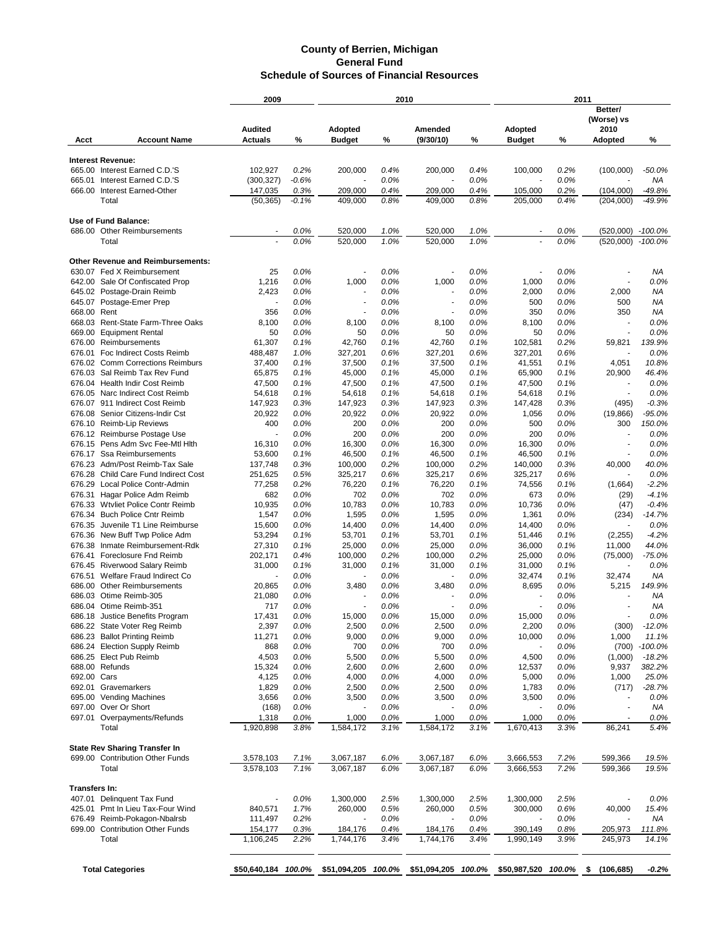|                  |                                                            | 2009               |              | 2010               |              |                                                                                              | 2011         |                          |              |                                  |                        |
|------------------|------------------------------------------------------------|--------------------|--------------|--------------------|--------------|----------------------------------------------------------------------------------------------|--------------|--------------------------|--------------|----------------------------------|------------------------|
|                  |                                                            | <b>Audited</b>     |              | Adopted            |              | Amended                                                                                      |              | Adopted                  |              | Better/<br>(Worse) vs<br>2010    |                        |
| Acct             | <b>Account Name</b>                                        | <b>Actuals</b>     | %            | <b>Budget</b>      | %            | (9/30/10)                                                                                    | %            | <b>Budget</b>            | %            | <b>Adopted</b>                   | %                      |
|                  | <b>Interest Revenue:</b>                                   |                    |              |                    |              |                                                                                              |              |                          |              |                                  |                        |
|                  | 665.00 Interest Earned C.D.'S                              | 102,927            | 0.2%         | 200,000            | 0.4%         | 200,000                                                                                      | 0.4%         | 100,000                  | 0.2%         | (100,000)                        | $-50.0%$               |
| 665.01           | Interest Earned C.D.'S                                     | (300, 327)         | $-0.6%$      |                    | 0.0%         |                                                                                              | 0.0%         |                          | 0.0%         |                                  | NA                     |
| 666.00           | Interest Earned-Other                                      | 147,035            | 0.3%         | 209,000            | 0.4%         | 209,000                                                                                      | 0.4%         | 105,000                  | 0.2%         | (104,000)                        | $-49.8%$               |
|                  | Total                                                      | (50, 365)          | $-0.1%$      | 409,000            | 0.8%         | 409,000                                                                                      | 0.8%         | 205,000                  | 0.4%         | (204,000)                        | $-49.9%$               |
|                  | Use of Fund Balance:                                       |                    |              |                    |              |                                                                                              |              |                          |              |                                  |                        |
|                  | 686.00 Other Reimbursements                                |                    | 0.0%         | 520,000            | 1.0%         | 520,000                                                                                      | 1.0%         |                          | 0.0%         | (520,000) -100.0%                |                        |
|                  | Total                                                      |                    | 0.0%         | 520,000            | 1.0%         | 520,000                                                                                      | 1.0%         |                          | 0.0%         | (520,000)                        | $-100.0%$              |
|                  | <b>Other Revenue and Reimbursements:</b>                   |                    |              |                    |              |                                                                                              |              |                          |              |                                  |                        |
|                  | 630.07 Fed X Reimbursement                                 | 25                 | 0.0%         |                    | 0.0%         |                                                                                              | 0.0%         |                          | 0.0%         |                                  | ΝA                     |
| 642.00           | Sale Of Confiscated Prop                                   | 1,216              | 0.0%         | 1,000              | 0.0%         | 1,000                                                                                        | 0.0%         | 1,000                    | 0.0%         |                                  | 0.0%                   |
| 645.07           | 645.02 Postage-Drain Reimb<br>Postage-Emer Prep            | 2,423              | 0.0%<br>0.0% | ٠                  | 0.0%<br>0.0% | ٠                                                                                            | 0.0%<br>0.0% | 2,000<br>500             | 0.0%<br>0.0% | 2,000<br>500                     | <b>NA</b><br><b>NA</b> |
| 668.00           | Rent                                                       | 356                | 0.0%         |                    | 0.0%         | ٠                                                                                            | 0.0%         | 350                      | 0.0%         | 350                              | ΝA                     |
|                  | 668.03 Rent-State Farm-Three Oaks                          | 8,100              | 0.0%         | 8,100              | 0.0%         | 8,100                                                                                        | 0.0%         | 8,100                    | 0.0%         | $\overline{\phantom{a}}$         | 0.0%                   |
| 669.00           | <b>Equipment Rental</b>                                    | 50                 | 0.0%         | 50                 | 0.0%         | 50                                                                                           | 0.0%         | 50                       | 0.0%         | $\tilde{\phantom{a}}$            | 0.0%                   |
| 676.00           | Reimbursements                                             | 61,307             | 0.1%         | 42,760             | 0.1%         | 42,760                                                                                       | 0.1%         | 102,581                  | 0.2%         | 59,821                           | 139.9%                 |
| 676.01           | Foc Indirect Costs Reimb                                   | 488,487            | 1.0%         | 327,201            | 0.6%         | 327,201                                                                                      | 0.6%         | 327,201                  | 0.6%         |                                  | 0.0%                   |
| 676.02           | <b>Comm Corrections Reimburs</b>                           | 37,400             | 0.1%         | 37,500             | 0.1%         | 37,500                                                                                       | 0.1%         | 41,551                   | 0.1%         | 4,051                            | 10.8%                  |
| 676.03           | Sal Reimb Tax Rev Fund                                     | 65,875             | 0.1%         | 45,000             | 0.1%         | 45,000                                                                                       | 0.1%         | 65,900                   | 0.1%         | 20,900                           | 46.4%                  |
|                  | 676.04 Health Indir Cost Reimb                             | 47,500             | 0.1%         | 47,500             | 0.1%         | 47,500                                                                                       | 0.1%         | 47,500                   | 0.1%         | $\blacksquare$                   | 0.0%                   |
|                  | 676.05 Narc Indirect Cost Reimb                            | 54,618             | 0.1%         | 54,618             | 0.1%         | 54,618                                                                                       | 0.1%         | 54,618                   | 0.1%         | $\sim$                           | 0.0%                   |
|                  | 676.07 911 Indirect Cost Reimb                             | 147,923            | 0.3%         | 147,923            | 0.3%         | 147,923                                                                                      | 0.3%         | 147,428                  | 0.3%         | (495)                            | $-0.3%$                |
| 676.08           | Senior Citizens-Indir Cst                                  | 20,922             | 0.0%         | 20,922             | 0.0%         | 20,922                                                                                       | 0.0%         | 1,056                    | 0.0%         | (19, 866)                        | $-95.0%$               |
| 676.10           | <b>Reimb-Lip Reviews</b>                                   | 400                | 0.0%         | 200                | 0.0%         | 200                                                                                          | 0.0%         | 500                      | 0.0%         | 300                              | 150.0%                 |
| 676.12<br>676.15 | Reimburse Postage Use<br>Pens Adm Svc Fee-Mtl Hith         | ÷,<br>16,310       | 0.0%<br>0.0% | 200<br>16,300      | 0.0%<br>0.0% | 200<br>16,300                                                                                | 0.0%<br>0.0% | 200<br>16,300            | 0.0%<br>0.0% | $\blacksquare$<br>$\blacksquare$ | 0.0%<br>0.0%           |
| 676.17           | <b>Ssa Reimbursements</b>                                  | 53,600             | 0.1%         | 46,500             | 0.1%         | 46,500                                                                                       | 0.1%         | 46,500                   | 0.1%         | $\blacksquare$                   | 0.0%                   |
| 676.23           | Adm/Post Reimb-Tax Sale                                    | 137,748            | 0.3%         | 100,000            | 0.2%         | 100,000                                                                                      | 0.2%         | 140,000                  | 0.3%         | 40,000                           | 40.0%                  |
| 676.28           | Child Care Fund Indirect Cost                              | 251,625            | 0.5%         | 325,217            | 0.6%         | 325,217                                                                                      | 0.6%         | 325,217                  | 0.6%         | $\blacksquare$                   | 0.0%                   |
|                  | 676.29 Local Police Contr-Admin                            | 77,258             | 0.2%         | 76,220             | 0.1%         | 76,220                                                                                       | 0.1%         | 74,556                   | 0.1%         | (1,664)                          | $-2.2%$                |
| 676.31           | Hagar Police Adm Reimb                                     | 682                | 0.0%         | 702                | 0.0%         | 702                                                                                          | 0.0%         | 673                      | 0.0%         | (29)                             | $-4.1%$                |
|                  | 676.33 Wtvliet Police Contr Reimb                          | 10,935             | 0.0%         | 10,783             | 0.0%         | 10,783                                                                                       | 0.0%         | 10,736                   | 0.0%         | (47)                             | $-0.4%$                |
| 676.34           | <b>Buch Police Cntr Reimb</b>                              | 1,547              | 0.0%         | 1,595              | 0.0%         | 1,595                                                                                        | 0.0%         | 1,361                    | 0.0%         | (234)                            | $-14.7%$               |
| 676.35           | Juvenile T1 Line Reimburse                                 | 15,600             | 0.0%         | 14,400             | 0.0%         | 14,400                                                                                       | 0.0%         | 14,400                   | 0.0%         |                                  | 0.0%                   |
| 676.36           | New Buff Twp Police Adm                                    | 53,294             | 0.1%         | 53,701             | 0.1%         | 53,701                                                                                       | 0.1%         | 51,446                   | 0.1%         | (2,255)                          | $-4.2%$                |
| 676.38           | Inmate Reimbursement-Rdk                                   | 27,310             | 0.1%         | 25,000             | 0.0%         | 25,000                                                                                       | 0.0%         | 36,000                   | 0.1%         | 11,000                           | 44.0%                  |
| 676.41           | Foreclosure Fnd Reimb                                      | 202,171            | 0.4%         | 100,000            | 0.2%         | 100,000                                                                                      | 0.2%         | 25,000                   | 0.0%         | (75,000)                         | $-75.0%$               |
| 676.51           | 676.45 Riverwood Salary Reimb<br>Welfare Fraud Indirect Co | 31,000             | 0.1%         | 31,000             | 0.1%         | 31,000                                                                                       | 0.1%<br>0.0% | 31,000                   | 0.1%<br>0.1% |                                  | 0.0%<br>ΝA             |
| 686.00           | <b>Other Reimbursements</b>                                | 20,865             | 0.0%<br>0.0% | 3,480              | 0.0%<br>0.0% | 3,480                                                                                        | 0.0%         | 32,474<br>8,695          | 0.0%         | 32,474<br>5,215                  | 149.9%                 |
|                  | 686.03 Otime Reimb-305                                     | 21,080             | 0.0%         |                    | 0.0%         |                                                                                              | 0.0%         |                          | 0.0%         |                                  | ΝA                     |
|                  | 686.04 Otime Reimb-351                                     | 717                | 0.0%         |                    | 0.0%         |                                                                                              | 0.0%         |                          | 0.0%         |                                  | ΝA                     |
| 686.18           | Justice Benefits Program                                   | 17,431             | 0.0%         | 15,000             | $0.0\%$      | 15,000                                                                                       | 0.0%         | 15,000                   | 0.0%         |                                  | 0.0%                   |
|                  | 686.22 State Voter Reg Reimb                               | 2,397              | 0.0%         | 2,500              | 0.0%         | 2,500                                                                                        | 0.0%         | 2,200                    | 0.0%         | (300)                            | $-12.0%$               |
|                  | 686.23 Ballot Printing Reimb                               | 11,271             | 0.0%         | 9,000              | 0.0%         | 9,000                                                                                        | 0.0%         | 10,000                   | 0.0%         | 1,000                            | 11.1%                  |
|                  | 686.24 Election Supply Reimb                               | 868                | 0.0%         | 700                | 0.0%         | 700                                                                                          | 0.0%         |                          | 0.0%         | (700)                            | $-100.0%$              |
|                  | 686.25 Elect Pub Reimb                                     | 4,503              | 0.0%         | 5,500              | 0.0%         | 5,500                                                                                        | 0.0%         | 4,500                    | 0.0%         | (1,000)                          | $-18.2%$               |
|                  | 688.00 Refunds                                             | 15,324             | 0.0%         | 2,600              | 0.0%         | 2,600                                                                                        | 0.0%         | 12,537                   | 0.0%         | 9,937                            | 382.2%                 |
| 692.00 Cars      |                                                            | 4,125              | 0.0%         | 4,000              | 0.0%         | 4,000                                                                                        | 0.0%         | 5,000                    | 0.0%         | 1,000                            | 25.0%                  |
|                  | 692.01 Gravemarkers                                        | 1,829              | 0.0%         | 2,500              | 0.0%         | 2,500                                                                                        | 0.0%         | 1,783                    | 0.0%         | (717)                            | $-28.7%$               |
|                  | 695.00 Vending Machines                                    | 3,656              | 0.0%         | 3,500              | 0.0%         | 3,500                                                                                        | 0.0%         | 3,500                    | 0.0%         |                                  | 0.0%                   |
|                  | 697.00 Over Or Short                                       | (168)              | 0.0%         |                    | 0.0%         |                                                                                              | 0.0%         | $\overline{\phantom{a}}$ | 0.0%         | $\blacksquare$                   | ΝA                     |
|                  | 697.01 Overpayments/Refunds<br>Total                       | 1,318<br>1,920,898 | 0.0%<br>3.8% | 1,000<br>1,584,172 | 0.0%<br>3.1% | 1,000<br>1,584,172                                                                           | 0.0%<br>3.1% | 1,000<br>1,670,413       | 0.0%<br>3.3% | 86,241                           | 0.0%<br>5.4%           |
|                  |                                                            |                    |              |                    |              |                                                                                              |              |                          |              |                                  |                        |
|                  | <b>State Rev Sharing Transfer In</b>                       |                    |              |                    |              |                                                                                              |              |                          |              |                                  |                        |
|                  | 699.00 Contribution Other Funds                            | 3,578,103          | 7.1%         | 3,067,187          | 6.0%         | 3,067,187                                                                                    | 6.0%         | 3,666,553                | 7.2%         | 599,366                          | 19.5%                  |
|                  | Total                                                      | 3,578,103          | 7.1%         | 3,067,187          | 6.0%         | 3,067,187                                                                                    | 6.0%         | 3,666,553                | 7.2%         | 599,366                          | 19.5%                  |
| Transfers In:    |                                                            |                    |              |                    |              |                                                                                              |              |                          |              |                                  |                        |
|                  | 407.01 Delinquent Tax Fund                                 |                    | 0.0%         | 1,300,000          | 2.5%         | 1,300,000                                                                                    | 2.5%         | 1,300,000                | 2.5%         |                                  | 0.0%                   |
|                  | 425.01 Pmt In Lieu Tax-Four Wind                           | 840,571            | 1.7%         | 260,000            | 0.5%         | 260,000                                                                                      | 0.5%         | 300,000                  | 0.6%         | 40,000                           | 15.4%                  |
|                  | 676.49 Reimb-Pokagon-Nbalrsb                               | 111,497            | 0.2%         |                    | 0.0%         |                                                                                              | 0.0%         | $\overline{\phantom{a}}$ | 0.0%         |                                  | ΝA                     |
|                  | 699.00 Contribution Other Funds                            | 154,177            | 0.3%         | 184,176            | 0.4%         | 184,176                                                                                      | 0.4%         | 390,149                  | 0.8%         | 205,973                          | 111.8%                 |
|                  | Total                                                      | 1,106,245          | 2.2%         | 1,744,176          | 3.4%         | 1,744,176                                                                                    | 3.4%         | 1,990,149                | 3.9%         | 245,973                          | 14.1%                  |
|                  |                                                            |                    |              |                    |              |                                                                                              |              |                          |              |                                  |                        |
|                  | <b>Total Categories</b>                                    |                    |              |                    |              | \$50,640,184 100.0% \$51,094,205 100.0% \$51,094,205 100.0% \$50,987,520 100.0% \$ (106,685) |              |                          |              |                                  | -0.2%                  |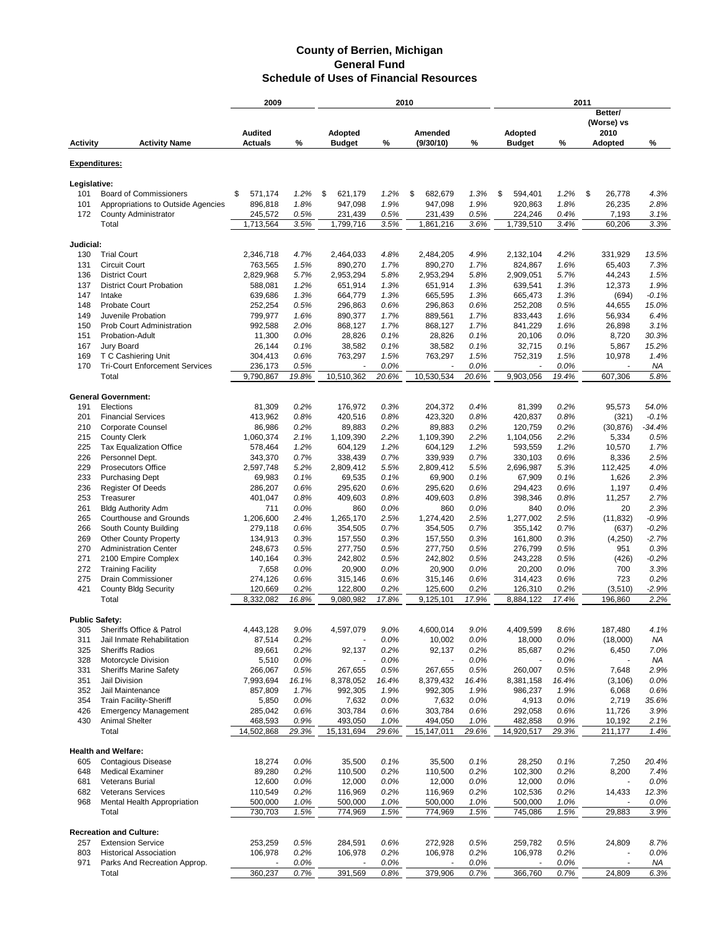|                       |                                       |                       | 2009<br>2010  |                         |               | 2011                     |               |                       |               |                   |              |
|-----------------------|---------------------------------------|-----------------------|---------------|-------------------------|---------------|--------------------------|---------------|-----------------------|---------------|-------------------|--------------|
|                       |                                       |                       |               |                         |               |                          |               |                       |               | Better/           |              |
|                       |                                       |                       |               |                         |               |                          |               |                       |               | (Worse) vs        |              |
|                       |                                       | <b>Audited</b>        |               | Adopted                 |               | Amended                  |               | <b>Adopted</b>        |               | 2010              |              |
| <b>Activity</b>       | <b>Activity Name</b>                  | <b>Actuals</b>        | %             | <b>Budget</b>           | %             | (9/30/10)                | $\%$          | <b>Budget</b>         | %             | <b>Adopted</b>    | ℅            |
|                       |                                       |                       |               |                         |               |                          |               |                       |               |                   |              |
| <b>Expenditures:</b>  |                                       |                       |               |                         |               |                          |               |                       |               |                   |              |
|                       |                                       |                       |               |                         |               |                          |               |                       |               |                   |              |
| Legislative:          |                                       |                       |               |                         |               |                          |               |                       |               |                   |              |
| 101                   | <b>Board of Commissioners</b>         | 571,174<br>\$         | 1.2%          | \$<br>621,179           | 1.2%          | \$<br>682,679            | 1.3%          | \$<br>594,401         | 1.2%          | \$<br>26,778      | 4.3%         |
| 101                   | Appropriations to Outside Agencies    | 896,818               | 1.8%          | 947,098                 | 1.9%          | 947,098                  | 1.9%          | 920,863               | 1.8%          | 26,235            | 2.8%         |
| 172                   | <b>County Administrator</b>           | 245,572               | 0.5%          | 231,439                 | 0.5%          | 231,439                  | 0.5%          | 224,246               | 0.4%          | 7,193             | 3.1%         |
|                       | Total                                 | 1,713,564             | 3.5%          | 1,799,716               | 3.5%          | 1,861,216                | 3.6%          | 1,739,510             | 3.4%          | 60,206            | 3.3%         |
|                       |                                       |                       |               |                         |               |                          |               |                       |               |                   |              |
| Judicial:             |                                       |                       |               |                         |               |                          |               |                       |               |                   |              |
| 130                   | <b>Trial Court</b>                    | 2,346,718             | 4.7%          | 2,464,033               | 4.8%          | 2,484,205                | 4.9%          | 2,132,104             | 4.2%          | 331,929           | 13.5%        |
| 131                   | <b>Circuit Court</b>                  | 763,565               | 1.5%          | 890,270                 | 1.7%          | 890,270                  | 1.7%          | 824,867               | 1.6%          | 65,403            | 7.3%         |
| 136                   | <b>District Court</b>                 | 2,829,968             | 5.7%          | 2,953,294               | 5.8%          | 2,953,294                | 5.8%          | 2,909,051             | 5.7%          | 44,243            | 1.5%         |
| 137                   | <b>District Court Probation</b>       | 588,081               | 1.2%          | 651,914                 | 1.3%          | 651,914                  | 1.3%          | 639,541               | 1.3%          | 12,373            | 1.9%         |
| 147                   | Intake                                | 639,686               | 1.3%          | 664,779                 | 1.3%          | 665,595                  | 1.3%          | 665,473               | 1.3%          | (694)             | $-0.1%$      |
| 148                   | <b>Probate Court</b>                  | 252,254               | 0.5%          | 296,863                 | 0.6%          | 296,863                  | 0.6%          | 252,208               | 0.5%          | 44,655            | 15.0%        |
| 149                   | Juvenile Probation                    | 799,977               | 1.6%          | 890,377                 | 1.7%          | 889,561                  | 1.7%          | 833,443               | 1.6%          | 56,934            | 6.4%         |
| 150                   | Prob Court Administration             | 992,588               | 2.0%          | 868,127                 | 1.7%          | 868,127                  | 1.7%          | 841,229               | 1.6%          | 26,898            | 3.1%         |
| 151                   | Probation-Adult                       | 11,300                | 0.0%          | 28,826                  | 0.1%          | 28,826                   | 0.1%          | 20,106                | 0.0%          | 8,720             | 30.3%        |
| 167                   | Jury Board                            | 26,144                | 0.1%          | 38,582                  | 0.1%          | 38,582                   | 0.1%          | 32,715                | 0.1%          | 5,867             | 15.2%        |
| 169                   | T C Cashiering Unit                   | 304,413               | 0.6%          | 763,297                 | 1.5%          | 763,297                  | 1.5%          | 752,319               | 1.5%          | 10,978            | 1.4%         |
| 170                   | <b>Tri-Court Enforcement Services</b> | 236,173               | 0.5%          | $\overline{a}$          | 0.0%          | $\overline{\phantom{a}}$ | 0.0%          | $\overline{a}$        | 0.0%          | $\blacksquare$    | ΝA           |
|                       | Total                                 | 9,790,867             | 19.8%         | 10,510,362              | 20.6%         | 10,530,534               | 20.6%         | 9,903,056             | 19.4%         | 607,306           | 5.8%         |
|                       |                                       |                       |               |                         |               |                          |               |                       |               |                   |              |
|                       | <b>General Government:</b>            |                       |               |                         |               |                          |               |                       |               |                   |              |
| 191                   | Elections                             | 81,309                | 0.2%          | 176,972                 | 0.3%          | 204,372                  | 0.4%          | 81,399                | 0.2%          | 95,573            | 54.0%        |
| 201                   | <b>Financial Services</b>             | 413,962               | 0.8%          | 420,516                 | 0.8%          | 423,320                  | 0.8%          | 420,837               | 0.8%          | (321)             | $-0.1%$      |
| 210                   | Corporate Counsel                     |                       | 0.2%          | 89,883                  |               | 89,883                   | 0.2%          |                       |               |                   | $-34.4%$     |
|                       |                                       | 86,986                |               |                         | 0.2%          |                          |               | 120,759               | 0.2%          | (30, 876)         |              |
| 215                   | <b>County Clerk</b>                   | 1,060,374             | 2.1%          | 1,109,390               | 2.2%          | 1,109,390                | 2.2%          | 1,104,056             | 2.2%          | 5,334             | 0.5%         |
| 225                   | <b>Tax Equalization Office</b>        | 578,464               | 1.2%          | 604,129                 | 1.2%          | 604,129                  | 1.2%          | 593,559               | 1.2%          | 10,570            | 1.7%         |
| 226                   | Personnel Dept.                       | 343,370               | 0.7%          | 338,439                 | 0.7%          | 339,939                  | 0.7%          | 330,103               | 0.6%          | 8,336             | 2.5%         |
| 229                   | <b>Prosecutors Office</b>             | 2,597,748             | 5.2%          | 2,809,412               | 5.5%          | 2,809,412                | 5.5%          | 2,696,987             | 5.3%          | 112,425           | 4.0%         |
| 233                   | <b>Purchasing Dept</b>                | 69,983                | 0.1%          | 69,535                  | 0.1%          | 69,900                   | 0.1%          | 67,909                | 0.1%          | 1,626             | 2.3%         |
| 236                   | <b>Register Of Deeds</b>              | 286,207               | 0.6%          | 295,620                 | 0.6%          | 295,620                  | 0.6%          | 294,423               | 0.6%          | 1,197             | 0.4%         |
| 253                   | Treasurer                             | 401,047               | 0.8%          | 409,603                 | 0.8%          | 409,603                  | 0.8%          | 398,346               | 0.8%          | 11,257            | 2.7%         |
| 261                   | <b>Bldg Authority Adm</b>             | 711                   | 0.0%          | 860                     | 0.0%          | 860                      | 0.0%          | 840                   | 0.0%          | 20                | 2.3%         |
| 265                   | Courthouse and Grounds                | 1,206,600             | 2.4%          | 1,265,170               | 2.5%          | 1,274,420                | 2.5%          | 1,277,002             | 2.5%          | (11, 832)         | $-0.9%$      |
| 266                   | South County Building                 | 279,118               | 0.6%          | 354,505                 | 0.7%          | 354,505                  | 0.7%          | 355,142               | 0.7%          | (637)             | $-0.2%$      |
| 269                   | <b>Other County Property</b>          | 134,913               | 0.3%          | 157,550                 | 0.3%          | 157,550                  | 0.3%          | 161,800               | 0.3%          | (4,250)           | $-2.7%$      |
| 270                   | <b>Administration Center</b>          | 248,673               | 0.5%          | 277,750                 | 0.5%          | 277,750                  | 0.5%          | 276,799               | 0.5%          | 951               | 0.3%         |
| 271                   | 2100 Empire Complex                   | 140,164               | 0.3%          | 242,802                 | 0.5%          | 242,802                  | 0.5%          | 243,228               | 0.5%          | (426)             | $-0.2%$      |
| 272                   | <b>Training Facility</b>              | 7,658                 | 0.0%          | 20,900                  | 0.0%          | 20,900                   | 0.0%          | 20,200                | 0.0%          | 700               | 3.3%         |
| 275                   | Drain Commissioner                    | 274,126               | 0.6%          | 315,146                 | 0.6%          | 315,146                  | 0.6%          | 314,423               | 0.6%          | 723               | 0.2%         |
| 421                   | <b>County Bldg Security</b>           | 120,669               | 0.2%          | 122,800                 | 0.2%          | 125,600                  | 0.2%          | 126,310               | 0.2%          | (3,510)           | $-2.9%$      |
|                       | Total                                 | 8,332,082             | 16.8%         | 9,080,982               | 17.8%         | 9,125,101                | 17.9%         | 8,884,122             | 17.4%         | 196,860           | 2.2%         |
|                       |                                       |                       |               |                         |               |                          |               |                       |               |                   |              |
| <b>Public Safety:</b> |                                       |                       |               |                         |               |                          |               |                       |               |                   |              |
| 305                   | Sheriffs Office & Patrol              | 4,443,128             | 9.0%          | 4,597,079               | 9.0%          | 4,600,014                | 9.0%          | 4,409,599             | 8.6%          | 187,480           | 4.1%         |
| 311                   | Jail Inmate Rehabilitation            | 87,514                | 0.2%          |                         | 0.0%          | 10,002                   | 0.0%          | 18,000                | 0.0%          | (18,000)          | ΝA           |
| 325                   | <b>Sheriffs Radios</b>                | 89,661                | 0.2%          | 92,137                  | 0.2%          | 92,137                   | 0.2%          | 85,687                | 0.2%          | 6,450             | 7.0%         |
| 328                   | Motorcycle Division                   | 5,510                 | 0.0%          |                         | 0.0%          | $\overline{\phantom{a}}$ | 0.0%          |                       | 0.0%          |                   | ΝA           |
| 331                   | <b>Sheriffs Marine Safety</b>         | 266,067               | 0.5%          | 267,655                 | 0.5%          | 267,655                  | 0.5%          | 260,007               | 0.5%          | 7,648             | 2.9%         |
| 351                   | Jail Division                         | 7,993,694             | 16.1%         | 8,378,052               | 16.4%         | 8,379,432                | 16.4%         | 8,381,158             | 16.4%         | (3, 106)          | 0.0%         |
| 352                   | Jail Maintenance                      | 857,809               | 1.7%          | 992,305                 | 1.9%          | 992,305                  | 1.9%          | 986,237               | 1.9%          | 6,068             | 0.6%         |
| 354                   | <b>Train Facility-Sheriff</b>         | 5,850                 | 0.0%          | 7,632                   | 0.0%          | 7,632                    | 0.0%          | 4,913                 | 0.0%          | 2,719             | 35.6%        |
| 426                   | <b>Emergency Management</b>           | 285,042               | 0.6%          | 303,784                 | 0.6%          | 303,784                  | 0.6%          | 292,058               | 0.6%          | 11,726            | 3.9%         |
|                       |                                       |                       |               |                         |               |                          |               |                       |               |                   |              |
| 430                   | <b>Animal Shelter</b><br>Total        | 468,593<br>14,502,868 | 0.9%<br>29.3% | 493,050<br>15, 131, 694 | 1.0%<br>29.6% | 494,050<br>15,147,011    | 1.0%<br>29.6% | 482,858<br>14,920,517 | 0.9%<br>29.3% | 10,192<br>211,177 | 2.1%<br>1.4% |
|                       |                                       |                       |               |                         |               |                          |               |                       |               |                   |              |
|                       | <b>Health and Welfare:</b>            |                       |               |                         |               |                          |               |                       |               |                   |              |
| 605                   | <b>Contagious Disease</b>             | 18,274                | 0.0%          | 35,500                  | 0.1%          | 35,500                   | 0.1%          | 28,250                | 0.1%          | 7,250             | 20.4%        |
| 648                   | <b>Medical Examiner</b>               |                       | 0.2%          | 110,500                 | 0.2%          |                          | 0.2%          | 102,300               | 0.2%          | 8,200             | 7.4%         |
|                       | Veterans Burial                       | 89,280                |               |                         |               | 110,500                  |               |                       |               |                   | 0.0%         |
| 681                   |                                       | 12,600                | 0.0%          | 12,000                  | 0.0%          | 12,000                   | 0.0%          | 12,000                | 0.0%          |                   |              |
| 682                   | <b>Veterans Services</b>              | 110,549               | 0.2%          | 116,969                 | 0.2%          | 116,969                  | 0.2%          | 102,536               | 0.2%          | 14,433            | 12.3%        |
| 968                   | Mental Health Appropriation           | 500,000               | 1.0%          | 500,000                 | 1.0%          | 500,000                  | 1.0%          | 500,000               | 1.0%          |                   | 0.0%         |
|                       | Total                                 | 730,703               | 1.5%          | 774,969                 | 1.5%          | 774,969                  | 1.5%          | 745,086               | 1.5%          | 29,883            | 3.9%         |
|                       | <b>Recreation and Culture:</b>        |                       |               |                         |               |                          |               |                       |               |                   |              |
|                       | <b>Extension Service</b>              | 253,259               | 0.5%          |                         |               | 272,928                  | 0.5%          |                       | 0.5%          | 24,809            | 8.7%         |
| 257                   |                                       |                       |               | 284,591                 | 0.6%          |                          |               | 259,782               |               |                   |              |
| 803                   | <b>Historical Association</b>         | 106,978               | 0.2%          | 106,978                 | 0.2%          | 106,978                  | 0.2%          | 106,978               | 0.2%          |                   | 0.0%         |
| 971                   | Parks And Recreation Approp.          |                       | 0.0%          |                         | 0.0%          |                          | 0.0%          |                       | 0.0%          |                   | NA           |
|                       | Total                                 | 360,237               | 0.7%          | 391,569                 | 0.8%          | 379,906                  | 0.7%          | 366,760               | 0.7%          | 24,809            | 6.3%         |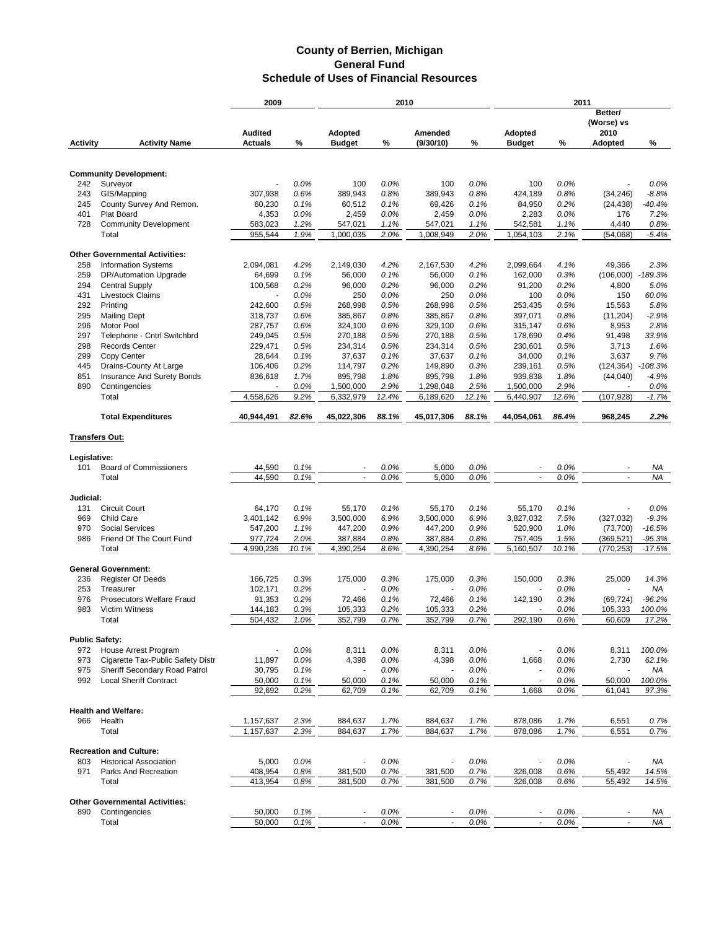|                       |                                                                 | 2009           | 2010         |                    | 2011         |                    |              |                          |       |                               |                |
|-----------------------|-----------------------------------------------------------------|----------------|--------------|--------------------|--------------|--------------------|--------------|--------------------------|-------|-------------------------------|----------------|
|                       |                                                                 | <b>Audited</b> |              | Adopted            |              | Amended            |              | <b>Adopted</b>           |       | Better/<br>(Worse) vs<br>2010 |                |
| <b>Activity</b>       | <b>Activity Name</b>                                            | <b>Actuals</b> | %            | <b>Budget</b>      | %            | (9/30/10)          | %            | <b>Budget</b>            | %     | <b>Adopted</b>                | %              |
|                       | <b>Community Development:</b>                                   |                |              |                    |              |                    |              |                          |       |                               |                |
|                       | Surveyor                                                        |                |              | 100                |              | 100                |              |                          | 0.0%  |                               | 0.0%           |
| 242<br>243            |                                                                 | 307,938        | 0.0%<br>0.6% | 389,943            | 0.0%<br>0.8% | 389,943            | 0.0%<br>0.8% | 100                      | 0.8%  | (34, 246)                     | $-8.8%$        |
| 245                   | GIS/Mapping<br>County Survey And Remon.                         | 60,230         | 0.1%         | 60,512             | 0.1%         | 69,426             | 0.1%         | 424,189<br>84,950        | 0.2%  | (24, 438)                     | $-40.4%$       |
| 401                   | Plat Board                                                      | 4,353          | 0.0%         | 2,459              | 0.0%         | 2,459              | 0.0%         | 2,283                    | 0.0%  | 176                           | 7.2%           |
| 728                   | <b>Community Development</b>                                    | 583,023        | 1.2%         | 547,021            | 1.1%         | 547,021            | 1.1%         | 542,581                  | 1.1%  | 4,440                         | 0.8%           |
|                       | Total                                                           | 955,544        | 1.9%         | 1,000,035          | 2.0%         | 1,008,949          | 2.0%         | 1,054,103                | 2.1%  | (54, 068)                     | $-5.4%$        |
|                       |                                                                 |                |              |                    |              |                    |              |                          |       |                               |                |
|                       | <b>Other Governmental Activities:</b>                           |                |              |                    |              |                    |              |                          |       |                               |                |
| 258                   | <b>Information Systems</b>                                      | 2,094,081      | 4.2%         | 2,149,030          | 4.2%         | 2,167,530          | 4.2%         | 2,099,664                | 4.1%  | 49,366                        | 2.3%           |
| 259                   | DP/Automation Upgrade                                           | 64,699         | 0.1%         | 56,000             | 0.1%         | 56,000             | 0.1%         | 162,000                  | 0.3%  | (106,000)                     | -189.3%        |
| 294                   | <b>Central Supply</b>                                           | 100,568        | 0.2%         | 96,000             | 0.2%         | 96,000             | 0.2%         | 91,200                   | 0.2%  | 4,800                         | 5.0%           |
| 431                   | <b>Livestock Claims</b>                                         |                | 0.0%         | 250                | 0.0%         | 250                | 0.0%         | 100                      | 0.0%  | 150                           | 60.0%          |
| 292                   | Printing                                                        | 242,600        | 0.5%         | 268,998            | 0.5%         | 268,998            | 0.5%         | 253,435                  | 0.5%  | 15,563                        | 5.8%           |
| 295                   | <b>Mailing Dept</b>                                             | 318,737        | 0.6%         | 385,867            | 0.8%         | 385,867            | 0.8%         | 397,071                  | 0.8%  | (11, 204)                     | $-2.9%$        |
| 296                   | Motor Pool                                                      | 287,757        | 0.6%         | 324,100            | 0.6%         | 329,100            | 0.6%         | 315,147                  | 0.6%  | 8,953                         | 2.8%           |
| 297                   | Telephone - Cntrl Switchbrd                                     | 249,045        | 0.5%         | 270,188            | 0.5%         | 270,188            | 0.5%         | 178,690                  | 0.4%  | 91,498                        | 33.9%          |
| 298                   | <b>Records Center</b>                                           | 229.471        | 0.5%         | 234,314            | 0.5%         | 234,314            | 0.5%         | 230,601                  | 0.5%  | 3,713                         | 1.6%           |
| 299                   | Copy Center                                                     | 28,644         | 0.1%         | 37,637             | 0.1%         | 37,637             | 0.1%         | 34,000                   | 0.1%  | 3,637                         | 9.7%           |
| 445                   | Drains-County At Large                                          | 106,406        | 0.2%         | 114,797            | 0.2%         | 149,890            | 0.3%         | 239,161                  | 0.5%  | (124, 364)                    | $-108.3%$      |
| 851                   | <b>Insurance And Surety Bonds</b>                               | 836,618        | 1.7%         | 895,798            | 1.8%         | 895,798            | 1.8%         | 939,838                  | 1.8%  | (44, 040)                     | $-4.9%$        |
| 890                   | Contingencies                                                   |                | 0.0%         | 1,500,000          | 2.9%         | 1,298,048          | 2.5%         | 1,500,000                | 2.9%  |                               | 0.0%           |
|                       | Total                                                           | 4,558,626      | 9.2%         | 6,332,979          | 12.4%        | 6,189,620          | 12.1%        | 6,440,907                | 12.6% | (107, 928)                    | $-1.7%$        |
|                       | <b>Total Expenditures</b>                                       | 40,944,491     | 82.6%        | 45,022,306         | 88.1%        | 45,017,306         | 88.1%        | 44,054,061               | 86.4% | 968,245                       | 2.2%           |
|                       | <b>Transfers Out:</b>                                           |                |              |                    |              |                    |              |                          |       |                               |                |
|                       |                                                                 |                |              |                    |              |                    |              |                          |       |                               |                |
| Legislative:          |                                                                 |                |              |                    |              |                    |              |                          |       |                               |                |
| 101                   | <b>Board of Commissioners</b>                                   | 44,590         | 0.1%         | $\blacksquare$     | 0.0%         | 5,000              | 0.0%         | $\overline{\phantom{a}}$ | 0.0%  |                               | ΝA             |
|                       | Total                                                           | 44,590         | 0.1%         |                    | 0.0%         | 5,000              | 0.0%         | ÷,                       | 0.0%  |                               | <b>NA</b>      |
|                       |                                                                 |                |              |                    |              |                    |              |                          |       |                               |                |
| Judicial:             |                                                                 |                |              |                    |              |                    |              |                          |       |                               |                |
| 131                   | <b>Circuit Court</b>                                            | 64,170         | 0.1%         | 55,170             | 0.1%         | 55,170             | 0.1%         | 55,170                   | 0.1%  |                               | 0.0%           |
| 969                   | Child Care                                                      | 3,401,142      | 6.9%         | 3,500,000          | 6.9%         | 3,500,000          | 6.9%         | 3,827,032                | 7.5%  | (327, 032)                    | $-9.3%$        |
| 970                   | <b>Social Services</b>                                          | 547,200        | 1.1%         | 447,200            | 0.9%         | 447,200            | 0.9%         | 520,900                  | 1.0%  | (73,700)                      | $-16.5%$       |
| 986                   | Friend Of The Court Fund                                        | 977,724        | 2.0%         | 387,884            | 0.8%         | 387,884            | 0.8%         | 757,405                  | 1.5%  | (369, 521)                    | $-95.3%$       |
|                       | Total                                                           | 4,990,236      | 10.1%        | 4,390,254          | 8.6%         | 4,390,254          | 8.6%         | 5,160,507                | 10.1% | (770, 253)                    | $-17.5%$       |
|                       | <b>General Government:</b>                                      |                |              |                    |              |                    |              |                          |       |                               |                |
| 236                   | <b>Register Of Deeds</b>                                        | 166,725        | 0.3%         | 175,000            | 0.3%         | 175,000            | 0.3%         | 150,000                  | 0.3%  | 25,000                        | 14.3%          |
| 253                   | Treasurer                                                       | 102,171        | 0.2%         |                    | 0.0%         |                    | 0.0%         |                          | 0.0%  |                               | ΝA             |
| 976                   | <b>Prosecutors Welfare Fraud</b>                                | 91,353         | 0.2%         | 72,466             | 0.1%         | 72,466             | 0.1%         | 142,190                  | 0.3%  | (69, 724)                     | $-96.2%$       |
| 983                   | <b>Victim Witness</b>                                           | 144,183        | 0.3%         | 105,333            | 0.2%         | 105,333            | 0.2%         |                          | 0.0%  | 105,333                       | 100.0%         |
|                       | Total                                                           | 504,432        | 1.0%         | 352,799            | 0.7%         | 352,799            | 0.7%         | 292,190                  | 0.6%  | 60,609                        | 17.2%          |
|                       |                                                                 |                |              |                    |              |                    |              |                          |       |                               |                |
| <b>Public Safety:</b> |                                                                 |                |              |                    |              |                    |              |                          |       |                               |                |
| 972                   | House Arrest Program                                            |                | 0.0%         | 8,311              | 0.0%         | 8,311              | 0.0%         |                          | 0.0%  | 8,311                         | 100.0%         |
| 973                   | Cigarette Tax-Public Safety Distr                               | 11,897         | 0.0%         | 4,398              | 0.0%         | 4,398              | 0.0%         | 1,668                    | 0.0%  | 2,730                         | 62.1%          |
| 975                   | Sheriff Secondary Road Patrol                                   | 30,795         | 0.1%         |                    | 0.0%         | ÷                  | 0.0%         | ÷,                       | 0.0%  | ÷,                            | ΝA             |
| 992                   | <b>Local Sheriff Contract</b>                                   | 50,000         | 0.1%         | 50,000             | 0.1%         | 50,000             | 0.1%         |                          | 0.0%  | 50,000                        | 100.0%         |
|                       |                                                                 | 92,692         | 0.2%         | 62,709             | 0.1%         | 62,709             | 0.1%         | 1,668                    | 0.0%  | 61,041                        | 97.3%          |
|                       |                                                                 |                |              |                    |              |                    |              |                          |       |                               |                |
|                       | <b>Health and Welfare:</b>                                      |                |              |                    |              |                    |              |                          |       |                               |                |
| 966                   | Health                                                          | 1,157,637      | 2.3%         | 884,637            | 1.7%         | 884,637            | 1.7%         | 878,086                  | 1.7%  | 6,551                         | 0.7%           |
|                       | Total                                                           | 1,157,637      | 2.3%         | 884,637            | 1.7%         | 884,637            | 1.7%         | 878,086                  | 1.7%  | 6,551                         | 0.7%           |
|                       |                                                                 |                |              |                    |              |                    |              |                          |       |                               |                |
| 803                   | <b>Recreation and Culture:</b><br><b>Historical Association</b> | 5,000          | 0.0%         |                    | 0.0%         |                    | 0.0%         |                          | 0.0%  |                               |                |
| 971                   | Parks And Recreation                                            | 408,954        | 0.8%         |                    | 0.7%         |                    | 0.7%         | 326,008                  | 0.6%  | 55,492                        | ΝA             |
|                       | Total                                                           | 413,954        | 0.8%         | 381,500<br>381,500 | 0.7%         | 381,500<br>381,500 | 0.7%         | 326,008                  | 0.6%  | 55,492                        | 14.5%<br>14.5% |
|                       |                                                                 |                |              |                    |              |                    |              |                          |       |                               |                |
|                       | <b>Other Governmental Activities:</b>                           |                |              |                    |              |                    |              |                          |       |                               |                |
| 890                   | Contingencies                                                   | 50,000         | 0.1%         |                    | 0.0%         |                    | 0.0%         |                          | 0.0%  |                               | ΝA             |
|                       | Total                                                           | 50,000         | 0.1%         |                    | 0.0%         |                    | 0.0%         | ÷,                       | 0.0%  |                               | NA             |
|                       |                                                                 |                |              |                    |              |                    |              |                          |       |                               |                |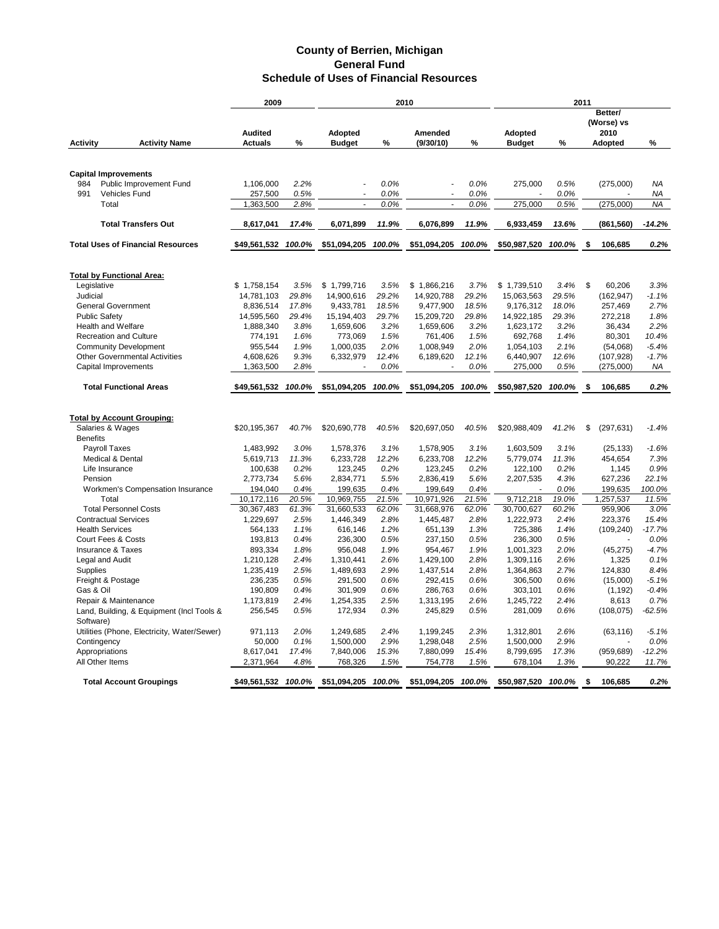|                                  |                                                 | 2009                 |              | 2010           |              |                          | 2011         |                |              |    |                               |                 |
|----------------------------------|-------------------------------------------------|----------------------|--------------|----------------|--------------|--------------------------|--------------|----------------|--------------|----|-------------------------------|-----------------|
|                                  |                                                 | <b>Audited</b>       |              | <b>Adopted</b> |              | Amended                  |              | <b>Adopted</b> |              |    | Better/<br>(Worse) vs<br>2010 |                 |
| <b>Activity</b>                  | <b>Activity Name</b>                            | <b>Actuals</b>       | %            | <b>Budget</b>  | %            | (9/30/10)                | %            | <b>Budget</b>  | %            |    | <b>Adopted</b>                | %               |
|                                  |                                                 |                      |              |                |              |                          |              |                |              |    |                               |                 |
|                                  |                                                 |                      |              |                |              |                          |              |                |              |    |                               |                 |
| <b>Capital Improvements</b>      |                                                 |                      |              |                |              |                          |              |                |              |    |                               |                 |
| 984<br>991                       | Public Improvement Fund<br><b>Vehicles Fund</b> | 1,106,000            | 2.2%<br>0.5% |                | 0.0%         |                          | 0.0%         | 275,000        | 0.5%         |    | (275,000)                     | NA              |
| Total                            |                                                 | 257,500<br>1,363,500 | 2.8%         | $\sim$         | 0.0%<br>0.0% | $\overline{\phantom{a}}$ | 0.0%<br>0.0% | 275,000        | 0.0%<br>0.5% |    | (275,000)                     | ΝA<br><b>NA</b> |
|                                  |                                                 |                      |              |                |              |                          |              |                |              |    |                               |                 |
|                                  | <b>Total Transfers Out</b>                      | 8,617,041            | 17.4%        | 6,071,899      | 11.9%        | 6,076,899                | 11.9%        | 6,933,459      | 13.6%        |    | (861, 560)                    | $-14.2%$        |
|                                  | <b>Total Uses of Financial Resources</b>        | \$49,561,532         | 100.0%       | \$51,094,205   | 100.0%       | \$51,094,205             | 100.0%       | \$50,987,520   | 100.0%       | \$ | 106,685                       | 0.2%            |
|                                  |                                                 |                      |              |                |              |                          |              |                |              |    |                               |                 |
| <b>Total by Functional Area:</b> |                                                 |                      |              |                |              |                          |              |                |              |    |                               |                 |
| Legislative                      |                                                 | \$1,758,154          | 3.5%         | \$1,799,716    | 3.5%         | \$1,866,216              | 3.7%         | \$1,739,510    | 3.4%         | \$ | 60.206                        | 3.3%            |
| Judicial                         |                                                 | 14,781,103           | 29.8%        | 14,900,616     | 29.2%        | 14,920,788               | 29.2%        | 15,063,563     | 29.5%        |    | (162, 947)                    | $-1.1%$         |
| <b>General Government</b>        |                                                 | 8,836,514            | 17.8%        | 9,433,781      | 18.5%        | 9,477,900                | 18.5%        | 9,176,312      | 18.0%        |    | 257,469                       | 2.7%            |
| <b>Public Safety</b>             |                                                 | 14,595,560           | 29.4%        | 15,194,403     | 29.7%        | 15,209,720               | 29.8%        | 14,922,185     | 29.3%        |    | 272,218                       | 1.8%            |
| <b>Health and Welfare</b>        |                                                 | 1,888,340            | 3.8%         | 1,659,606      | 3.2%         | 1,659,606                | 3.2%         | 1,623,172      | 3.2%         |    | 36,434                        | 2.2%            |
| <b>Recreation and Culture</b>    |                                                 | 774,191              | 1.6%         | 773,069        | 1.5%         | 761,406                  | 1.5%         | 692,768        | 1.4%         |    | 80,301                        | 10.4%           |
| <b>Community Development</b>     |                                                 | 955,544              | 1.9%         | 1,000,035      | 2.0%         | 1,008,949                | 2.0%         | 1,054,103      | 2.1%         |    | (54,068)                      | $-5.4%$         |
|                                  | <b>Other Governmental Activities</b>            | 4,608,626            | 9.3%         | 6,332,979      | 12.4%        | 6,189,620                | 12.1%        | 6,440,907      | 12.6%        |    | (107, 928)                    | $-1.7%$         |
| Capital Improvements             |                                                 | 1,363,500            | 2.8%         |                | 0.0%         |                          | 0.0%         | 275,000        | 0.5%         |    | (275,000)                     | ΝA              |
|                                  |                                                 |                      |              |                |              |                          |              |                |              |    |                               |                 |
|                                  | <b>Total Functional Areas</b>                   | \$49,561,532         | 100.0%       | \$51,094,205   | 100.0%       | \$51,094,205             | 100.0%       | \$50,987,520   | 100.0%       | \$ | 106,685                       | 0.2%            |
|                                  |                                                 |                      |              |                |              |                          |              |                |              |    |                               |                 |
|                                  | <b>Total by Account Grouping:</b>               |                      |              |                |              |                          |              |                |              |    |                               |                 |
| Salaries & Wages                 |                                                 | \$20.195.367         | 40.7%        | \$20,690,778   | 40.5%        | \$20,697,050             | 40.5%        | \$20,988,409   | 41.2%        | \$ | (297, 631)                    | $-1.4%$         |
| <b>Benefits</b>                  |                                                 |                      |              |                |              |                          |              |                |              |    |                               |                 |
| <b>Payroll Taxes</b>             |                                                 | 1,483,992            | 3.0%         | 1,578,376      | 3.1%         | 1,578,905                | 3.1%         | 1,603,509      | 3.1%         |    | (25, 133)                     | $-1.6%$         |
| Medical & Dental                 |                                                 | 5,619,713            | 11.3%        | 6,233,728      | 12.2%        | 6,233,708                | 12.2%        | 5,779,074      | 11.3%        |    | 454,654                       | 7.3%            |
| Life Insurance                   |                                                 | 100,638              | 0.2%         | 123,245        | 0.2%         | 123,245                  | 0.2%         | 122,100        | 0.2%         |    | 1,145                         | 0.9%            |
| Pension                          |                                                 | 2,773,734            | 5.6%         | 2,834,771      | 5.5%         | 2,836,419                | 5.6%         | 2,207,535      | 4.3%         |    | 627,236                       | 22.1%           |
|                                  | Workmen's Compensation Insurance                | 194,040              | 0.4%         | 199,635        | 0.4%         | 199,649                  | 0.4%         |                | 0.0%         |    | 199,635                       | 100.0%          |
| Total                            |                                                 | 10,172,116           | 20.5%        | 10,969,755     | 21.5%        | 10,971,926               | 21.5%        | 9,712,218      | 19.0%        |    | 1,257,537                     | 11.5%           |
| <b>Total Personnel Costs</b>     |                                                 | 30,367,483           | 61.3%        | 31,660,533     | 62.0%        | 31,668,976               | 62.0%        | 30,700,627     | 60.2%        |    | 959,906                       | 3.0%            |
| <b>Contractual Services</b>      |                                                 | 1,229,697            | 2.5%         | 1,446,349      | 2.8%         | 1,445,487                | 2.8%         | 1,222,973      | 2.4%         |    | 223,376                       | 15.4%           |
| <b>Health Services</b>           |                                                 | 564,133              | 1.1%         | 616,146        | 1.2%         | 651,139                  | 1.3%         | 725,386        | 1.4%         |    | (109, 240)                    | $-17.7%$        |
| Court Fees & Costs               |                                                 | 193.813              | 0.4%         | 236,300        | 0.5%         | 237,150                  | 0.5%         | 236,300        | 0.5%         |    |                               | 0.0%            |
| <b>Insurance &amp; Taxes</b>     |                                                 | 893,334              | 1.8%         | 956,048        | 1.9%         | 954,467                  | 1.9%         | 1,001,323      | 2.0%         |    | (45, 275)                     | $-4.7%$         |
| Legal and Audit                  |                                                 | 1,210,128            | 2.4%         | 1,310,441      | 2.6%         | 1,429,100                | 2.8%         | 1,309,116      | 2.6%         |    | 1,325                         | 0.1%            |
| Supplies                         |                                                 | 1,235,419            | 2.5%         | 1,489,693      | 2.9%         | 1,437,514                | 2.8%         | 1,364,863      | 2.7%         |    | 124,830                       | 8.4%            |
| Freight & Postage                |                                                 | 236,235              | 0.5%         | 291,500        | 0.6%         | 292,415                  | 0.6%         | 306,500        | 0.6%         |    | (15,000)                      | $-5.1%$         |
| Gas & Oil                        |                                                 | 190,809              | 0.4%         | 301,909        | 0.6%         | 286,763                  | 0.6%         | 303,101        | 0.6%         |    | (1, 192)                      | $-0.4%$         |
| Repair & Maintenance             |                                                 | 1,173,819            | 2.4%         | 1,254,335      | 2.5%         | 1,313,195                | 2.6%         | 1,245,722      | 2.4%         |    | 8,613                         | 0.7%            |
| Software)                        | Land, Building, & Equipment (Incl Tools &       | 256,545              | 0.5%         | 172,934        | 0.3%         | 245,829                  | 0.5%         | 281,009        | 0.6%         |    | (108, 075)                    | $-62.5%$        |
|                                  | Utilities (Phone, Electricity, Water/Sewer)     | 971,113              | 2.0%         | 1,249,685      | 2.4%         | 1,199,245                | 2.3%         | 1,312,801      | 2.6%         |    | (63, 116)                     | $-5.1%$         |
| Contingency                      |                                                 | 50,000               | 0.1%         | 1,500,000      | 2.9%         | 1,298,048                | 2.5%         | 1,500,000      | 2.9%         |    |                               | 0.0%            |
| Appropriations                   |                                                 | 8,617,041            | 17.4%        | 7,840,006      | 15.3%        | 7,880,099                | 15.4%        | 8,799,695      | 17.3%        |    | (959, 689)                    | $-12.2%$        |
| All Other Items                  |                                                 | 2,371,964            | 4.8%         | 768,326        | 1.5%         | 754,778                  | 1.5%         | 678,104        | 1.3%         |    | 90,222                        | 11.7%           |
|                                  |                                                 |                      |              |                |              |                          |              |                |              |    |                               |                 |
|                                  | <b>Total Account Groupings</b>                  | \$49,561,532 100.0%  |              | \$51,094,205   | 100.0%       | \$51,094,205             | 100.0%       | \$50,987,520   | 100.0%       | \$ | 106,685                       | 0.2%            |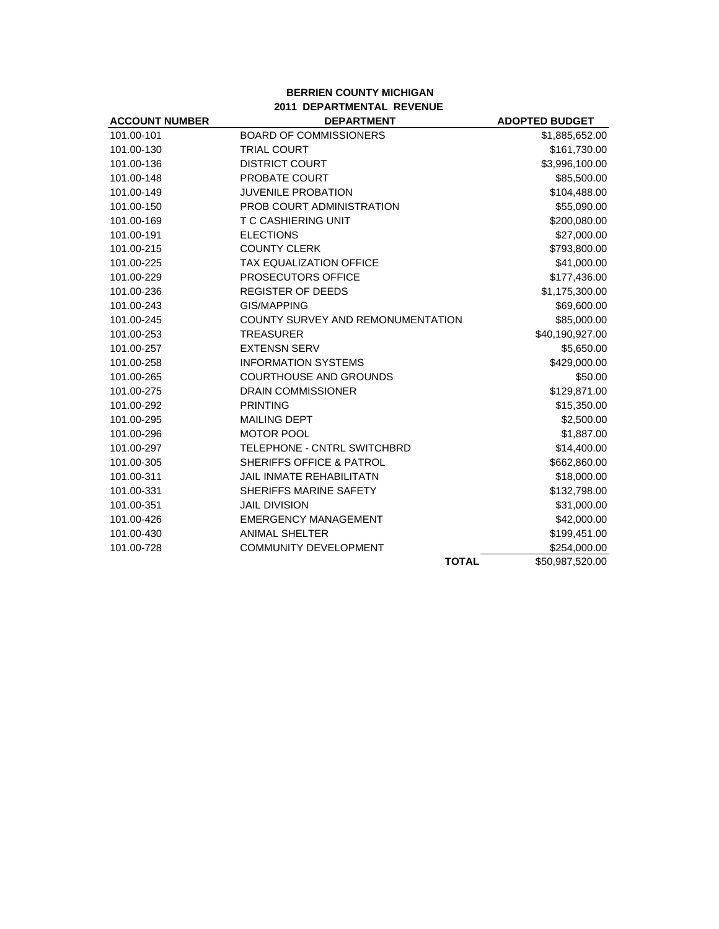#### **BERRIEN COUNTY MICHIGAN 2011 DEPARTMENTAL REVENUE**

| <b>ACCOUNT NUMBER</b> | <b>DEPARTMENT</b>                   | <b>ADOPTED BUDGET</b> |
|-----------------------|-------------------------------------|-----------------------|
| 101.00-101            | <b>BOARD OF COMMISSIONERS</b>       | \$1,885,652.00        |
| 101.00-130            | <b>TRIAL COURT</b>                  | \$161,730.00          |
| 101.00-136            | <b>DISTRICT COURT</b>               | \$3,996,100.00        |
| 101.00-148            | <b>PROBATE COURT</b>                | \$85,500.00           |
| 101.00-149            | <b>JUVENILE PROBATION</b>           | \$104,488.00          |
| 101.00-150            | PROB COURT ADMINISTRATION           | \$55,090.00           |
| 101.00-169            | <b>T C CASHIERING UNIT</b>          | \$200,080.00          |
| 101.00-191            | <b>ELECTIONS</b>                    | \$27,000.00           |
| 101.00-215            | <b>COUNTY CLERK</b>                 | \$793,800.00          |
| 101.00-225            | <b>TAX EQUALIZATION OFFICE</b>      | \$41,000.00           |
| 101.00-229            | PROSECUTORS OFFICE                  | \$177,436.00          |
| 101.00-236            | <b>REGISTER OF DEEDS</b>            | \$1,175,300.00        |
| 101.00-243            | <b>GIS/MAPPING</b>                  | \$69,600.00           |
| 101.00-245            | COUNTY SURVEY AND REMONUMENTATION   | \$85,000.00           |
| 101.00-253            | <b>TREASURER</b>                    | \$40,190,927.00       |
| 101.00-257            | <b>EXTENSN SERV</b>                 | \$5,650.00            |
| 101.00-258            | <b>INFORMATION SYSTEMS</b>          | \$429,000.00          |
| 101.00-265            | <b>COURTHOUSE AND GROUNDS</b>       | \$50.00               |
| 101.00-275            | <b>DRAIN COMMISSIONER</b>           | \$129,871.00          |
| 101.00-292            | <b>PRINTING</b>                     | \$15,350.00           |
| 101.00-295            | <b>MAILING DEPT</b>                 | \$2,500.00            |
| 101.00-296            | <b>MOTOR POOL</b>                   | \$1,887.00            |
| 101.00-297            | TELEPHONE - CNTRL SWITCHBRD         | \$14,400.00           |
| 101.00-305            | <b>SHERIFFS OFFICE &amp; PATROL</b> | \$662,860.00          |
| 101.00-311            | <b>JAIL INMATE REHABILITATN</b>     | \$18,000.00           |
| 101.00-331            | SHERIFFS MARINE SAFETY              | \$132,798.00          |
| 101.00-351            | <b>JAIL DIVISION</b>                | \$31,000.00           |
| 101.00-426            | <b>EMERGENCY MANAGEMENT</b>         | \$42,000.00           |
| 101.00-430            | <b>ANIMAL SHELTER</b>               | \$199,451.00          |
| 101.00-728            | <b>COMMUNITY DEVELOPMENT</b>        | \$254,000.00          |
|                       | <b>TOTAL</b>                        | \$50,987,520.00       |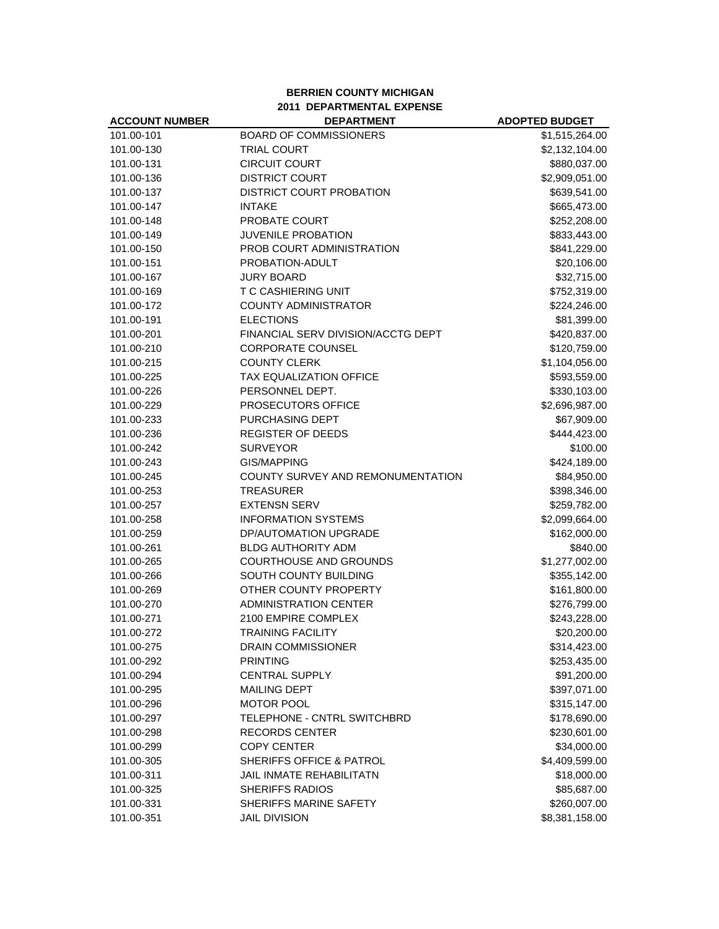#### **BERRIEN COUNTY MICHIGAN 2011 DEPARTMENTAL EXPENSE**

| <b>ACCOUNT NUMBER</b> | <b>DEPARTMENT</b>                  | <b>ADOPTED BUDGET</b> |
|-----------------------|------------------------------------|-----------------------|
| 101.00-101            | <b>BOARD OF COMMISSIONERS</b>      | \$1,515,264.00        |
| 101.00-130            | <b>TRIAL COURT</b>                 | \$2,132,104.00        |
| 101.00-131            | <b>CIRCUIT COURT</b>               | \$880,037.00          |
| 101.00-136            | <b>DISTRICT COURT</b>              | \$2,909,051.00        |
| 101.00-137            | <b>DISTRICT COURT PROBATION</b>    | \$639,541.00          |
| 101.00-147            | <b>INTAKE</b>                      | \$665,473.00          |
| 101.00-148            | <b>PROBATE COURT</b>               | \$252,208.00          |
| 101.00-149            | <b>JUVENILE PROBATION</b>          | \$833,443.00          |
| 101.00-150            | PROB COURT ADMINISTRATION          | \$841,229.00          |
| 101.00-151            | PROBATION-ADULT                    | \$20,106.00           |
| 101.00-167            | <b>JURY BOARD</b>                  | \$32,715.00           |
| 101.00-169            | <b>T C CASHIERING UNIT</b>         | \$752,319.00          |
| 101.00-172            | <b>COUNTY ADMINISTRATOR</b>        | \$224,246.00          |
| 101.00-191            | <b>ELECTIONS</b>                   | \$81,399.00           |
| 101.00-201            | FINANCIAL SERV DIVISION/ACCTG DEPT | \$420,837.00          |
| 101.00-210            | <b>CORPORATE COUNSEL</b>           | \$120,759.00          |
| 101.00-215            | <b>COUNTY CLERK</b>                | \$1,104,056.00        |
| 101.00-225            | <b>TAX EQUALIZATION OFFICE</b>     | \$593,559.00          |
| 101.00-226            | PERSONNEL DEPT.                    | \$330,103.00          |
| 101.00-229            | <b>PROSECUTORS OFFICE</b>          | \$2,696,987.00        |
| 101.00-233            | PURCHASING DEPT                    | \$67,909.00           |
| 101.00-236            | <b>REGISTER OF DEEDS</b>           | \$444,423.00          |
| 101.00-242            | <b>SURVEYOR</b>                    | \$100.00              |
| 101.00-243            | GIS/MAPPING                        | \$424,189.00          |
| 101.00-245            | COUNTY SURVEY AND REMONUMENTATION  | \$84,950.00           |
| 101.00-253            | <b>TREASURER</b>                   | \$398,346.00          |
| 101.00-257            | <b>EXTENSN SERV</b>                | \$259,782.00          |
| 101.00-258            | <b>INFORMATION SYSTEMS</b>         | \$2,099,664.00        |
| 101.00-259            | DP/AUTOMATION UPGRADE              | \$162,000.00          |
| 101.00-261            | <b>BLDG AUTHORITY ADM</b>          | \$840.00              |
| 101.00-265            | <b>COURTHOUSE AND GROUNDS</b>      | \$1,277,002.00        |
| 101.00-266            | SOUTH COUNTY BUILDING              | \$355,142.00          |
| 101.00-269            | OTHER COUNTY PROPERTY              | \$161,800.00          |
| 101.00-270            | <b>ADMINISTRATION CENTER</b>       | \$276,799.00          |
| 101.00-271            | 2100 EMPIRE COMPLEX                | \$243,228.00          |
| 101.00-272            | <b>TRAINING FACILITY</b>           | \$20,200.00           |
| 101.00-275            | DRAIN COMMISSIONER                 | \$314,423.00          |
| 101.00-292            | <b>PRINTING</b>                    | \$253,435.00          |
| 101.00-294            | <b>CENTRAL SUPPLY</b>              | \$91,200.00           |
| 101.00-295            | <b>MAILING DEPT</b>                | \$397,071.00          |
| 101.00-296            | <b>MOTOR POOL</b>                  | \$315,147.00          |
| 101.00-297            | TELEPHONE - CNTRL SWITCHBRD        | \$178,690.00          |
| 101.00-298            | <b>RECORDS CENTER</b>              | \$230,601.00          |
| 101.00-299            | <b>COPY CENTER</b>                 | \$34,000.00           |
| 101.00-305            | SHERIFFS OFFICE & PATROL           | \$4,409,599.00        |
| 101.00-311            | JAIL INMATE REHABILITATN           | \$18,000.00           |
| 101.00-325            | <b>SHERIFFS RADIOS</b>             | \$85,687.00           |
| 101.00-331            | SHERIFFS MARINE SAFETY             | \$260,007.00          |
| 101.00-351            | <b>JAIL DIVISION</b>               | \$8,381,158.00        |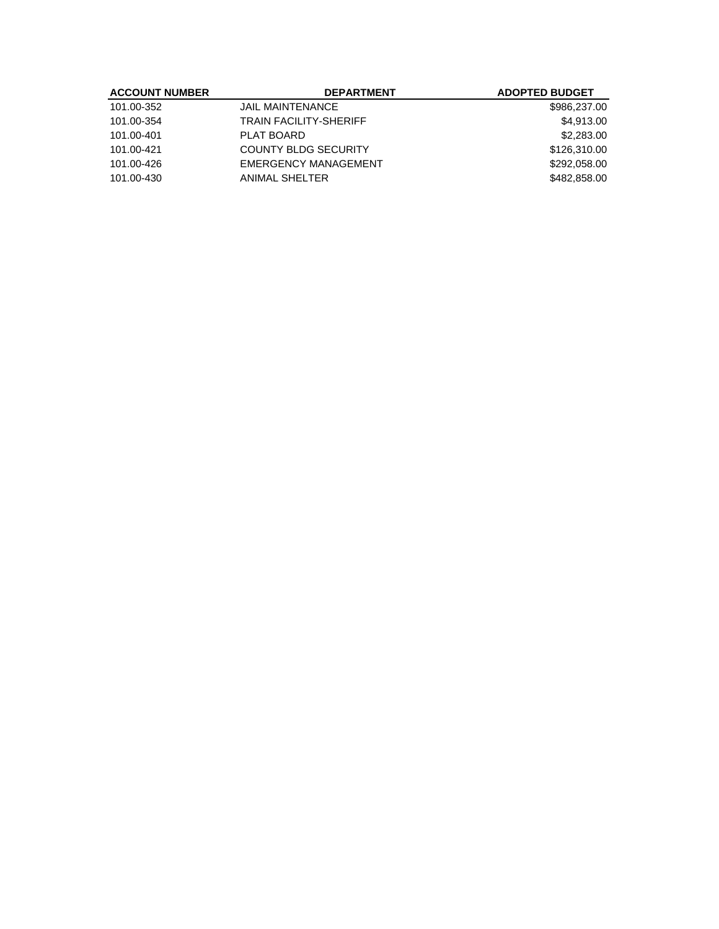| <b>ACCOUNT NUMBER</b> | <b>DEPARTMENT</b>             | <b>ADOPTED BUDGET</b> |
|-----------------------|-------------------------------|-----------------------|
| 101.00-352            | <b>JAIL MAINTENANCE</b>       | \$986,237.00          |
| 101.00-354            | <b>TRAIN FACILITY-SHERIFF</b> | \$4,913,00            |
| 101.00-401            | PLAT BOARD                    | \$2,283.00            |
| 101.00-421            | <b>COUNTY BLDG SECURITY</b>   | \$126,310.00          |
| 101.00-426            | <b>EMERGENCY MANAGEMENT</b>   | \$292,058,00          |
| 101.00-430            | <b>ANIMAL SHELTER</b>         | \$482,858,00          |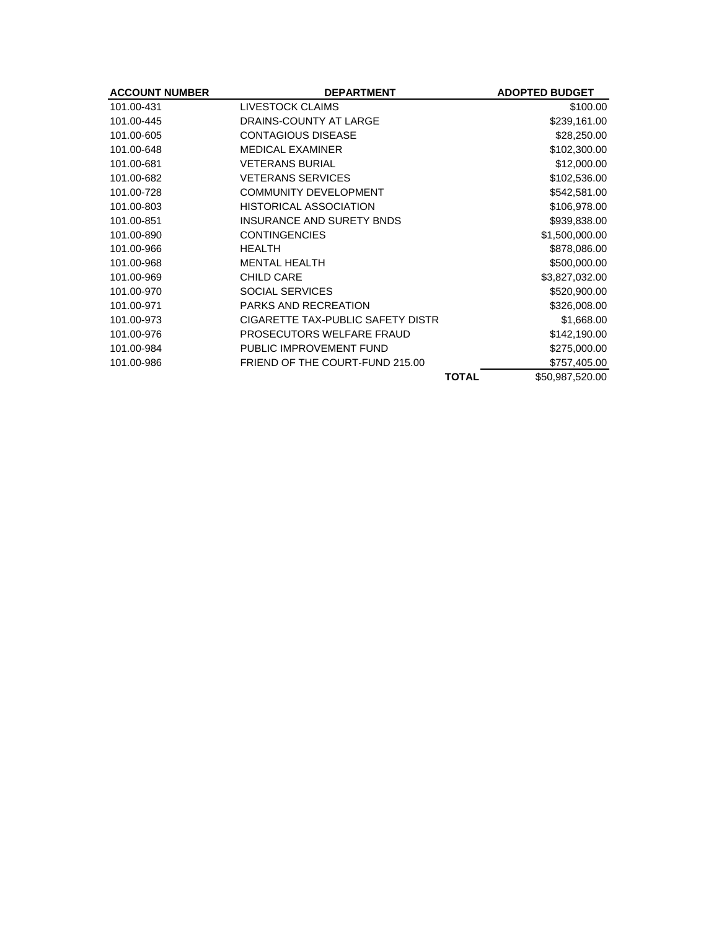| <b>ACCOUNT NUMBER</b> | <b>DEPARTMENT</b>                 | <b>ADOPTED BUDGET</b> |
|-----------------------|-----------------------------------|-----------------------|
| 101.00-431            | LIVESTOCK CLAIMS                  | \$100.00              |
| 101.00-445            | DRAINS-COUNTY AT LARGE            | \$239,161.00          |
| 101.00-605            | <b>CONTAGIOUS DISEASE</b>         | \$28,250.00           |
| 101.00-648            | <b>MEDICAL EXAMINER</b>           | \$102,300.00          |
| 101.00-681            | <b>VETERANS BURIAL</b>            | \$12,000.00           |
| 101.00-682            | <b>VETERANS SERVICES</b>          | \$102,536.00          |
| 101.00-728            | <b>COMMUNITY DEVELOPMENT</b>      | \$542,581.00          |
| 101.00-803            | HISTORICAL ASSOCIATION            | \$106,978.00          |
| 101.00-851            | <b>INSURANCE AND SURETY BNDS</b>  | \$939,838.00          |
| 101.00-890            | <b>CONTINGENCIES</b>              | \$1,500,000.00        |
| 101.00-966            | <b>HEALTH</b>                     | \$878,086.00          |
| 101.00-968            | <b>MENTAL HEALTH</b>              | \$500,000.00          |
| 101.00-969            | <b>CHILD CARE</b>                 | \$3,827,032.00        |
| 101.00-970            | <b>SOCIAL SERVICES</b>            | \$520,900.00          |
| 101.00-971            | <b>PARKS AND RECREATION</b>       | \$326,008.00          |
| 101.00-973            | CIGARETTE TAX-PUBLIC SAFETY DISTR | \$1,668.00            |
| 101.00-976            | PROSECUTORS WELFARE FRAUD         | \$142,190.00          |
| 101.00-984            | PUBLIC IMPROVEMENT FUND           | \$275,000.00          |
| 101.00-986            | FRIEND OF THE COURT-FUND 215.00   | \$757,405.00          |
|                       | <b>TOTAL</b>                      | \$50,987,520.00       |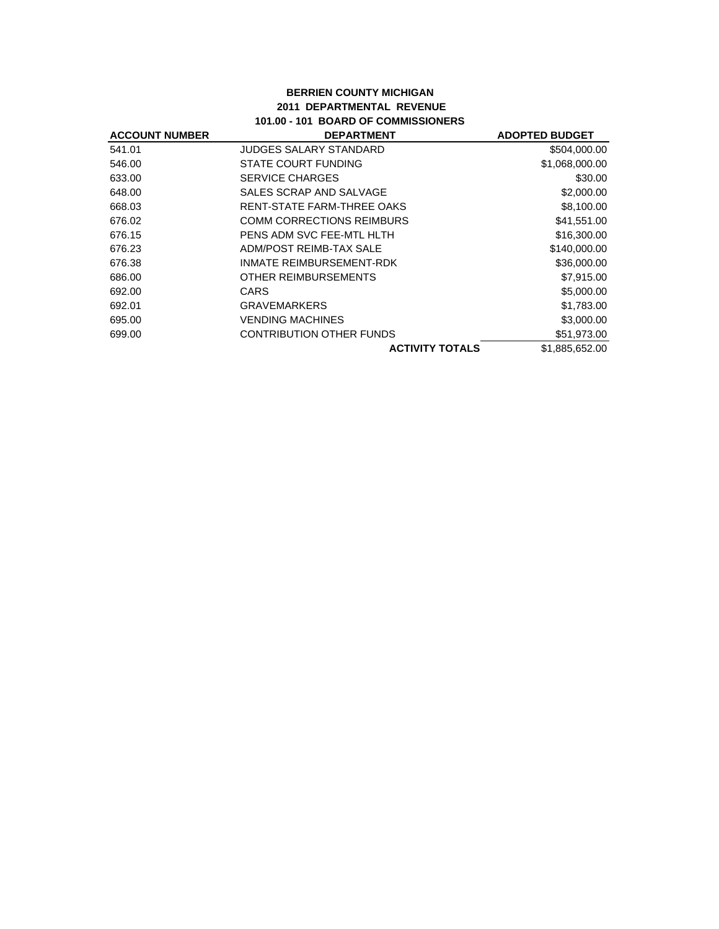### **BERRIEN COUNTY MICHIGAN 2011 DEPARTMENTAL REVENUE 101.00 - 101 BOARD OF COMMISSIONERS**

| <b>ACCOUNT NUMBER</b> | <b>DEPARTMENT</b>                | <b>ADOPTED BUDGET</b> |
|-----------------------|----------------------------------|-----------------------|
| 541.01                | JUDGES SALARY STANDARD           | \$504,000.00          |
| 546.00                | STATE COURT FUNDING              | \$1,068,000.00        |
| 633.00                | <b>SERVICE CHARGES</b>           | \$30.00               |
| 648.00                | SALES SCRAP AND SALVAGE          | \$2,000.00            |
| 668.03                | RENT-STATE FARM-THREE OAKS       | \$8,100.00            |
| 676.02                | <b>COMM CORRECTIONS REIMBURS</b> | \$41,551.00           |
| 676.15                | PENS ADM SVC FEE-MTL HLTH        | \$16,300.00           |
| 676.23                | ADM/POST REIMB-TAX SALE          | \$140,000.00          |
| 676.38                | INMATE REIMBURSEMENT-RDK         | \$36,000.00           |
| 686.00                | OTHER REIMBURSEMENTS             | \$7,915.00            |
| 692.00                | CARS                             | \$5,000.00            |
| 692.01                | <b>GRAVEMARKERS</b>              | \$1,783.00            |
| 695.00                | <b>VENDING MACHINES</b>          | \$3,000.00            |
| 699.00                | <b>CONTRIBUTION OTHER FUNDS</b>  | \$51,973.00           |
|                       | <b>ACTIVITY TOTALS</b>           | \$1,885,652.00        |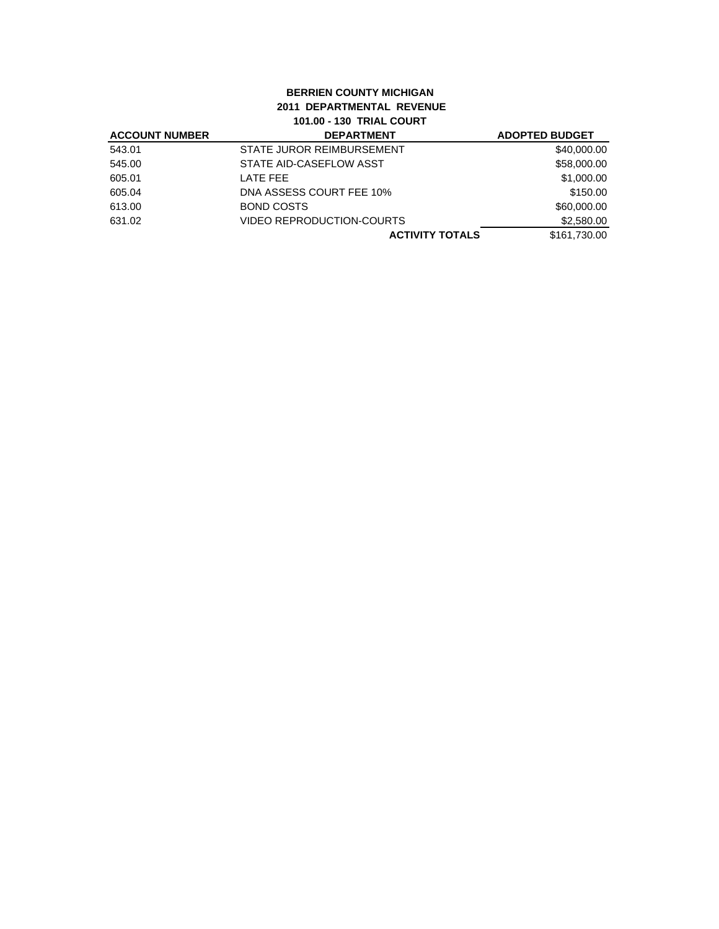## **BERRIEN COUNTY MICHIGAN 2011 DEPARTMENTAL REVENUE 101.00 - 130 TRIAL COURT**

| <b>ACCOUNT NUMBER</b> | <b>DEPARTMENT</b>                | <b>ADOPTED BUDGET</b> |
|-----------------------|----------------------------------|-----------------------|
| 543.01                | STATE JUROR REIMBURSEMENT        | \$40,000.00           |
| 545.00                | STATE AID-CASEFLOW ASST          | \$58,000.00           |
| 605.01                | LATE FEE                         | \$1,000.00            |
| 605.04                | DNA ASSESS COURT FEE 10%         | \$150.00              |
| 613.00                | BOND COSTS                       | \$60,000.00           |
| 631.02                | <b>VIDEO REPRODUCTION-COURTS</b> | \$2,580.00            |
|                       | <b>ACTIVITY TOTALS</b>           | \$161.730.00          |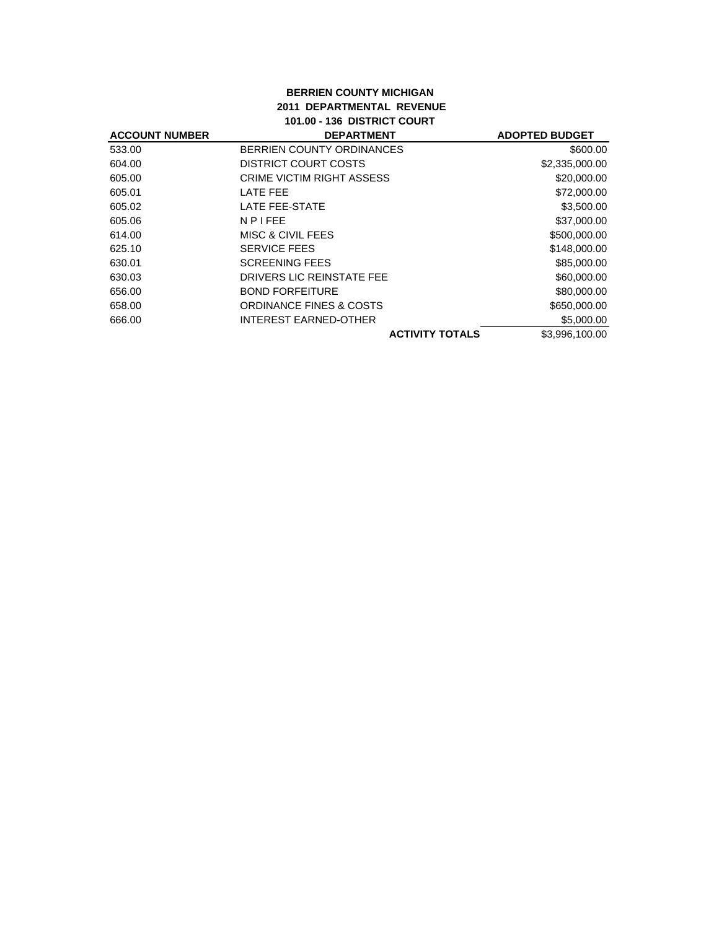## **BERRIEN COUNTY MICHIGAN 2011 DEPARTMENTAL REVENUE 101.00 - 136 DISTRICT COURT**

| <b>ACCOUNT NUMBER</b> | <b>DEPARTMENT</b>                | <b>ADOPTED BUDGET</b> |
|-----------------------|----------------------------------|-----------------------|
| 533.00                | BERRIEN COUNTY ORDINANCES        | \$600.00              |
| 604.00                | DISTRICT COURT COSTS             | \$2,335,000.00        |
| 605.00                | <b>CRIME VICTIM RIGHT ASSESS</b> | \$20,000.00           |
| 605.01                | LATE FEE                         | \$72,000.00           |
| 605.02                | LATE FEE-STATE                   | \$3,500.00            |
| 605.06                | <b>NPIFEE</b>                    | \$37,000.00           |
| 614.00                | MISC & CIVIL FEES                | \$500,000.00          |
| 625.10                | <b>SERVICE FEES</b>              | \$148,000.00          |
| 630.01                | <b>SCREENING FEES</b>            | \$85,000.00           |
| 630.03                | DRIVERS LIC REINSTATE FEE        | \$60,000.00           |
| 656.00                | <b>BOND FORFEITURE</b>           | \$80,000.00           |
| 658.00                | ORDINANCE FINES & COSTS          | \$650,000.00          |
| 666.00                | <b>INTEREST EARNED-OTHER</b>     | \$5,000.00            |
|                       | <b>ACTIVITY TOTALS</b>           | \$3,996,100.00        |
|                       |                                  |                       |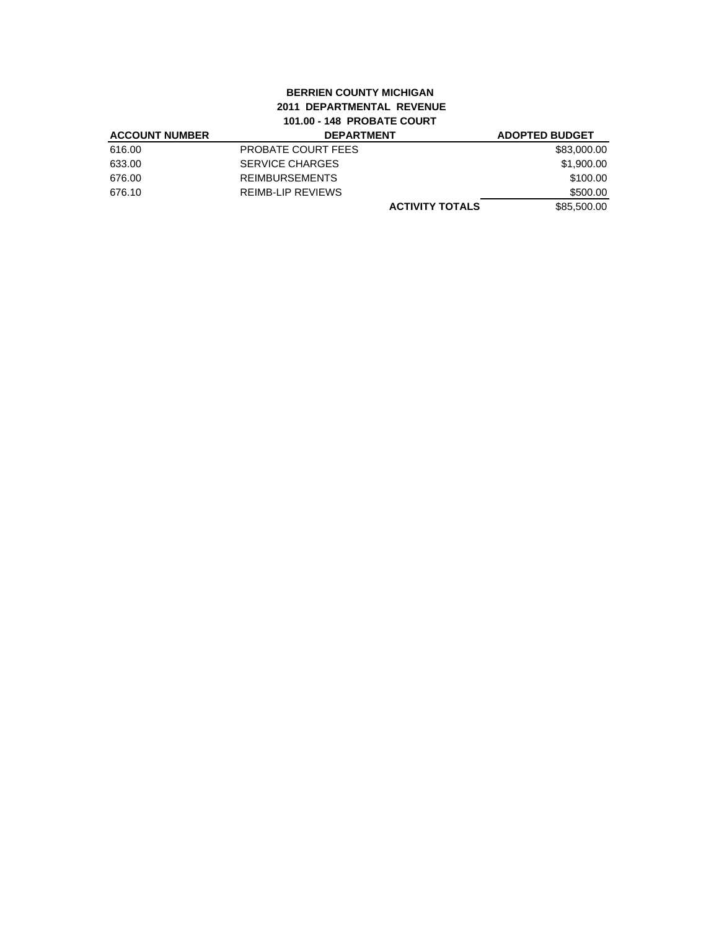# **BERRIEN COUNTY MICHIGAN 2011 DEPARTMENTAL REVENUE 101.00 - 148 PROBATE COURT**

| <b>ACCOUNT NUMBER</b> | <b>DEPARTMENT</b>        | <b>ADOPTED BUDGET</b> |
|-----------------------|--------------------------|-----------------------|
| 616.00                | PROBATE COURT FEES       | \$83,000.00           |
| 633.00                | <b>SERVICE CHARGES</b>   | \$1,900.00            |
| 676.00                | <b>REIMBURSEMENTS</b>    | \$100.00              |
| 676.10                | <b>REIMB-LIP REVIEWS</b> | \$500.00              |
|                       | <b>ACTIVITY TOTALS</b>   | \$85,500.00           |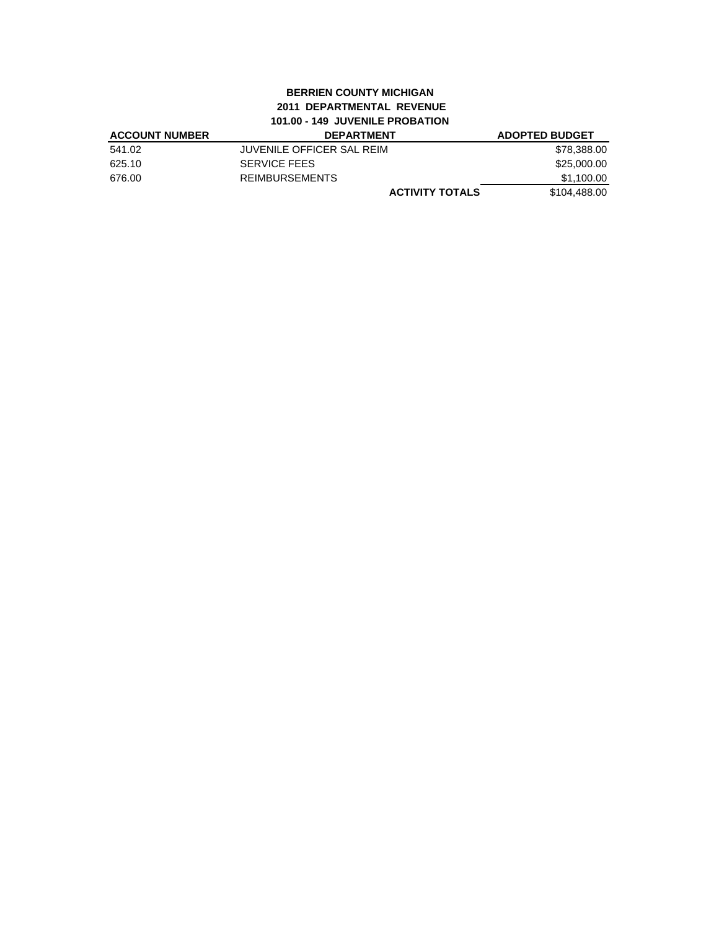### **BERRIEN COUNTY MICHIGAN 2011 DEPARTMENTAL REVENUE 101.00 - 149 JUVENILE PROBATION**

| <b>ACCOUNT NUMBER</b> | <b>DEPARTMENT</b>         | <b>ADOPTED BUDGET</b> |
|-----------------------|---------------------------|-----------------------|
| 541.02                | JUVENILE OFFICER SAL REIM | \$78,388.00           |
| 625.10                | <b>SERVICE FEES</b>       | \$25.000.00           |
| 676.00                | <b>REIMBURSEMENTS</b>     | \$1.100.00            |
|                       | <b>ACTIVITY TOTALS</b>    | \$104,488,00          |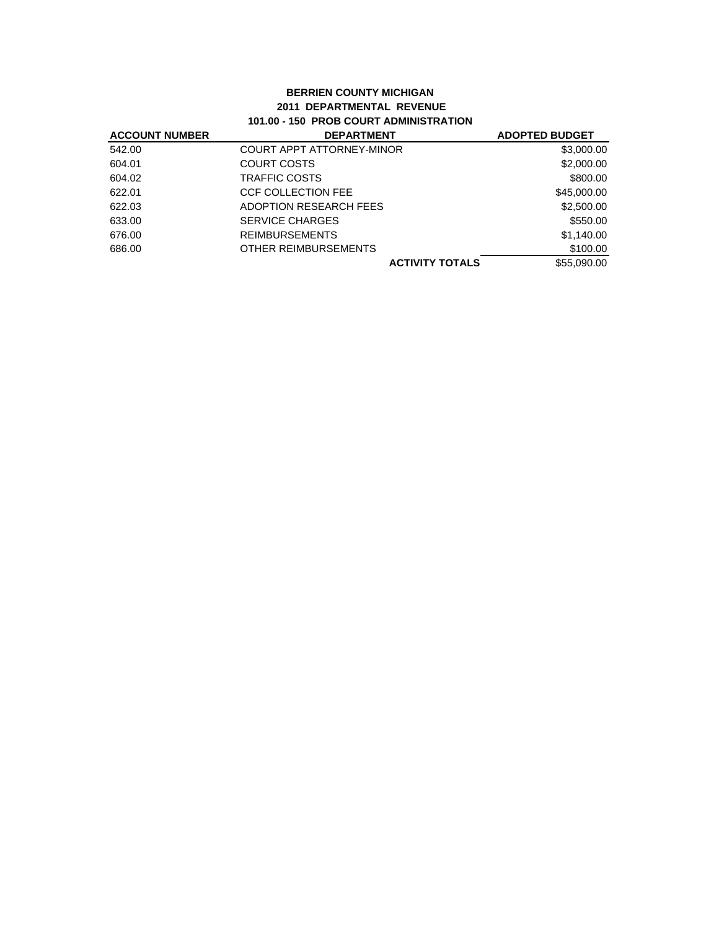### **BERRIEN COUNTY MICHIGAN 2011 DEPARTMENTAL REVENUE 101.00 - 150 PROB COURT ADMINISTRATION**

| <b>ACCOUNT NUMBER</b> | <b>DEPARTMENT</b>                | <b>ADOPTED BUDGET</b> |
|-----------------------|----------------------------------|-----------------------|
| 542.00                | <b>COURT APPT ATTORNEY-MINOR</b> | \$3,000.00            |
| 604.01                | COURT COSTS                      | \$2,000.00            |
| 604.02                | TRAFFIC COSTS                    | \$800.00              |
| 622.01                | CCF COLLECTION FEE               | \$45,000.00           |
| 622.03                | ADOPTION RESEARCH FEES           | \$2,500.00            |
| 633.00                | <b>SERVICE CHARGES</b>           | \$550.00              |
| 676.00                | <b>REIMBURSEMENTS</b>            | \$1,140.00            |
| 686.00                | OTHER REIMBURSEMENTS             | \$100.00              |
|                       | <b>ACTIVITY TOTALS</b>           | \$55,090,00           |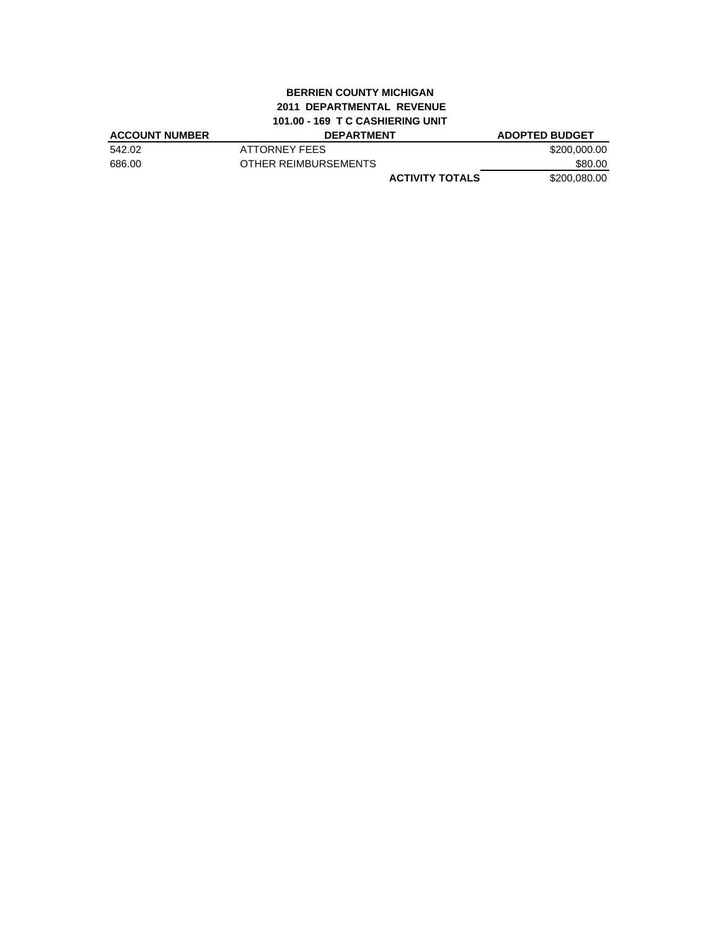# **BERRIEN COUNTY MICHIGAN 2011 DEPARTMENTAL REVENUE 101.00 - 169 T C CASHIERING UNIT**

| <b>ACCOUNT NUMBER</b> | <b>DEPARTMENT</b>      | <b>ADOPTED BUDGET</b> |
|-----------------------|------------------------|-----------------------|
| 542.02                | ATTORNEY FEES          | \$200,000,00          |
| 686.00                | OTHER REIMBURSEMENTS   | \$80.00               |
|                       | <b>ACTIVITY TOTALS</b> | \$200,080,00          |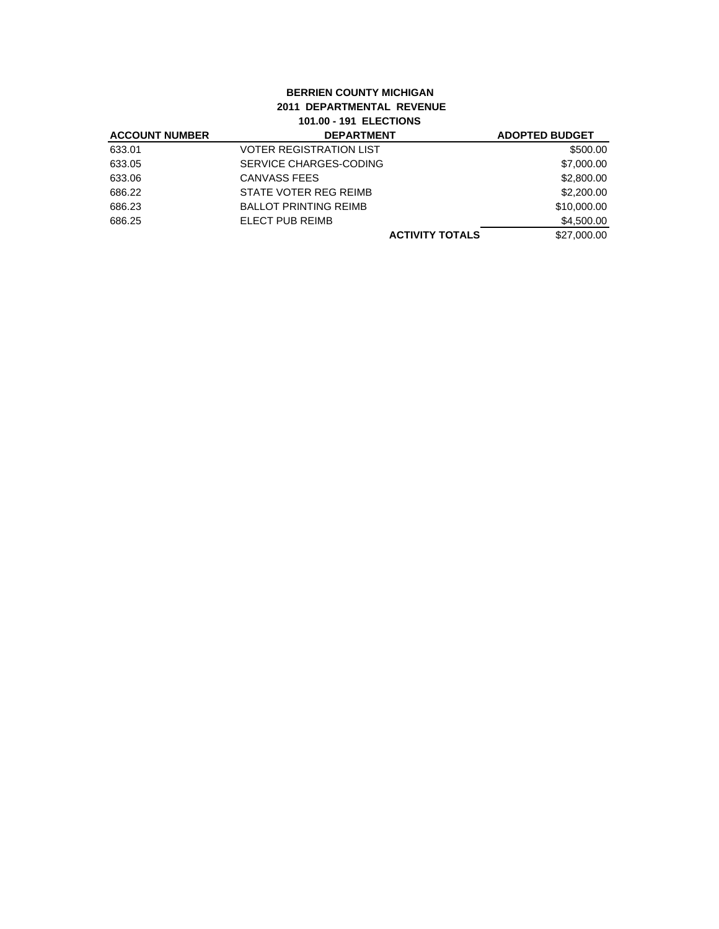# **BERRIEN COUNTY MICHIGAN 2011 DEPARTMENTAL REVENUE 101.00 - 191 ELECTIONS**

| <b>ACCOUNT NUMBER</b> | <b>DEPARTMENT</b>              | <b>ADOPTED BUDGET</b> |
|-----------------------|--------------------------------|-----------------------|
| 633.01                | <b>VOTER REGISTRATION LIST</b> | \$500.00              |
| 633.05                | SERVICE CHARGES-CODING         | \$7,000.00            |
| 633.06                | CANVASS FEES                   | \$2,800.00            |
| 686.22                | STATE VOTER REG REIMB          | \$2,200.00            |
| 686.23                | <b>BALLOT PRINTING REIMB</b>   | \$10,000.00           |
| 686.25                | ELECT PUB REIMB                | \$4,500.00            |
|                       | <b>ACTIVITY TOTALS</b>         | \$27,000.00           |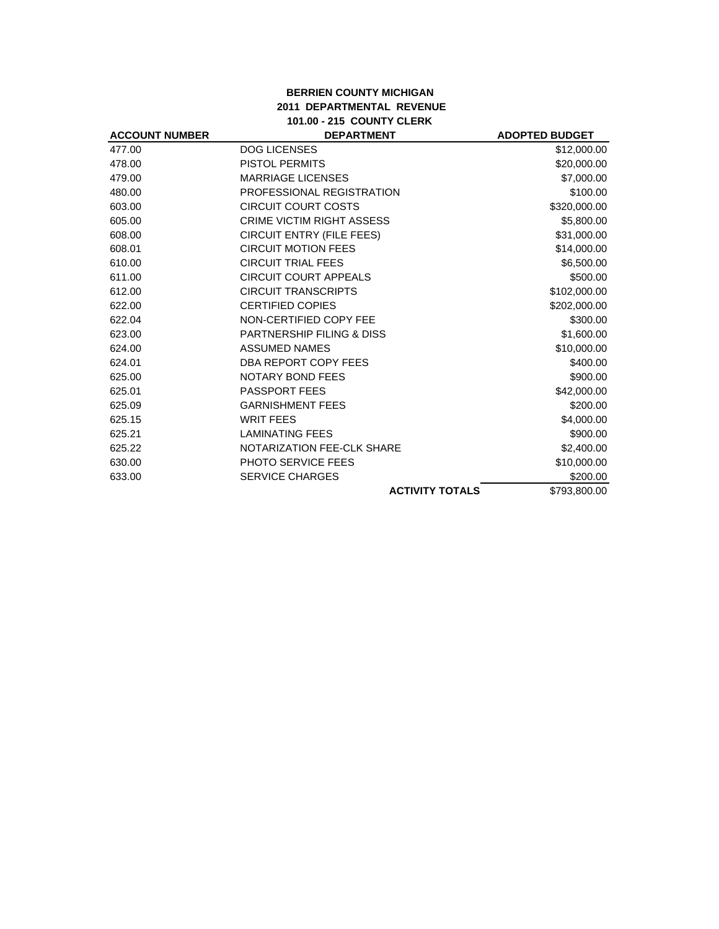## **BERRIEN COUNTY MICHIGAN 2011 DEPARTMENTAL REVENUE 101.00 - 215 COUNTY CLERK**

| <b>ACCOUNT NUMBER</b> | <b>DEPARTMENT</b>                | <b>ADOPTED BUDGET</b> |
|-----------------------|----------------------------------|-----------------------|
| 477.00                | <b>DOG LICENSES</b>              | \$12,000.00           |
| 478.00                | <b>PISTOL PERMITS</b>            | \$20,000.00           |
| 479.00                | <b>MARRIAGE LICENSES</b>         | \$7,000.00            |
| 480.00                | PROFESSIONAL REGISTRATION        | \$100.00              |
| 603.00                | <b>CIRCUIT COURT COSTS</b>       | \$320,000.00          |
| 605.00                | <b>CRIME VICTIM RIGHT ASSESS</b> | \$5,800.00            |
| 608.00                | <b>CIRCUIT ENTRY (FILE FEES)</b> | \$31,000.00           |
| 608.01                | <b>CIRCUIT MOTION FEES</b>       | \$14,000.00           |
| 610.00                | <b>CIRCUIT TRIAL FEES</b>        | \$6,500.00            |
| 611.00                | <b>CIRCUIT COURT APPEALS</b>     | \$500.00              |
| 612.00                | <b>CIRCUIT TRANSCRIPTS</b>       | \$102,000.00          |
| 622.00                | <b>CERTIFIED COPIES</b>          | \$202,000.00          |
| 622.04                | NON-CERTIFIED COPY FEE           | \$300.00              |
| 623.00                | PARTNERSHIP FILING & DISS        | \$1,600.00            |
| 624.00                | <b>ASSUMED NAMES</b>             | \$10,000.00           |
| 624.01                | DBA REPORT COPY FEES             | \$400.00              |
| 625.00                | <b>NOTARY BOND FEES</b>          | \$900.00              |
| 625.01                | <b>PASSPORT FEES</b>             | \$42,000.00           |
| 625.09                | <b>GARNISHMENT FEES</b>          | \$200.00              |
| 625.15                | <b>WRIT FEES</b>                 | \$4,000.00            |
| 625.21                | <b>LAMINATING FEES</b>           | \$900.00              |
| 625.22                | NOTARIZATION FEE-CLK SHARE       | \$2,400.00            |
| 630.00                | <b>PHOTO SERVICE FEES</b>        | \$10,000.00           |
| 633.00                | <b>SERVICE CHARGES</b>           | \$200.00              |
|                       | <b>ACTIVITY TOTALS</b>           | \$793,800.00          |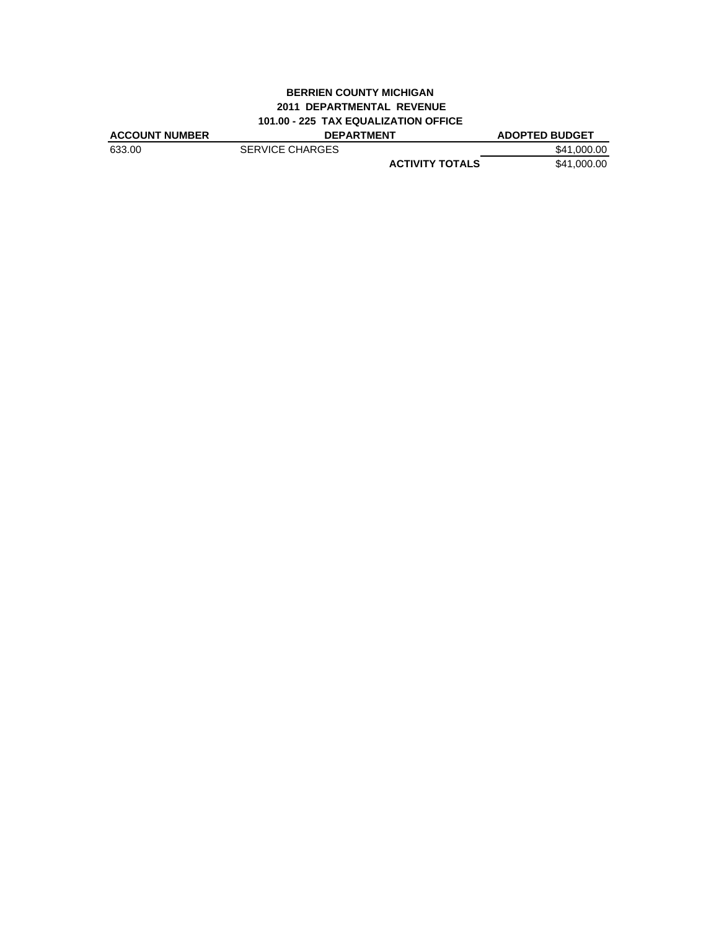## **BERRIEN COUNTY MICHIGAN 2011 DEPARTMENTAL REVENUE 101.00 - 225 TAX EQUALIZATION OFFICE**

| <b>ACCOUNT NUMBER</b> | <b>DEPARTMENT</b>      | <b>ADOPTED BUDGET</b> |
|-----------------------|------------------------|-----------------------|
| 633.00                | <b>SERVICE CHARGES</b> | \$41,000.00           |
|                       | <b>ACTIVITY TOTALS</b> | \$41,000.00           |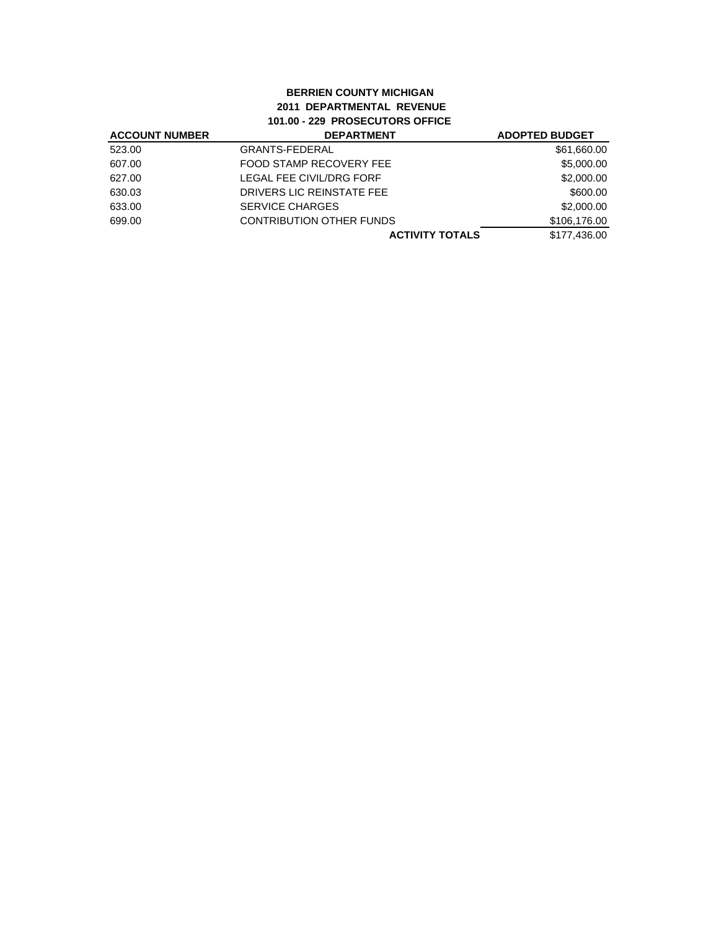# **BERRIEN COUNTY MICHIGAN 2011 DEPARTMENTAL REVENUE 101.00 - 229 PROSECUTORS OFFICE**

| <b>ACCOUNT NUMBER</b> | <b>DEPARTMENT</b>               | <b>ADOPTED BUDGET</b> |
|-----------------------|---------------------------------|-----------------------|
| 523.00                | <b>GRANTS-FEDERAL</b>           | \$61,660.00           |
| 607.00                | FOOD STAMP RECOVERY FEE         | \$5,000.00            |
| 627.00                | <b>LEGAL FEE CIVIL/DRG FORF</b> | \$2,000.00            |
| 630.03                | DRIVERS LIC REINSTATE FEE       | \$600.00              |
| 633.00                | <b>SERVICE CHARGES</b>          | \$2,000.00            |
| 699.00                | <b>CONTRIBUTION OTHER FUNDS</b> | \$106,176.00          |
|                       | <b>ACTIVITY TOTALS</b>          | \$177,436.00          |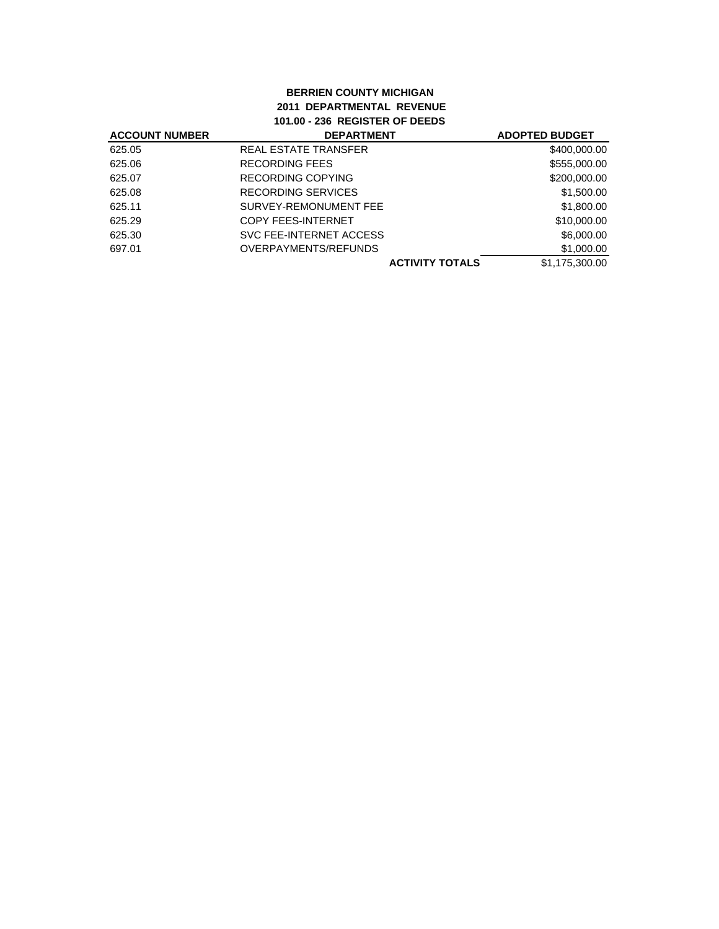## **BERRIEN COUNTY MICHIGAN 2011 DEPARTMENTAL REVENUE 101.00 - 236 REGISTER OF DEEDS**

| <b>ACCOUNT NUMBER</b> | <b>DEPARTMENT</b>         | <b>ADOPTED BUDGET</b> |
|-----------------------|---------------------------|-----------------------|
| 625.05                | REAL ESTATE TRANSFER      | \$400,000.00          |
| 625.06                | <b>RECORDING FEES</b>     | \$555,000.00          |
| 625.07                | <b>RECORDING COPYING</b>  | \$200,000.00          |
| 625.08                | RECORDING SERVICES        | \$1,500.00            |
| 625.11                | SURVEY-REMONUMENT FEE     | \$1,800.00            |
| 625.29                | <b>COPY FEES-INTERNET</b> | \$10,000.00           |
| 625.30                | SVC FEE-INTERNET ACCESS   | \$6,000.00            |
| 697.01                | OVERPAYMENTS/REFUNDS      | \$1,000.00            |
|                       | <b>ACTIVITY TOTALS</b>    | \$1,175,300.00        |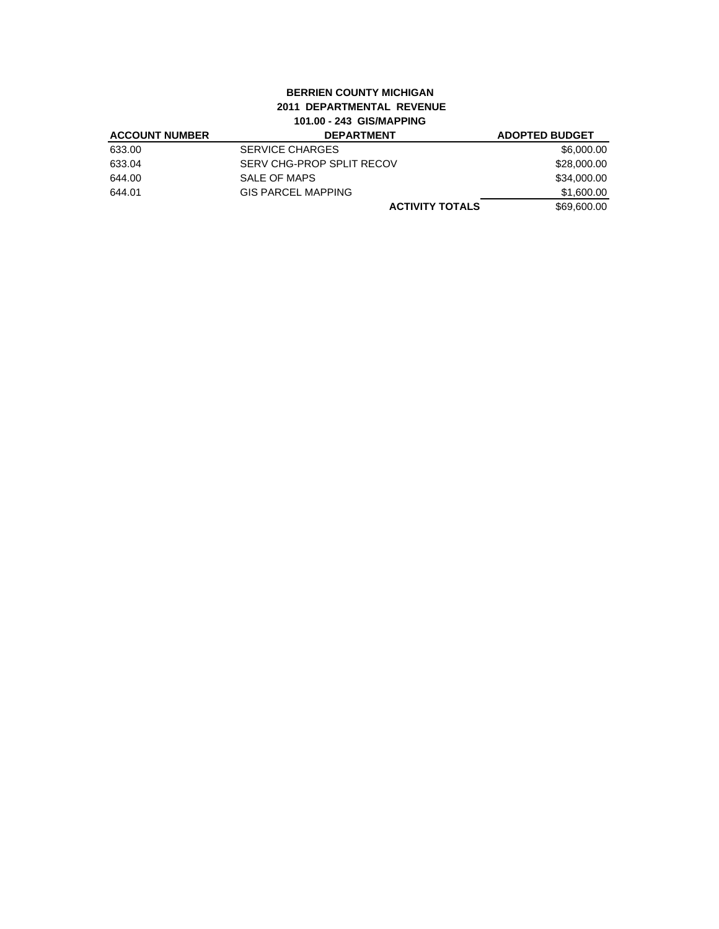# **BERRIEN COUNTY MICHIGAN 2011 DEPARTMENTAL REVENUE 101.00 - 243 GIS/MAPPING**

| <b>ACCOUNT NUMBER</b> | <b>DEPARTMENT</b>         | <b>ADOPTED BUDGET</b> |
|-----------------------|---------------------------|-----------------------|
| 633.00                | <b>SERVICE CHARGES</b>    | \$6,000.00            |
| 633.04                | SERV CHG-PROP SPLIT RECOV | \$28,000.00           |
| 644.00                | SALE OF MAPS              | \$34,000.00           |
| 644.01                | <b>GIS PARCEL MAPPING</b> | \$1,600.00            |
|                       | <b>ACTIVITY TOTALS</b>    | \$69,600.00           |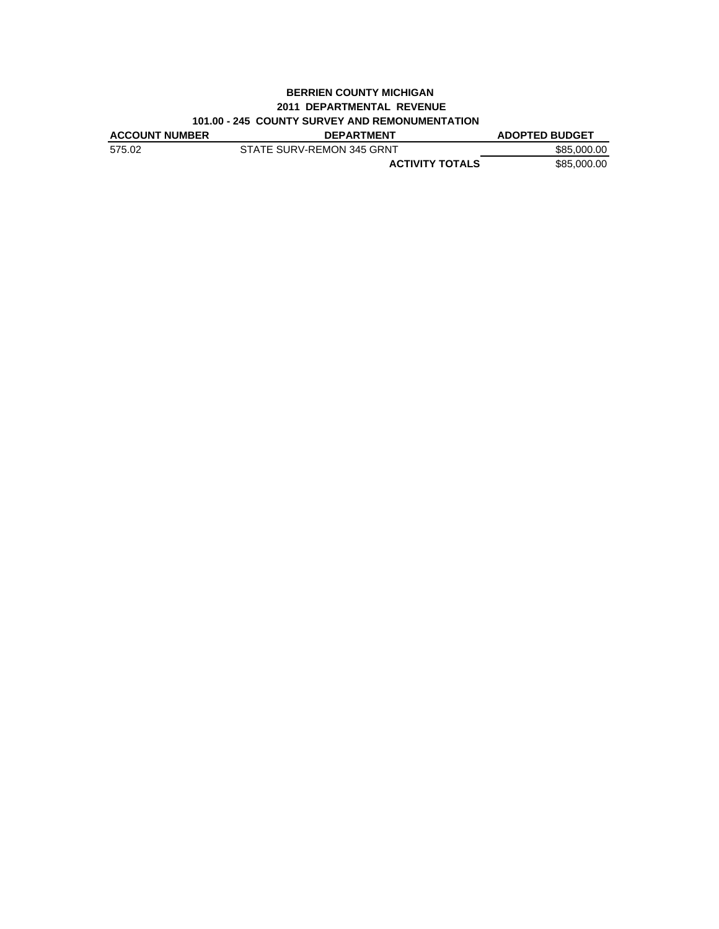#### **BERRIEN COUNTY MICHIGAN 2011 DEPARTMENTAL REVENUE 101.00 - 245 COUNTY SURVEY AND REMONUMENTATION**

| <b>ACCOUNT NUMBER</b> | <b>DEPARTMENT</b>         | <b>ADOPTED BUDGET</b> |
|-----------------------|---------------------------|-----------------------|
| 575.02                | STATE SURV-REMON 345 GRNT | \$85,000,00           |
|                       | <b>ACTIVITY TOTALS</b>    | \$85,000.00           |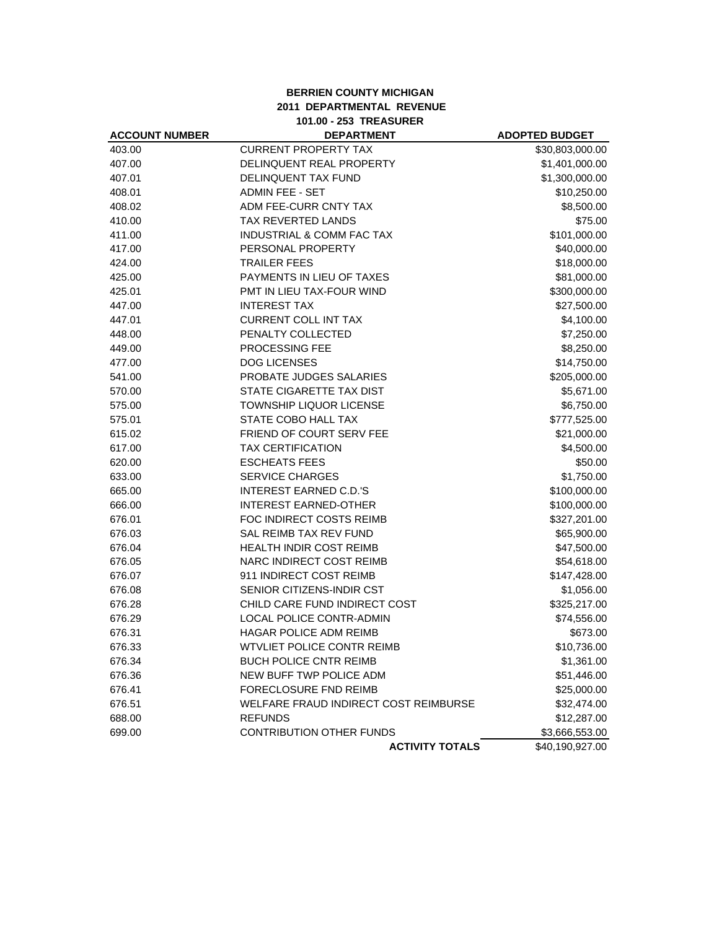## **BERRIEN COUNTY MICHIGAN 2011 DEPARTMENTAL REVENUE 101.00 - 253 TREASURER**

| <b>ACCOUNT NUMBER</b> | <b>DEPARTMENT</b>                     | <b>ADOPTED BUDGET</b> |
|-----------------------|---------------------------------------|-----------------------|
| 403.00                | <b>CURRENT PROPERTY TAX</b>           | \$30,803,000.00       |
| 407.00                | DELINQUENT REAL PROPERTY              | \$1,401,000.00        |
| 407.01                | DELINQUENT TAX FUND                   | \$1,300,000.00        |
| 408.01                | <b>ADMIN FEE - SET</b>                | \$10,250.00           |
| 408.02                | ADM FEE-CURR CNTY TAX                 | \$8,500.00            |
| 410.00                | TAX REVERTED LANDS                    | \$75.00               |
| 411.00                | INDUSTRIAL & COMM FAC TAX             | \$101,000.00          |
| 417.00                | PERSONAL PROPERTY                     | \$40,000.00           |
| 424.00                | <b>TRAILER FEES</b>                   | \$18,000.00           |
| 425.00                | PAYMENTS IN LIEU OF TAXES             | \$81,000.00           |
| 425.01                | PMT IN LIEU TAX-FOUR WIND             | \$300,000.00          |
| 447.00                | <b>INTEREST TAX</b>                   | \$27,500.00           |
| 447.01                | <b>CURRENT COLL INT TAX</b>           | \$4,100.00            |
| 448.00                | PENALTY COLLECTED                     | \$7,250.00            |
| 449.00                | PROCESSING FEE                        | \$8,250.00            |
| 477.00                | <b>DOG LICENSES</b>                   | \$14,750.00           |
| 541.00                | PROBATE JUDGES SALARIES               | \$205,000.00          |
| 570.00                | STATE CIGARETTE TAX DIST              | \$5,671.00            |
| 575.00                | TOWNSHIP LIQUOR LICENSE               | \$6,750.00            |
| 575.01                | STATE COBO HALL TAX                   | \$777,525.00          |
| 615.02                | <b>FRIEND OF COURT SERV FEE</b>       | \$21,000.00           |
| 617.00                | <b>TAX CERTIFICATION</b>              | \$4,500.00            |
| 620.00                | <b>ESCHEATS FEES</b>                  | \$50.00               |
| 633.00                | <b>SERVICE CHARGES</b>                | \$1,750.00            |
| 665.00                | <b>INTEREST EARNED C.D.'S</b>         | \$100,000.00          |
| 666.00                | <b>INTEREST EARNED-OTHER</b>          | \$100,000.00          |
| 676.01                | FOC INDIRECT COSTS REIMB              | \$327,201.00          |
| 676.03                | <b>SAL REIMB TAX REV FUND</b>         | \$65,900.00           |
| 676.04                | HEALTH INDIR COST REIMB               | \$47,500.00           |
| 676.05                | NARC INDIRECT COST REIMB              | \$54,618.00           |
| 676.07                | 911 INDIRECT COST REIMB               | \$147,428.00          |
| 676.08                | SENIOR CITIZENS-INDIR CST             | \$1,056.00            |
| 676.28                | CHILD CARE FUND INDIRECT COST         | \$325,217.00          |
| 676.29                | <b>LOCAL POLICE CONTR-ADMIN</b>       | \$74,556.00           |
| 676.31                | HAGAR POLICE ADM REIMB                | \$673.00              |
| 676.33                | <b>WTVLIET POLICE CONTR REIMB</b>     | \$10,736.00           |
| 676.34                | <b>BUCH POLICE CNTR REIMB</b>         | \$1,361.00            |
| 676.36                | NEW BUFF TWP POLICE ADM               | \$51,446.00           |
| 676.41                | FORECLOSURE FND REIMB                 | \$25,000.00           |
| 676.51                | WELFARE FRAUD INDIRECT COST REIMBURSE | \$32,474.00           |
| 688.00                | <b>REFUNDS</b>                        | \$12,287.00           |
| 699.00                | <b>CONTRIBUTION OTHER FUNDS</b>       | \$3,666,553.00        |
|                       | <b>ACTIVITY TOTALS</b>                | \$40,190,927.00       |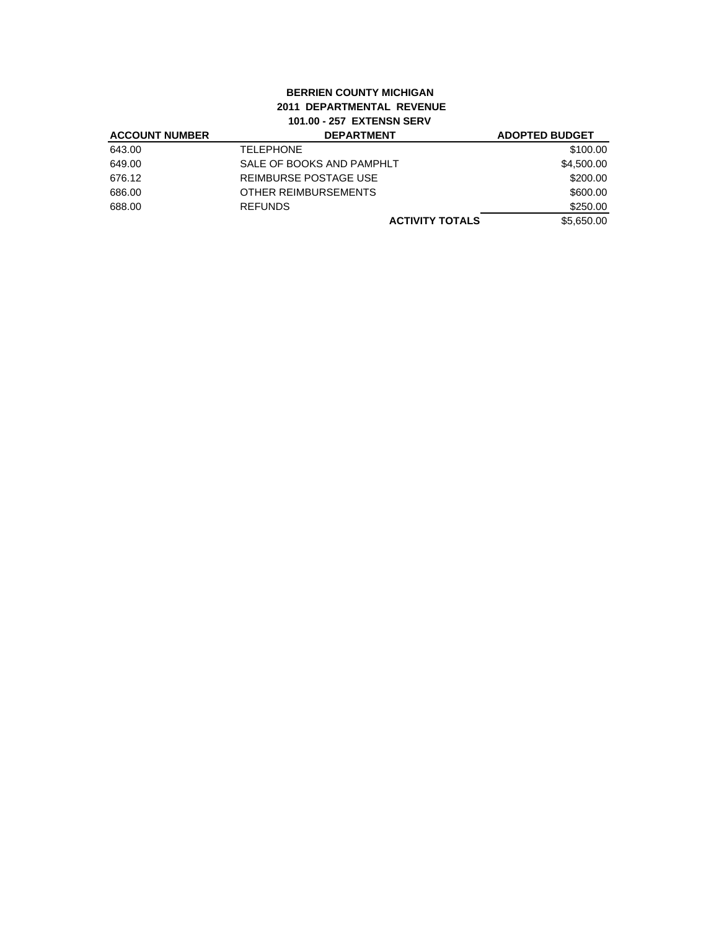# **BERRIEN COUNTY MICHIGAN 2011 DEPARTMENTAL REVENUE 101.00 - 257 EXTENSN SERV**

| <b>ACCOUNT NUMBER</b> | <b>DEPARTMENT</b>         | <b>ADOPTED BUDGET</b> |
|-----------------------|---------------------------|-----------------------|
| 643.00                | <b>TELEPHONE</b>          | \$100.00              |
| 649.00                | SALE OF BOOKS AND PAMPHLT | \$4,500.00            |
| 676.12                | REIMBURSE POSTAGE USE     | \$200.00              |
| 686.00                | OTHER REIMBURSEMENTS      | \$600.00              |
| 688.00                | <b>REFUNDS</b>            | \$250.00              |
|                       | <b>ACTIVITY TOTALS</b>    | \$5,650.00            |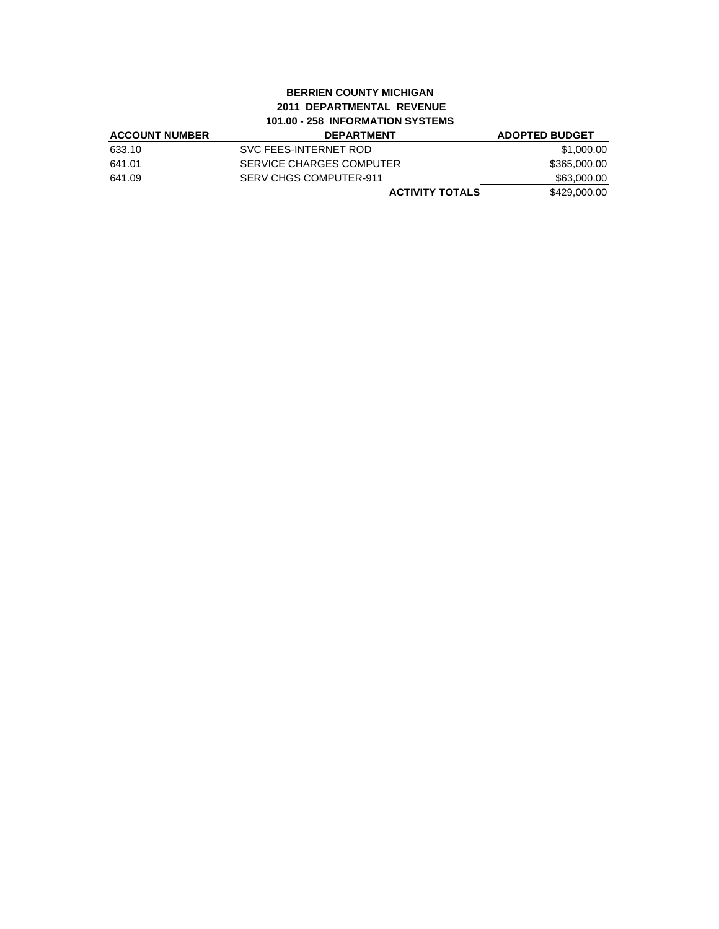## **BERRIEN COUNTY MICHIGAN 2011 DEPARTMENTAL REVENUE 101.00 - 258 INFORMATION SYSTEMS**

| <b>ACCOUNT NUMBER</b> | <b>DEPARTMENT</b>        | <b>ADOPTED BUDGET</b> |
|-----------------------|--------------------------|-----------------------|
| 633.10                | SVC FEES-INTERNET ROD    | \$1,000.00            |
| 641.01                | SERVICE CHARGES COMPUTER | \$365,000.00          |
| 641.09                | SERV CHGS COMPUTER-911   | \$63,000.00           |
|                       | <b>ACTIVITY TOTALS</b>   | \$429,000,00          |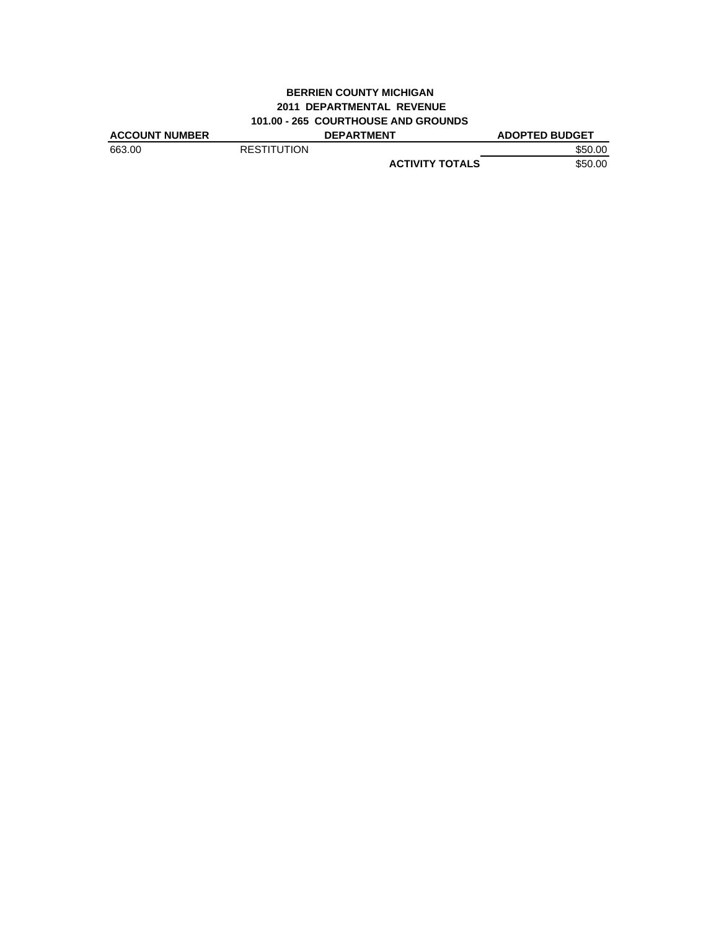# **BERRIEN COUNTY MICHIGAN 2011 DEPARTMENTAL REVENUE 101.00 - 265 COURTHOUSE AND GROUNDS**

| <b>ACCOUNT NUMBER</b> |                    | <b>DEPARTMENT</b>      | <b>ADOPTED BUDGET</b> |
|-----------------------|--------------------|------------------------|-----------------------|
| 663.00                | <b>RESTITUTION</b> |                        | \$50.00               |
|                       |                    | <b>ACTIVITY TOTALS</b> | \$50.00               |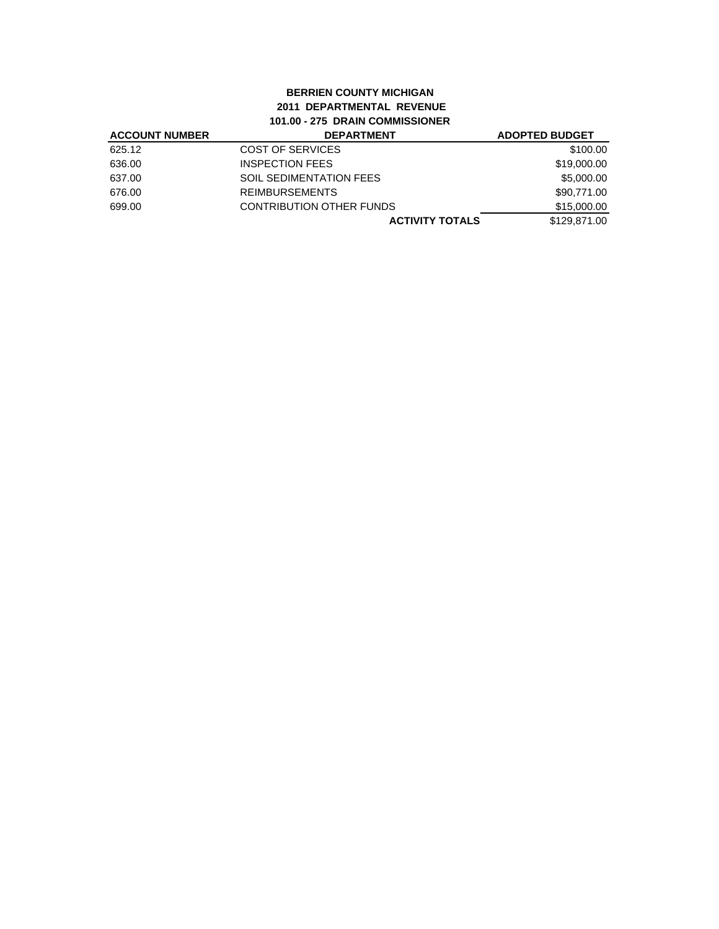#### **BERRIEN COUNTY MICHIGAN 2011 DEPARTMENTAL REVENUE 101.00 - 275 DRAIN COMMISSIONER ACCOUNT NUMBER DEPARTMENT ADOPTED BUDGET**

| <b>ACCOUNT NUMBER</b> | <b>DEPARIMENI</b>               | ADOPTED BUDGET |
|-----------------------|---------------------------------|----------------|
| 625.12                | COST OF SERVICES                | \$100.00       |
| 636.00                | <b>INSPECTION FEES</b>          | \$19,000.00    |
| 637.00                | <b>SOIL SEDIMENTATION FEES</b>  | \$5,000.00     |
| 676.00                | <b>REIMBURSEMENTS</b>           | \$90,771.00    |
| 699.00                | <b>CONTRIBUTION OTHER FUNDS</b> | \$15,000.00    |
|                       | <b>ACTIVITY TOTALS</b>          | \$129.871.00   |
|                       |                                 |                |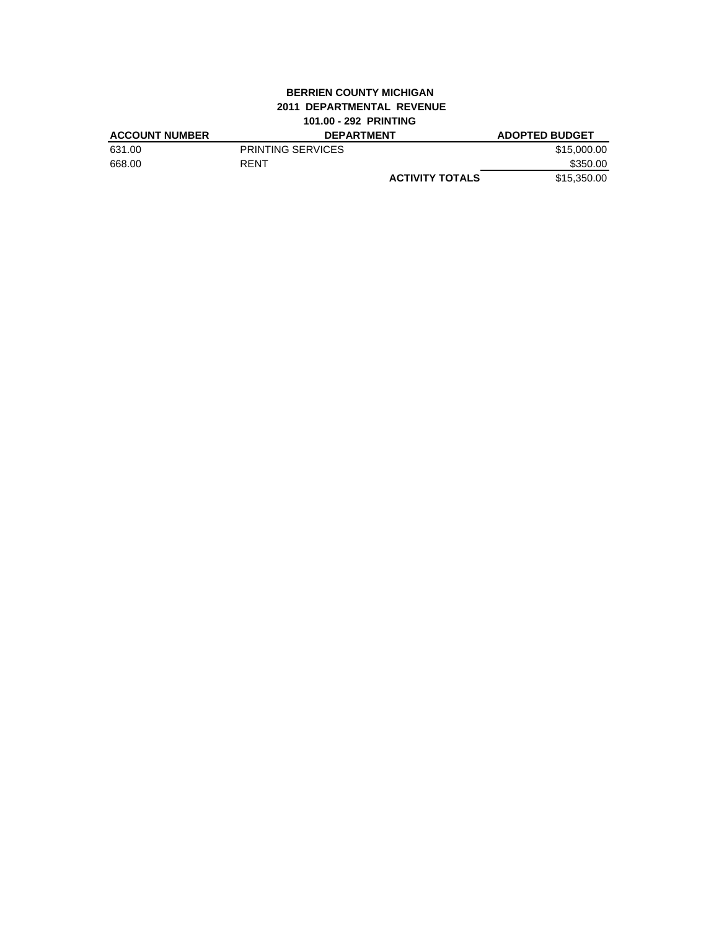# **BERRIEN COUNTY MICHIGAN 2011 DEPARTMENTAL REVENUE 101.00 - 292 PRINTING**

|                          |                        | <b>ADOPTED BUDGET</b> |
|--------------------------|------------------------|-----------------------|
| <b>PRINTING SERVICES</b> |                        | \$15,000.00           |
| RENT                     |                        | \$350.00              |
|                          | <b>ACTIVITY TOTALS</b> | \$15,350,00           |
|                          |                        | <b>DEPARTMENT</b>     |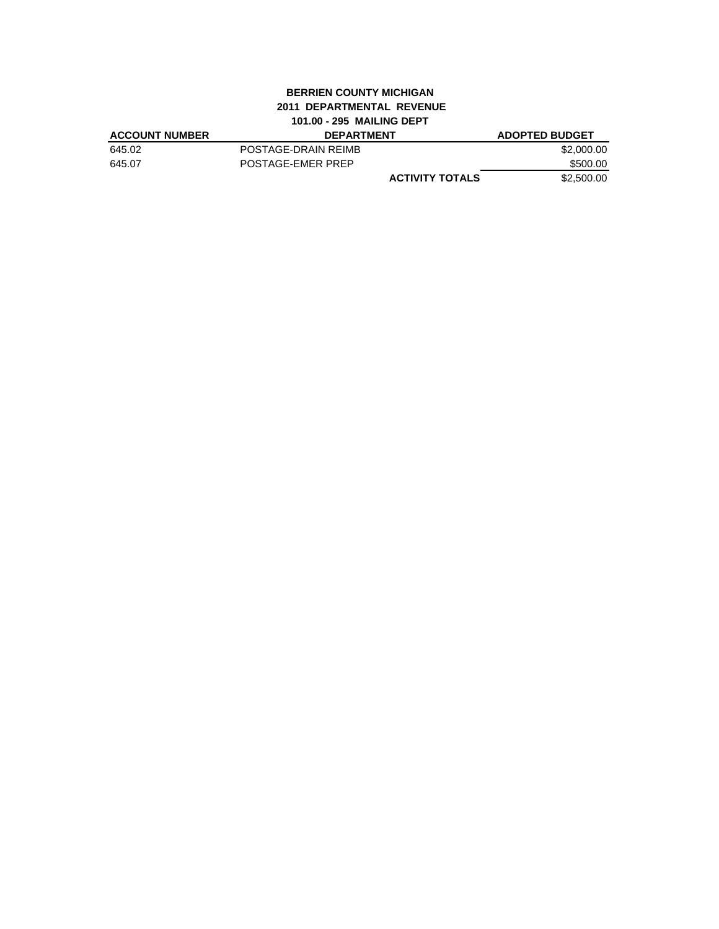# **BERRIEN COUNTY MICHIGAN 2011 DEPARTMENTAL REVENUE 101.00 - 295 MAILING DEPT**

| <b>ACCOUNT NUMBER</b> | <b>DEPARTMENT</b>      | <b>ADOPTED BUDGET</b> |
|-----------------------|------------------------|-----------------------|
| 645.02                | POSTAGE-DRAIN REIMB    | \$2,000.00            |
| 645.07                | POSTAGE-EMER PREP      | \$500.00              |
|                       | <b>ACTIVITY TOTALS</b> | \$2,500,00            |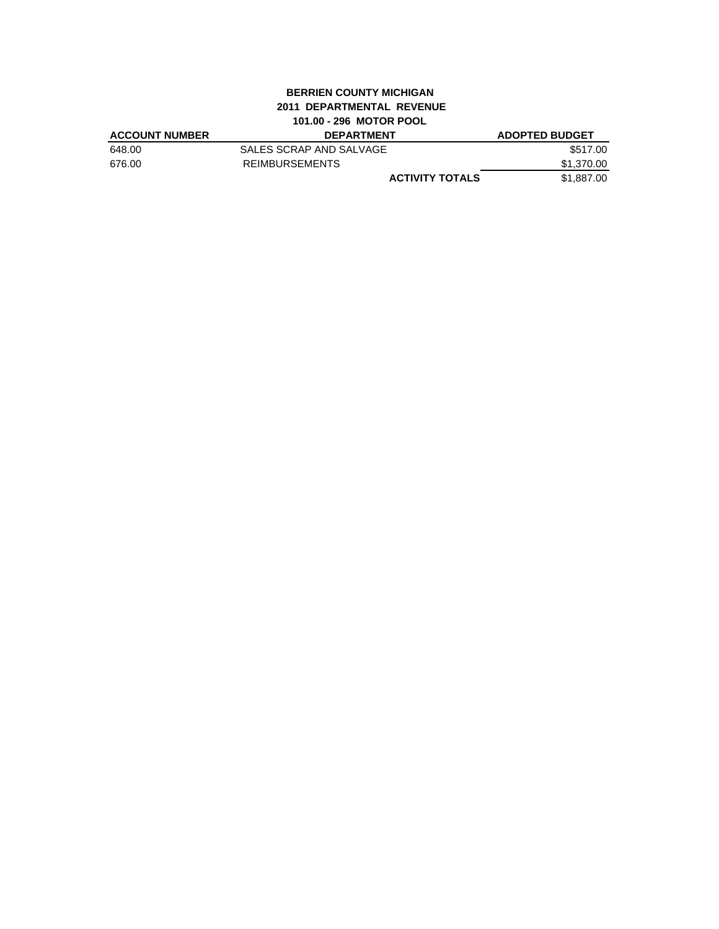## **BERRIEN COUNTY MICHIGAN 2011 DEPARTMENTAL REVENUE 101.00 - 296 MOTOR POOL**

| <b>ACCOUNT NUMBER</b> | <b>DEPARTMENT</b>       | <b>ADOPTED BUDGET</b> |
|-----------------------|-------------------------|-----------------------|
| 648.00                | SALES SCRAP AND SALVAGE | \$517.00              |
| 676.00                | <b>REIMBURSEMENTS</b>   | \$1.370.00            |
|                       | <b>ACTIVITY TOTALS</b>  | \$1.887.00            |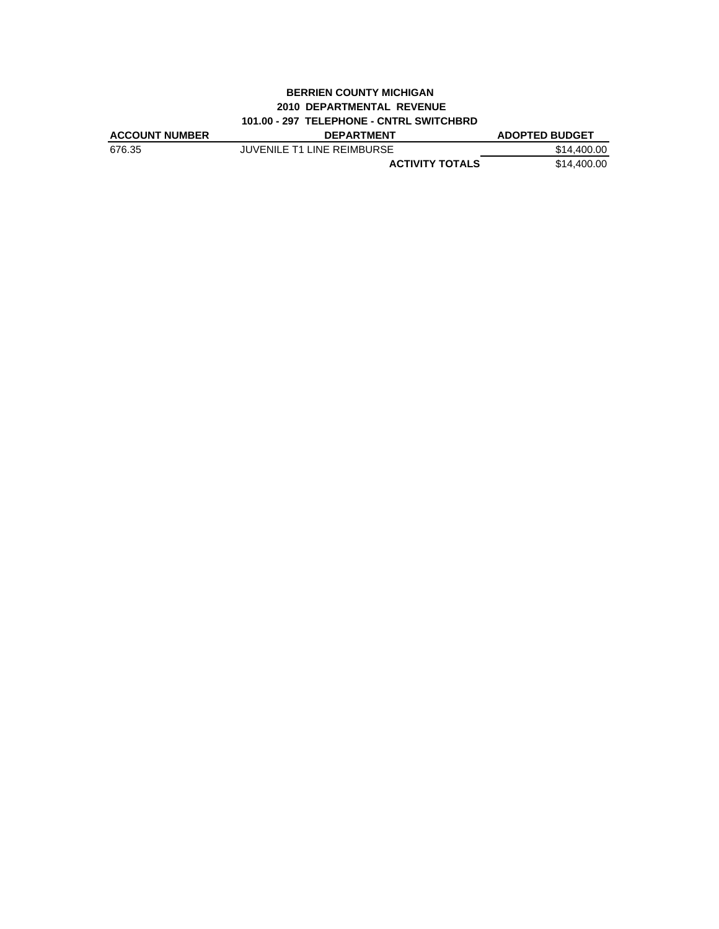#### **BERRIEN COUNTY MICHIGAN 2010 DEPARTMENTAL REVENUE 101.00 - 297 TELEPHONE - CNTRL SWITCHBRD**

| <b>ACCOUNT NUMBER</b> | <b>DEPARTMENT</b>                 | <b>ADOPTED BUDGET</b> |
|-----------------------|-----------------------------------|-----------------------|
| 676.35                | <b>JUVENILE T1 LINE REIMBURSE</b> | \$14,400.00           |
|                       | <b>ACTIVITY TOTALS</b>            | \$14,400.00           |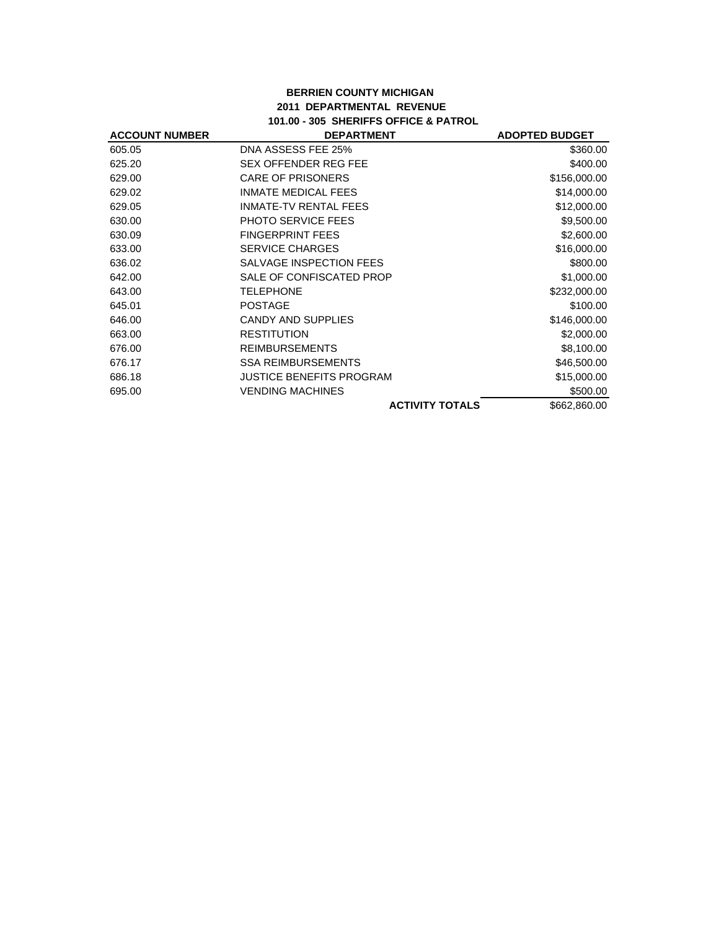## **BERRIEN COUNTY MICHIGAN 2011 DEPARTMENTAL REVENUE 101.00 - 305 SHERIFFS OFFICE & PATROL**

| <b>ACCOUNT NUMBER</b> | <b>DEPARTMENT</b>               | <b>ADOPTED BUDGET</b> |
|-----------------------|---------------------------------|-----------------------|
| 605.05                | DNA ASSESS FEE 25%              | \$360.00              |
| 625.20                | <b>SEX OFFENDER REG FEE</b>     | \$400.00              |
| 629.00                | <b>CARE OF PRISONERS</b>        | \$156,000.00          |
| 629.02                | <b>INMATE MEDICAL FEES</b>      | \$14,000.00           |
| 629.05                | <b>INMATE-TV RENTAL FEES</b>    | \$12,000.00           |
| 630.00                | <b>PHOTO SERVICE FEES</b>       | \$9,500.00            |
| 630.09                | <b>FINGERPRINT FEES</b>         | \$2,600.00            |
| 633.00                | <b>SERVICE CHARGES</b>          | \$16,000.00           |
| 636.02                | SALVAGE INSPECTION FEES         | \$800.00              |
| 642.00                | SALE OF CONFISCATED PROP        | \$1,000.00            |
| 643.00                | <b>TELEPHONE</b>                | \$232,000.00          |
| 645.01                | <b>POSTAGE</b>                  | \$100.00              |
| 646.00                | <b>CANDY AND SUPPLIES</b>       | \$146,000.00          |
| 663.00                | <b>RESTITUTION</b>              | \$2,000.00            |
| 676.00                | <b>REIMBURSEMENTS</b>           | \$8,100.00            |
| 676.17                | <b>SSA REIMBURSEMENTS</b>       | \$46,500.00           |
| 686.18                | <b>JUSTICE BENEFITS PROGRAM</b> | \$15,000.00           |
| 695.00                | <b>VENDING MACHINES</b>         | \$500.00              |
|                       | <b>ACTIVITY TOTALS</b>          | \$662,860.00          |
|                       |                                 |                       |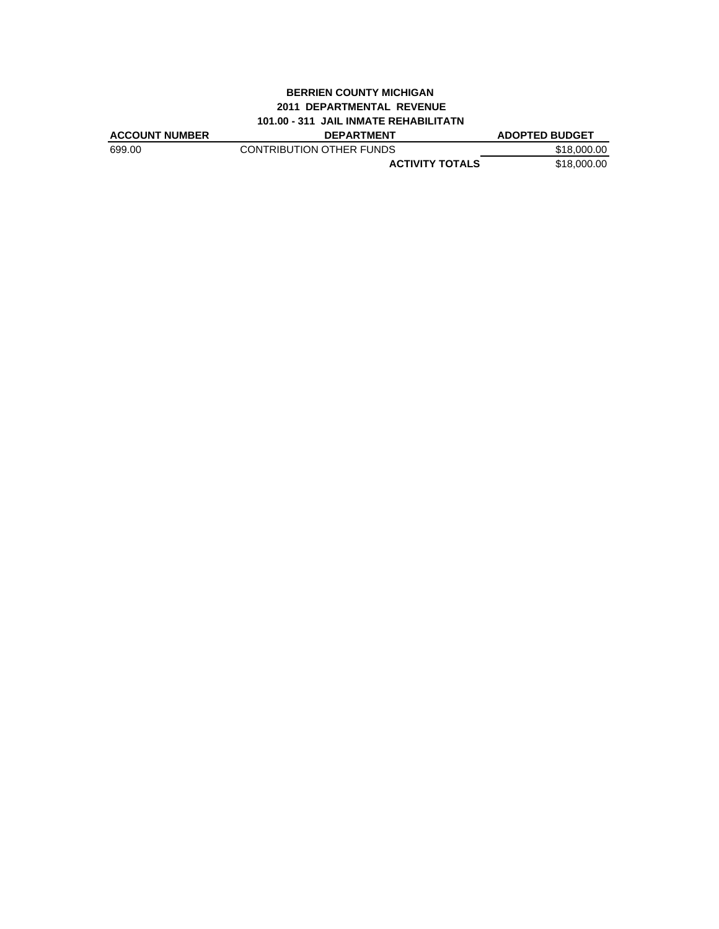#### **BERRIEN COUNTY MICHIGAN 2011 DEPARTMENTAL REVENUE 101.00 - 311 JAIL INMATE REHABILITATN**

| <b>ACCOUNT NUMBER</b> | <b>DEPARTMENT</b>        | <b>ADOPTED BUDGET</b> |
|-----------------------|--------------------------|-----------------------|
| 699.00                | CONTRIBUTION OTHER FUNDS | \$18,000,00           |
|                       | <b>ACTIVITY TOTALS</b>   | \$18,000,00           |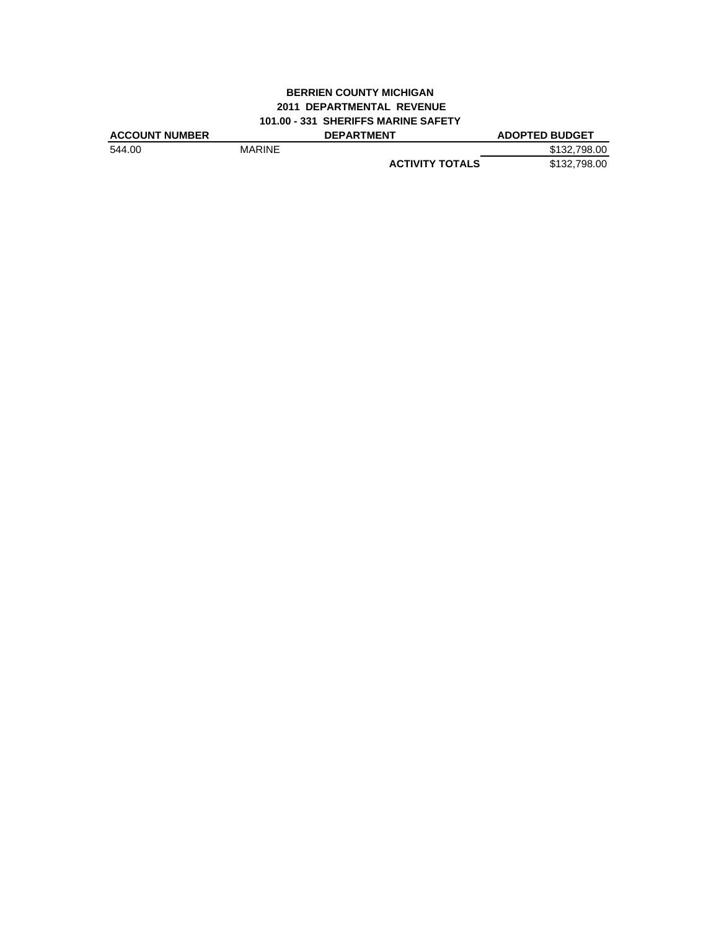## **BERRIEN COUNTY MICHIGAN 2011 DEPARTMENTAL REVENUE 101.00 - 331 SHERIFFS MARINE SAFETY**

| <b>ACCOUNT NUMBER</b> |               | <b>DEPARTMENT</b>      | <b>ADOPTED BUDGET</b> |
|-----------------------|---------------|------------------------|-----------------------|
| 544.00                | <b>MARINE</b> |                        | \$132,798,00          |
|                       |               | <b>ACTIVITY TOTALS</b> | \$132,798.00          |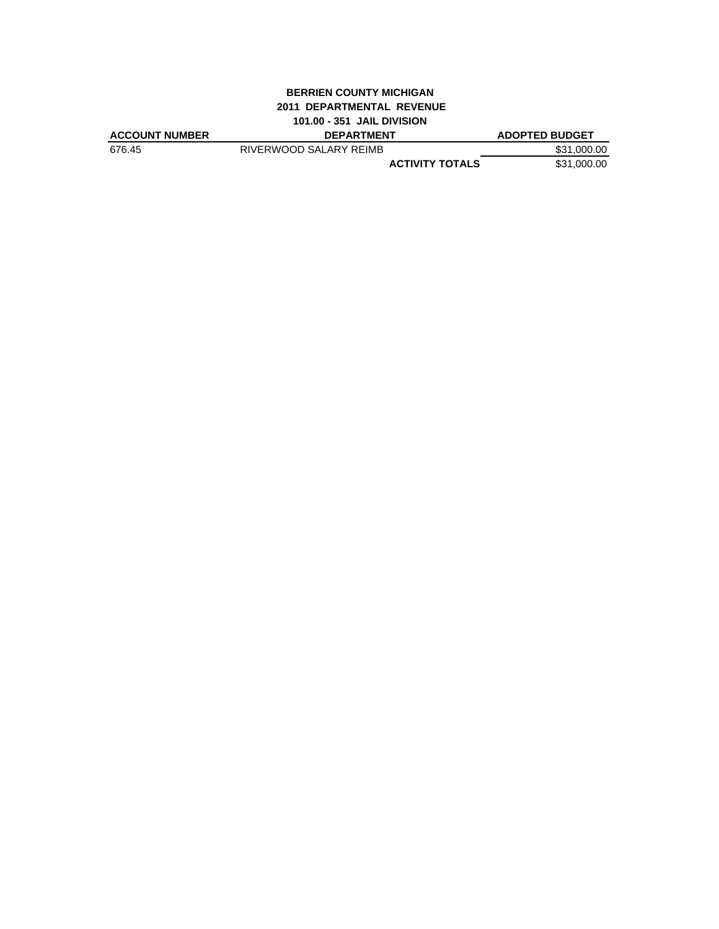#### **BERRIEN COUNTY MICHIGAN 2011 DEPARTMENTAL REVENUE 101.00 - 351 JAIL DIVISION**

| <b>ACCOUNT NUMBER</b> | <b>DEPARTMENT</b>      | <b>ADOPTED BUDGET</b> |
|-----------------------|------------------------|-----------------------|
| 676.45                | RIVERWOOD SALARY REIMB | \$31,000.00           |
|                       | <b>ACTIVITY TOTALS</b> | \$31,000.00           |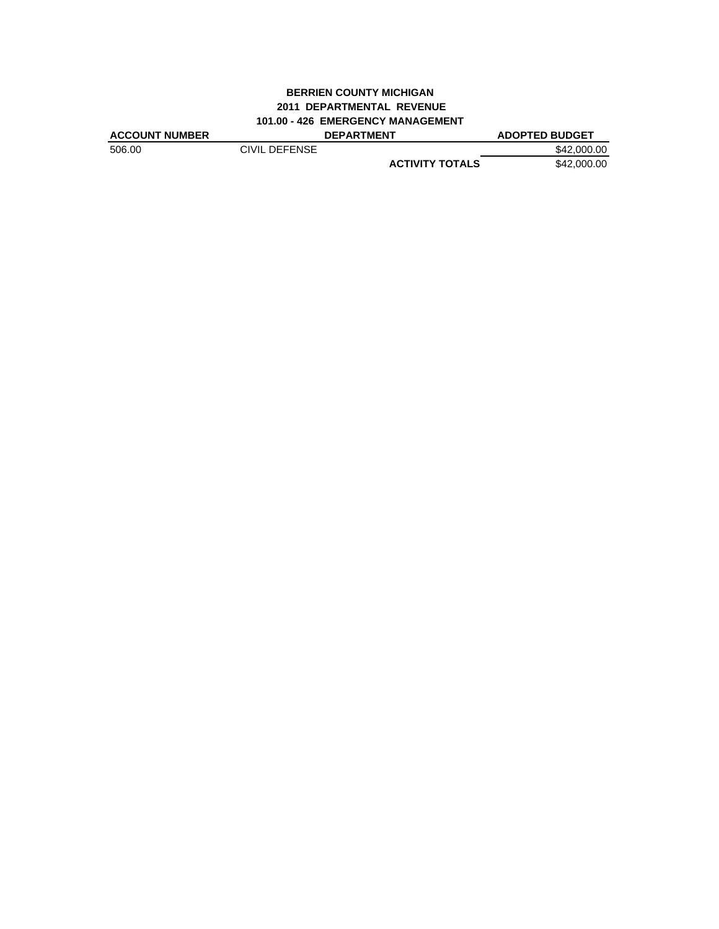## **BERRIEN COUNTY MICHIGAN 2011 DEPARTMENTAL REVENUE 101.00 - 426 EMERGENCY MANAGEMENT**

| <b>ACCOUNT NUMBER</b> |               | <b>DEPARTMENT</b>      | <b>ADOPTED BUDGET</b> |
|-----------------------|---------------|------------------------|-----------------------|
| 506.00                | CIVIL DEFENSE |                        | \$42,000.00           |
|                       |               | <b>ACTIVITY TOTALS</b> | \$42,000.00           |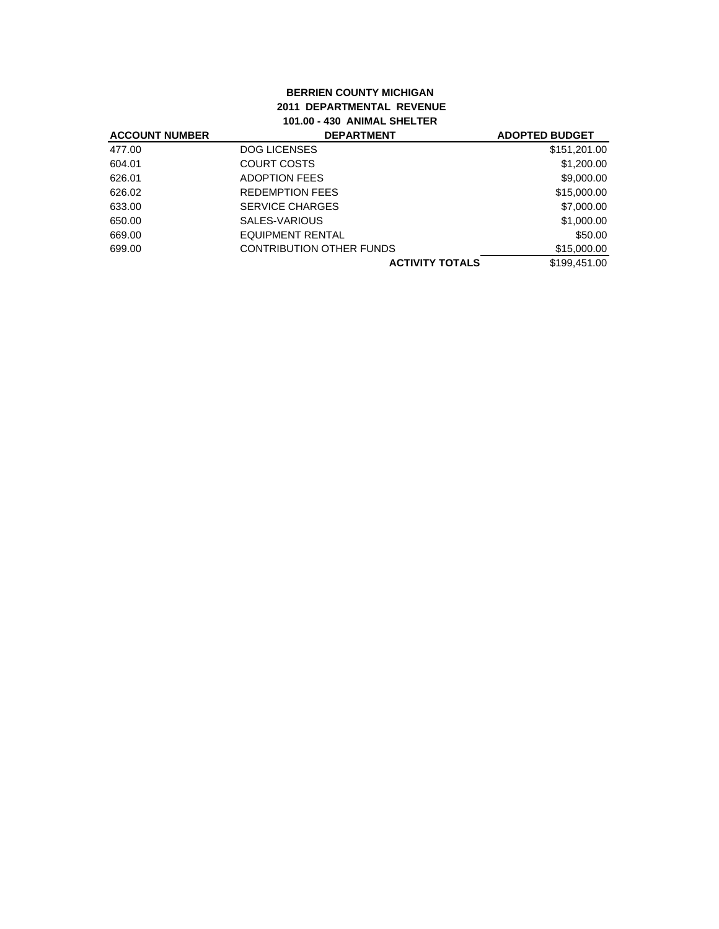# **BERRIEN COUNTY MICHIGAN 2011 DEPARTMENTAL REVENUE 101.00 - 430 ANIMAL SHELTER**

| <b>ACCOUNT NUMBER</b> | <b>DEPARTMENT</b>               | <b>ADOPTED BUDGET</b> |
|-----------------------|---------------------------------|-----------------------|
| 477.00                | <b>DOG LICENSES</b>             | \$151,201.00          |
| 604.01                | COURT COSTS                     | \$1,200.00            |
| 626.01                | <b>ADOPTION FEES</b>            | \$9,000.00            |
| 626.02                | <b>REDEMPTION FEES</b>          | \$15,000.00           |
| 633.00                | <b>SERVICE CHARGES</b>          | \$7,000.00            |
| 650.00                | SALES-VARIOUS                   | \$1,000.00            |
| 669.00                | EQUIPMENT RENTAL                | \$50.00               |
| 699.00                | <b>CONTRIBUTION OTHER FUNDS</b> | \$15,000.00           |
|                       | <b>ACTIVITY TOTALS</b>          | \$199.451.00          |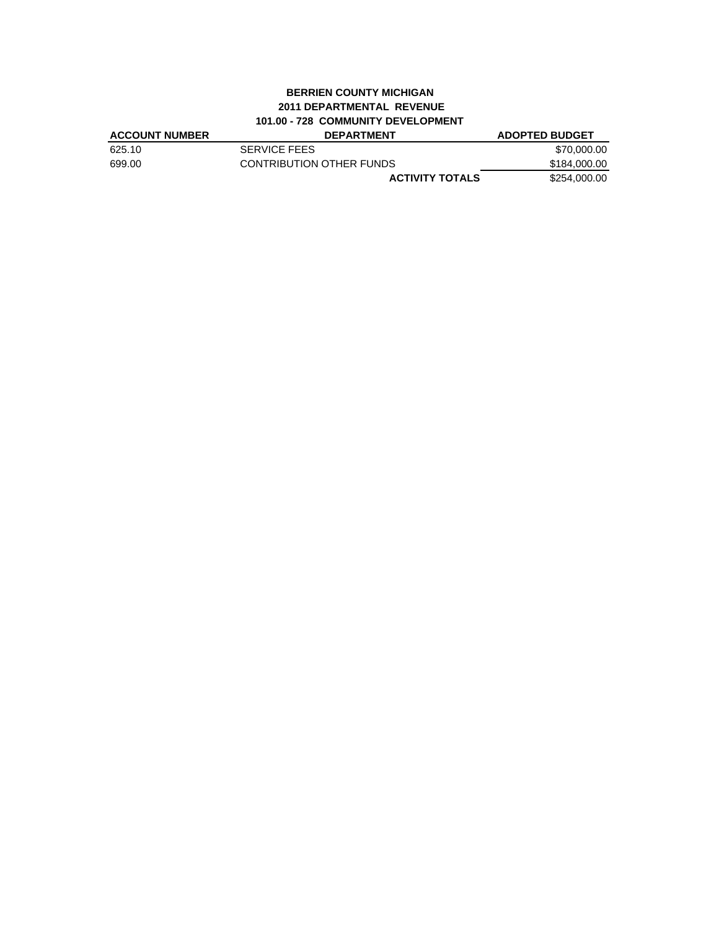## **BERRIEN COUNTY MICHIGAN 2011 DEPARTMENTAL REVENUE 101.00 - 728 COMMUNITY DEVELOPMENT**

| <b>ACCOUNT NUMBER</b> | <b>DEPARTMENT</b>        | <b>ADOPTED BUDGET</b> |
|-----------------------|--------------------------|-----------------------|
| 625.10                | <b>SERVICE FEES</b>      | \$70,000,00           |
| 699.00                | CONTRIBUTION OTHER FUNDS | \$184.000.00          |
|                       | <b>ACTIVITY TOTALS</b>   | \$254,000.00          |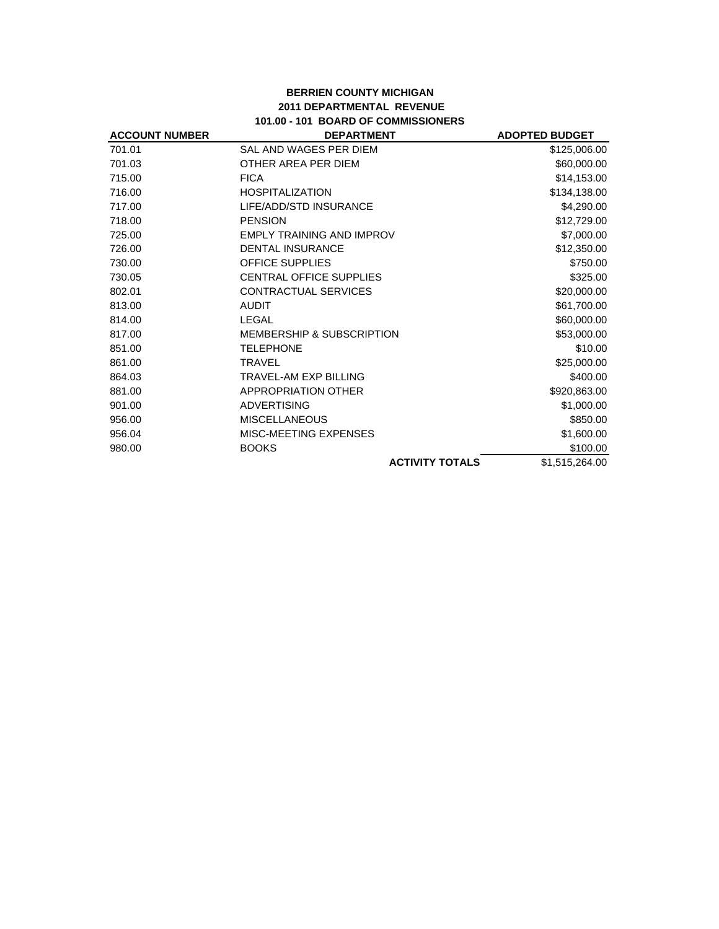## **BERRIEN COUNTY MICHIGAN 2011 DEPARTMENTAL REVENUE 101.00 - 101 BOARD OF COMMISSIONERS**

| <b>ACCOUNT NUMBER</b> | <b>DEPARTMENT</b>                    | <b>ADOPTED BUDGET</b> |
|-----------------------|--------------------------------------|-----------------------|
| 701.01                | SAL AND WAGES PER DIEM               | \$125,006.00          |
| 701.03                | OTHER AREA PER DIEM                  | \$60,000.00           |
| 715.00                | <b>FICA</b>                          | \$14,153.00           |
| 716.00                | <b>HOSPITALIZATION</b>               | \$134,138.00          |
| 717.00                | LIFE/ADD/STD INSURANCE               | \$4,290.00            |
| 718.00                | <b>PENSION</b>                       | \$12,729.00           |
| 725.00                | <b>EMPLY TRAINING AND IMPROV</b>     | \$7,000.00            |
| 726.00                | <b>DENTAL INSURANCE</b>              | \$12,350.00           |
| 730.00                | <b>OFFICE SUPPLIES</b>               | \$750.00              |
| 730.05                | <b>CENTRAL OFFICE SUPPLIES</b>       | \$325.00              |
| 802.01                | <b>CONTRACTUAL SERVICES</b>          | \$20,000.00           |
| 813.00                | <b>AUDIT</b>                         | \$61,700.00           |
| 814.00                | LEGAL                                | \$60,000.00           |
| 817.00                | <b>MEMBERSHIP &amp; SUBSCRIPTION</b> | \$53,000.00           |
| 851.00                | <b>TELEPHONE</b>                     | \$10.00               |
| 861.00                | <b>TRAVEL</b>                        | \$25,000.00           |
| 864.03                | <b>TRAVEL-AM EXP BILLING</b>         | \$400.00              |
| 881.00                | APPROPRIATION OTHER                  | \$920,863.00          |
| 901.00                | <b>ADVERTISING</b>                   | \$1,000.00            |
| 956.00                | <b>MISCELLANEOUS</b>                 | \$850.00              |
| 956.04                | MISC-MEETING EXPENSES                | \$1,600.00            |
| 980.00                | <b>BOOKS</b>                         | \$100.00              |
|                       | <b>ACTIVITY TOTALS</b>               | \$1,515,264.00        |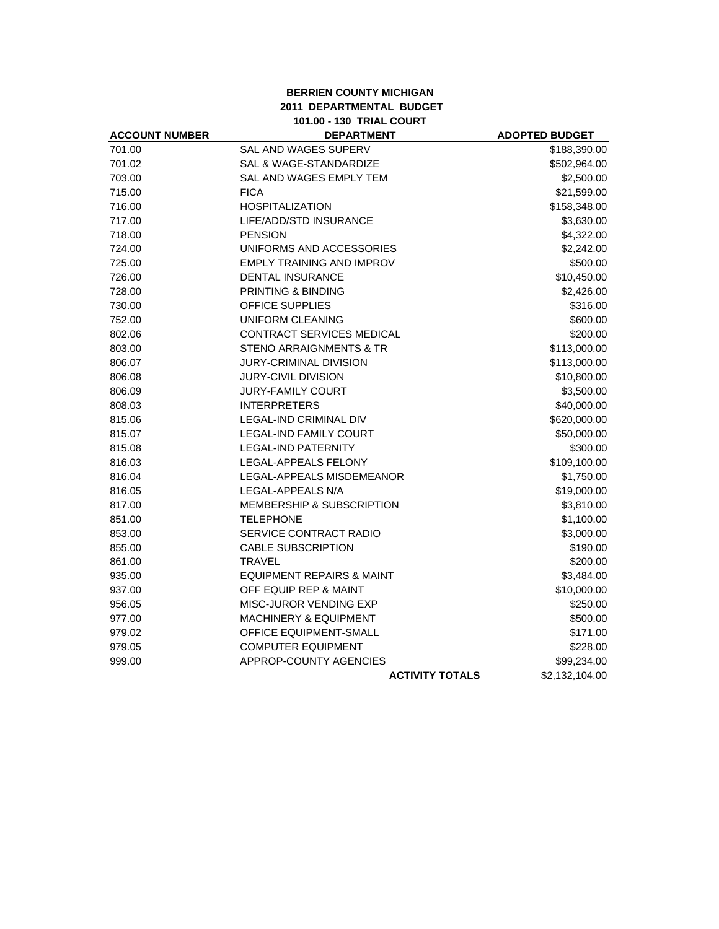#### **BERRIEN COUNTY MICHIGAN 2011 DEPARTMENTAL BUDGET 101.00 - 130 TRIAL COURT**

| <b>ACCOUNT NUMBER</b> | <b>DEPARTMENT</b>                    | <b>ADOPTED BUDGET</b> |
|-----------------------|--------------------------------------|-----------------------|
| 701.00                | SAL AND WAGES SUPERV                 | \$188,390.00          |
| 701.02                | SAL & WAGE-STANDARDIZE               | \$502,964.00          |
| 703.00                | SAL AND WAGES EMPLY TEM              | \$2,500.00            |
| 715.00                | <b>FICA</b>                          | \$21,599.00           |
| 716.00                | <b>HOSPITALIZATION</b>               | \$158,348.00          |
| 717.00                | LIFE/ADD/STD INSURANCE               | \$3,630.00            |
| 718.00                | <b>PENSION</b>                       | \$4,322.00            |
| 724.00                | UNIFORMS AND ACCESSORIES             | \$2,242.00            |
| 725.00                | <b>EMPLY TRAINING AND IMPROV</b>     | \$500.00              |
| 726.00                | <b>DENTAL INSURANCE</b>              | \$10,450.00           |
| 728.00                | <b>PRINTING &amp; BINDING</b>        | \$2,426.00            |
| 730.00                | OFFICE SUPPLIES                      | \$316.00              |
| 752.00                | <b>UNIFORM CLEANING</b>              | \$600.00              |
| 802.06                | CONTRACT SERVICES MEDICAL            | \$200.00              |
| 803.00                | STENO ARRAIGNMENTS & TR              | \$113,000.00          |
| 806.07                | <b>JURY-CRIMINAL DIVISION</b>        | \$113,000.00          |
| 806.08                | <b>JURY-CIVIL DIVISION</b>           | \$10,800.00           |
| 806.09                | <b>JURY-FAMILY COURT</b>             | \$3,500.00            |
| 808.03                | <b>INTERPRETERS</b>                  | \$40,000.00           |
| 815.06                | <b>LEGAL-IND CRIMINAL DIV</b>        | \$620,000.00          |
| 815.07                | <b>LEGAL-IND FAMILY COURT</b>        | \$50,000.00           |
| 815.08                | <b>LEGAL-IND PATERNITY</b>           | \$300.00              |
| 816.03                | LEGAL-APPEALS FELONY                 | \$109,100.00          |
| 816.04                | LEGAL-APPEALS MISDEMEANOR            | \$1,750.00            |
| 816.05                | LEGAL-APPEALS N/A                    | \$19,000.00           |
| 817.00                | <b>MEMBERSHIP &amp; SUBSCRIPTION</b> | \$3,810.00            |
| 851.00                | <b>TELEPHONE</b>                     | \$1,100.00            |
| 853.00                | SERVICE CONTRACT RADIO               | \$3,000.00            |
| 855.00                | <b>CABLE SUBSCRIPTION</b>            | \$190.00              |
| 861.00                | <b>TRAVEL</b>                        | \$200.00              |
| 935.00                | <b>EQUIPMENT REPAIRS &amp; MAINT</b> | \$3,484.00            |
| 937.00                | OFF EQUIP REP & MAINT                | \$10,000.00           |
| 956.05                | MISC-JUROR VENDING EXP               | \$250.00              |
| 977.00                | <b>MACHINERY &amp; EQUIPMENT</b>     | \$500.00              |
| 979.02                | OFFICE EQUIPMENT-SMALL               | \$171.00              |
| 979.05                | <b>COMPUTER EQUIPMENT</b>            | \$228.00              |
| 999.00                | APPROP-COUNTY AGENCIES               | \$99,234.00           |
|                       | <b>ACTIVITY TOTALS</b>               | \$2,132,104.00        |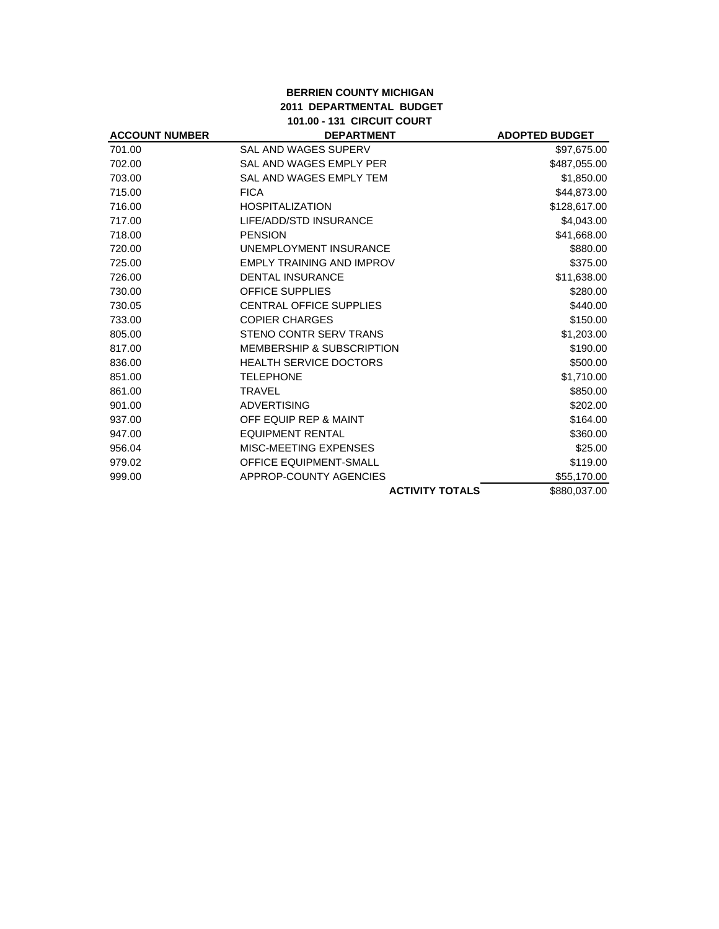## **BERRIEN COUNTY MICHIGAN 2011 DEPARTMENTAL BUDGET 101.00 - 131 CIRCUIT COURT**

| <b>ACCOUNT NUMBER</b> | <b>DEPARTMENT</b>                    | <b>ADOPTED BUDGET</b> |
|-----------------------|--------------------------------------|-----------------------|
| 701.00                | SAL AND WAGES SUPERV                 | \$97,675.00           |
| 702.00                | SAL AND WAGES EMPLY PER              | \$487,055.00          |
| 703.00                | SAL AND WAGES EMPLY TEM              | \$1,850.00            |
| 715.00                | <b>FICA</b>                          | \$44,873.00           |
| 716.00                | <b>HOSPITALIZATION</b>               | \$128,617.00          |
| 717.00                | LIFE/ADD/STD INSURANCE               | \$4,043.00            |
| 718.00                | <b>PENSION</b>                       | \$41,668.00           |
| 720.00                | UNEMPLOYMENT INSURANCE               | \$880.00              |
| 725.00                | <b>EMPLY TRAINING AND IMPROV</b>     | \$375.00              |
| 726.00                | <b>DENTAL INSURANCE</b>              | \$11,638.00           |
| 730.00                | <b>OFFICE SUPPLIES</b>               | \$280.00              |
| 730.05                | <b>CENTRAL OFFICE SUPPLIES</b>       | \$440.00              |
| 733.00                | <b>COPIER CHARGES</b>                | \$150.00              |
| 805.00                | STENO CONTR SERV TRANS               | \$1,203.00            |
| 817.00                | <b>MEMBERSHIP &amp; SUBSCRIPTION</b> | \$190.00              |
| 836.00                | <b>HEALTH SERVICE DOCTORS</b>        | \$500.00              |
| 851.00                | <b>TELEPHONE</b>                     | \$1,710.00            |
| 861.00                | <b>TRAVEL</b>                        | \$850.00              |
| 901.00                | <b>ADVERTISING</b>                   | \$202.00              |
| 937.00                | OFF EQUIP REP & MAINT                | \$164.00              |
| 947.00                | <b>EQUIPMENT RENTAL</b>              | \$360.00              |
| 956.04                | MISC-MEETING EXPENSES                | \$25.00               |
| 979.02                | <b>OFFICE EQUIPMENT-SMALL</b>        | \$119.00              |
| 999.00                | APPROP-COUNTY AGENCIES               | \$55,170.00           |
|                       | <b>ACTIVITY TOTALS</b>               | \$880,037.00          |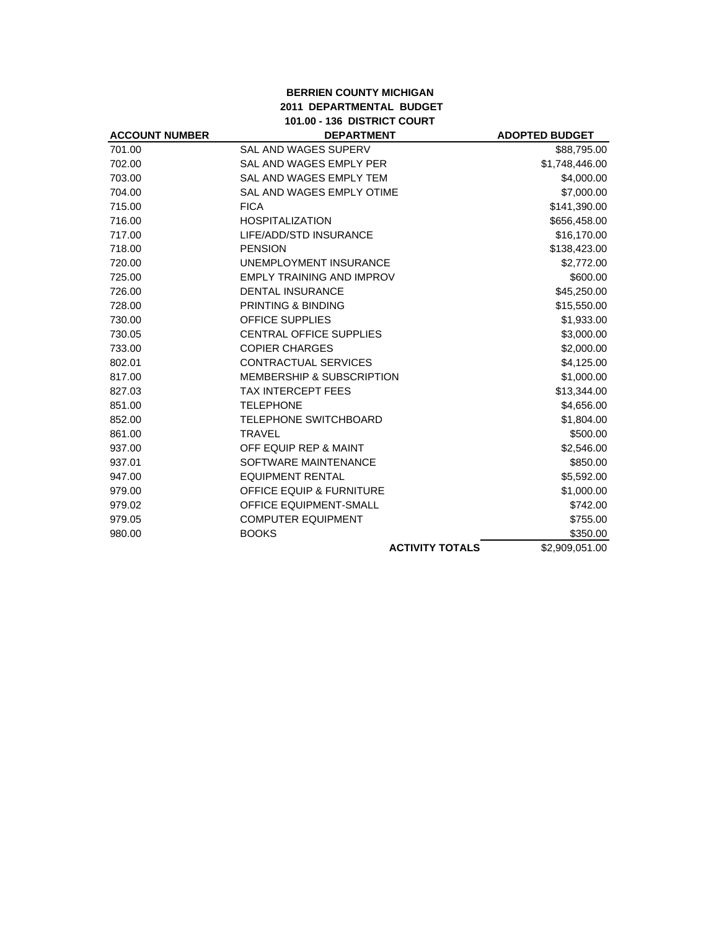## **BERRIEN COUNTY MICHIGAN 2011 DEPARTMENTAL BUDGET 101.00 - 136 DISTRICT COURT**

|                                      | <b>ADOPTED BUDGET</b> |
|--------------------------------------|-----------------------|
| SAL AND WAGES SUPERV                 | \$88,795.00           |
| SAL AND WAGES EMPLY PER              | \$1,748,446.00        |
| <b>SAL AND WAGES EMPLY TEM</b>       | \$4,000.00            |
| SAL AND WAGES EMPLY OTIME            | \$7,000.00            |
| <b>FICA</b>                          | \$141,390.00          |
| <b>HOSPITALIZATION</b>               | \$656,458.00          |
| LIFE/ADD/STD INSURANCE               | \$16,170.00           |
| <b>PENSION</b>                       | \$138,423.00          |
| <b>UNEMPLOYMENT INSURANCE</b>        | \$2,772.00            |
| <b>EMPLY TRAINING AND IMPROV</b>     | \$600.00              |
| <b>DENTAL INSURANCE</b>              | \$45,250.00           |
| PRINTING & BINDING                   | \$15,550.00           |
| <b>OFFICE SUPPLIES</b>               | \$1,933.00            |
| <b>CENTRAL OFFICE SUPPLIES</b>       | \$3,000.00            |
| <b>COPIER CHARGES</b>                | \$2,000.00            |
| CONTRACTUAL SERVICES                 | \$4,125.00            |
| <b>MEMBERSHIP &amp; SUBSCRIPTION</b> | \$1,000.00            |
| <b>TAX INTERCEPT FEES</b>            | \$13,344.00           |
| <b>TELEPHONE</b>                     | \$4,656.00            |
| <b>TELEPHONE SWITCHBOARD</b>         | \$1,804.00            |
| <b>TRAVEL</b>                        | \$500.00              |
| OFF EQUIP REP & MAINT                | \$2,546.00            |
| SOFTWARE MAINTENANCE                 | \$850.00              |
| <b>EQUIPMENT RENTAL</b>              | \$5,592.00            |
| <b>OFFICE EQUIP &amp; FURNITURE</b>  | \$1,000.00            |
| <b>OFFICE EQUIPMENT-SMALL</b>        | \$742.00              |
| <b>COMPUTER EQUIPMENT</b>            | \$755.00              |
| <b>BOOKS</b>                         | \$350.00              |
| <b>ACTIVITY TOTALS</b>               | \$2,909,051.00        |
|                                      | <b>DEPARTMENT</b>     |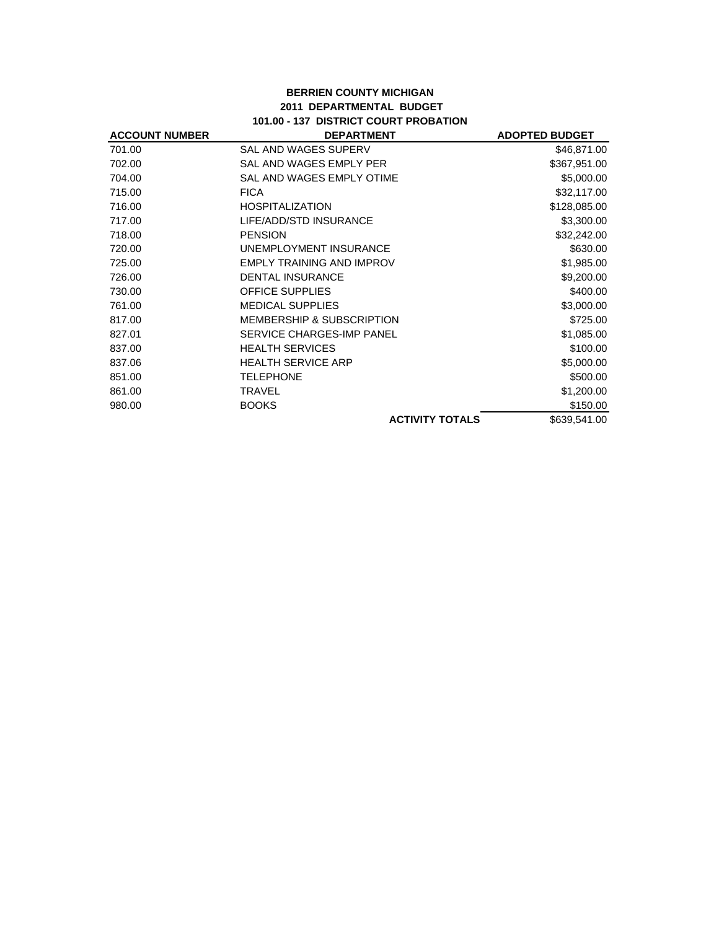## **BERRIEN COUNTY MICHIGAN 2011 DEPARTMENTAL BUDGET 101.00 - 137 DISTRICT COURT PROBATION**

| <b>ACCOUNT NUMBER</b> | <b>DEPARTMENT</b>                    | <b>ADOPTED BUDGET</b> |
|-----------------------|--------------------------------------|-----------------------|
| 701.00                | SAL AND WAGES SUPERV                 | \$46,871.00           |
| 702.00                | SAL AND WAGES EMPLY PER              | \$367,951.00          |
| 704.00                | SAL AND WAGES EMPLY OTIME            | \$5,000.00            |
| 715.00                | <b>FICA</b>                          | \$32,117.00           |
| 716.00                | <b>HOSPITALIZATION</b>               | \$128,085.00          |
| 717.00                | LIFE/ADD/STD INSURANCE               | \$3,300.00            |
| 718.00                | <b>PENSION</b>                       | \$32,242.00           |
| 720.00                | UNEMPLOYMENT INSURANCE               | \$630.00              |
| 725.00                | <b>EMPLY TRAINING AND IMPROV</b>     | \$1,985.00            |
| 726.00                | <b>DENTAL INSURANCE</b>              | \$9,200.00            |
| 730.00                | <b>OFFICE SUPPLIES</b>               | \$400.00              |
| 761.00                | <b>MEDICAL SUPPLIES</b>              | \$3,000.00            |
| 817.00                | <b>MEMBERSHIP &amp; SUBSCRIPTION</b> | \$725.00              |
| 827.01                | SERVICE CHARGES-IMP PANEL            | \$1,085.00            |
| 837.00                | <b>HEALTH SERVICES</b>               | \$100.00              |
| 837.06                | <b>HEALTH SERVICE ARP</b>            | \$5,000.00            |
| 851.00                | <b>TELEPHONE</b>                     | \$500.00              |
| 861.00                | <b>TRAVEL</b>                        | \$1,200.00            |
| 980.00                | <b>BOOKS</b>                         | \$150.00              |
|                       | <b>ACTIVITY TOTALS</b>               | \$639,541.00          |
|                       |                                      |                       |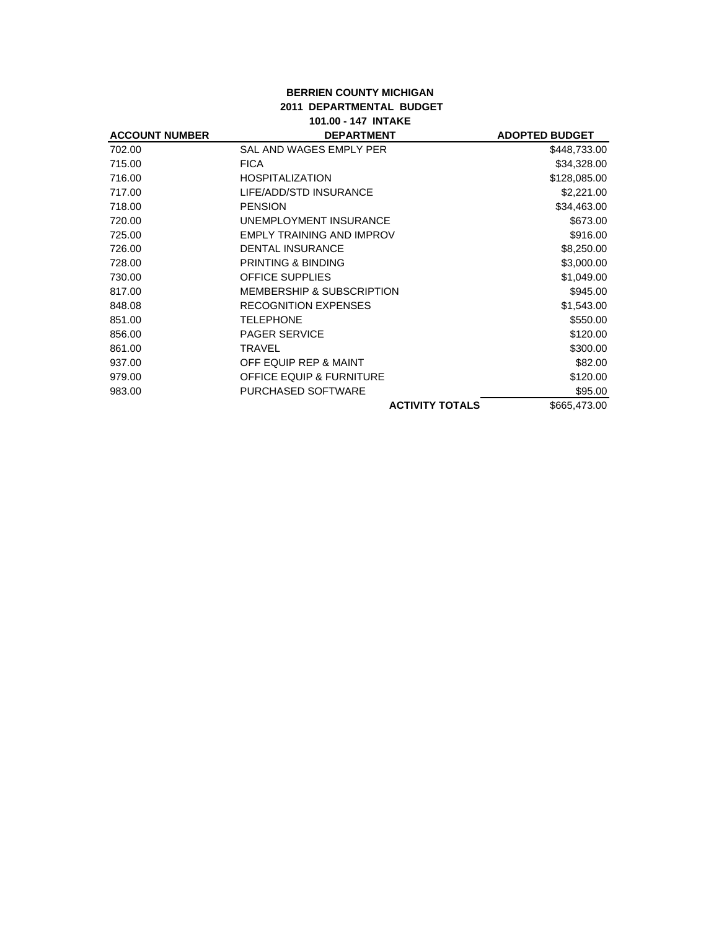## **BERRIEN COUNTY MICHIGAN 2011 DEPARTMENTAL BUDGET 101.00 - 147 INTAKE**

| <b>ACCOUNT NUMBER</b> | <b>DEPARTMENT</b>                    | <b>ADOPTED BUDGET</b> |
|-----------------------|--------------------------------------|-----------------------|
| 702.00                | SAL AND WAGES EMPLY PER              | \$448,733.00          |
| 715.00                | <b>FICA</b>                          | \$34,328.00           |
| 716.00                | <b>HOSPITALIZATION</b>               | \$128,085.00          |
| 717.00                | LIFE/ADD/STD INSURANCE               | \$2,221.00            |
| 718.00                | <b>PENSION</b>                       | \$34,463.00           |
| 720.00                | UNEMPLOYMENT INSURANCE               | \$673.00              |
| 725.00                | EMPLY TRAINING AND IMPROV            | \$916.00              |
| 726.00                | <b>DENTAL INSURANCE</b>              | \$8,250.00            |
| 728.00                | PRINTING & BINDING                   | \$3,000.00            |
| 730.00                | <b>OFFICE SUPPLIES</b>               | \$1,049.00            |
| 817.00                | <b>MEMBERSHIP &amp; SUBSCRIPTION</b> | \$945.00              |
| 848.08                | <b>RECOGNITION EXPENSES</b>          | \$1,543.00            |
| 851.00                | TELEPHONE                            | \$550.00              |
| 856.00                | <b>PAGER SERVICE</b>                 | \$120.00              |
| 861.00                | TRAVEL                               | \$300.00              |
| 937.00                | OFF EQUIP REP & MAINT                | \$82.00               |
| 979.00                | <b>OFFICE EQUIP &amp; FURNITURE</b>  | \$120.00              |
| 983.00                | PURCHASED SOFTWARE                   | \$95.00               |
|                       | <b>ACTIVITY TOTALS</b>               | \$665,473.00          |
|                       |                                      |                       |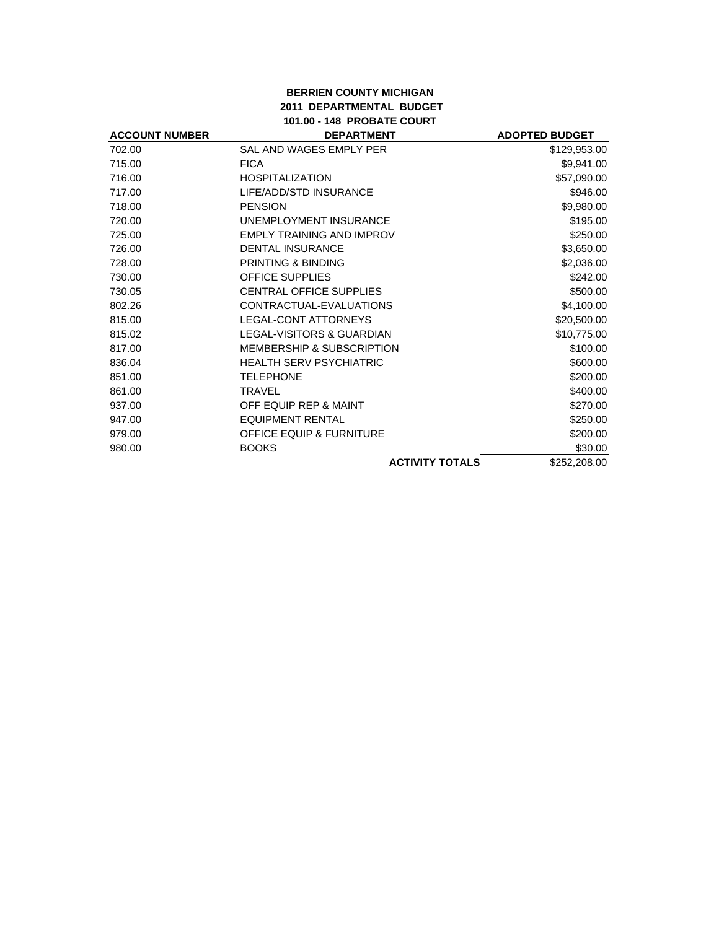## **BERRIEN COUNTY MICHIGAN 2011 DEPARTMENTAL BUDGET 101.00 - 148 PROBATE COURT**

| <b>ACCOUNT NUMBER</b> | <b>DEPARTMENT</b>                    | <b>ADOPTED BUDGET</b> |
|-----------------------|--------------------------------------|-----------------------|
| 702.00                | SAL AND WAGES EMPLY PER              | \$129,953.00          |
| 715.00                | <b>FICA</b>                          | \$9,941.00            |
| 716.00                | <b>HOSPITALIZATION</b>               | \$57,090.00           |
| 717.00                | LIFE/ADD/STD INSURANCE               | \$946.00              |
| 718.00                | <b>PENSION</b>                       | \$9,980.00            |
| 720.00                | UNEMPLOYMENT INSURANCE               | \$195.00              |
| 725.00                | <b>EMPLY TRAINING AND IMPROV</b>     | \$250.00              |
| 726.00                | <b>DENTAL INSURANCE</b>              | \$3,650.00            |
| 728.00                | PRINTING & BINDING                   | \$2,036.00            |
| 730.00                | <b>OFFICE SUPPLIES</b>               | \$242.00              |
| 730.05                | CENTRAL OFFICE SUPPLIES              | \$500.00              |
| 802.26                | CONTRACTUAL-EVALUATIONS              | \$4,100.00            |
| 815.00                | LEGAL-CONT ATTORNEYS                 | \$20,500.00           |
| 815.02                | <b>LEGAL-VISITORS &amp; GUARDIAN</b> | \$10,775.00           |
| 817.00                | <b>MEMBERSHIP &amp; SUBSCRIPTION</b> | \$100.00              |
| 836.04                | <b>HEALTH SERV PSYCHIATRIC</b>       | \$600.00              |
| 851.00                | <b>TELEPHONE</b>                     | \$200.00              |
| 861.00                | <b>TRAVEL</b>                        | \$400.00              |
| 937.00                | OFF EQUIP REP & MAINT                | \$270.00              |
| 947.00                | <b>EQUIPMENT RENTAL</b>              | \$250.00              |
| 979.00                | <b>OFFICE EQUIP &amp; FURNITURE</b>  | \$200.00              |
| 980.00                | <b>BOOKS</b>                         | \$30.00               |
|                       | <b>ACTIVITY TOTALS</b>               | \$252,208.00          |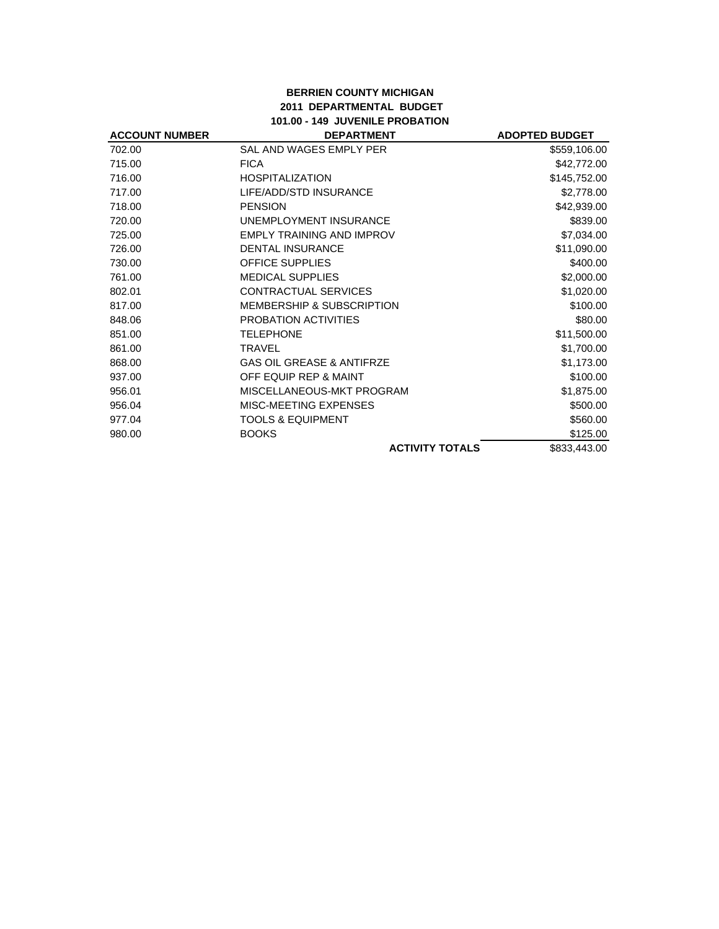#### **BERRIEN COUNTY MICHIGAN 2011 DEPARTMENTAL BUDGET 101.00 - 149 JUVENILE PROBATION**

| <b>ACCOUNT NUMBER</b> | <b>DEPARTMENT</b>                    | <b>ADOPTED BUDGET</b> |
|-----------------------|--------------------------------------|-----------------------|
| 702.00                | SAL AND WAGES EMPLY PER              | \$559,106.00          |
| 715.00                | <b>FICA</b>                          | \$42,772.00           |
| 716.00                | <b>HOSPITALIZATION</b>               | \$145,752.00          |
| 717.00                | LIFE/ADD/STD INSURANCE               | \$2,778.00            |
| 718.00                | <b>PENSION</b>                       | \$42,939.00           |
| 720.00                | UNEMPLOYMENT INSURANCE               | \$839.00              |
| 725.00                | <b>EMPLY TRAINING AND IMPROV</b>     | \$7,034.00            |
| 726.00                | <b>DENTAL INSURANCE</b>              | \$11,090.00           |
| 730.00                | <b>OFFICE SUPPLIES</b>               | \$400.00              |
| 761.00                | <b>MEDICAL SUPPLIES</b>              | \$2,000.00            |
| 802.01                | <b>CONTRACTUAL SERVICES</b>          | \$1,020.00            |
| 817.00                | <b>MEMBERSHIP &amp; SUBSCRIPTION</b> | \$100.00              |
| 848.06                | PROBATION ACTIVITIES                 | \$80.00               |
| 851.00                | <b>TELEPHONE</b>                     | \$11,500.00           |
| 861.00                | <b>TRAVEL</b>                        | \$1,700.00            |
| 868.00                | <b>GAS OIL GREASE &amp; ANTIFRZE</b> | \$1,173.00            |
| 937.00                | OFF EQUIP REP & MAINT                | \$100.00              |
| 956.01                | MISCELLANEOUS-MKT PROGRAM            | \$1,875.00            |
| 956.04                | MISC-MEETING EXPENSES                | \$500.00              |
| 977.04                | <b>TOOLS &amp; EQUIPMENT</b>         | \$560.00              |
| 980.00                | <b>BOOKS</b>                         | \$125.00              |
|                       | <b>ACTIVITY TOTALS</b>               | \$833,443.00          |
|                       |                                      |                       |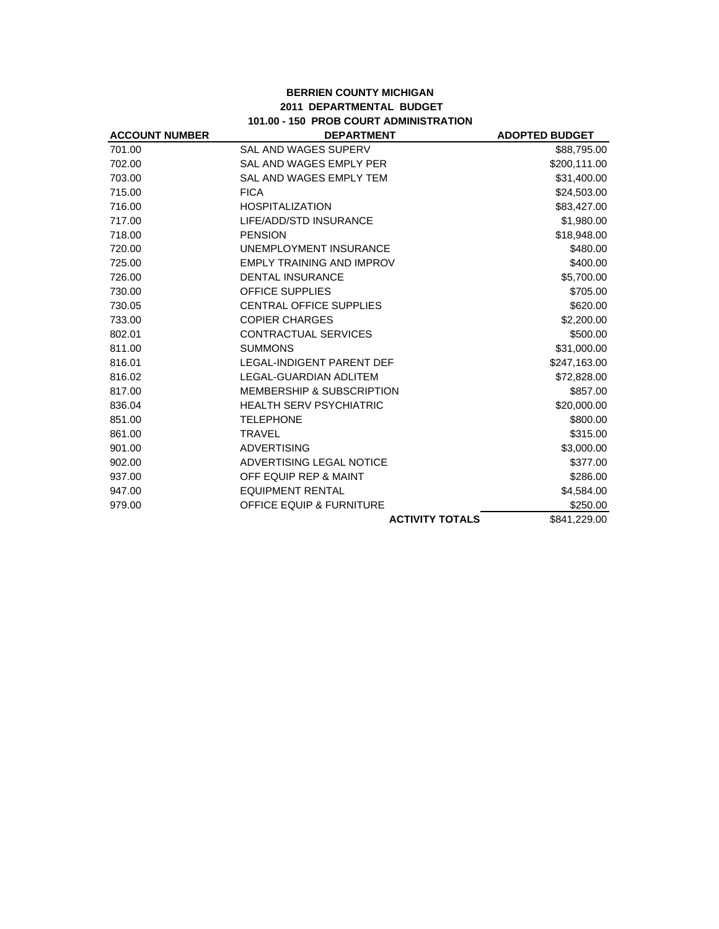## **BERRIEN COUNTY MICHIGAN 2011 DEPARTMENTAL BUDGET 101.00 - 150 PROB COURT ADMINISTRATION**

| <b>ACCOUNT NUMBER</b> | <b>DEPARTMENT</b>                    | <b>ADOPTED BUDGET</b> |
|-----------------------|--------------------------------------|-----------------------|
| 701.00                | <b>SAL AND WAGES SUPERV</b>          | \$88,795.00           |
| 702.00                | SAL AND WAGES EMPLY PER              | \$200,111.00          |
| 703.00                | <b>SAL AND WAGES EMPLY TEM</b>       | \$31,400.00           |
| 715.00                | <b>FICA</b>                          | \$24,503.00           |
| 716.00                | <b>HOSPITALIZATION</b>               | \$83,427.00           |
| 717.00                | LIFE/ADD/STD INSURANCE               | \$1,980.00            |
| 718.00                | <b>PENSION</b>                       | \$18,948.00           |
| 720.00                | UNEMPLOYMENT INSURANCE               | \$480.00              |
| 725.00                | <b>EMPLY TRAINING AND IMPROV</b>     | \$400.00              |
| 726.00                | <b>DENTAL INSURANCE</b>              | \$5,700.00            |
| 730.00                | <b>OFFICE SUPPLIES</b>               | \$705.00              |
| 730.05                | <b>CENTRAL OFFICE SUPPLIES</b>       | \$620.00              |
| 733.00                | <b>COPIER CHARGES</b>                | \$2,200.00            |
| 802.01                | <b>CONTRACTUAL SERVICES</b>          | \$500.00              |
| 811.00                | <b>SUMMONS</b>                       | \$31,000.00           |
| 816.01                | <b>LEGAL-INDIGENT PARENT DEF</b>     | \$247,163.00          |
| 816.02                | LEGAL-GUARDIAN ADLITEM               | \$72,828.00           |
| 817.00                | <b>MEMBERSHIP &amp; SUBSCRIPTION</b> | \$857.00              |
| 836.04                | <b>HEALTH SERV PSYCHIATRIC</b>       | \$20,000.00           |
| 851.00                | <b>TELEPHONE</b>                     | \$800.00              |
| 861.00                | <b>TRAVEL</b>                        | \$315.00              |
| 901.00                | <b>ADVERTISING</b>                   | \$3,000.00            |
| 902.00                | ADVERTISING LEGAL NOTICE             | \$377.00              |
| 937.00                | OFF EQUIP REP & MAINT                | \$286.00              |
| 947.00                | <b>EQUIPMENT RENTAL</b>              | \$4,584.00            |
| 979.00                | <b>OFFICE EQUIP &amp; FURNITURE</b>  | \$250.00              |
|                       | <b>ACTIVITY TOTALS</b>               | \$841.229.00          |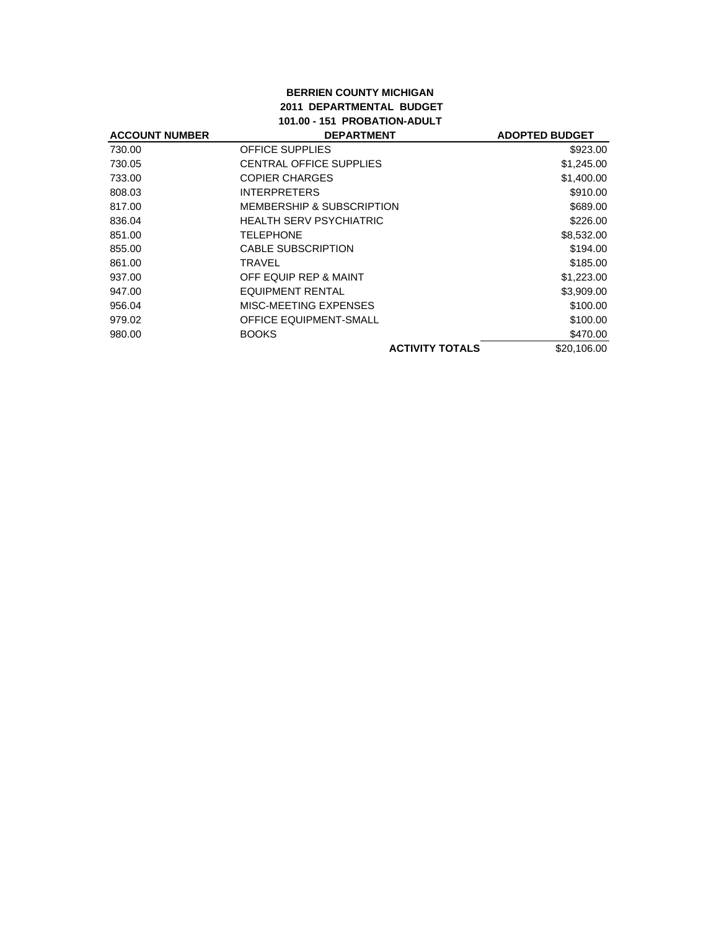## **BERRIEN COUNTY MICHIGAN 2011 DEPARTMENTAL BUDGET 101.00 - 151 PROBATION-ADULT**

| <b>ACCOUNT NUMBER</b> | <b>DEPARTMENT</b>                    | <b>ADOPTED BUDGET</b> |
|-----------------------|--------------------------------------|-----------------------|
| 730.00                | <b>OFFICE SUPPLIES</b>               | \$923.00              |
| 730.05                | <b>CENTRAL OFFICE SUPPLIES</b>       | \$1,245.00            |
| 733.00                | <b>COPIER CHARGES</b>                | \$1,400.00            |
| 808.03                | <b>INTERPRETERS</b>                  | \$910.00              |
| 817.00                | <b>MEMBERSHIP &amp; SUBSCRIPTION</b> | \$689.00              |
| 836.04                | <b>HEALTH SERV PSYCHIATRIC</b>       | \$226.00              |
| 851.00                | <b>TELEPHONE</b>                     | \$8,532.00            |
| 855.00                | <b>CABLE SUBSCRIPTION</b>            | \$194.00              |
| 861.00                | TRAVEL                               | \$185.00              |
| 937.00                | OFF EQUIP REP & MAINT                | \$1,223.00            |
| 947.00                | EQUIPMENT RENTAL                     | \$3,909.00            |
| 956.04                | MISC-MEETING EXPENSES                | \$100.00              |
| 979.02                | <b>OFFICE EQUIPMENT-SMALL</b>        | \$100.00              |
| 980.00                | <b>BOOKS</b>                         | \$470.00              |
|                       | <b>ACTIVITY TOTALS</b>               | \$20,106.00           |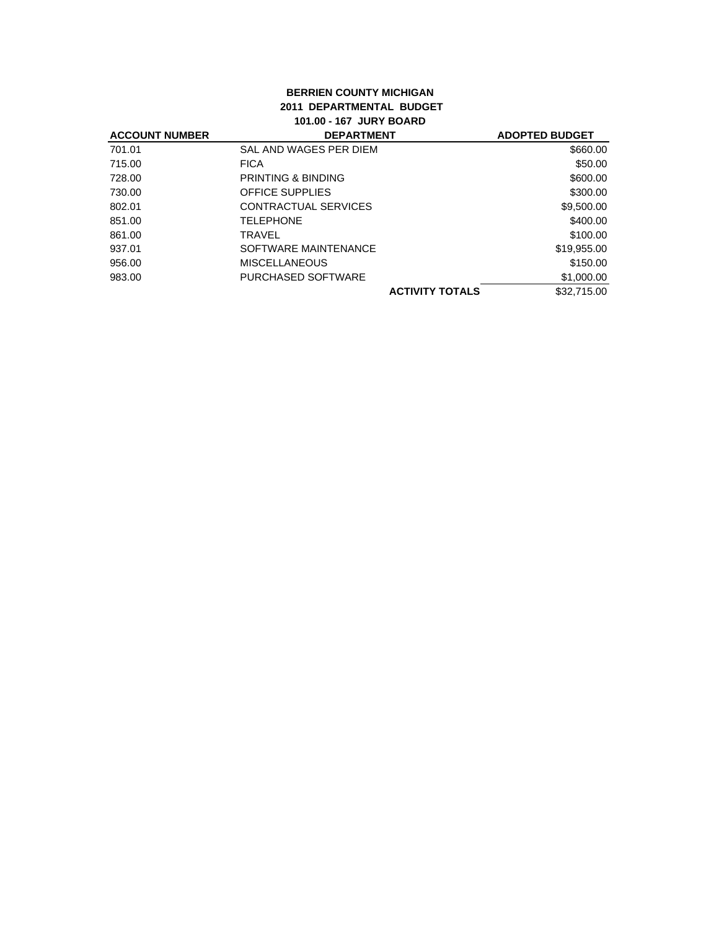## **BERRIEN COUNTY MICHIGAN 2011 DEPARTMENTAL BUDGET 101.00 - 167 JURY BOARD**

| <b>ACCOUNT NUMBER</b> | <b>DEPARTMENT</b>             | <b>ADOPTED BUDGET</b> |
|-----------------------|-------------------------------|-----------------------|
| 701.01                | SAL AND WAGES PER DIEM        | \$660.00              |
| 715.00                | <b>FICA</b>                   | \$50.00               |
| 728.00                | <b>PRINTING &amp; BINDING</b> | \$600.00              |
| 730.00                | <b>OFFICE SUPPLIES</b>        | \$300.00              |
| 802.01                | CONTRACTUAL SERVICES          | \$9,500.00            |
| 851.00                | <b>TELEPHONE</b>              | \$400.00              |
| 861.00                | <b>TRAVEL</b>                 | \$100.00              |
| 937.01                | SOFTWARE MAINTENANCE          | \$19,955.00           |
| 956.00                | <b>MISCELLANEOUS</b>          | \$150.00              |
| 983.00                | PURCHASED SOFTWARE            | \$1,000.00            |
|                       | <b>ACTIVITY TOTALS</b>        | \$32,715,00           |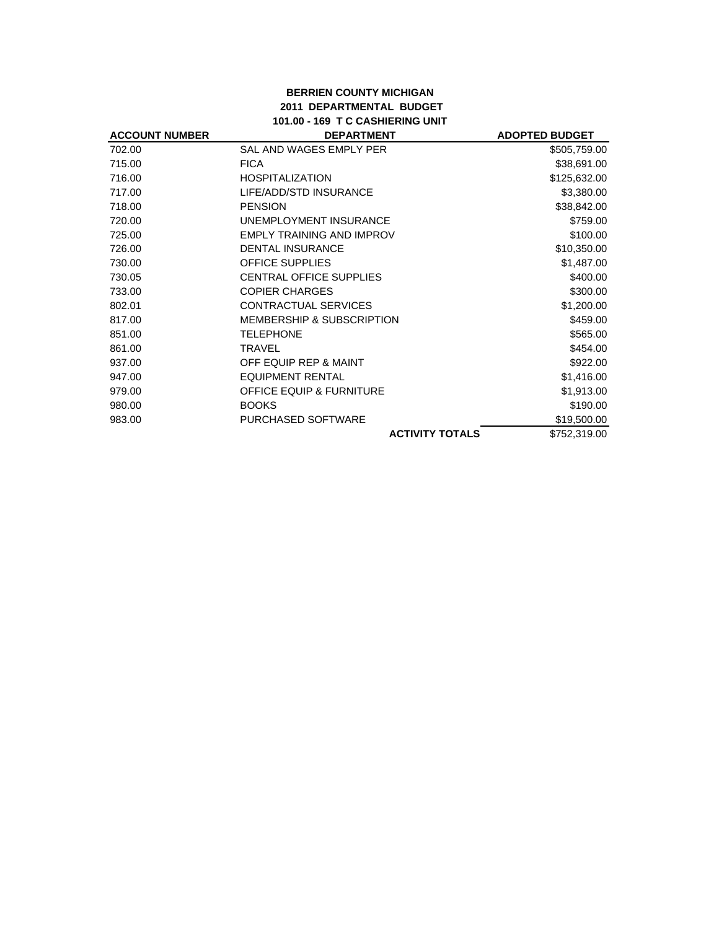#### **BERRIEN COUNTY MICHIGAN 2011 DEPARTMENTAL BUDGET 101.00 - 169 T C CASHIERING UNIT**

| <b>ACCOUNT NUMBER</b> | <b>DEPARTMENT</b>                    | <b>ADOPTED BUDGET</b> |
|-----------------------|--------------------------------------|-----------------------|
| 702.00                | SAL AND WAGES EMPLY PER              | \$505,759.00          |
| 715.00                | <b>FICA</b>                          | \$38,691.00           |
| 716.00                | <b>HOSPITALIZATION</b>               | \$125,632.00          |
| 717.00                | LIFE/ADD/STD INSURANCE               | \$3,380.00            |
| 718.00                | <b>PENSION</b>                       | \$38,842.00           |
| 720.00                | UNEMPLOYMENT INSURANCE               | \$759.00              |
| 725.00                | <b>EMPLY TRAINING AND IMPROV</b>     | \$100.00              |
| 726.00                | <b>DENTAL INSURANCE</b>              | \$10,350.00           |
| 730.00                | <b>OFFICE SUPPLIES</b>               | \$1,487.00            |
| 730.05                | <b>CENTRAL OFFICE SUPPLIES</b>       | \$400.00              |
| 733.00                | <b>COPIER CHARGES</b>                | \$300.00              |
| 802.01                | <b>CONTRACTUAL SERVICES</b>          | \$1,200.00            |
| 817.00                | <b>MEMBERSHIP &amp; SUBSCRIPTION</b> | \$459.00              |
| 851.00                | <b>TELEPHONE</b>                     | \$565.00              |
| 861.00                | <b>TRAVEL</b>                        | \$454.00              |
| 937.00                | OFF EQUIP REP & MAINT                | \$922.00              |
| 947.00                | EQUIPMENT RENTAL                     | \$1,416.00            |
| 979.00                | <b>OFFICE EQUIP &amp; FURNITURE</b>  | \$1,913.00            |
| 980.00                | <b>BOOKS</b>                         | \$190.00              |
| 983.00                | PURCHASED SOFTWARE                   | \$19,500.00           |
|                       | <b>ACTIVITY TOTALS</b>               | \$752,319.00          |
|                       |                                      |                       |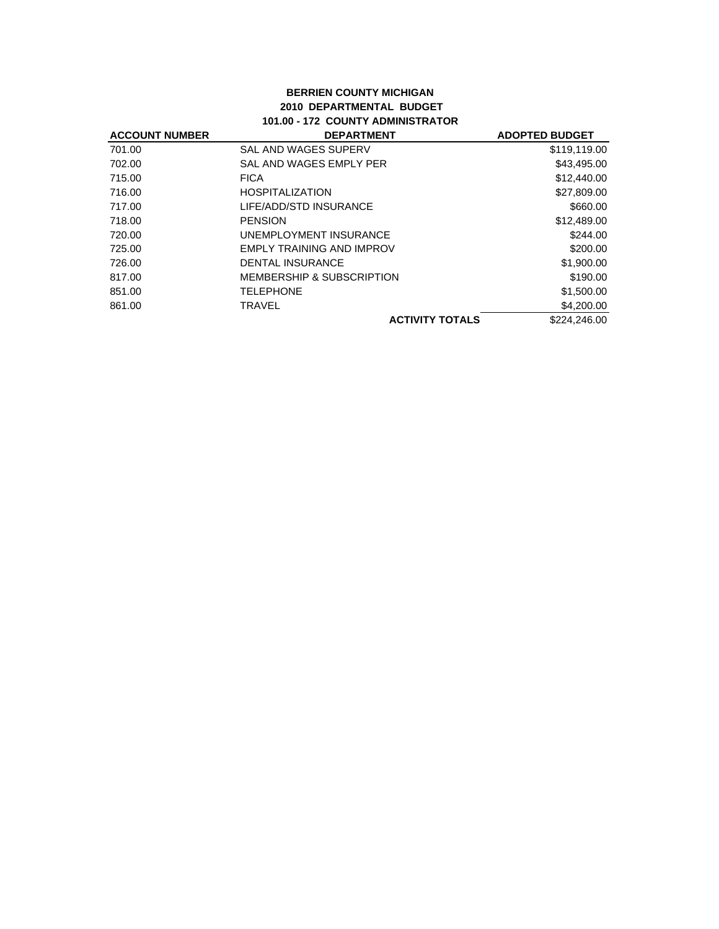## **BERRIEN COUNTY MICHIGAN 2010 DEPARTMENTAL BUDGET 101.00 - 172 COUNTY ADMINISTRATOR**

| <b>ACCOUNT NUMBER</b> | <b>DEPARTMENT</b>                    | <b>ADOPTED BUDGET</b> |
|-----------------------|--------------------------------------|-----------------------|
| 701.00                | SAL AND WAGES SUPERV                 | \$119,119.00          |
| 702.00                | SAL AND WAGES EMPLY PER              | \$43,495.00           |
| 715.00                | <b>FICA</b>                          | \$12,440.00           |
| 716.00                | <b>HOSPITALIZATION</b>               | \$27,809.00           |
| 717.00                | LIFE/ADD/STD INSURANCE               | \$660.00              |
| 718.00                | <b>PENSION</b>                       | \$12,489.00           |
| 720.00                | UNEMPLOYMENT INSURANCE               | \$244.00              |
| 725.00                | EMPLY TRAINING AND IMPROV            | \$200.00              |
| 726.00                | <b>DENTAL INSURANCE</b>              | \$1,900.00            |
| 817.00                | <b>MEMBERSHIP &amp; SUBSCRIPTION</b> | \$190.00              |
| 851.00                | <b>TELEPHONE</b>                     | \$1,500.00            |
| 861.00                | TRAVEL                               | \$4,200,00            |
|                       | <b>ACTIVITY TOTALS</b>               | \$224,246.00          |
|                       |                                      |                       |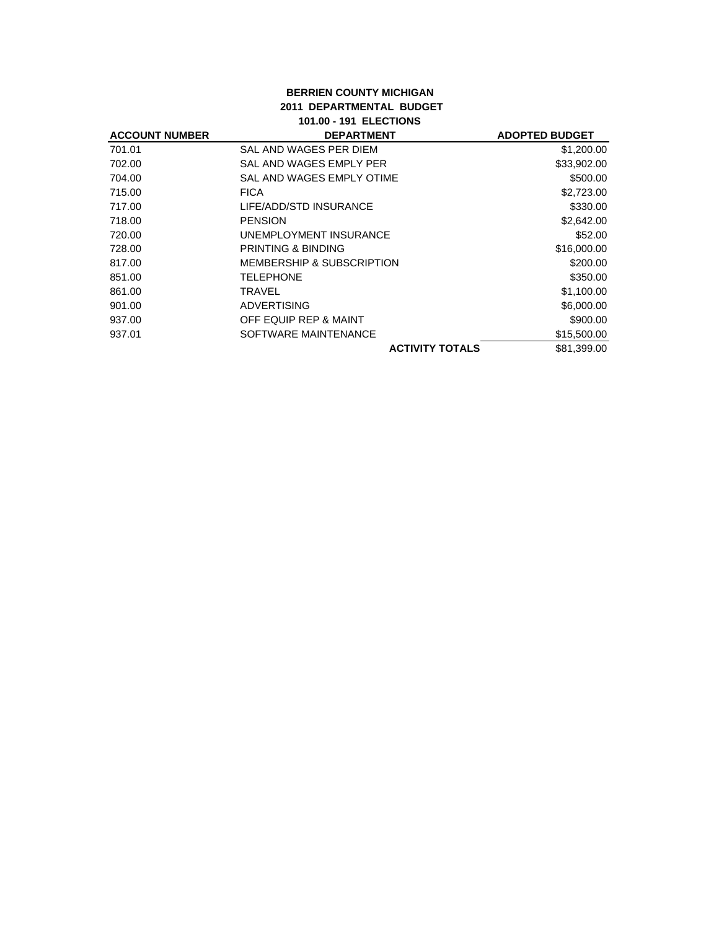## **BERRIEN COUNTY MICHIGAN 2011 DEPARTMENTAL BUDGET 101.00 - 191 ELECTIONS**

| <b>ACCOUNT NUMBER</b> | <b>DEPARTMENT</b>                    | <b>ADOPTED BUDGET</b> |
|-----------------------|--------------------------------------|-----------------------|
| 701.01                | SAL AND WAGES PER DIEM               | \$1,200.00            |
| 702.00                | SAL AND WAGES EMPLY PER              | \$33,902.00           |
| 704.00                | SAL AND WAGES EMPLY OTIME            | \$500.00              |
| 715.00                | <b>FICA</b>                          | \$2,723.00            |
| 717.00                | LIFE/ADD/STD INSURANCE               | \$330.00              |
| 718.00                | <b>PENSION</b>                       | \$2,642.00            |
| 720.00                | UNEMPLOYMENT INSURANCE               | \$52.00               |
| 728.00                | PRINTING & BINDING                   | \$16,000.00           |
| 817.00                | <b>MEMBERSHIP &amp; SUBSCRIPTION</b> | \$200.00              |
| 851.00                | <b>TELEPHONE</b>                     | \$350.00              |
| 861.00                | TRAVEL                               | \$1,100.00            |
| 901.00                | <b>ADVERTISING</b>                   | \$6,000.00            |
| 937.00                | OFF EQUIP REP & MAINT                | \$900.00              |
| 937.01                | SOFTWARE MAINTENANCE                 | \$15,500.00           |
|                       | <b>ACTIVITY TOTALS</b>               | \$81,399.00           |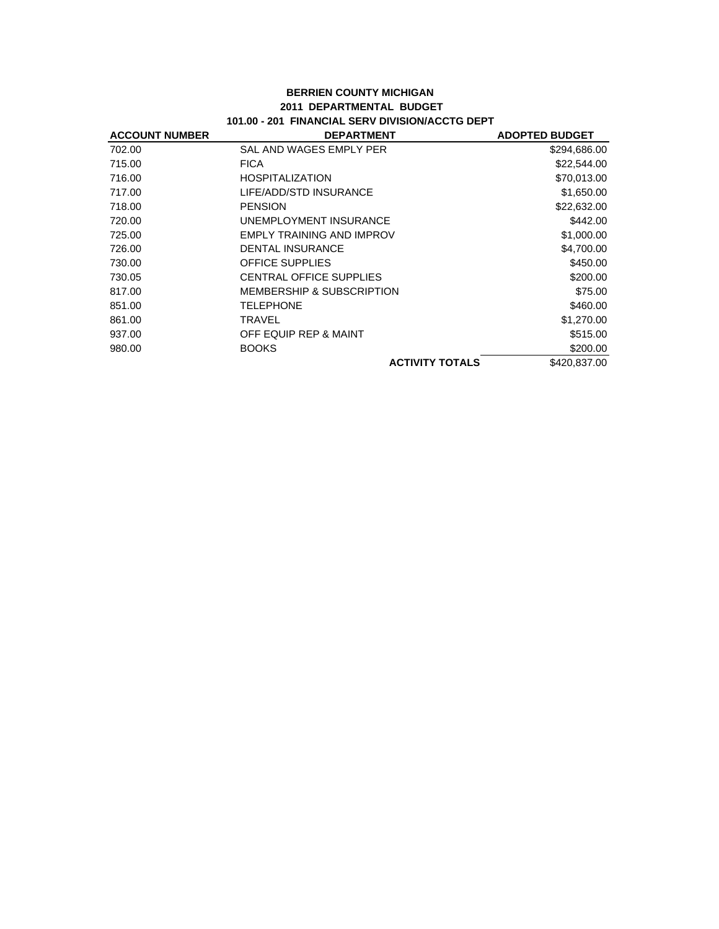#### **BERRIEN COUNTY MICHIGAN 2011 DEPARTMENTAL BUDGET 101.00 - 201 FINANCIAL SERV DIVISION/ACCTG DEPT**

| <b>ACCOUNT NUMBER</b> | <b>DEPARTMENT</b>                    | <b>ADOPTED BUDGET</b> |
|-----------------------|--------------------------------------|-----------------------|
| 702.00                | SAL AND WAGES EMPLY PER              | \$294,686.00          |
| 715.00                | <b>FICA</b>                          | \$22,544.00           |
| 716.00                | <b>HOSPITALIZATION</b>               | \$70,013.00           |
| 717.00                | LIFE/ADD/STD INSURANCE               | \$1,650.00            |
| 718.00                | <b>PENSION</b>                       | \$22,632.00           |
| 720.00                | UNEMPLOYMENT INSURANCE               | \$442.00              |
| 725.00                | EMPLY TRAINING AND IMPROV            | \$1,000.00            |
| 726.00                | <b>DENTAL INSURANCE</b>              | \$4,700.00            |
| 730.00                | <b>OFFICE SUPPLIES</b>               | \$450.00              |
| 730.05                | <b>CENTRAL OFFICE SUPPLIES</b>       | \$200.00              |
| 817.00                | <b>MEMBERSHIP &amp; SUBSCRIPTION</b> | \$75.00               |
| 851.00                | <b>TELEPHONE</b>                     | \$460.00              |
| 861.00                | TRAVEL                               | \$1,270.00            |
| 937.00                | OFF EQUIP REP & MAINT                | \$515.00              |
| 980.00                | <b>BOOKS</b>                         | \$200.00              |
|                       | <b>ACTIVITY TOTALS</b>               | \$420,837.00          |
|                       |                                      |                       |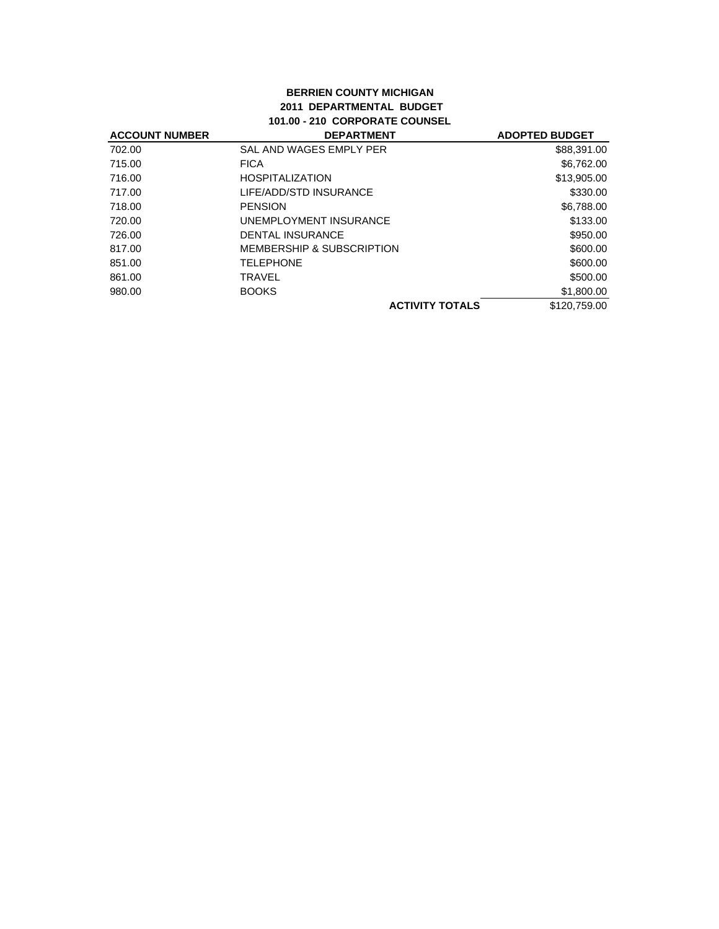#### **BERRIEN COUNTY MICHIGAN 2011 DEPARTMENTAL BUDGET 101.00 - 210 CORPORATE COUNSEL**

| <b>ACCOUNT NUMBER</b> | <b>DEPARTMENT</b>         | <b>ADOPTED BUDGET</b> |
|-----------------------|---------------------------|-----------------------|
| 702.00                | SAL AND WAGES EMPLY PER   | \$88,391.00           |
| 715.00                | <b>FICA</b>               | \$6,762.00            |
| 716.00                | <b>HOSPITALIZATION</b>    | \$13,905.00           |
| 717.00                | LIFE/ADD/STD INSURANCE    | \$330.00              |
| 718.00                | <b>PENSION</b>            | \$6,788.00            |
| 720.00                | UNEMPLOYMENT INSURANCE    | \$133.00              |
| 726.00                | <b>DENTAL INSURANCE</b>   | \$950.00              |
| 817.00                | MEMBERSHIP & SUBSCRIPTION | \$600.00              |
| 851.00                | <b>TELEPHONE</b>          | \$600.00              |
| 861.00                | TRAVEL                    | \$500.00              |
| 980.00                | <b>BOOKS</b>              | \$1,800.00            |
|                       | <b>ACTIVITY TOTALS</b>    | \$120,759.00          |
|                       |                           |                       |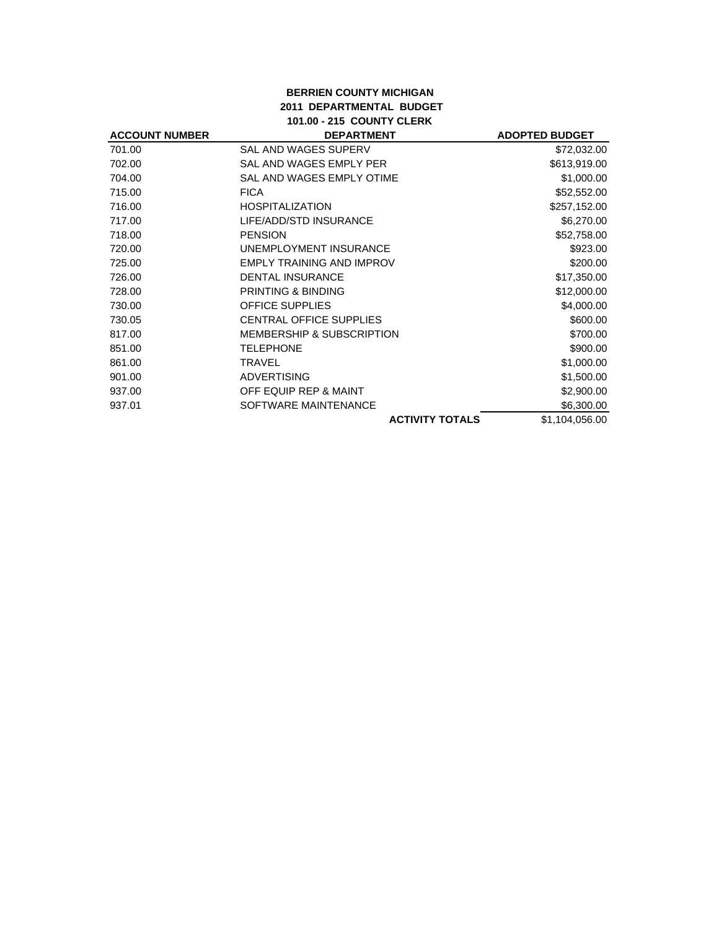## **BERRIEN COUNTY MICHIGAN 2011 DEPARTMENTAL BUDGET 101.00 - 215 COUNTY CLERK**

| <b>ACCOUNT NUMBER</b> | <b>DEPARTMENT</b>                    | <b>ADOPTED BUDGET</b> |
|-----------------------|--------------------------------------|-----------------------|
| 701.00                | SAL AND WAGES SUPERV                 | \$72,032.00           |
| 702.00                | SAL AND WAGES EMPLY PER              | \$613,919.00          |
| 704.00                | SAL AND WAGES EMPLY OTIME            | \$1,000.00            |
| 715.00                | <b>FICA</b>                          | \$52,552.00           |
| 716.00                | <b>HOSPITALIZATION</b>               | \$257,152.00          |
| 717.00                | LIFE/ADD/STD INSURANCE               | \$6,270.00            |
| 718.00                | <b>PENSION</b>                       | \$52,758.00           |
| 720.00                | UNEMPLOYMENT INSURANCE               | \$923.00              |
| 725.00                | <b>EMPLY TRAINING AND IMPROV</b>     | \$200.00              |
| 726.00                | <b>DENTAL INSURANCE</b>              | \$17,350.00           |
| 728.00                | <b>PRINTING &amp; BINDING</b>        | \$12,000.00           |
| 730.00                | <b>OFFICE SUPPLIES</b>               | \$4,000.00            |
| 730.05                | <b>CENTRAL OFFICE SUPPLIES</b>       | \$600.00              |
| 817.00                | <b>MEMBERSHIP &amp; SUBSCRIPTION</b> | \$700.00              |
| 851.00                | <b>TELEPHONE</b>                     | \$900.00              |
| 861.00                | TRAVEL                               | \$1,000.00            |
| 901.00                | <b>ADVERTISING</b>                   | \$1,500.00            |
| 937.00                | OFF EQUIP REP & MAINT                | \$2,900.00            |
| 937.01                | SOFTWARE MAINTENANCE                 | \$6,300.00            |
|                       | <b>ACTIVITY TOTALS</b>               | \$1,104,056.00        |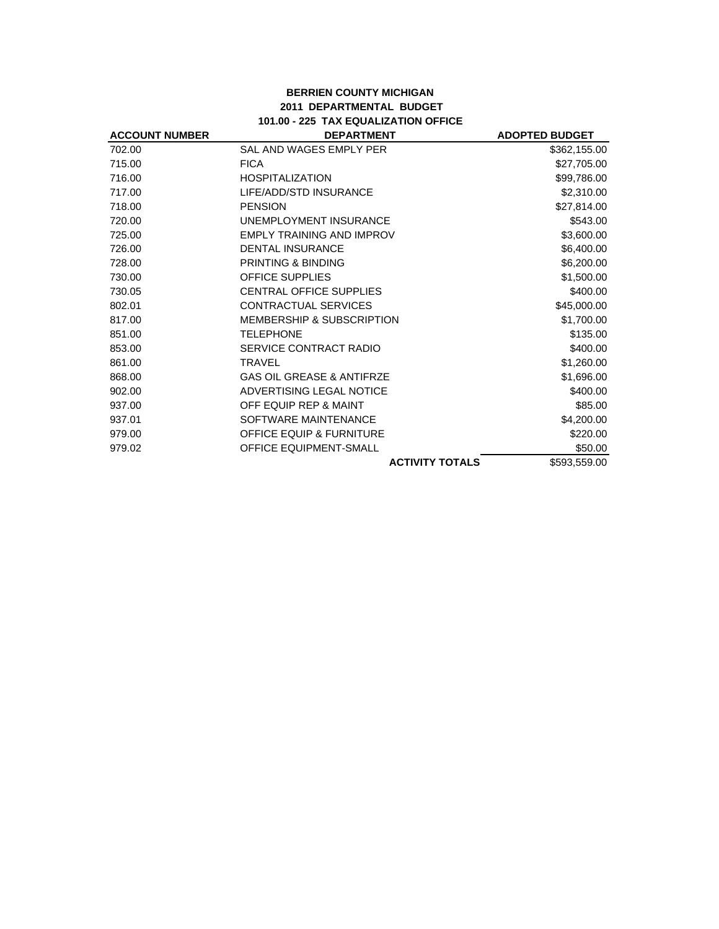#### **BERRIEN COUNTY MICHIGAN 2011 DEPARTMENTAL BUDGET 101.00 - 225 TAX EQUALIZATION OFFICE**

| <b>ACCOUNT NUMBER</b> | <b>DEPARTMENT</b>                    | <b>ADOPTED BUDGET</b> |
|-----------------------|--------------------------------------|-----------------------|
| 702.00                | SAL AND WAGES EMPLY PER              | \$362,155.00          |
| 715.00                | <b>FICA</b>                          | \$27,705.00           |
| 716.00                | <b>HOSPITALIZATION</b>               | \$99,786.00           |
| 717.00                | LIFE/ADD/STD INSURANCE               | \$2,310.00            |
| 718.00                | <b>PENSION</b>                       | \$27,814.00           |
| 720.00                | UNEMPLOYMENT INSURANCE               | \$543.00              |
| 725.00                | <b>EMPLY TRAINING AND IMPROV</b>     | \$3,600.00            |
| 726.00                | <b>DENTAL INSURANCE</b>              | \$6,400.00            |
| 728.00                | PRINTING & BINDING                   | \$6,200.00            |
| 730.00                | <b>OFFICE SUPPLIES</b>               | \$1,500.00            |
| 730.05                | <b>CENTRAL OFFICE SUPPLIES</b>       | \$400.00              |
| 802.01                | <b>CONTRACTUAL SERVICES</b>          | \$45,000.00           |
| 817.00                | <b>MEMBERSHIP &amp; SUBSCRIPTION</b> | \$1,700.00            |
| 851.00                | <b>TELEPHONE</b>                     | \$135.00              |
| 853.00                | SERVICE CONTRACT RADIO               | \$400.00              |
| 861.00                | <b>TRAVEL</b>                        | \$1,260.00            |
| 868.00                | <b>GAS OIL GREASE &amp; ANTIFRZE</b> | \$1,696.00            |
| 902.00                | ADVERTISING LEGAL NOTICE             | \$400.00              |
| 937.00                | OFF EQUIP REP & MAINT                | \$85.00               |
| 937.01                | SOFTWARE MAINTENANCE                 | \$4,200.00            |
| 979.00                | <b>OFFICE EQUIP &amp; FURNITURE</b>  | \$220.00              |
| 979.02                | <b>OFFICE EQUIPMENT-SMALL</b>        | \$50.00               |
|                       | <b>ACTIVITY TOTALS</b>               | \$593,559.00          |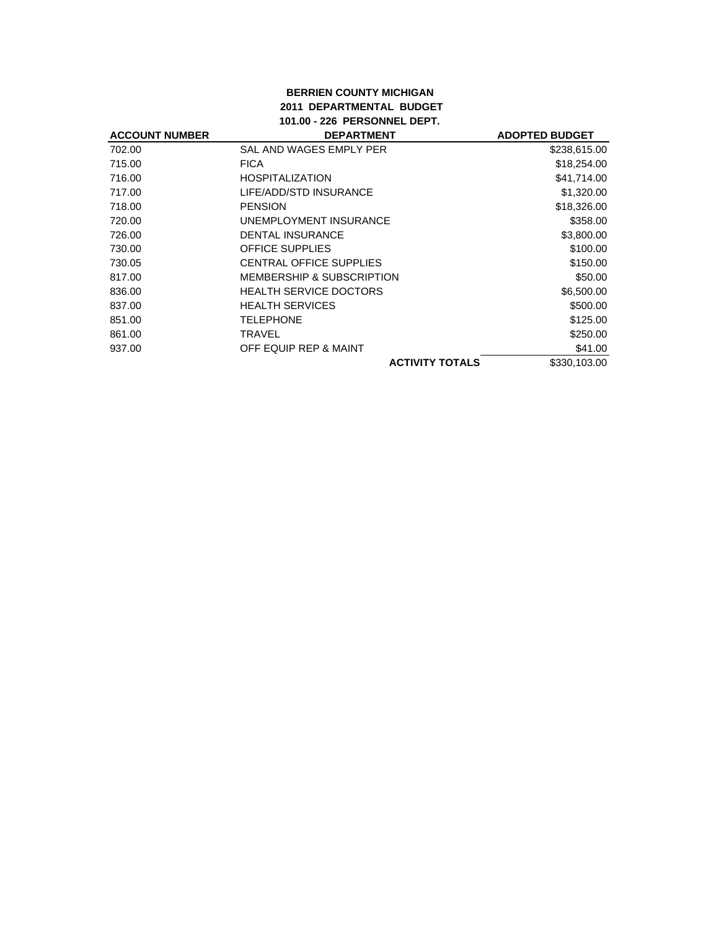#### **BERRIEN COUNTY MICHIGAN 2011 DEPARTMENTAL BUDGET 101.00 - 226 PERSONNEL DEPT.**

| <b>ACCOUNT NUMBER</b> | <b>DEPARTMENT</b>                    | <b>ADOPTED BUDGET</b> |
|-----------------------|--------------------------------------|-----------------------|
| 702.00                | SAL AND WAGES EMPLY PER              | \$238,615.00          |
| 715.00                | <b>FICA</b>                          | \$18,254.00           |
| 716.00                | <b>HOSPITALIZATION</b>               | \$41,714.00           |
| 717.00                | LIFE/ADD/STD INSURANCE               | \$1,320.00            |
| 718.00                | <b>PENSION</b>                       | \$18,326.00           |
| 720.00                | UNEMPLOYMENT INSURANCE               | \$358.00              |
| 726.00                | <b>DENTAL INSURANCE</b>              | \$3,800.00            |
| 730.00                | <b>OFFICE SUPPLIES</b>               | \$100.00              |
| 730.05                | <b>CENTRAL OFFICE SUPPLIES</b>       | \$150.00              |
| 817.00                | <b>MEMBERSHIP &amp; SUBSCRIPTION</b> | \$50.00               |
| 836.00                | <b>HEALTH SERVICE DOCTORS</b>        | \$6,500.00            |
| 837.00                | <b>HEALTH SERVICES</b>               | \$500.00              |
| 851.00                | <b>TELEPHONE</b>                     | \$125.00              |
| 861.00                | TRAVEL                               | \$250.00              |
| 937.00                | OFF EQUIP REP & MAINT                | \$41.00               |
|                       | <b>ACTIVITY TOTALS</b>               | \$330,103.00          |
|                       |                                      |                       |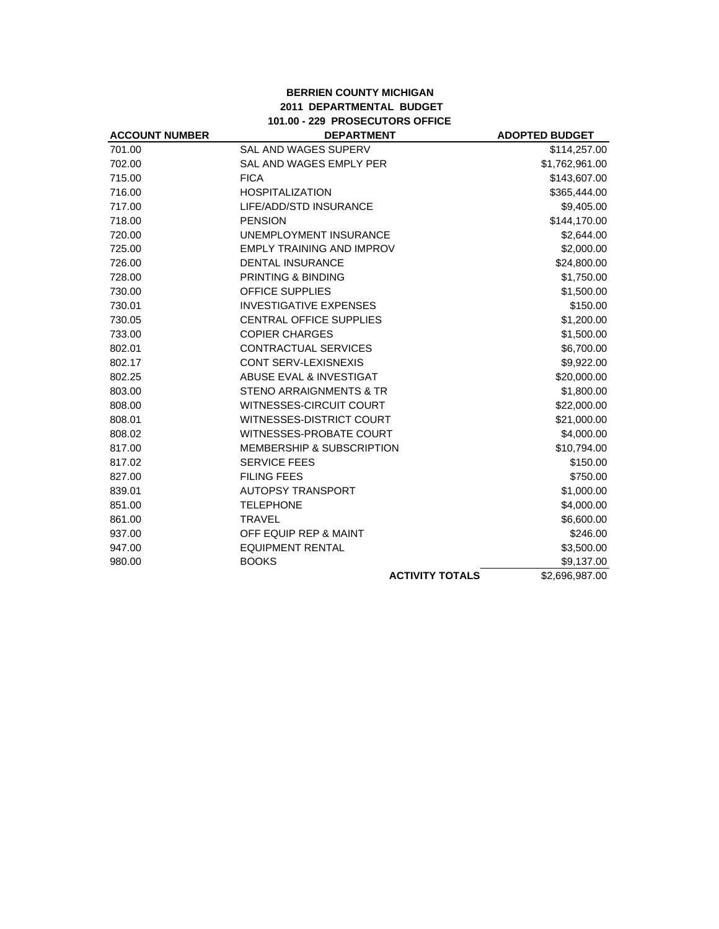## **BERRIEN COUNTY MICHIGAN 2011 DEPARTMENTAL BUDGET 101.00 - 229 PROSECUTORS OFFICE**

| <b>ACCOUNT NUMBER</b> | <b>DEPARTMENT</b>                    | <b>ADOPTED BUDGET</b> |
|-----------------------|--------------------------------------|-----------------------|
| 701.00                | <b>SAL AND WAGES SUPERV</b>          | \$114,257.00          |
| 702.00                | SAL AND WAGES EMPLY PER              | \$1,762,961.00        |
| 715.00                | <b>FICA</b>                          | \$143,607.00          |
| 716.00                | <b>HOSPITALIZATION</b>               | \$365,444.00          |
| 717.00                | LIFE/ADD/STD INSURANCE               | \$9,405.00            |
| 718.00                | <b>PENSION</b>                       | \$144,170.00          |
| 720.00                | <b>UNEMPLOYMENT INSURANCE</b>        | \$2,644.00            |
| 725.00                | EMPLY TRAINING AND IMPROV            | \$2,000.00            |
| 726.00                | <b>DENTAL INSURANCE</b>              | \$24,800.00           |
| 728.00                | PRINTING & BINDING                   | \$1,750.00            |
| 730.00                | <b>OFFICE SUPPLIES</b>               | \$1,500.00            |
| 730.01                | <b>INVESTIGATIVE EXPENSES</b>        | \$150.00              |
| 730.05                | <b>CENTRAL OFFICE SUPPLIES</b>       | \$1,200.00            |
| 733.00                | <b>COPIER CHARGES</b>                | \$1,500.00            |
| 802.01                | <b>CONTRACTUAL SERVICES</b>          | \$6,700.00            |
| 802.17                | <b>CONT SERV-LEXISNEXIS</b>          | \$9,922.00            |
| 802.25                | ABUSE EVAL & INVESTIGAT              | \$20,000.00           |
| 803.00                | <b>STENO ARRAIGNMENTS &amp; TR</b>   | \$1,800.00            |
| 808.00                | WITNESSES-CIRCUIT COURT              | \$22,000.00           |
| 808.01                | WITNESSES-DISTRICT COURT             | \$21,000.00           |
| 808.02                | <b>WITNESSES-PROBATE COURT</b>       | \$4,000.00            |
| 817.00                | <b>MEMBERSHIP &amp; SUBSCRIPTION</b> | \$10,794.00           |
| 817.02                | <b>SERVICE FEES</b>                  | \$150.00              |
| 827.00                | <b>FILING FEES</b>                   | \$750.00              |
| 839.01                | <b>AUTOPSY TRANSPORT</b>             | \$1,000.00            |
| 851.00                | <b>TELEPHONE</b>                     | \$4,000.00            |
| 861.00                | <b>TRAVEL</b>                        | \$6,600.00            |
| 937.00                | OFF EQUIP REP & MAINT                | \$246.00              |
| 947.00                | <b>EQUIPMENT RENTAL</b>              | \$3,500.00            |
| 980.00                | <b>BOOKS</b>                         | \$9,137.00            |
|                       | <b>ACTIVITY TOTALS</b>               | \$2,696,987.00        |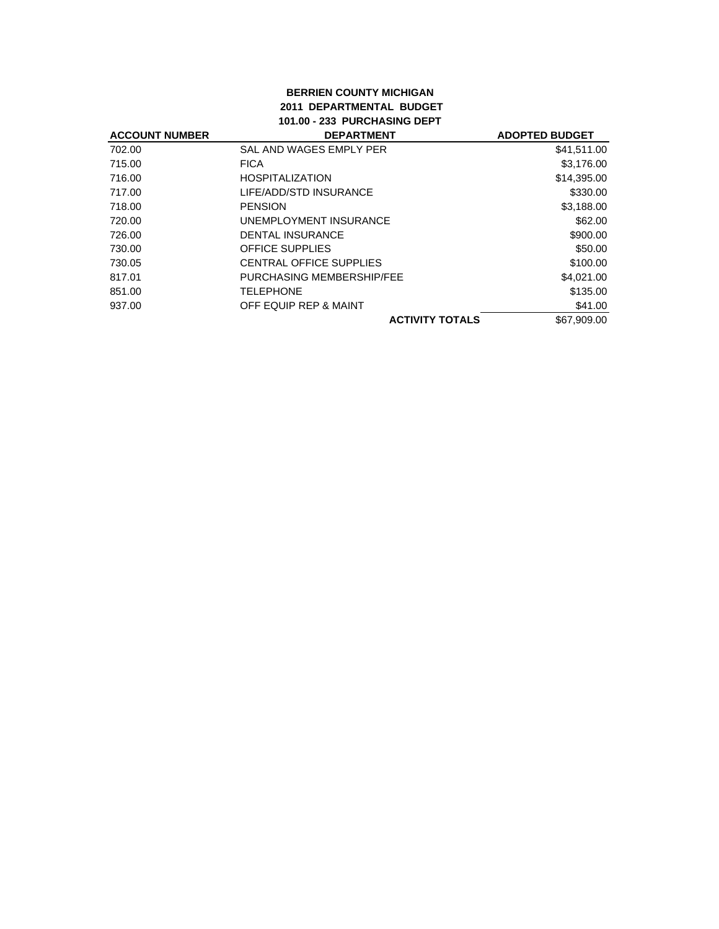#### **BERRIEN COUNTY MICHIGAN 2011 DEPARTMENTAL BUDGET 101.00 - 233 PURCHASING DEPT**

| <b>DEPARTMENT</b>         | <b>ADOPTED BUDGET</b> |
|---------------------------|-----------------------|
| SAL AND WAGES EMPLY PER   | \$41,511.00           |
| <b>FICA</b>               | \$3,176.00            |
| <b>HOSPITALIZATION</b>    | \$14,395.00           |
| LIFE/ADD/STD INSURANCE    | \$330.00              |
| <b>PENSION</b>            | \$3,188.00            |
| UNEMPLOYMENT INSURANCE    | \$62.00               |
| <b>DENTAL INSURANCE</b>   | \$900.00              |
| <b>OFFICE SUPPLIES</b>    | \$50.00               |
| CENTRAL OFFICE SUPPLIES   | \$100.00              |
| PURCHASING MEMBERSHIP/FEE | \$4,021.00            |
| <b>TELEPHONE</b>          | \$135.00              |
| OFF EQUIP REP & MAINT     | \$41.00               |
| <b>ACTIVITY TOTALS</b>    | \$67,909,00           |
|                           |                       |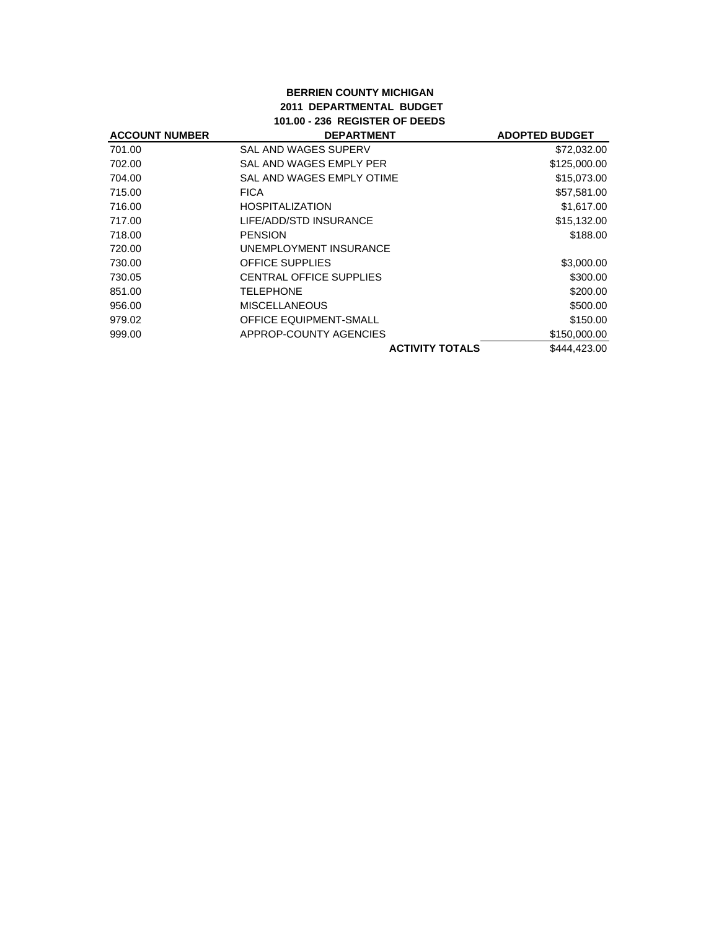## **BERRIEN COUNTY MICHIGAN 2011 DEPARTMENTAL BUDGET 101.00 - 236 REGISTER OF DEEDS**

| <b>ACCOUNT NUMBER</b> | <b>DEPARTMENT</b>              | <b>ADOPTED BUDGET</b> |
|-----------------------|--------------------------------|-----------------------|
| 701.00                | SAL AND WAGES SUPERV           | \$72,032.00           |
| 702.00                | SAL AND WAGES EMPLY PER        | \$125,000.00          |
| 704.00                | SAL AND WAGES EMPLY OTIME      | \$15,073.00           |
| 715.00                | <b>FICA</b>                    | \$57,581.00           |
| 716.00                | <b>HOSPITALIZATION</b>         | \$1,617.00            |
| 717.00                | LIFE/ADD/STD INSURANCE         | \$15,132.00           |
| 718.00                | <b>PENSION</b>                 | \$188.00              |
| 720.00                | UNEMPLOYMENT INSURANCE         |                       |
| 730.00                | <b>OFFICE SUPPLIES</b>         | \$3,000.00            |
| 730.05                | <b>CENTRAL OFFICE SUPPLIES</b> | \$300.00              |
| 851.00                | <b>TELEPHONE</b>               | \$200.00              |
| 956.00                | <b>MISCELLANEOUS</b>           | \$500.00              |
| 979.02                | <b>OFFICE EQUIPMENT-SMALL</b>  | \$150.00              |
| 999.00                | APPROP-COUNTY AGENCIES         | \$150,000.00          |
|                       | <b>ACTIVITY TOTALS</b>         | \$444,423.00          |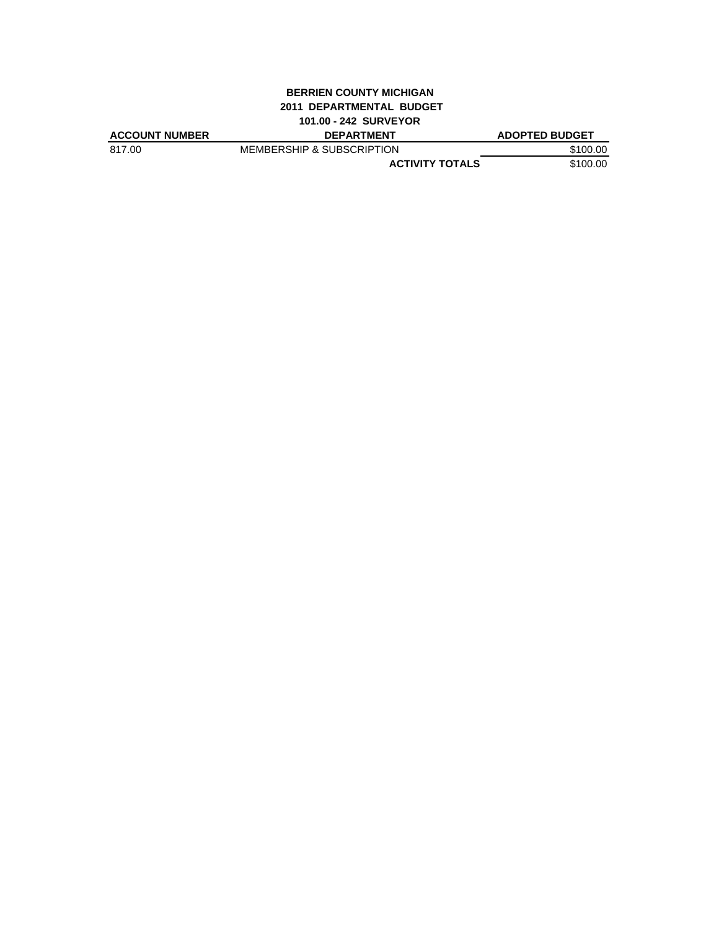#### **BERRIEN COUNTY MICHIGAN 2011 DEPARTMENTAL BUDGET 101.00 - 242 SURVEYOR**

| <b>ACCOUNT NUMBER</b> | <b>DEPARTMENT</b>                    | <b>ADOPTED BUDGET</b> |
|-----------------------|--------------------------------------|-----------------------|
| 817.00                | <b>MEMBERSHIP &amp; SUBSCRIPTION</b> | \$100.00              |
|                       | <b>ACTIVITY TOTALS</b>               | \$100.00              |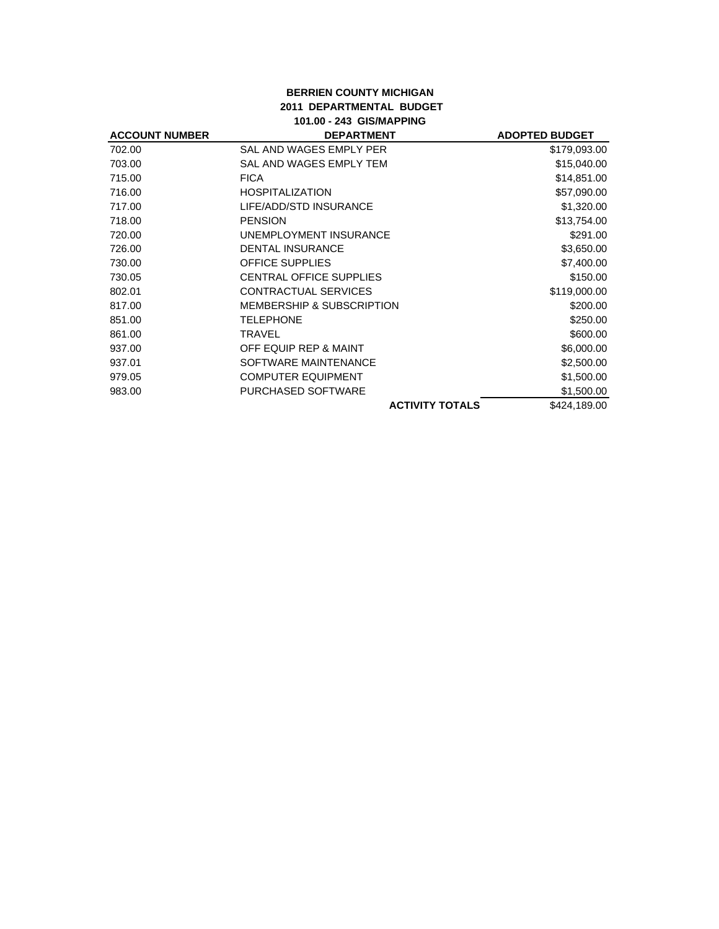## **BERRIEN COUNTY MICHIGAN 2011 DEPARTMENTAL BUDGET 101.00 - 243 GIS/MAPPING**

| <b>ACCOUNT NUMBER</b> | <b>DEPARTMENT</b>                    | <b>ADOPTED BUDGET</b> |
|-----------------------|--------------------------------------|-----------------------|
| 702.00                | SAL AND WAGES EMPLY PER              | \$179,093.00          |
| 703.00                | SAL AND WAGES EMPLY TEM              | \$15,040.00           |
| 715.00                | <b>FICA</b>                          | \$14,851.00           |
| 716.00                | <b>HOSPITALIZATION</b>               | \$57,090.00           |
| 717.00                | LIFE/ADD/STD INSURANCE               | \$1,320.00            |
| 718.00                | <b>PENSION</b>                       | \$13,754.00           |
| 720.00                | UNEMPLOYMENT INSURANCE               | \$291.00              |
| 726.00                | <b>DENTAL INSURANCE</b>              | \$3,650.00            |
| 730.00                | <b>OFFICE SUPPLIES</b>               | \$7,400.00            |
| 730.05                | <b>CENTRAL OFFICE SUPPLIES</b>       | \$150.00              |
| 802.01                | CONTRACTUAL SERVICES                 | \$119,000.00          |
| 817.00                | <b>MEMBERSHIP &amp; SUBSCRIPTION</b> | \$200.00              |
| 851.00                | <b>TELEPHONE</b>                     | \$250.00              |
| 861.00                | TRAVEL                               | \$600.00              |
| 937.00                | OFF EQUIP REP & MAINT                | \$6,000.00            |
| 937.01                | SOFTWARE MAINTENANCE                 | \$2,500.00            |
| 979.05                | <b>COMPUTER EQUIPMENT</b>            | \$1,500.00            |
| 983.00                | <b>PURCHASED SOFTWARE</b>            | \$1,500.00            |
|                       | <b>ACTIVITY TOTALS</b>               | \$424,189.00          |
|                       |                                      |                       |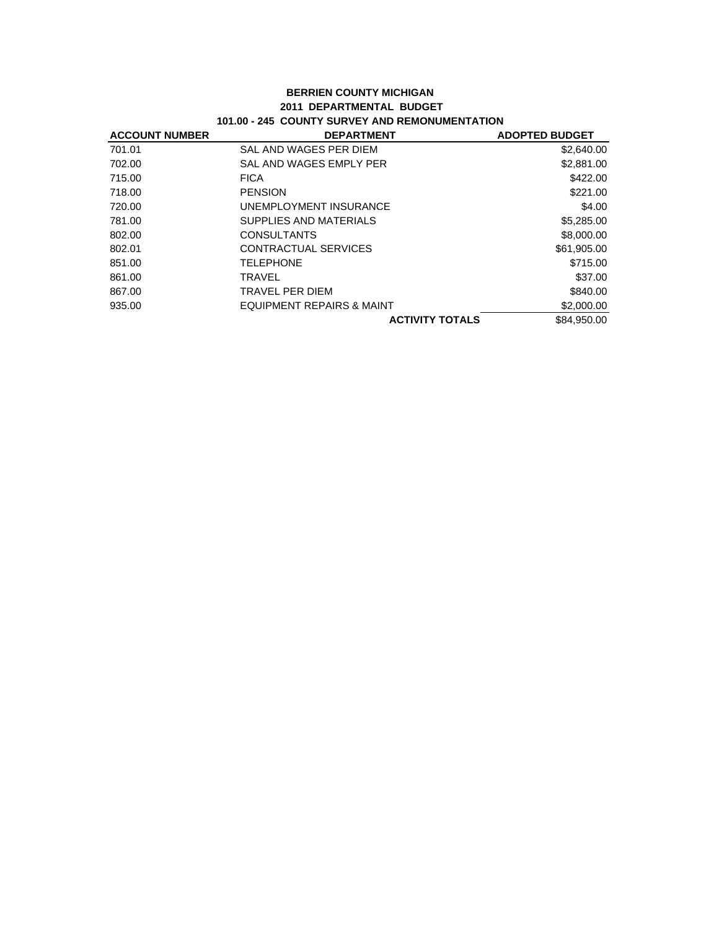#### **BERRIEN COUNTY MICHIGAN 2011 DEPARTMENTAL BUDGET 101.00 - 245 COUNTY SURVEY AND REMONUMENTATION**

| <b>ACCOUNT NUMBER</b> | <b>DEPARTMENT</b>         | <b>ADOPTED BUDGET</b> |
|-----------------------|---------------------------|-----------------------|
| 701.01                | SAL AND WAGES PER DIEM    | \$2,640.00            |
| 702.00                | SAL AND WAGES EMPLY PER   | \$2,881.00            |
| 715.00                | <b>FICA</b>               | \$422.00              |
| 718.00                | <b>PENSION</b>            | \$221.00              |
| 720.00                | UNEMPLOYMENT INSURANCE    | \$4.00                |
| 781.00                | SUPPLIES AND MATERIALS    | \$5,285.00            |
| 802.00                | <b>CONSULTANTS</b>        | \$8,000.00            |
| 802.01                | CONTRACTUAL SERVICES      | \$61,905.00           |
| 851.00                | <b>TELEPHONE</b>          | \$715.00              |
| 861.00                | <b>TRAVEL</b>             | \$37.00               |
| 867.00                | TRAVEL PER DIEM           | \$840.00              |
| 935.00                | EQUIPMENT REPAIRS & MAINT | \$2,000.00            |
|                       | <b>ACTIVITY TOTALS</b>    | \$84,950.00           |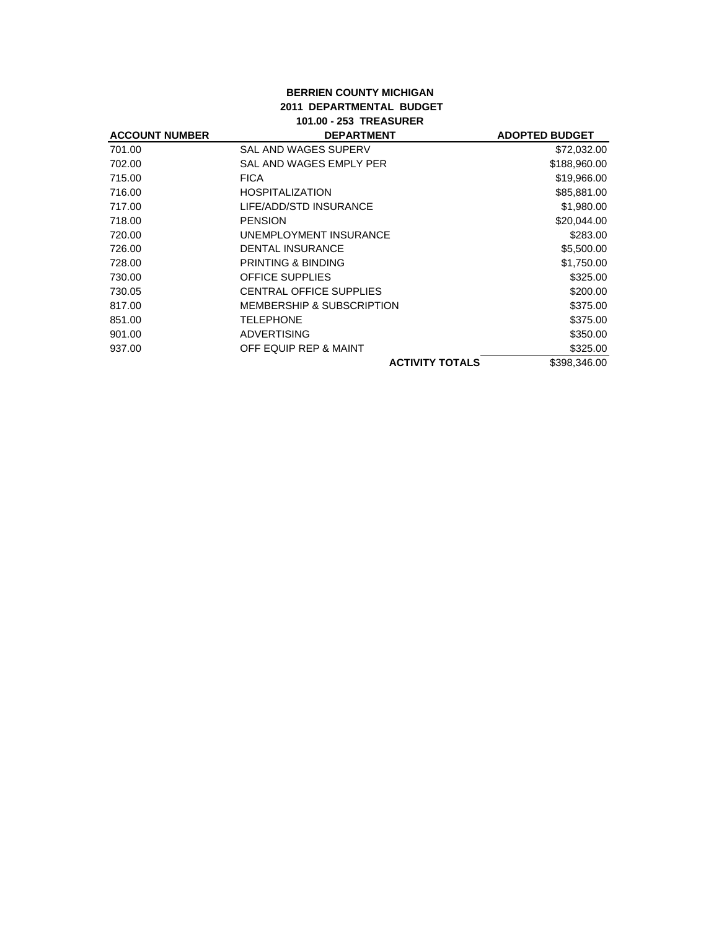## **BERRIEN COUNTY MICHIGAN 2011 DEPARTMENTAL BUDGET 101.00 - 253 TREASURER**

| <b>DEPARTMENT</b>                    | <b>ADOPTED BUDGET</b> |
|--------------------------------------|-----------------------|
| SAL AND WAGES SUPERV                 | \$72,032.00           |
| SAL AND WAGES EMPLY PER              | \$188,960.00          |
| <b>FICA</b>                          | \$19,966.00           |
| <b>HOSPITALIZATION</b>               | \$85,881.00           |
| LIFE/ADD/STD INSURANCE               | \$1,980.00            |
| <b>PENSION</b>                       | \$20,044.00           |
| UNEMPLOYMENT INSURANCE               | \$283.00              |
| <b>DENTAL INSURANCE</b>              | \$5,500.00            |
| <b>PRINTING &amp; BINDING</b>        | \$1,750.00            |
| <b>OFFICE SUPPLIES</b>               | \$325.00              |
| <b>CENTRAL OFFICE SUPPLIES</b>       | \$200.00              |
| <b>MEMBERSHIP &amp; SUBSCRIPTION</b> | \$375.00              |
| <b>TELEPHONE</b>                     | \$375.00              |
| <b>ADVERTISING</b>                   | \$350.00              |
| OFF EQUIP REP & MAINT                | \$325.00              |
| <b>ACTIVITY TOTALS</b>               | \$398,346.00          |
|                                      |                       |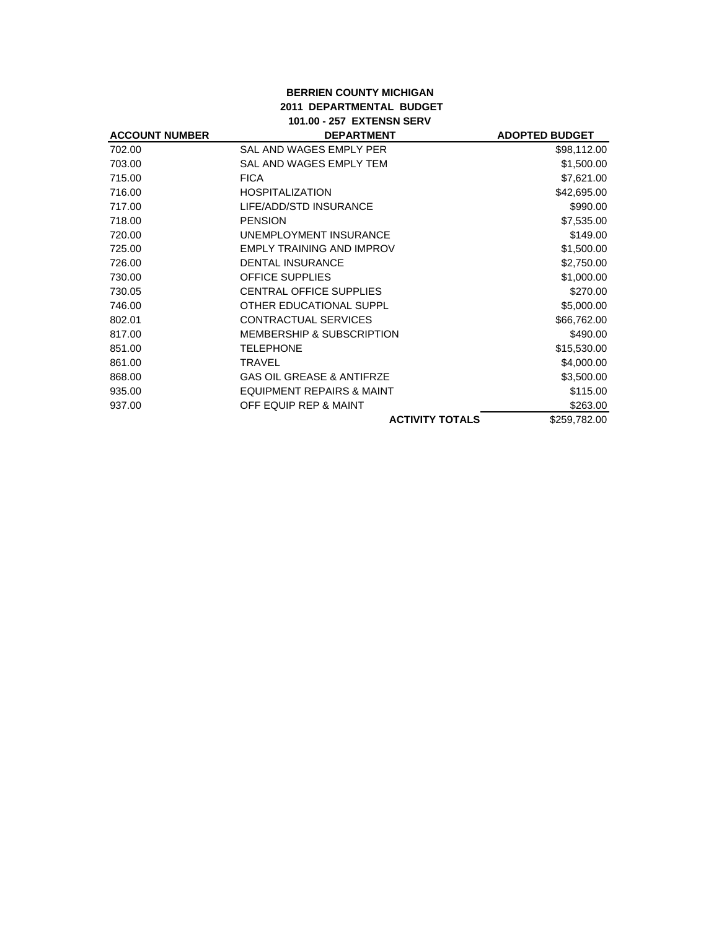#### **BERRIEN COUNTY MICHIGAN 2011 DEPARTMENTAL BUDGET 101.00 - 257 EXTENSN SERV**

| <b>ACCOUNT NUMBER</b> | <b>DEPARTMENT</b>                    | <b>ADOPTED BUDGET</b> |
|-----------------------|--------------------------------------|-----------------------|
| 702.00                | SAL AND WAGES EMPLY PER              | \$98,112.00           |
| 703.00                | SAL AND WAGES EMPLY TEM              | \$1,500.00            |
| 715.00                | <b>FICA</b>                          | \$7,621.00            |
| 716.00                | <b>HOSPITALIZATION</b>               | \$42,695.00           |
| 717.00                | LIFE/ADD/STD INSURANCE               | \$990.00              |
| 718.00                | <b>PENSION</b>                       | \$7,535.00            |
| 720.00                | UNEMPLOYMENT INSURANCE               | \$149.00              |
| 725.00                | EMPLY TRAINING AND IMPROV            | \$1,500.00            |
| 726.00                | <b>DENTAL INSURANCE</b>              | \$2,750.00            |
| 730.00                | <b>OFFICE SUPPLIES</b>               | \$1,000.00            |
| 730.05                | <b>CENTRAL OFFICE SUPPLIES</b>       | \$270.00              |
| 746.00                | OTHER EDUCATIONAL SUPPL              | \$5,000.00            |
| 802.01                | CONTRACTUAL SERVICES                 | \$66,762.00           |
| 817.00                | <b>MEMBERSHIP &amp; SUBSCRIPTION</b> | \$490.00              |
| 851.00                | <b>TELEPHONE</b>                     | \$15,530.00           |
| 861.00                | TRAVEL                               | \$4,000.00            |
| 868.00                | <b>GAS OIL GREASE &amp; ANTIFRZE</b> | \$3,500.00            |
| 935.00                | <b>EQUIPMENT REPAIRS &amp; MAINT</b> | \$115.00              |
| 937.00                | OFF EQUIP REP & MAINT                | \$263.00              |
|                       | <b>ACTIVITY TOTALS</b>               | \$259,782.00          |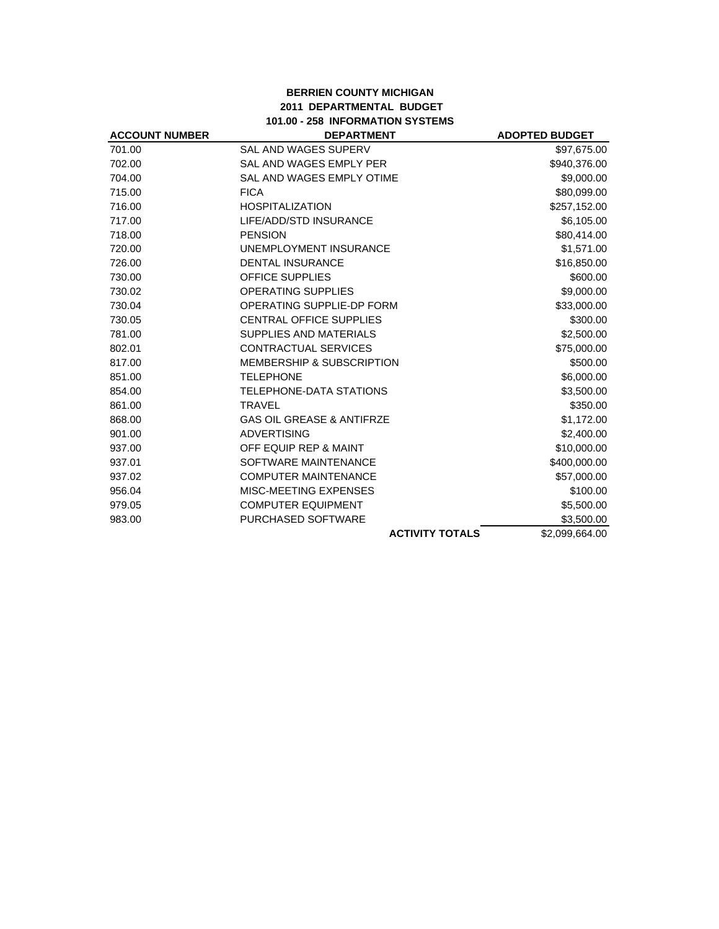## **BERRIEN COUNTY MICHIGAN 2011 DEPARTMENTAL BUDGET 101.00 - 258 INFORMATION SYSTEMS**

| 101.00 - 258 INFORMATION SYSTEMS |                                      |                       |
|----------------------------------|--------------------------------------|-----------------------|
| <b>ACCOUNT NUMBER</b>            | <b>DEPARTMENT</b>                    | <b>ADOPTED BUDGET</b> |
| 701.00                           | <b>SAL AND WAGES SUPERV</b>          | \$97,675.00           |
| 702.00                           | SAL AND WAGES EMPLY PER              | \$940,376.00          |
| 704.00                           | SAL AND WAGES EMPLY OTIME            | \$9,000.00            |
| 715.00                           | <b>FICA</b>                          | \$80,099.00           |
| 716.00                           | <b>HOSPITALIZATION</b>               | \$257,152.00          |
| 717.00                           | LIFE/ADD/STD INSURANCE               | \$6,105.00            |
| 718.00                           | <b>PENSION</b>                       | \$80,414.00           |
| 720.00                           | UNEMPLOYMENT INSURANCE               | \$1,571.00            |
| 726.00                           | <b>DENTAL INSURANCE</b>              | \$16,850.00           |
| 730.00                           | <b>OFFICE SUPPLIES</b>               | \$600.00              |
| 730.02                           | <b>OPERATING SUPPLIES</b>            | \$9,000.00            |
| 730.04                           | OPERATING SUPPLIE-DP FORM            | \$33,000.00           |
| 730.05                           | CENTRAL OFFICE SUPPLIES              | \$300.00              |
| 781.00                           | SUPPLIES AND MATERIALS               | \$2,500.00            |
| 802.01                           | <b>CONTRACTUAL SERVICES</b>          | \$75,000.00           |
| 817.00                           | MEMBERSHIP & SUBSCRIPTION            | \$500.00              |
| 851.00                           | <b>TELEPHONE</b>                     | \$6,000.00            |
| 854.00                           | TELEPHONE-DATA STATIONS              | \$3,500.00            |
| 861.00                           | <b>TRAVEL</b>                        | \$350.00              |
| 868.00                           | <b>GAS OIL GREASE &amp; ANTIFRZE</b> | \$1,172.00            |
| 901.00                           | <b>ADVERTISING</b>                   | \$2,400.00            |
| 937.00                           | OFF EQUIP REP & MAINT                | \$10,000.00           |
| 937.01                           | SOFTWARE MAINTENANCE                 | \$400,000.00          |
| 937.02                           | <b>COMPUTER MAINTENANCE</b>          | \$57,000.00           |
| 956.04                           | MISC-MEETING EXPENSES                | \$100.00              |
| 979.05                           | <b>COMPUTER EQUIPMENT</b>            | \$5,500.00            |
| 983.00                           | PURCHASED SOFTWARE                   | \$3,500.00            |
|                                  | <b>ACTIVITY TOTALS</b>               | \$2,099,664.00        |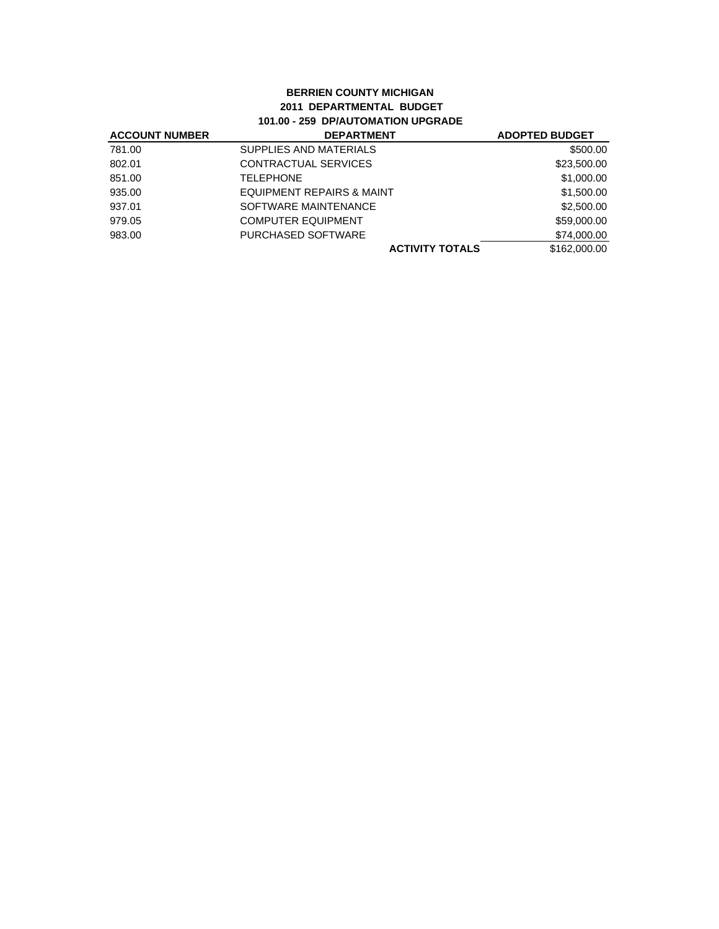## **BERRIEN COUNTY MICHIGAN 2011 DEPARTMENTAL BUDGET 101.00 - 259 DP/AUTOMATION UPGRADE**

| <b>ACCOUNT NUMBER</b> | <b>DEPARTMENT</b>         | <b>ADOPTED BUDGET</b> |
|-----------------------|---------------------------|-----------------------|
| 781.00                | SUPPLIES AND MATERIALS    | \$500.00              |
| 802.01                | CONTRACTUAL SERVICES      | \$23,500.00           |
| 851.00                | <b>TELEPHONE</b>          | \$1,000.00            |
| 935.00                | EQUIPMENT REPAIRS & MAINT | \$1,500.00            |
| 937.01                | SOFTWARE MAINTENANCE      | \$2,500.00            |
| 979.05                | <b>COMPUTER EQUIPMENT</b> | \$59,000.00           |
| 983.00                | PURCHASED SOFTWARE        | \$74,000.00           |
|                       | <b>ACTIVITY TOTALS</b>    | \$162,000.00          |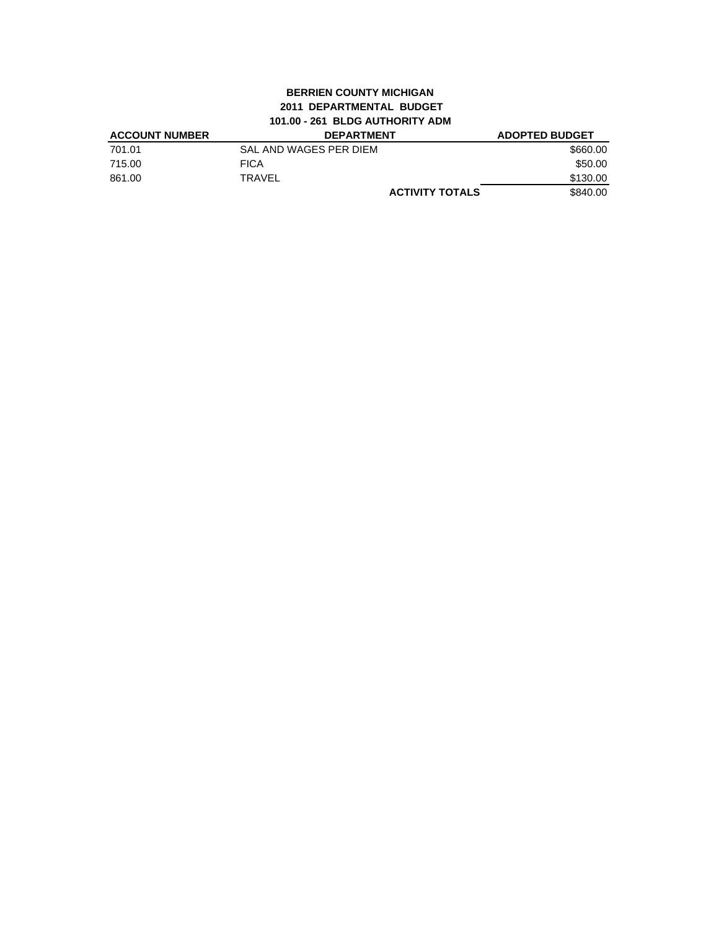### **BERRIEN COUNTY MICHIGAN 2011 DEPARTMENTAL BUDGET 101.00 - 261 BLDG AUTHORITY ADM**

| <b>ACCOUNT NUMBER</b> | <b>DEPARTMENT</b>      | <b>ADOPTED BUDGET</b> |
|-----------------------|------------------------|-----------------------|
| 701.01                | SAL AND WAGES PER DIEM | \$660.00              |
| 715.00                | <b>FICA</b>            | \$50.00               |
| 861.00                | <b>TRAVEL</b>          | \$130.00              |
|                       | <b>ACTIVITY TOTALS</b> | \$840.00              |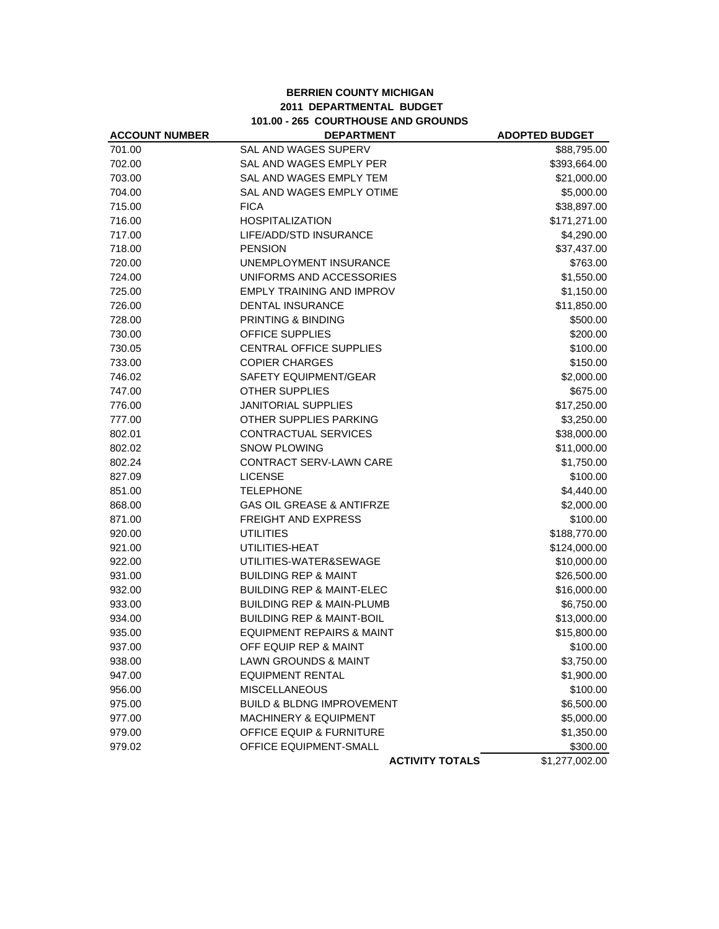# **BERRIEN COUNTY MICHIGAN 2011 DEPARTMENTAL BUDGET 101.00 - 265 COURTHOUSE AND GROUNDS**

| <b>ACCOUNT NUMBER</b> | <b>DEPARTMENT</b>                    | <b>ADOPTED BUDGET</b> |
|-----------------------|--------------------------------------|-----------------------|
| 701.00                | <b>SAL AND WAGES SUPERV</b>          | \$88,795.00           |
| 702.00                | SAL AND WAGES EMPLY PER              | \$393,664.00          |
| 703.00                | <b>SAL AND WAGES EMPLY TEM</b>       | \$21,000.00           |
| 704.00                | SAL AND WAGES EMPLY OTIME            | \$5,000.00            |
| 715.00                | <b>FICA</b>                          | \$38,897.00           |
| 716.00                | <b>HOSPITALIZATION</b>               | \$171,271.00          |
| 717.00                | LIFE/ADD/STD INSURANCE               | \$4,290.00            |
| 718.00                | <b>PENSION</b>                       | \$37,437.00           |
| 720.00                | UNEMPLOYMENT INSURANCE               | \$763.00              |
| 724.00                | UNIFORMS AND ACCESSORIES             | \$1,550.00            |
| 725.00                | <b>EMPLY TRAINING AND IMPROV</b>     | \$1,150.00            |
| 726.00                | <b>DENTAL INSURANCE</b>              | \$11,850.00           |
| 728.00                | PRINTING & BINDING                   | \$500.00              |
| 730.00                | OFFICE SUPPLIES                      | \$200.00              |
| 730.05                | CENTRAL OFFICE SUPPLIES              | \$100.00              |
| 733.00                | <b>COPIER CHARGES</b>                | \$150.00              |
| 746.02                | SAFETY EQUIPMENT/GEAR                | \$2,000.00            |
| 747.00                | <b>OTHER SUPPLIES</b>                | \$675.00              |
| 776.00                | <b>JANITORIAL SUPPLIES</b>           | \$17,250.00           |
| 777.00                | OTHER SUPPLIES PARKING               | \$3,250.00            |
| 802.01                | <b>CONTRACTUAL SERVICES</b>          | \$38,000.00           |
| 802.02                | <b>SNOW PLOWING</b>                  | \$11,000.00           |
| 802.24                | <b>CONTRACT SERV-LAWN CARE</b>       | \$1,750.00            |
| 827.09                | <b>LICENSE</b>                       | \$100.00              |
| 851.00                | <b>TELEPHONE</b>                     | \$4,440.00            |
| 868.00                | <b>GAS OIL GREASE &amp; ANTIFRZE</b> | \$2,000.00            |
| 871.00                | FREIGHT AND EXPRESS                  | \$100.00              |
| 920.00                | <b>UTILITIES</b>                     | \$188,770.00          |
| 921.00                | UTILITIES-HEAT                       | \$124,000.00          |
| 922.00                | UTILITIES-WATER&SEWAGE               | \$10,000.00           |
| 931.00                | <b>BUILDING REP &amp; MAINT</b>      | \$26,500.00           |
| 932.00                | <b>BUILDING REP &amp; MAINT-ELEC</b> | \$16,000.00           |
| 933.00                | <b>BUILDING REP &amp; MAIN-PLUMB</b> | \$6,750.00            |
| 934.00                | <b>BUILDING REP &amp; MAINT-BOIL</b> | \$13,000.00           |
| 935.00                | <b>EQUIPMENT REPAIRS &amp; MAINT</b> | \$15,800.00           |
| 937.00                | OFF EQUIP REP & MAINT                | \$100.00              |
| 938.00                | <b>LAWN GROUNDS &amp; MAINT</b>      | \$3,750.00            |
| 947.00                | <b>EQUIPMENT RENTAL</b>              | \$1,900.00            |
| 956.00                | <b>MISCELLANEOUS</b>                 | \$100.00              |
| 975.00                | <b>BUILD &amp; BLDNG IMPROVEMENT</b> | \$6,500.00            |
| 977.00                | <b>MACHINERY &amp; EQUIPMENT</b>     | \$5,000.00            |
| 979.00                | OFFICE EQUIP & FURNITURE             | \$1,350.00            |
| 979.02                | OFFICE EQUIPMENT-SMALL               | \$300.00              |
|                       | <b>ACTIVITY TOTALS</b>               | \$1,277,002.00        |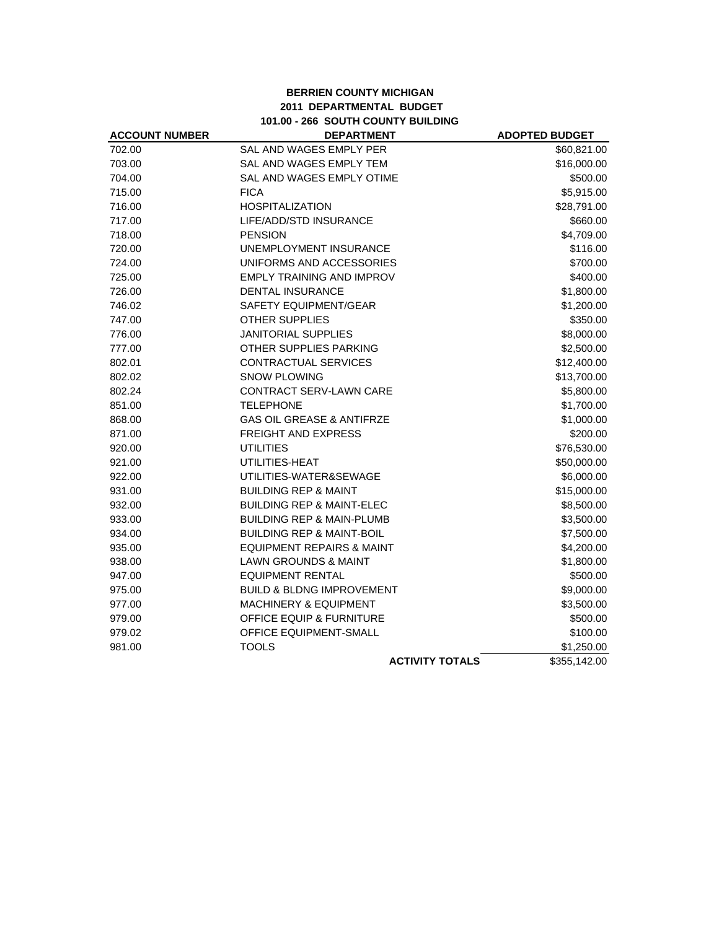# **BERRIEN COUNTY MICHIGAN 2011 DEPARTMENTAL BUDGET 101.00 - 266 SOUTH COUNTY BUILDING**

| <b>ACCOUNT NUMBER</b> | <b>DEPARTMENT</b>                    | <b>ADOPTED BUDGET</b> |
|-----------------------|--------------------------------------|-----------------------|
| 702.00                | SAL AND WAGES EMPLY PER              | \$60,821.00           |
| 703.00                | SAL AND WAGES EMPLY TEM              | \$16,000.00           |
| 704.00                | SAL AND WAGES EMPLY OTIME            | \$500.00              |
| 715.00                | <b>FICA</b>                          | \$5,915.00            |
| 716.00                | <b>HOSPITALIZATION</b>               | \$28,791.00           |
| 717.00                | LIFE/ADD/STD INSURANCE               | \$660.00              |
| 718.00                | <b>PENSION</b>                       | \$4,709.00            |
| 720.00                | UNEMPLOYMENT INSURANCE               | \$116.00              |
| 724.00                | UNIFORMS AND ACCESSORIES             | \$700.00              |
| 725.00                | EMPLY TRAINING AND IMPROV            | \$400.00              |
| 726.00                | <b>DENTAL INSURANCE</b>              | \$1,800.00            |
| 746.02                | SAFETY EQUIPMENT/GEAR                | \$1,200.00            |
| 747.00                | <b>OTHER SUPPLIES</b>                | \$350.00              |
| 776.00                | <b>JANITORIAL SUPPLIES</b>           | \$8,000.00            |
| 777.00                | OTHER SUPPLIES PARKING               | \$2,500.00            |
| 802.01                | <b>CONTRACTUAL SERVICES</b>          | \$12,400.00           |
| 802.02                | <b>SNOW PLOWING</b>                  | \$13,700.00           |
| 802.24                | CONTRACT SERV-LAWN CARE              | \$5,800.00            |
| 851.00                | <b>TELEPHONE</b>                     | \$1,700.00            |
| 868.00                | <b>GAS OIL GREASE &amp; ANTIFRZE</b> | \$1,000.00            |
| 871.00                | FREIGHT AND EXPRESS                  | \$200.00              |
| 920.00                | <b>UTILITIES</b>                     | \$76,530.00           |
| 921.00                | UTILITIES-HEAT                       | \$50,000.00           |
| 922.00                | UTILITIES-WATER&SEWAGE               | \$6,000.00            |
| 931.00                | <b>BUILDING REP &amp; MAINT</b>      | \$15,000.00           |
| 932.00                | <b>BUILDING REP &amp; MAINT-ELEC</b> | \$8,500.00            |
| 933.00                | <b>BUILDING REP &amp; MAIN-PLUMB</b> | \$3,500.00            |
| 934.00                | <b>BUILDING REP &amp; MAINT-BOIL</b> | \$7,500.00            |
| 935.00                | <b>EQUIPMENT REPAIRS &amp; MAINT</b> | \$4,200.00            |
| 938.00                | <b>LAWN GROUNDS &amp; MAINT</b>      | \$1,800.00            |
| 947.00                | <b>EQUIPMENT RENTAL</b>              | \$500.00              |
| 975.00                | <b>BUILD &amp; BLDNG IMPROVEMENT</b> | \$9,000.00            |
| 977.00                | MACHINERY & EQUIPMENT                | \$3,500.00            |
| 979.00                | <b>OFFICE EQUIP &amp; FURNITURE</b>  | \$500.00              |
| 979.02                | OFFICE EQUIPMENT-SMALL               | \$100.00              |
| 981.00                | <b>TOOLS</b>                         | \$1,250.00            |
|                       | <b>ACTIVITY TOTALS</b>               | \$355,142.00          |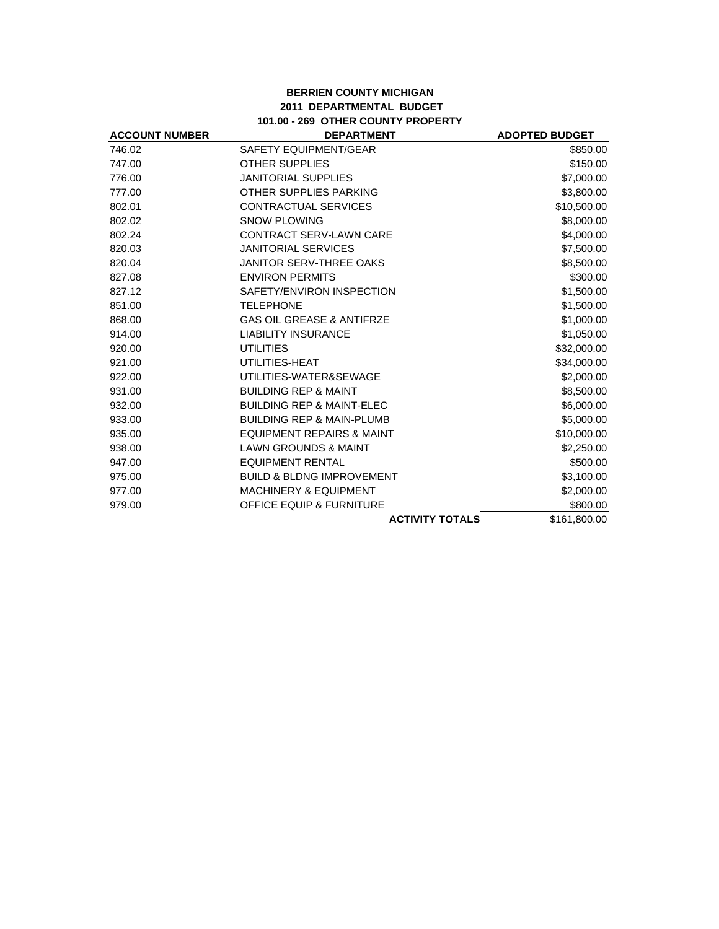# **BERRIEN COUNTY MICHIGAN 2011 DEPARTMENTAL BUDGET 101.00 - 269 OTHER COUNTY PROPERTY**

| <b>ACCOUNT NUMBER</b> | <b>DEPARTMENT</b>                    | <b>ADOPTED BUDGET</b> |
|-----------------------|--------------------------------------|-----------------------|
| 746.02                | SAFETY EQUIPMENT/GEAR                | \$850.00              |
| 747.00                | <b>OTHER SUPPLIES</b>                | \$150.00              |
| 776.00                | <b>JANITORIAL SUPPLIES</b>           | \$7,000.00            |
| 777.00                | OTHER SUPPLIES PARKING               | \$3,800.00            |
| 802.01                | CONTRACTUAL SERVICES                 | \$10,500.00           |
| 802.02                | <b>SNOW PLOWING</b>                  | \$8,000.00            |
| 802.24                | <b>CONTRACT SERV-LAWN CARE</b>       | \$4,000.00            |
| 820.03                | <b>JANITORIAL SERVICES</b>           | \$7,500.00            |
| 820.04                | <b>JANITOR SERV-THREE OAKS</b>       | \$8,500.00            |
| 827.08                | <b>ENVIRON PERMITS</b>               | \$300.00              |
| 827.12                | SAFETY/ENVIRON INSPECTION            | \$1,500.00            |
| 851.00                | <b>TELEPHONE</b>                     | \$1,500.00            |
| 868.00                | <b>GAS OIL GREASE &amp; ANTIFRZE</b> | \$1,000.00            |
| 914.00                | <b>LIABILITY INSURANCE</b>           | \$1,050.00            |
| 920.00                | <b>UTILITIES</b>                     | \$32,000.00           |
| 921.00                | UTILITIES-HEAT                       | \$34,000.00           |
| 922.00                | UTILITIES-WATER&SEWAGE               | \$2,000.00            |
| 931.00                | <b>BUILDING REP &amp; MAINT</b>      | \$8,500.00            |
| 932.00                | <b>BUILDING REP &amp; MAINT-ELEC</b> | \$6,000.00            |
| 933.00                | <b>BUILDING REP &amp; MAIN-PLUMB</b> | \$5,000.00            |
| 935.00                | <b>EQUIPMENT REPAIRS &amp; MAINT</b> | \$10,000.00           |
| 938.00                | <b>LAWN GROUNDS &amp; MAINT</b>      | \$2,250.00            |
| 947.00                | <b>EQUIPMENT RENTAL</b>              | \$500.00              |
| 975.00                | <b>BUILD &amp; BLDNG IMPROVEMENT</b> | \$3,100.00            |
| 977.00                | <b>MACHINERY &amp; EQUIPMENT</b>     | \$2,000.00            |
| 979.00                | <b>OFFICE EQUIP &amp; FURNITURE</b>  | \$800.00              |
|                       | <b>ACTIVITY TOTALS</b>               | \$161,800.00          |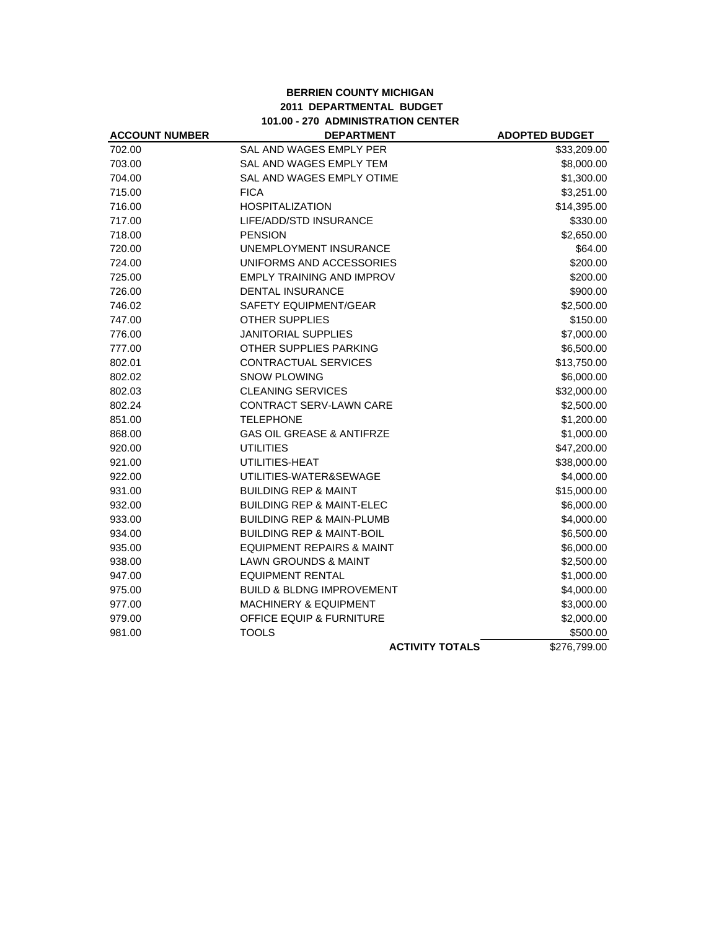# **BERRIEN COUNTY MICHIGAN 2011 DEPARTMENTAL BUDGET 101.00 - 270 ADMINISTRATION CENTER**

| <b>ACCOUNT NUMBER</b> | <b>DEPARTMENT</b>                    | <b>ADOPTED BUDGET</b> |
|-----------------------|--------------------------------------|-----------------------|
| 702.00                | SAL AND WAGES EMPLY PER              | \$33,209.00           |
| 703.00                | SAL AND WAGES EMPLY TEM              | \$8,000.00            |
| 704.00                | SAL AND WAGES EMPLY OTIME            | \$1,300.00            |
| 715.00                | <b>FICA</b>                          | \$3,251.00            |
| 716.00                | <b>HOSPITALIZATION</b>               | \$14,395.00           |
| 717.00                | LIFE/ADD/STD INSURANCE               | \$330.00              |
| 718.00                | <b>PENSION</b>                       | \$2,650.00            |
| 720.00                | UNEMPLOYMENT INSURANCE               | \$64.00               |
| 724.00                | UNIFORMS AND ACCESSORIES             | \$200.00              |
| 725.00                | EMPLY TRAINING AND IMPROV            | \$200.00              |
| 726.00                | <b>DENTAL INSURANCE</b>              | \$900.00              |
| 746.02                | <b>SAFETY EQUIPMENT/GEAR</b>         | \$2,500.00            |
| 747.00                | <b>OTHER SUPPLIES</b>                | \$150.00              |
| 776.00                | <b>JANITORIAL SUPPLIES</b>           | \$7,000.00            |
| 777.00                | OTHER SUPPLIES PARKING               | \$6,500.00            |
| 802.01                | <b>CONTRACTUAL SERVICES</b>          | \$13,750.00           |
| 802.02                | <b>SNOW PLOWING</b>                  | \$6,000.00            |
| 802.03                | <b>CLEANING SERVICES</b>             | \$32,000.00           |
| 802.24                | CONTRACT SERV-LAWN CARE              | \$2,500.00            |
| 851.00                | <b>TELEPHONE</b>                     | \$1,200.00            |
| 868.00                | <b>GAS OIL GREASE &amp; ANTIFRZE</b> | \$1,000.00            |
| 920.00                | <b>UTILITIES</b>                     | \$47,200.00           |
| 921.00                | UTILITIES-HEAT                       | \$38,000.00           |
| 922.00                | UTILITIES-WATER&SEWAGE               | \$4,000.00            |
| 931.00                | <b>BUILDING REP &amp; MAINT</b>      | \$15,000.00           |
| 932.00                | <b>BUILDING REP &amp; MAINT-ELEC</b> | \$6,000.00            |
| 933.00                | <b>BUILDING REP &amp; MAIN-PLUMB</b> | \$4,000.00            |
| 934.00                | <b>BUILDING REP &amp; MAINT-BOIL</b> | \$6,500.00            |
| 935.00                | <b>EQUIPMENT REPAIRS &amp; MAINT</b> | \$6,000.00            |
| 938.00                | <b>LAWN GROUNDS &amp; MAINT</b>      | \$2,500.00            |
| 947.00                | <b>EQUIPMENT RENTAL</b>              | \$1,000.00            |
| 975.00                | <b>BUILD &amp; BLDNG IMPROVEMENT</b> | \$4,000.00            |
| 977.00                | <b>MACHINERY &amp; EQUIPMENT</b>     | \$3,000.00            |
| 979.00                | <b>OFFICE EQUIP &amp; FURNITURE</b>  | \$2,000.00            |
| 981.00                | <b>TOOLS</b>                         | \$500.00              |
|                       | <b>ACTIVITY TOTALS</b>               | \$276,799.00          |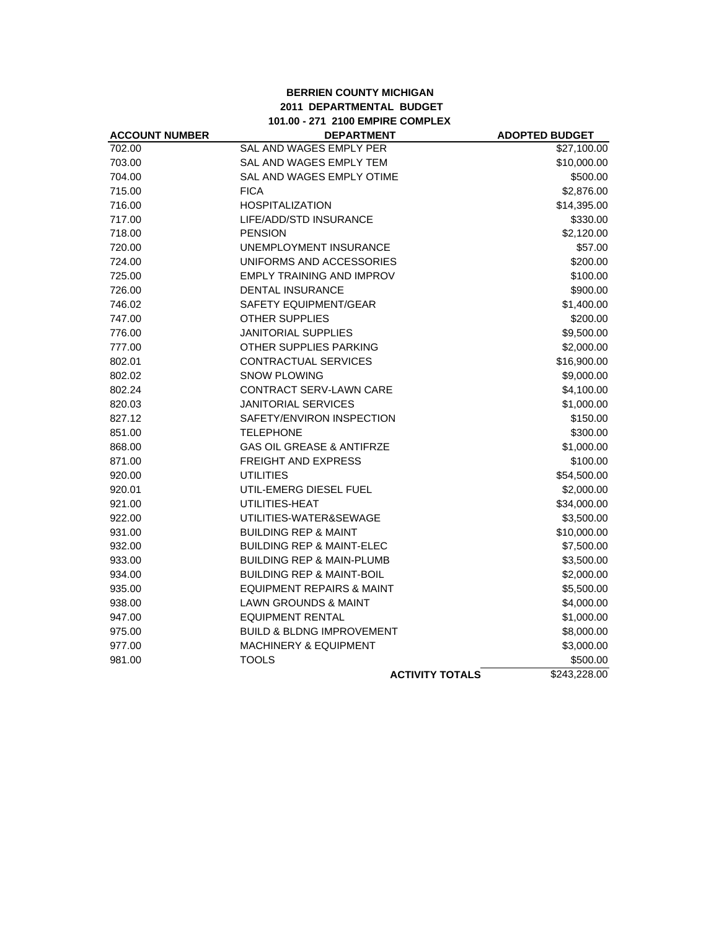### **BERRIEN COUNTY MICHIGAN 2011 DEPARTMENTAL BUDGET 101.00 - 271 2100 EMPIRE COMPLEX**

| <b>ACCOUNT NUMBER</b> | <b>DEPARTMENT</b>                    | <b>ADOPTED BUDGET</b>   |
|-----------------------|--------------------------------------|-------------------------|
| 702.00                | SAL AND WAGES EMPLY PER              | $\overline{$}27,100.00$ |
| 703.00                | SAL AND WAGES EMPLY TEM              | \$10,000.00             |
| 704.00                | SAL AND WAGES EMPLY OTIME            | \$500.00                |
| 715.00                | <b>FICA</b>                          | \$2,876.00              |
| 716.00                | <b>HOSPITALIZATION</b>               | \$14,395.00             |
| 717.00                | LIFE/ADD/STD INSURANCE               | \$330.00                |
| 718.00                | <b>PENSION</b>                       | \$2,120.00              |
| 720.00                | UNEMPLOYMENT INSURANCE               | \$57.00                 |
| 724.00                | UNIFORMS AND ACCESSORIES             | \$200.00                |
| 725.00                | <b>EMPLY TRAINING AND IMPROV</b>     | \$100.00                |
| 726.00                | <b>DENTAL INSURANCE</b>              | \$900.00                |
| 746.02                | SAFETY EQUIPMENT/GEAR                | \$1,400.00              |
| 747.00                | <b>OTHER SUPPLIES</b>                | \$200.00                |
| 776.00                | <b>JANITORIAL SUPPLIES</b>           | \$9,500.00              |
| 777.00                | OTHER SUPPLIES PARKING               | \$2,000.00              |
| 802.01                | CONTRACTUAL SERVICES                 | \$16,900.00             |
| 802.02                | <b>SNOW PLOWING</b>                  | \$9,000.00              |
| 802.24                | CONTRACT SERV-LAWN CARE              | \$4,100.00              |
| 820.03                | <b>JANITORIAL SERVICES</b>           | \$1,000.00              |
| 827.12                | SAFETY/ENVIRON INSPECTION            | \$150.00                |
| 851.00                | <b>TELEPHONE</b>                     | \$300.00                |
| 868.00                | <b>GAS OIL GREASE &amp; ANTIFRZE</b> | \$1,000.00              |
| 871.00                | FREIGHT AND EXPRESS                  | \$100.00                |
| 920.00                | <b>UTILITIES</b>                     | \$54,500.00             |
| 920.01                | UTIL-EMERG DIESEL FUEL               | \$2,000.00              |
| 921.00                | UTILITIES-HEAT                       | \$34,000.00             |
| 922.00                | UTILITIES-WATER&SEWAGE               | \$3,500.00              |
| 931.00                | <b>BUILDING REP &amp; MAINT</b>      | \$10,000.00             |
| 932.00                | <b>BUILDING REP &amp; MAINT-ELEC</b> | \$7,500.00              |
| 933.00                | <b>BUILDING REP &amp; MAIN-PLUMB</b> | \$3,500.00              |
| 934.00                | <b>BUILDING REP &amp; MAINT-BOIL</b> | \$2,000.00              |
| 935.00                | <b>EQUIPMENT REPAIRS &amp; MAINT</b> | \$5,500.00              |
| 938.00                | <b>LAWN GROUNDS &amp; MAINT</b>      | \$4,000.00              |
| 947.00                | <b>EQUIPMENT RENTAL</b>              | \$1,000.00              |
| 975.00                | <b>BUILD &amp; BLDNG IMPROVEMENT</b> | \$8,000.00              |
| 977.00                | <b>MACHINERY &amp; EQUIPMENT</b>     | \$3,000.00              |
| 981.00                | <b>TOOLS</b>                         | \$500.00                |
|                       | <b>ACTIVITY TOTALS</b>               | \$243,228.00            |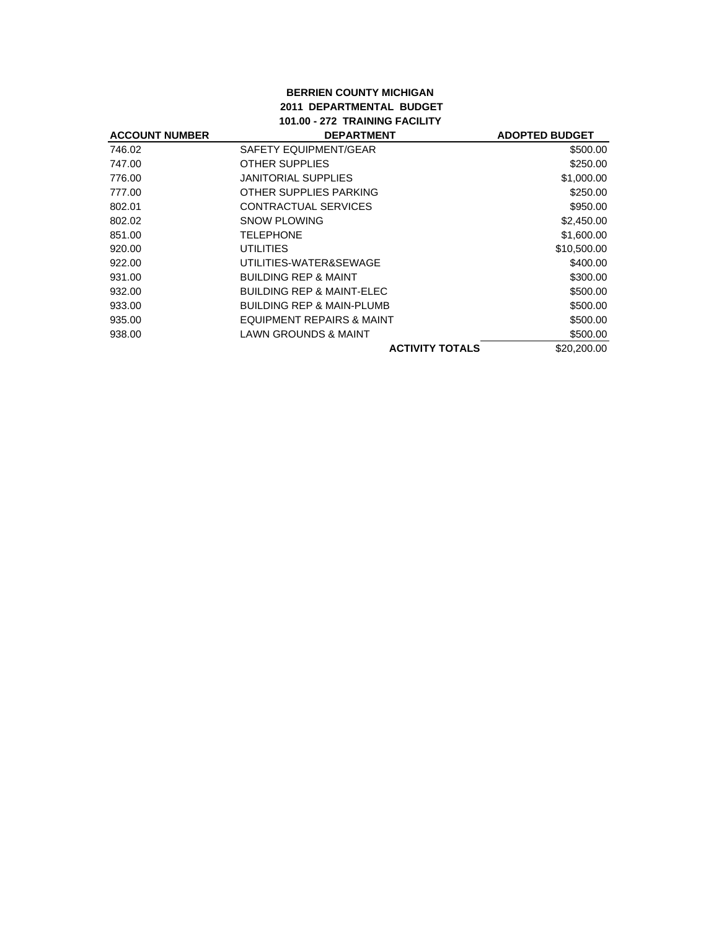### **BERRIEN COUNTY MICHIGAN 2011 DEPARTMENTAL BUDGET 101.00 - 272 TRAINING FACILITY**

| <b>ACCOUNT NUMBER</b> | <b>DEPARTMENT</b>                    | <b>ADOPTED BUDGET</b> |
|-----------------------|--------------------------------------|-----------------------|
| 746.02                | SAFETY EQUIPMENT/GEAR                | \$500.00              |
| 747.00                | OTHER SUPPLIES                       | \$250.00              |
| 776.00                | JANITORIAL SUPPLIES                  | \$1,000.00            |
| 777.00                | OTHER SUPPLIES PARKING               | \$250.00              |
| 802.01                | CONTRACTUAL SERVICES                 | \$950.00              |
| 802.02                | SNOW PLOWING                         | \$2,450.00            |
| 851.00                | TELEPHONE                            | \$1,600.00            |
| 920.00                | UTILITIES                            | \$10,500.00           |
| 922.00                | UTILITIES-WATER&SEWAGE               | \$400.00              |
| 931.00                | <b>BUILDING REP &amp; MAINT</b>      | \$300.00              |
| 932.00                | <b>BUILDING REP &amp; MAINT-ELEC</b> | \$500.00              |
| 933.00                | <b>BUILDING REP &amp; MAIN-PLUMB</b> | \$500.00              |
| 935.00                | EQUIPMENT REPAIRS & MAINT            | \$500.00              |
| 938.00                | <b>LAWN GROUNDS &amp; MAINT</b>      | \$500.00              |
|                       | <b>ACTIVITY TOTALS</b>               | \$20,200.00           |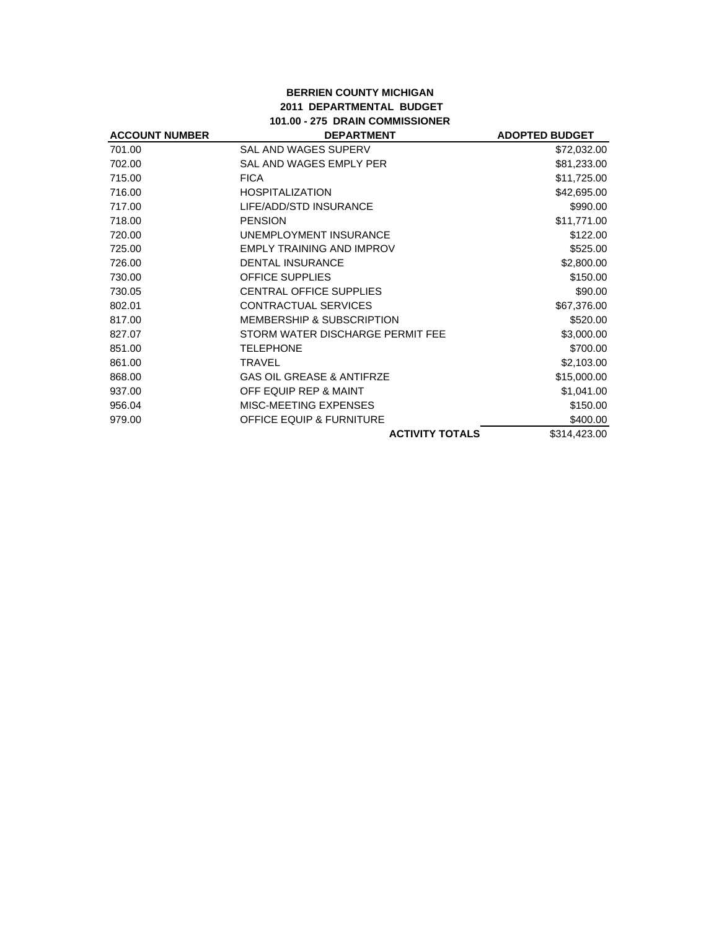# **BERRIEN COUNTY MICHIGAN 2011 DEPARTMENTAL BUDGET 101.00 - 275 DRAIN COMMISSIONER**

| <b>ACCOUNT NUMBER</b> | <b>DEPARTMENT</b>                    | <b>ADOPTED BUDGET</b> |
|-----------------------|--------------------------------------|-----------------------|
| 701.00                | <b>SAL AND WAGES SUPERV</b>          | \$72,032.00           |
| 702.00                | SAL AND WAGES EMPLY PER              | \$81,233.00           |
| 715.00                | <b>FICA</b>                          | \$11,725.00           |
| 716.00                | <b>HOSPITALIZATION</b>               | \$42,695.00           |
| 717.00                | LIFE/ADD/STD INSURANCE               | \$990.00              |
| 718.00                | <b>PENSION</b>                       | \$11,771.00           |
| 720.00                | UNEMPLOYMENT INSURANCE               | \$122.00              |
| 725.00                | <b>EMPLY TRAINING AND IMPROV</b>     | \$525.00              |
| 726.00                | <b>DENTAL INSURANCE</b>              | \$2,800.00            |
| 730.00                | <b>OFFICE SUPPLIES</b>               | \$150.00              |
| 730.05                | <b>CENTRAL OFFICE SUPPLIES</b>       | \$90.00               |
| 802.01                | <b>CONTRACTUAL SERVICES</b>          | \$67,376.00           |
| 817.00                | <b>MEMBERSHIP &amp; SUBSCRIPTION</b> | \$520.00              |
| 827.07                | STORM WATER DISCHARGE PERMIT FEE     | \$3,000.00            |
| 851.00                | <b>TELEPHONE</b>                     | \$700.00              |
| 861.00                | <b>TRAVEL</b>                        | \$2,103.00            |
| 868.00                | <b>GAS OIL GREASE &amp; ANTIFRZE</b> | \$15,000.00           |
| 937.00                | OFF EQUIP REP & MAINT                | \$1,041.00            |
| 956.04                | MISC-MEETING EXPENSES                | \$150.00              |
| 979.00                | <b>OFFICE EQUIP &amp; FURNITURE</b>  | \$400.00              |
|                       | <b>ACTIVITY TOTALS</b>               | \$314,423.00          |
|                       |                                      |                       |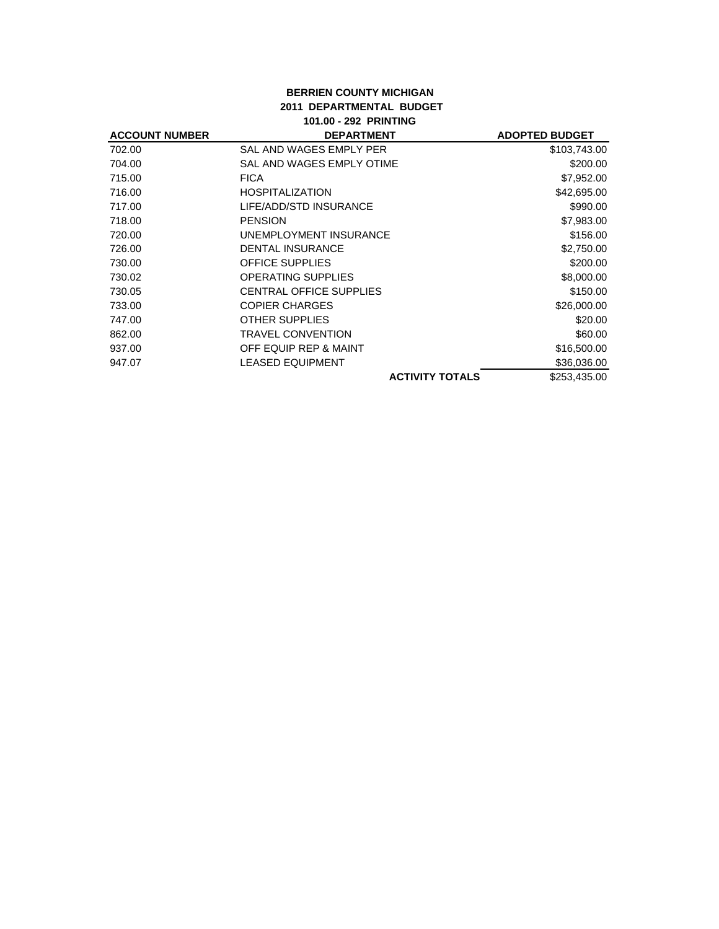### **BERRIEN COUNTY MICHIGAN 2011 DEPARTMENTAL BUDGET 101.00 - 292 PRINTING**

| <b>ACCOUNT NUMBER</b> | <b>DEPARTMENT</b>              | <b>ADOPTED BUDGET</b> |
|-----------------------|--------------------------------|-----------------------|
| 702.00                | SAL AND WAGES EMPLY PER        | \$103,743.00          |
| 704.00                | SAL AND WAGES EMPLY OTIME      | \$200.00              |
| 715.00                | <b>FICA</b>                    | \$7,952.00            |
| 716.00                | <b>HOSPITALIZATION</b>         | \$42,695.00           |
| 717.00                | LIFE/ADD/STD INSURANCE         | \$990.00              |
| 718.00                | <b>PENSION</b>                 | \$7,983.00            |
| 720.00                | UNEMPLOYMENT INSURANCE         | \$156.00              |
| 726.00                | <b>DENTAL INSURANCE</b>        | \$2,750.00            |
| 730.00                | <b>OFFICE SUPPLIES</b>         | \$200.00              |
| 730.02                | <b>OPERATING SUPPLIES</b>      | \$8,000.00            |
| 730.05                | <b>CENTRAL OFFICE SUPPLIES</b> | \$150.00              |
| 733.00                | <b>COPIER CHARGES</b>          | \$26,000.00           |
| 747.00                | <b>OTHER SUPPLIES</b>          | \$20.00               |
| 862.00                | <b>TRAVEL CONVENTION</b>       | \$60.00               |
| 937.00                | OFF EQUIP REP & MAINT          | \$16,500.00           |
| 947.07                | LEASED EQUIPMENT               | \$36,036.00           |
|                       | <b>ACTIVITY TOTALS</b>         | \$253,435.00          |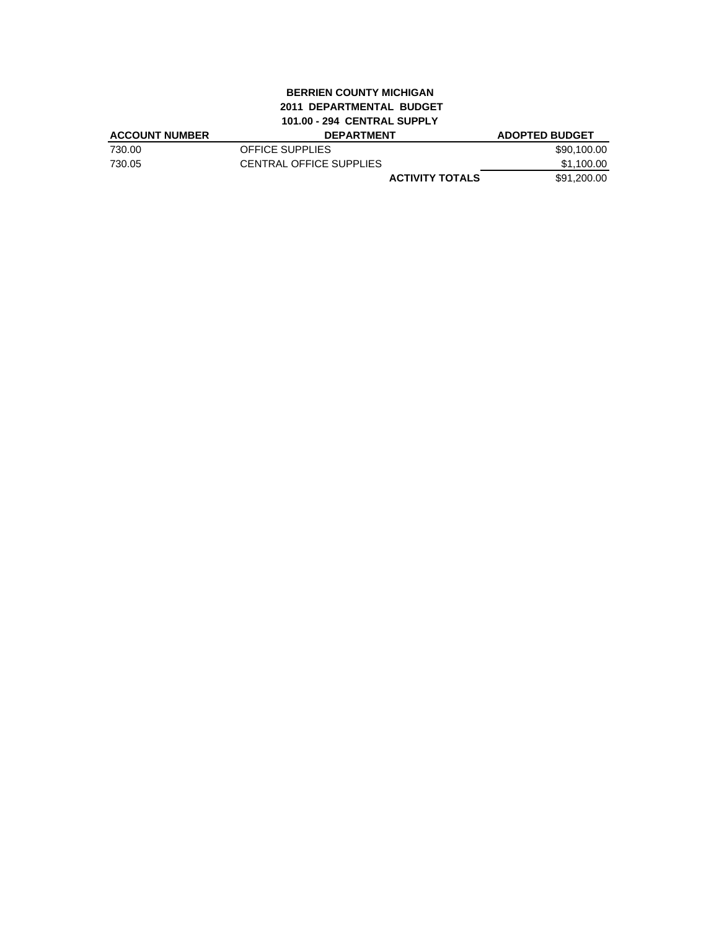# **BERRIEN COUNTY MICHIGAN 2011 DEPARTMENTAL BUDGET 101.00 - 294 CENTRAL SUPPLY**

| <b>ACCOUNT NUMBER</b> | <b>DEPARTMENT</b>       | <b>ADOPTED BUDGET</b> |
|-----------------------|-------------------------|-----------------------|
| 730.00                | OFFICE SUPPLIES         | \$90,100.00           |
| 730.05                | CENTRAL OFFICE SUPPLIES | \$1,100.00            |
|                       | <b>ACTIVITY TOTALS</b>  | \$91,200.00           |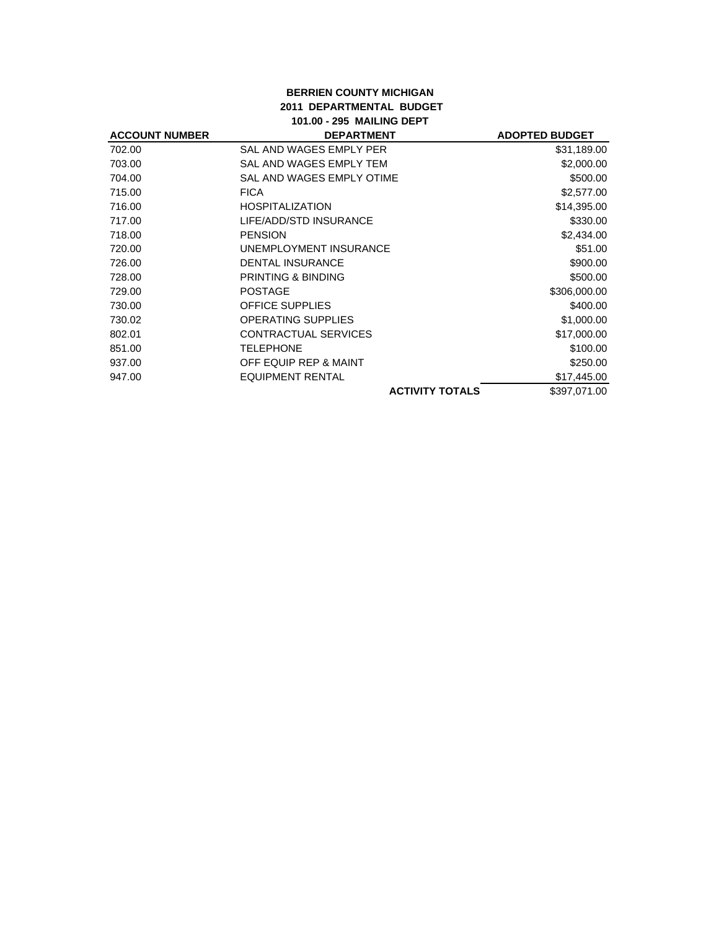### **BERRIEN COUNTY MICHIGAN 2011 DEPARTMENTAL BUDGET 101.00 - 295 MAILING DEPT**

| <b>ACCOUNT NUMBER</b> | <b>DEPARTMENT</b>             | <b>ADOPTED BUDGET</b> |
|-----------------------|-------------------------------|-----------------------|
| 702.00                | SAL AND WAGES EMPLY PER       | \$31,189.00           |
| 703.00                | SAL AND WAGES EMPLY TEM       | \$2,000.00            |
| 704.00                | SAL AND WAGES EMPLY OTIME     | \$500.00              |
| 715.00                | <b>FICA</b>                   | \$2,577.00            |
| 716.00                | <b>HOSPITALIZATION</b>        | \$14,395.00           |
| 717.00                | LIFE/ADD/STD INSURANCE        | \$330.00              |
| 718.00                | <b>PENSION</b>                | \$2,434.00            |
| 720.00                | UNEMPLOYMENT INSURANCE        | \$51.00               |
| 726.00                | <b>DENTAL INSURANCE</b>       | \$900.00              |
| 728.00                | <b>PRINTING &amp; BINDING</b> | \$500.00              |
| 729.00                | <b>POSTAGE</b>                | \$306,000.00          |
| 730.00                | <b>OFFICE SUPPLIES</b>        | \$400.00              |
| 730.02                | <b>OPERATING SUPPLIES</b>     | \$1,000.00            |
| 802.01                | <b>CONTRACTUAL SERVICES</b>   | \$17,000.00           |
| 851.00                | <b>TELEPHONE</b>              | \$100.00              |
| 937.00                | OFF EQUIP REP & MAINT         | \$250.00              |
| 947.00                | <b>EQUIPMENT RENTAL</b>       | \$17,445.00           |
|                       | <b>ACTIVITY TOTALS</b>        | \$397,071.00          |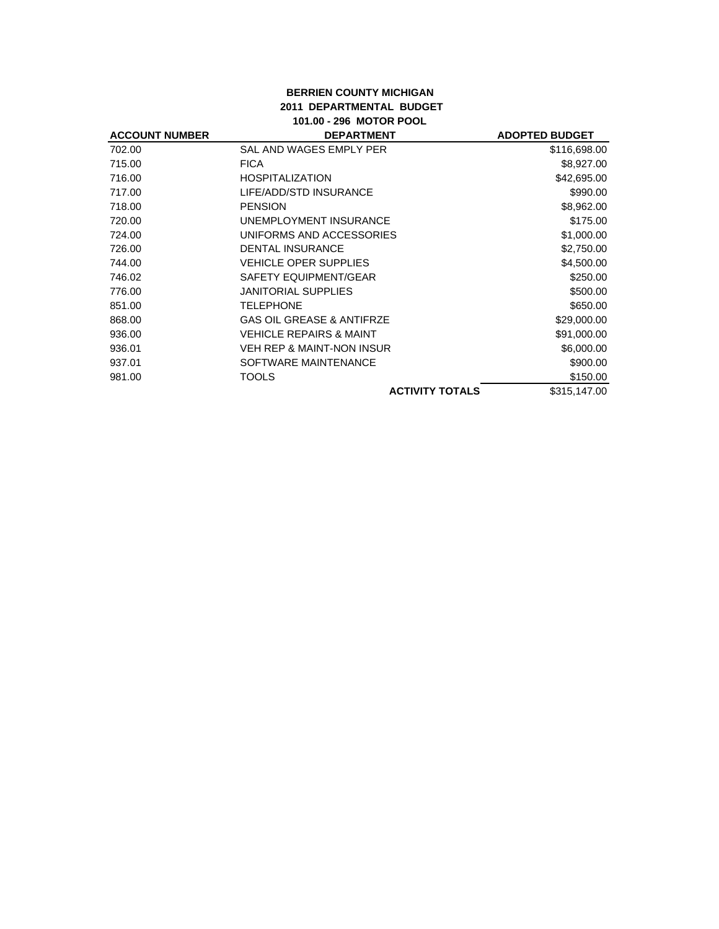## **BERRIEN COUNTY MICHIGAN 2011 DEPARTMENTAL BUDGET 101.00 - 296 MOTOR POOL**

| <b>ACCOUNT NUMBER</b> | <b>DEPARTMENT</b>                    | <b>ADOPTED BUDGET</b> |
|-----------------------|--------------------------------------|-----------------------|
| 702.00                | SAL AND WAGES EMPLY PER              | \$116,698.00          |
| 715.00                | <b>FICA</b>                          | \$8,927.00            |
| 716.00                | <b>HOSPITALIZATION</b>               | \$42,695.00           |
| 717.00                | LIFE/ADD/STD INSURANCE               | \$990.00              |
| 718.00                | <b>PENSION</b>                       | \$8,962.00            |
| 720.00                | UNEMPLOYMENT INSURANCE               | \$175.00              |
| 724.00                | UNIFORMS AND ACCESSORIES             | \$1,000.00            |
| 726.00                | <b>DENTAL INSURANCE</b>              | \$2,750.00            |
| 744.00                | <b>VEHICLE OPER SUPPLIES</b>         | \$4,500.00            |
| 746.02                | SAFETY EQUIPMENT/GEAR                | \$250.00              |
| 776.00                | <b>JANITORIAL SUPPLIES</b>           | \$500.00              |
| 851.00                | <b>TELEPHONE</b>                     | \$650.00              |
| 868.00                | <b>GAS OIL GREASE &amp; ANTIFRZE</b> | \$29,000.00           |
| 936.00                | <b>VEHICLE REPAIRS &amp; MAINT</b>   | \$91,000.00           |
| 936.01                | VEH REP & MAINT-NON INSUR            | \$6,000.00            |
| 937.01                | SOFTWARE MAINTENANCE                 | \$900.00              |
| 981.00                | TOOLS                                | \$150.00              |
|                       | <b>ACTIVITY TOTALS</b>               | \$315,147.00          |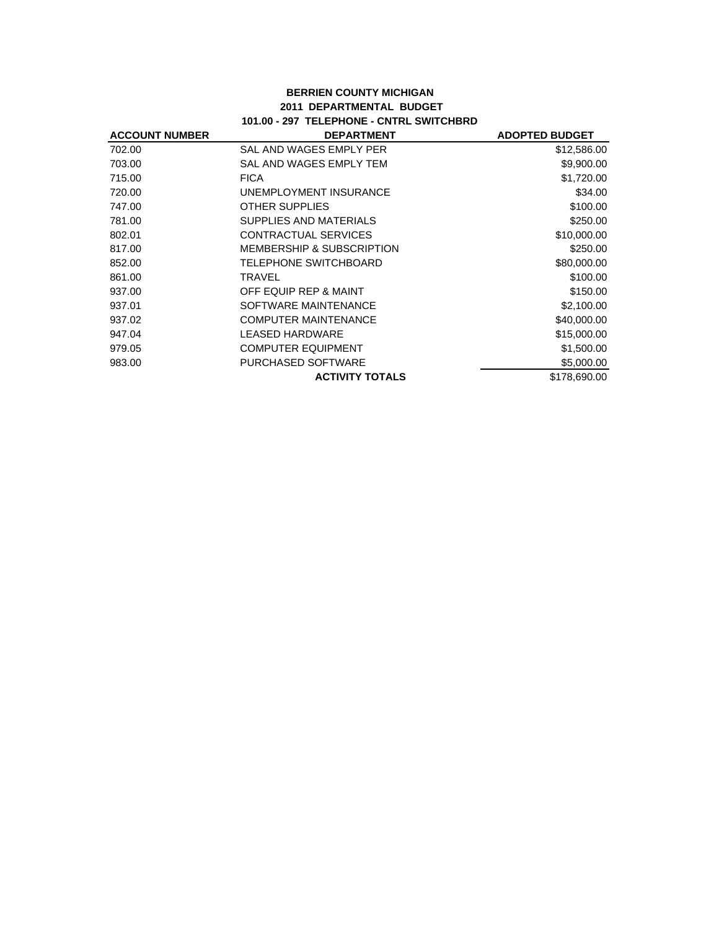### **BERRIEN COUNTY MICHIGAN 2011 DEPARTMENTAL BUDGET 101.00 - 297 TELEPHONE - CNTRL SWITCHBRD**

| <b>ACCOUNT NUMBER</b> | <b>DEPARTMENT</b>                    | <b>ADOPTED BUDGET</b> |
|-----------------------|--------------------------------------|-----------------------|
| 702.00                | SAL AND WAGES EMPLY PER              | \$12,586.00           |
| 703.00                | SAL AND WAGES EMPLY TEM              | \$9,900.00            |
| 715.00                | <b>FICA</b>                          | \$1,720.00            |
| 720.00                | UNEMPLOYMENT INSURANCE               | \$34.00               |
| 747.00                | <b>OTHER SUPPLIES</b>                | \$100.00              |
| 781.00                | SUPPLIES AND MATERIALS               | \$250.00              |
| 802.01                | CONTRACTUAL SERVICES                 | \$10,000.00           |
| 817.00                | <b>MEMBERSHIP &amp; SUBSCRIPTION</b> | \$250.00              |
| 852.00                | TELEPHONE SWITCHBOARD                | \$80,000.00           |
| 861.00                | TRAVEL                               | \$100.00              |
| 937.00                | OFF EQUIP REP & MAINT                | \$150.00              |
| 937.01                | SOFTWARE MAINTENANCE                 | \$2,100.00            |
| 937.02                | <b>COMPUTER MAINTENANCE</b>          | \$40,000.00           |
| 947.04                | LEASED HARDWARE                      | \$15,000.00           |
| 979.05                | <b>COMPUTER EQUIPMENT</b>            | \$1,500.00            |
| 983.00                | PURCHASED SOFTWARE                   | \$5,000.00            |
|                       | <b>ACTIVITY TOTALS</b>               | \$178,690.00          |
|                       |                                      |                       |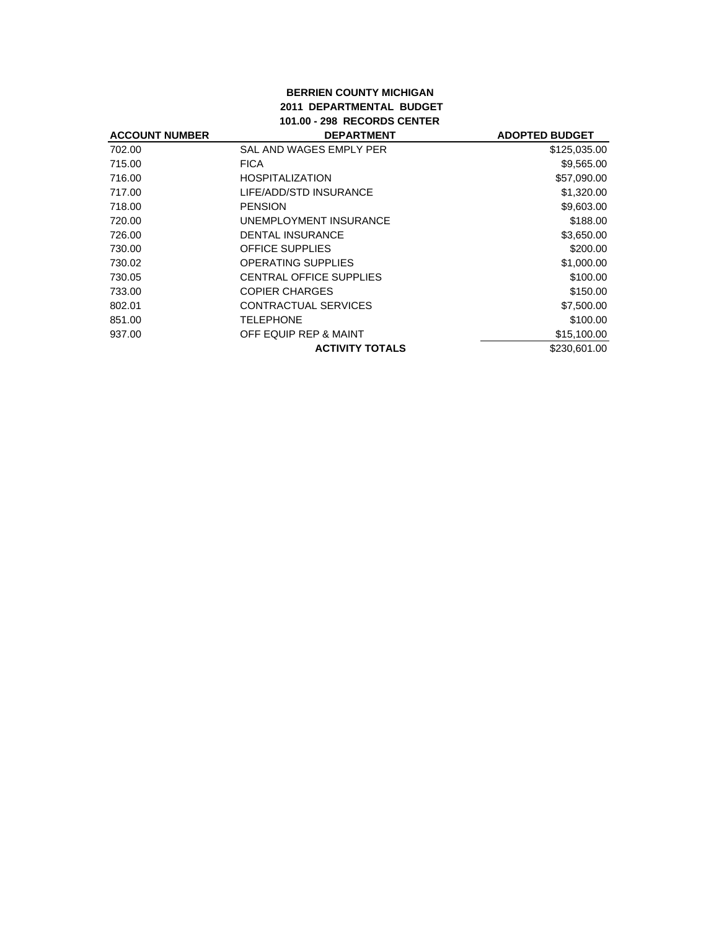### **BERRIEN COUNTY MICHIGAN 2011 DEPARTMENTAL BUDGET 101.00 - 298 RECORDS CENTER**

| <b>ACCOUNT NUMBER</b> | <b>DEPARTMENT</b>              | <b>ADOPTED BUDGET</b> |
|-----------------------|--------------------------------|-----------------------|
| 702.00                | SAL AND WAGES EMPLY PER        | \$125,035.00          |
| 715.00                | <b>FICA</b>                    | \$9,565.00            |
| 716.00                | <b>HOSPITALIZATION</b>         | \$57,090.00           |
| 717.00                | LIFE/ADD/STD INSURANCE         | \$1,320.00            |
| 718.00                | <b>PENSION</b>                 | \$9,603.00            |
| 720.00                | UNEMPLOYMENT INSURANCE         | \$188.00              |
| 726.00                | <b>DENTAL INSURANCE</b>        | \$3,650.00            |
| 730.00                | <b>OFFICE SUPPLIES</b>         | \$200.00              |
| 730.02                | <b>OPERATING SUPPLIES</b>      | \$1,000.00            |
| 730.05                | <b>CENTRAL OFFICE SUPPLIES</b> | \$100.00              |
| 733.00                | <b>COPIER CHARGES</b>          | \$150.00              |
| 802.01                | <b>CONTRACTUAL SERVICES</b>    | \$7,500.00            |
| 851.00                | <b>TELEPHONE</b>               | \$100.00              |
| 937.00                | OFF EQUIP REP & MAINT          | \$15,100.00           |
|                       | <b>ACTIVITY TOTALS</b>         | \$230,601,00          |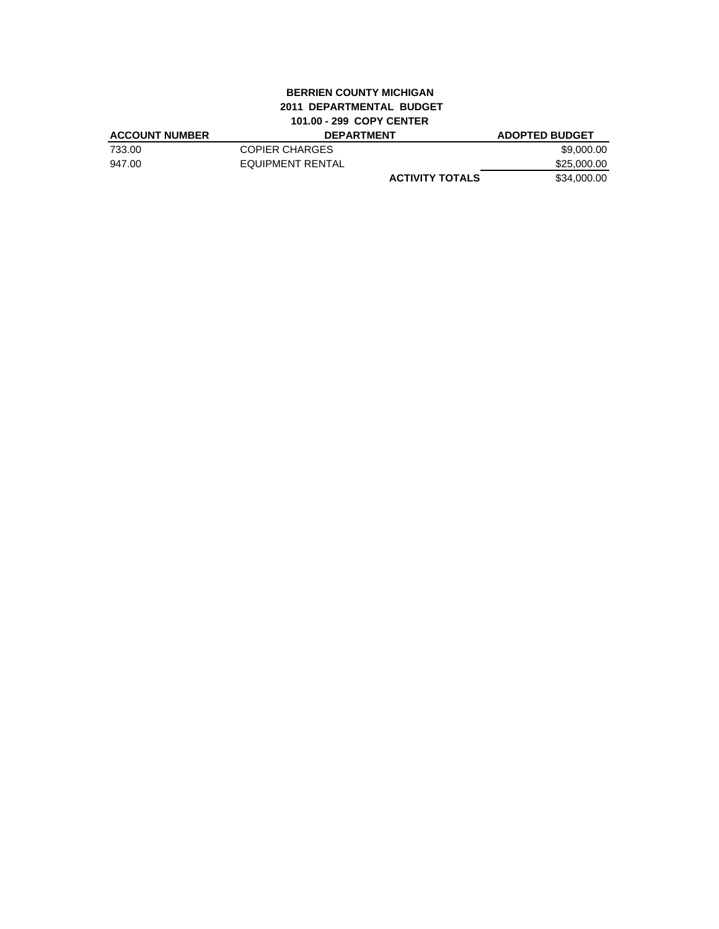# **BERRIEN COUNTY MICHIGAN 2011 DEPARTMENTAL BUDGET 101.00 - 299 COPY CENTER**

| <b>ACCOUNT NUMBER</b> | <b>DEPARTMENT</b>      | <b>ADOPTED BUDGET</b> |
|-----------------------|------------------------|-----------------------|
| 733.00                | COPIER CHARGES         | \$9.000.00            |
| 947.00                | EQUIPMENT RENTAL       | \$25,000.00           |
|                       | <b>ACTIVITY TOTALS</b> | \$34.000.00           |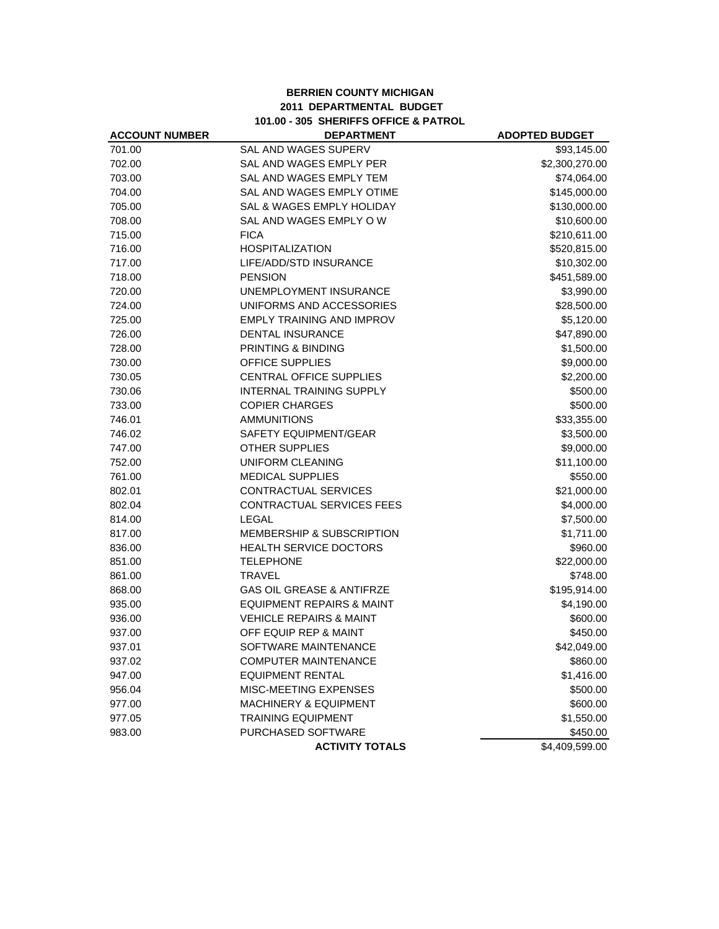### **BERRIEN COUNTY MICHIGAN 2011 DEPARTMENTAL BUDGET 101.00 - 305 SHERIFFS OFFICE & PATROL**

| <b>ACCOUNT NUMBER</b> | <b>DEPARTMENT</b>                    | <b>ADOPTED BUDGET</b> |
|-----------------------|--------------------------------------|-----------------------|
| 701.00                | <b>SAL AND WAGES SUPERV</b>          | \$93,145.00           |
| 702.00                | SAL AND WAGES EMPLY PER              | \$2,300,270.00        |
| 703.00                | SAL AND WAGES EMPLY TEM              | \$74,064.00           |
| 704.00                | SAL AND WAGES EMPLY OTIME            | \$145,000.00          |
| 705.00                | SAL & WAGES EMPLY HOLIDAY            | \$130,000.00          |
| 708.00                | SAL AND WAGES EMPLY OW               | \$10,600.00           |
| 715.00                | <b>FICA</b>                          | \$210,611.00          |
| 716.00                | <b>HOSPITALIZATION</b>               | \$520,815.00          |
| 717.00                | LIFE/ADD/STD INSURANCE               | \$10,302.00           |
| 718.00                | <b>PENSION</b>                       | \$451,589.00          |
| 720.00                | <b>UNEMPLOYMENT INSURANCE</b>        | \$3,990.00            |
| 724.00                | UNIFORMS AND ACCESSORIES             | \$28,500.00           |
| 725.00                | <b>EMPLY TRAINING AND IMPROV</b>     | \$5,120.00            |
| 726.00                | <b>DENTAL INSURANCE</b>              | \$47,890.00           |
| 728.00                | PRINTING & BINDING                   | \$1,500.00            |
| 730.00                | <b>OFFICE SUPPLIES</b>               | \$9,000.00            |
| 730.05                | <b>CENTRAL OFFICE SUPPLIES</b>       | \$2,200.00            |
| 730.06                | <b>INTERNAL TRAINING SUPPLY</b>      | \$500.00              |
| 733.00                | <b>COPIER CHARGES</b>                | \$500.00              |
| 746.01                | <b>AMMUNITIONS</b>                   | \$33,355.00           |
| 746.02                | SAFETY EQUIPMENT/GEAR                | \$3,500.00            |
| 747.00                | <b>OTHER SUPPLIES</b>                | \$9,000.00            |
| 752.00                | UNIFORM CLEANING                     | \$11,100.00           |
| 761.00                | <b>MEDICAL SUPPLIES</b>              | \$550.00              |
| 802.01                | CONTRACTUAL SERVICES                 | \$21,000.00           |
| 802.04                | CONTRACTUAL SERVICES FEES            | \$4,000.00            |
| 814.00                | <b>LEGAL</b>                         | \$7,500.00            |
| 817.00                | <b>MEMBERSHIP &amp; SUBSCRIPTION</b> | \$1,711.00            |
| 836.00                | <b>HEALTH SERVICE DOCTORS</b>        | \$960.00              |
| 851.00                | <b>TELEPHONE</b>                     | \$22,000.00           |
| 861.00                | <b>TRAVEL</b>                        | \$748.00              |
| 868.00                | <b>GAS OIL GREASE &amp; ANTIFRZE</b> | \$195,914.00          |
| 935.00                | <b>EQUIPMENT REPAIRS &amp; MAINT</b> | \$4,190.00            |
| 936.00                | <b>VEHICLE REPAIRS &amp; MAINT</b>   | \$600.00              |
| 937.00                | OFF EQUIP REP & MAINT                | \$450.00              |
| 937.01                | SOFTWARE MAINTENANCE                 | \$42,049.00           |
| 937.02                | <b>COMPUTER MAINTENANCE</b>          | \$860.00              |
| 947.00                | <b>EQUIPMENT RENTAL</b>              | \$1,416.00            |
| 956.04                | MISC-MEETING EXPENSES                | \$500.00              |
| 977.00                | <b>MACHINERY &amp; EQUIPMENT</b>     | \$600.00              |
| 977.05                | <b>TRAINING EQUIPMENT</b>            | \$1,550.00            |
| 983.00                | PURCHASED SOFTWARE                   | \$450.00              |
|                       | <b>ACTIVITY TOTALS</b>               | \$4,409,599.00        |
|                       |                                      |                       |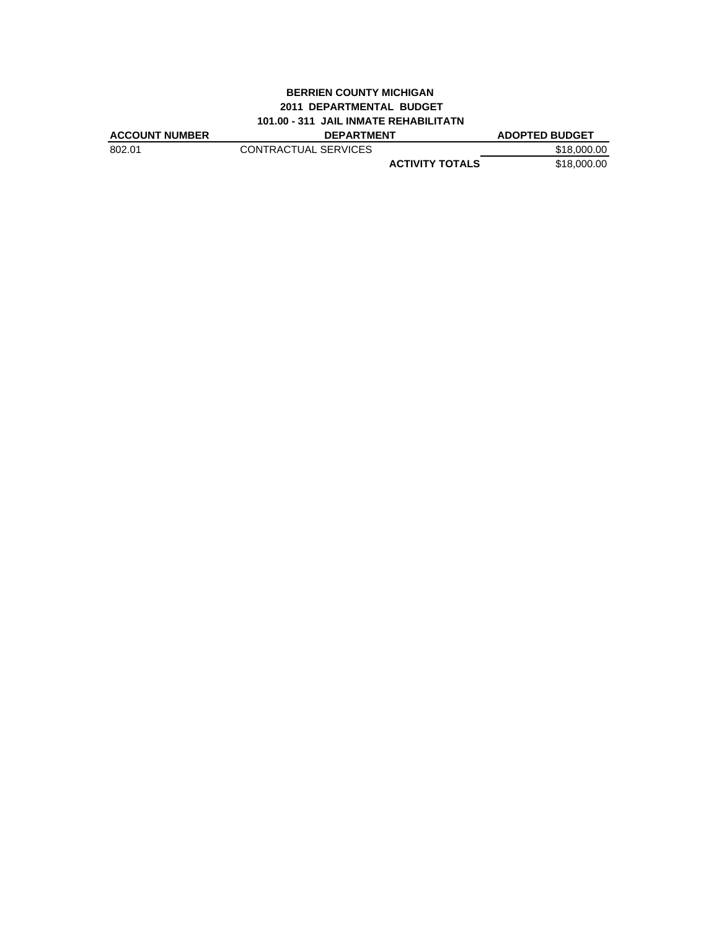### **BERRIEN COUNTY MICHIGAN 2011 DEPARTMENTAL BUDGET 101.00 - 311 JAIL INMATE REHABILITATN**

| <b>ACCOUNT NUMBER</b> | <b>DEPARTMENT</b>      | <b>ADOPTED BUDGET</b> |
|-----------------------|------------------------|-----------------------|
| 802.01                | CONTRACTUAL SERVICES   | \$18,000.00           |
|                       | <b>ACTIVITY TOTALS</b> | \$18,000.00           |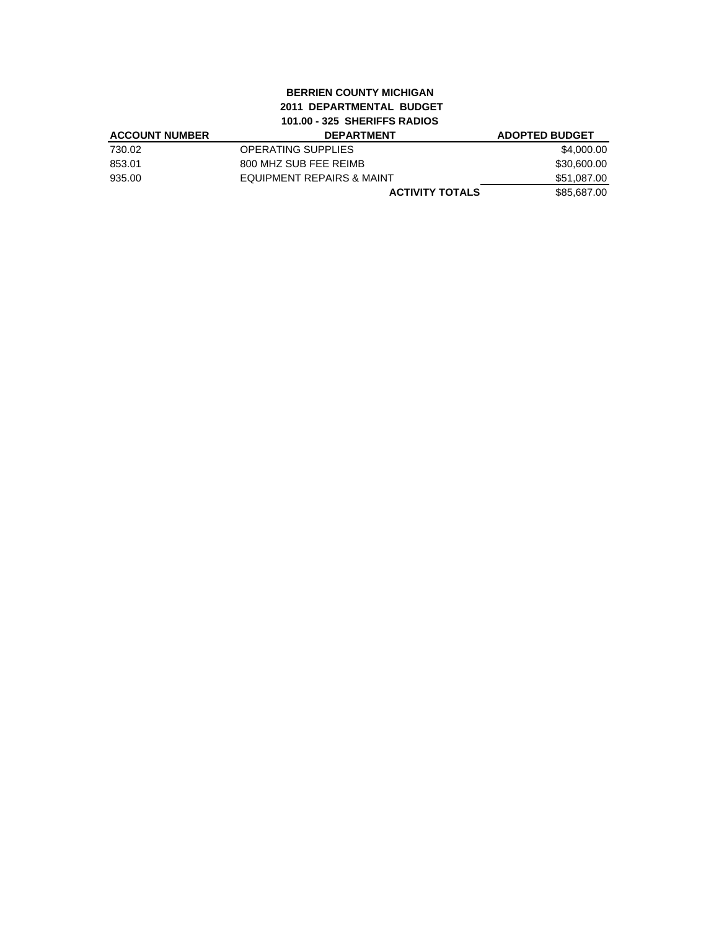# **BERRIEN COUNTY MICHIGAN 2011 DEPARTMENTAL BUDGET 101.00 - 325 SHERIFFS RADIOS**

| <b>ACCOUNT NUMBER</b> | <b>DEPARTMENT</b>         | <b>ADOPTED BUDGET</b> |
|-----------------------|---------------------------|-----------------------|
| 730.02                | <b>OPERATING SUPPLIES</b> | \$4,000.00            |
| 853.01                | 800 MHZ SUB FEE REIMB     | \$30,600.00           |
| 935.00                | EQUIPMENT REPAIRS & MAINT | \$51,087.00           |
|                       | <b>ACTIVITY TOTALS</b>    | \$85,687.00           |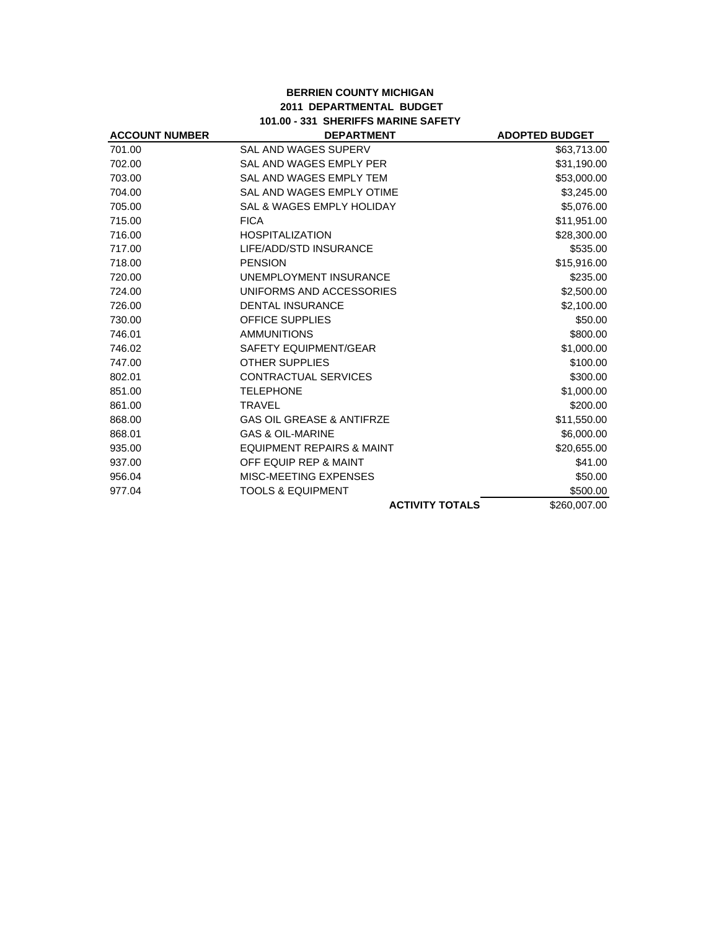# **BERRIEN COUNTY MICHIGAN 2011 DEPARTMENTAL BUDGET 101.00 - 331 SHERIFFS MARINE SAFETY**

| <b>ACCOUNT NUMBER</b> | <b>DEPARTMENT</b>                    | <b>ADOPTED BUDGET</b> |
|-----------------------|--------------------------------------|-----------------------|
| 701.00                | SAL AND WAGES SUPERV                 | \$63,713.00           |
| 702.00                | SAL AND WAGES EMPLY PER              | \$31,190.00           |
| 703.00                | SAL AND WAGES EMPLY TEM              | \$53,000.00           |
| 704.00                | SAL AND WAGES EMPLY OTIME            | \$3,245.00            |
| 705.00                | SAL & WAGES EMPLY HOLIDAY            | \$5,076.00            |
| 715.00                | <b>FICA</b>                          | \$11,951.00           |
| 716.00                | <b>HOSPITALIZATION</b>               | \$28,300.00           |
| 717.00                | LIFE/ADD/STD INSURANCE               | \$535.00              |
| 718.00                | <b>PENSION</b>                       | \$15,916.00           |
| 720.00                | UNEMPLOYMENT INSURANCE               | \$235.00              |
| 724.00                | UNIFORMS AND ACCESSORIES             | \$2,500.00            |
| 726.00                | <b>DENTAL INSURANCE</b>              | \$2,100.00            |
| 730.00                | <b>OFFICE SUPPLIES</b>               | \$50.00               |
| 746.01                | <b>AMMUNITIONS</b>                   | \$800.00              |
| 746.02                | <b>SAFETY EQUIPMENT/GEAR</b>         | \$1,000.00            |
| 747.00                | <b>OTHER SUPPLIES</b>                | \$100.00              |
| 802.01                | <b>CONTRACTUAL SERVICES</b>          | \$300.00              |
| 851.00                | <b>TELEPHONE</b>                     | \$1,000.00            |
| 861.00                | <b>TRAVEL</b>                        | \$200.00              |
| 868.00                | <b>GAS OIL GREASE &amp; ANTIFRZE</b> | \$11,550.00           |
| 868.01                | <b>GAS &amp; OIL-MARINE</b>          | \$6,000.00            |
| 935.00                | <b>EQUIPMENT REPAIRS &amp; MAINT</b> | \$20,655.00           |
| 937.00                | OFF EQUIP REP & MAINT                | \$41.00               |
| 956.04                | MISC-MEETING EXPENSES                | \$50.00               |
| 977.04                | <b>TOOLS &amp; EQUIPMENT</b>         | \$500.00              |
|                       | <b>ACTIVITY TOTALS</b>               | \$260,007.00          |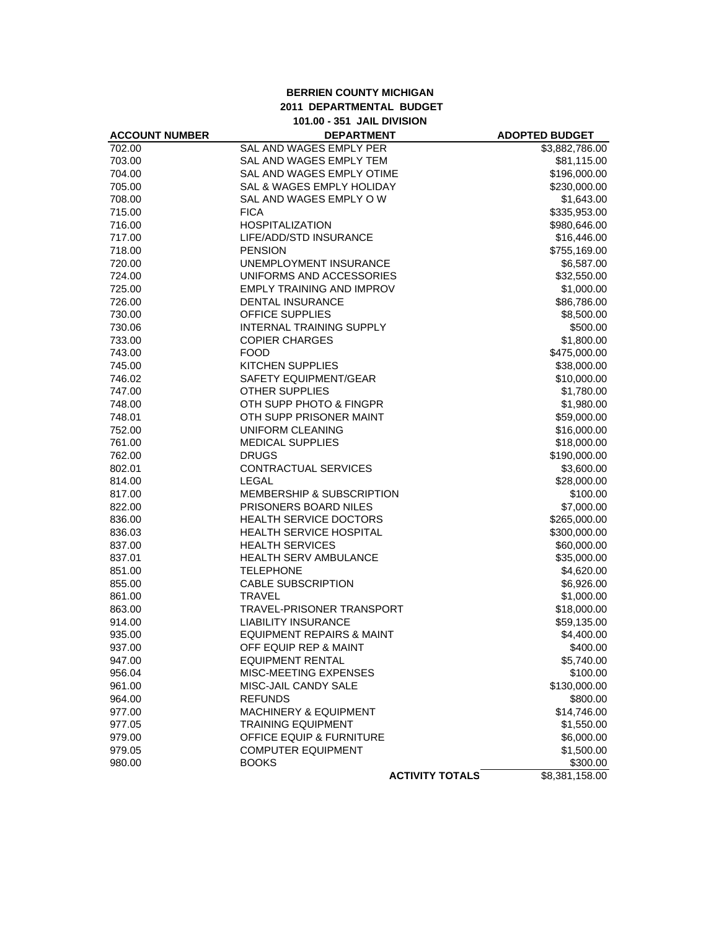### **BERRIEN COUNTY MICHIGAN 2011 DEPARTMENTAL BUDGET 101.00 - 351 JAIL DIVISION**

| <b>ACCOUNT NUMBER</b> | <b>DEPARTMENT</b>                    | <b>ADOPTED BUDGET</b>    |
|-----------------------|--------------------------------------|--------------------------|
| 702.00                | SAL AND WAGES EMPLY PER              | \$3,882,786.00           |
| 703.00                | SAL AND WAGES EMPLY TEM              | \$81,115.00              |
| 704.00                | SAL AND WAGES EMPLY OTIME            | \$196,000.00             |
| 705.00                | <b>SAL &amp; WAGES EMPLY HOLIDAY</b> | \$230,000.00             |
| 708.00                | SAL AND WAGES EMPLY OW               | \$1,643.00               |
| 715.00                | <b>FICA</b>                          | \$335,953.00             |
| 716.00                | <b>HOSPITALIZATION</b>               | \$980,646.00             |
| 717.00                | LIFE/ADD/STD INSURANCE               | \$16,446.00              |
| 718.00                | <b>PENSION</b>                       | \$755,169.00             |
| 720.00                | UNEMPLOYMENT INSURANCE               | \$6,587.00               |
| 724.00                | UNIFORMS AND ACCESSORIES             | \$32,550.00              |
| 725.00                | EMPLY TRAINING AND IMPROV            | \$1,000.00               |
| 726.00                | <b>DENTAL INSURANCE</b>              | \$86,786.00              |
| 730.00                | OFFICE SUPPLIES                      | \$8,500.00               |
| 730.06                | INTERNAL TRAINING SUPPLY             | \$500.00                 |
| 733.00                | <b>COPIER CHARGES</b>                | \$1,800.00               |
| 743.00                | <b>FOOD</b>                          | \$475,000.00             |
| 745.00                | KITCHEN SUPPLIES                     | \$38,000.00              |
| 746.02                | SAFETY EQUIPMENT/GEAR                | \$10,000.00              |
| 747.00                | <b>OTHER SUPPLIES</b>                | \$1,780.00               |
| 748.00                | OTH SUPP PHOTO & FINGPR              | \$1,980.00               |
| 748.01                | OTH SUPP PRISONER MAINT              | \$59,000.00              |
| 752.00                | UNIFORM CLEANING                     | \$16,000.00              |
| 761.00                | <b>MEDICAL SUPPLIES</b>              | \$18,000.00              |
| 762.00                | <b>DRUGS</b>                         | \$190,000.00             |
| 802.01                | CONTRACTUAL SERVICES                 | \$3,600.00               |
| 814.00                | <b>LEGAL</b>                         | \$28,000.00              |
| 817.00                | MEMBERSHIP & SUBSCRIPTION            | \$100.00                 |
| 822.00                | PRISONERS BOARD NILES                | \$7,000.00               |
| 836.00                | <b>HEALTH SERVICE DOCTORS</b>        | \$265,000.00             |
| 836.03                | HEALTH SERVICE HOSPITAL              | \$300,000.00             |
| 837.00                | <b>HEALTH SERVICES</b>               | \$60,000.00              |
| 837.01                | HEALTH SERV AMBULANCE                | \$35,000.00              |
| 851.00                | <b>TELEPHONE</b>                     | \$4,620.00               |
| 855.00                | <b>CABLE SUBSCRIPTION</b>            | \$6,926.00               |
| 861.00                | <b>TRAVEL</b>                        | \$1,000.00               |
| 863.00                | <b>TRAVEL-PRISONER TRANSPORT</b>     | \$18,000.00              |
| 914.00                | <b>LIABILITY INSURANCE</b>           | \$59,135.00              |
| 935.00                | <b>EQUIPMENT REPAIRS &amp; MAINT</b> | \$4,400.00               |
| 937.00                | OFF EQUIP REP & MAINT                | \$400.00                 |
| 947.00                | EQUIPMENT RENTAL                     | \$5,740.00               |
| 956.04                | MISC-MEETING EXPENSES                | \$100.00                 |
| 961.00                | MISC-JAIL CANDY SALE                 | \$130,000.00             |
| 964.00                | <b>REFUNDS</b>                       | \$800.00                 |
| 977.00                | <b>MACHINERY &amp; EQUIPMENT</b>     | \$14,746.00              |
| 977.05                | <b>TRAINING EQUIPMENT</b>            | \$1,550.00               |
| 979.00                | OFFICE EQUIP & FURNITURE             |                          |
|                       | <b>COMPUTER EQUIPMENT</b>            | \$6,000.00<br>\$1,500.00 |
| 979.05                | <b>BOOKS</b>                         | \$300.00                 |
| 980.00                | <b>ACTIVITY TOTALS</b>               | \$8,381,158.00           |
|                       |                                      |                          |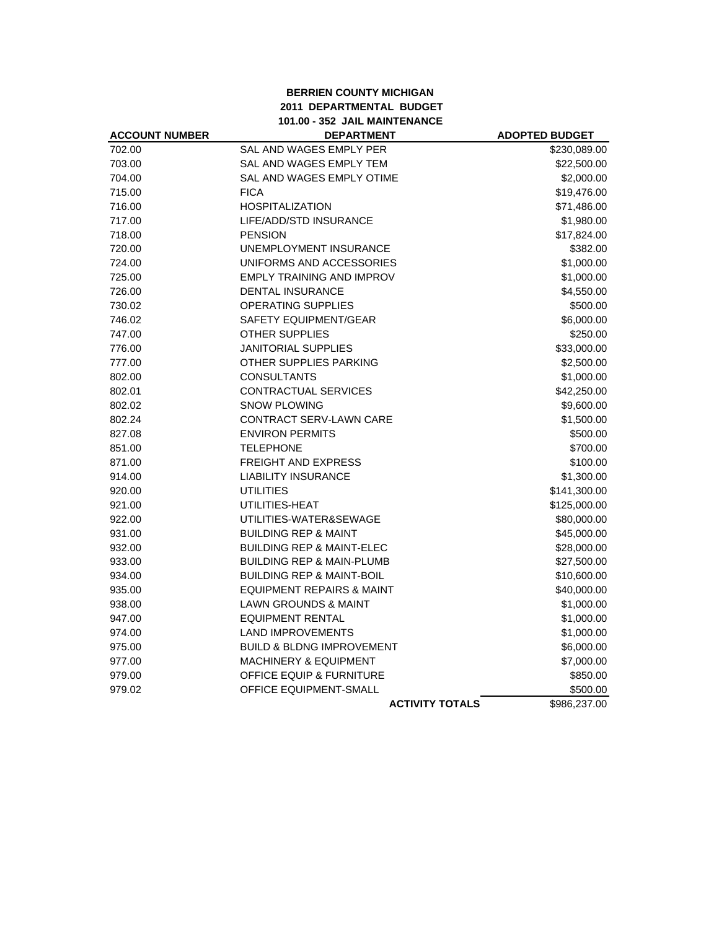### **BERRIEN COUNTY MICHIGAN 2011 DEPARTMENTAL BUDGET 101.00 - 352 JAIL MAINTENANCE**

| <b>ACCOUNT NUMBER</b> | <b>DEPARTMENT</b>                    | <b>ADOPTED BUDGET</b> |
|-----------------------|--------------------------------------|-----------------------|
| 702.00                | SAL AND WAGES EMPLY PER              | \$230,089.00          |
| 703.00                | SAL AND WAGES EMPLY TEM              | \$22,500.00           |
| 704.00                | SAL AND WAGES EMPLY OTIME            | \$2,000.00            |
| 715.00                | <b>FICA</b>                          | \$19,476.00           |
| 716.00                | <b>HOSPITALIZATION</b>               | \$71,486.00           |
| 717.00                | LIFE/ADD/STD INSURANCE               | \$1,980.00            |
| 718.00                | <b>PENSION</b>                       | \$17,824.00           |
| 720.00                | UNEMPLOYMENT INSURANCE               | \$382.00              |
| 724.00                | UNIFORMS AND ACCESSORIES             | \$1,000.00            |
| 725.00                | <b>EMPLY TRAINING AND IMPROV</b>     | \$1,000.00            |
| 726.00                | <b>DENTAL INSURANCE</b>              | \$4,550.00            |
| 730.02                | <b>OPERATING SUPPLIES</b>            | \$500.00              |
| 746.02                | <b>SAFETY EQUIPMENT/GEAR</b>         | \$6,000.00            |
| 747.00                | <b>OTHER SUPPLIES</b>                | \$250.00              |
| 776.00                | <b>JANITORIAL SUPPLIES</b>           | \$33,000.00           |
| 777.00                | OTHER SUPPLIES PARKING               | \$2,500.00            |
| 802.00                | <b>CONSULTANTS</b>                   | \$1,000.00            |
| 802.01                | CONTRACTUAL SERVICES                 | \$42,250.00           |
| 802.02                | <b>SNOW PLOWING</b>                  | \$9,600.00            |
| 802.24                | CONTRACT SERV-LAWN CARE              | \$1,500.00            |
| 827.08                | <b>ENVIRON PERMITS</b>               | \$500.00              |
| 851.00                | <b>TELEPHONE</b>                     | \$700.00              |
| 871.00                | <b>FREIGHT AND EXPRESS</b>           | \$100.00              |
| 914.00                | <b>LIABILITY INSURANCE</b>           | \$1,300.00            |
| 920.00                | <b>UTILITIES</b>                     | \$141,300.00          |
| 921.00                | UTILITIES-HEAT                       | \$125,000.00          |
| 922.00                | UTILITIES-WATER&SEWAGE               | \$80,000.00           |
| 931.00                | <b>BUILDING REP &amp; MAINT</b>      | \$45,000.00           |
| 932.00                | <b>BUILDING REP &amp; MAINT-ELEC</b> | \$28,000.00           |
| 933.00                | <b>BUILDING REP &amp; MAIN-PLUMB</b> | \$27,500.00           |
| 934.00                | <b>BUILDING REP &amp; MAINT-BOIL</b> | \$10,600.00           |
| 935.00                | <b>EQUIPMENT REPAIRS &amp; MAINT</b> | \$40,000.00           |
| 938.00                | <b>LAWN GROUNDS &amp; MAINT</b>      | \$1,000.00            |
| 947.00                | <b>EQUIPMENT RENTAL</b>              | \$1,000.00            |
| 974.00                | <b>LAND IMPROVEMENTS</b>             | \$1,000.00            |
| 975.00                | <b>BUILD &amp; BLDNG IMPROVEMENT</b> | \$6,000.00            |
| 977.00                | <b>MACHINERY &amp; EQUIPMENT</b>     | \$7,000.00            |
| 979.00                | <b>OFFICE EQUIP &amp; FURNITURE</b>  | \$850.00              |
| 979.02                | OFFICE EQUIPMENT-SMALL               | \$500.00              |
|                       | <b>ACTIVITY TOTALS</b>               | \$986,237.00          |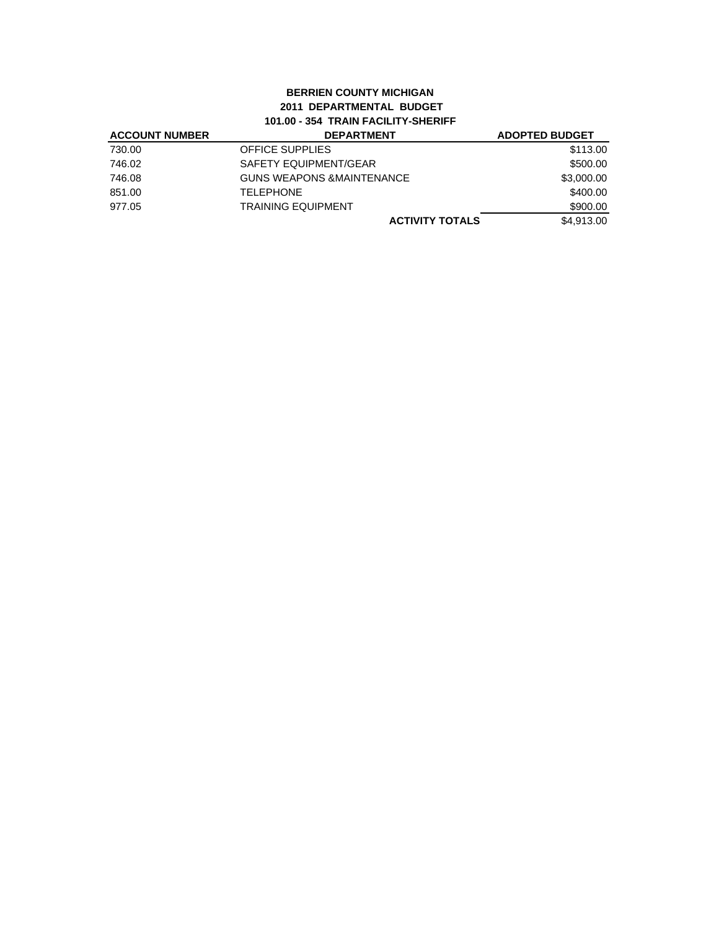# **BERRIEN COUNTY MICHIGAN 2011 DEPARTMENTAL BUDGET 101.00 - 354 TRAIN FACILITY-SHERIFF**

| <b>ACCOUNT NUMBER</b> | <b>DEPARTMENT</b>                    | <b>ADOPTED BUDGET</b> |
|-----------------------|--------------------------------------|-----------------------|
| 730.00                | <b>OFFICE SUPPLIES</b>               | \$113.00              |
| 746.02                | SAFETY EQUIPMENT/GEAR                | \$500.00              |
| 746.08                | <b>GUNS WEAPONS &amp;MAINTENANCE</b> | \$3,000.00            |
| 851.00                | <b>TELEPHONE</b>                     | \$400.00              |
| 977.05                | <b>TRAINING EQUIPMENT</b>            | \$900.00              |
|                       | <b>ACTIVITY TOTALS</b>               | \$4.913.00            |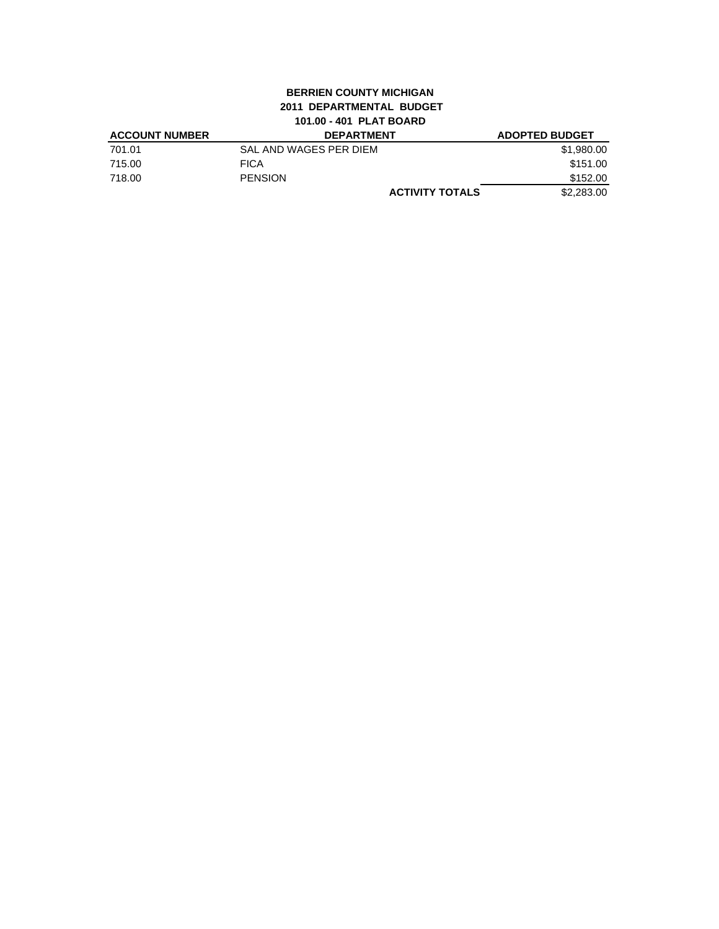# **BERRIEN COUNTY MICHIGAN 2011 DEPARTMENTAL BUDGET 101.00 - 401 PLAT BOARD**

| <b>ACCOUNT NUMBER</b> | <b>DEPARTMENT</b>      | <b>ADOPTED BUDGET</b>                |
|-----------------------|------------------------|--------------------------------------|
| 701.01                | SAL AND WAGES PER DIEM | \$1,980.00                           |
| 715.00                | <b>FICA</b>            | \$151.00                             |
| 718.00                | <b>PENSION</b>         | \$152.00                             |
|                       |                        | \$2,283,00<br><b>ACTIVITY TOTALS</b> |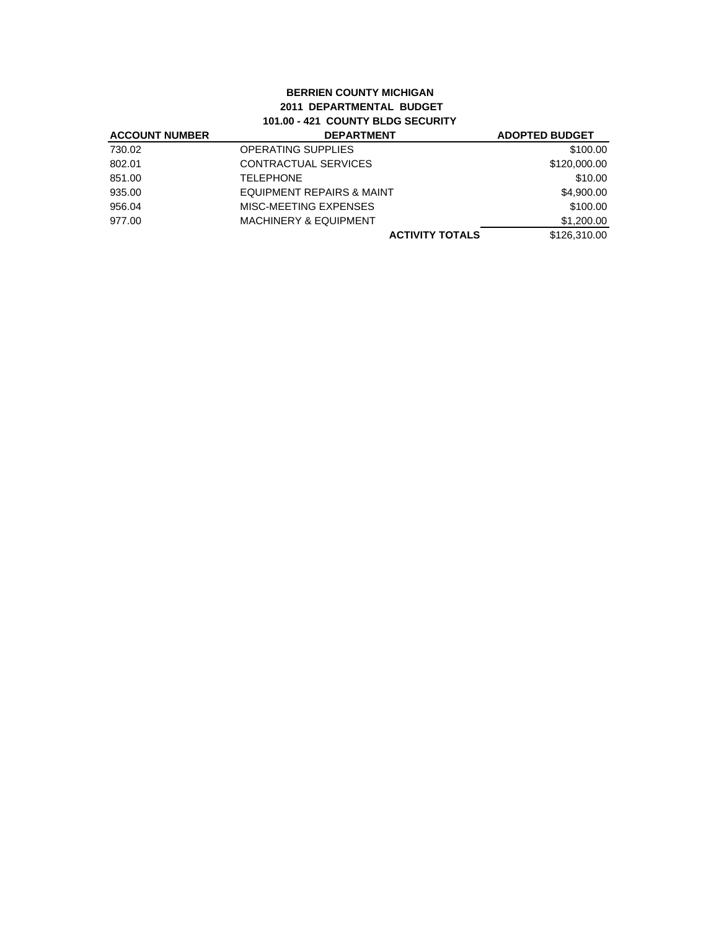#### **BERRIEN COUNTY MICHIGAN 2011 DEPARTMENTAL BUDGET 101.00 - 421 COUNTY BLDG SECURITY ACCOUNT NUMBER DEPARTMENT ADOPTED BUDGET**

| <b>ACCOUNT NUMBER</b> | <b>DEPARTMENT</b>                    | <b>ADOPTED BUDGET</b> |
|-----------------------|--------------------------------------|-----------------------|
| 730.02                | <b>OPERATING SUPPLIES</b>            | \$100.00              |
| 802.01                | CONTRACTUAL SERVICES                 | \$120,000.00          |
| 851.00                | <b>TELEPHONE</b>                     | \$10.00               |
| 935.00                | <b>EQUIPMENT REPAIRS &amp; MAINT</b> | \$4,900.00            |
| 956.04                | MISC-MEETING EXPENSES                | \$100.00              |
| 977.00                | <b>MACHINERY &amp; EQUIPMENT</b>     | \$1,200.00            |
|                       | <b>ACTIVITY TOTALS</b>               | \$126,310.00          |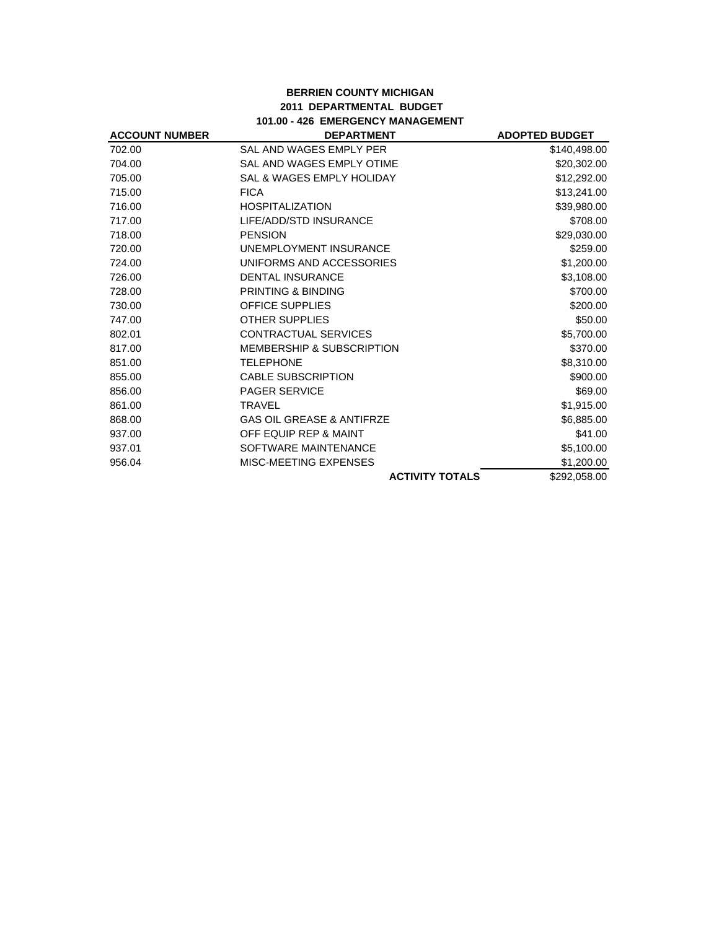### **BERRIEN COUNTY MICHIGAN 2011 DEPARTMENTAL BUDGET 101.00 - 426 EMERGENCY MANAGEMENT**

| <b>ACCOUNT NUMBER</b> | <b>DEPARTMENT</b>                    | <b>ADOPTED BUDGET</b> |
|-----------------------|--------------------------------------|-----------------------|
| 702.00                | SAL AND WAGES EMPLY PER              | \$140,498.00          |
| 704.00                | SAL AND WAGES EMPLY OTIME            | \$20,302.00           |
| 705.00                | SAL & WAGES EMPLY HOLIDAY            | \$12,292.00           |
| 715.00                | <b>FICA</b>                          | \$13,241.00           |
| 716.00                | <b>HOSPITALIZATION</b>               | \$39,980.00           |
| 717.00                | LIFE/ADD/STD INSURANCE               | \$708.00              |
| 718.00                | <b>PENSION</b>                       | \$29,030.00           |
| 720.00                | UNEMPLOYMENT INSURANCE               | \$259.00              |
| 724.00                | UNIFORMS AND ACCESSORIES             | \$1,200.00            |
| 726.00                | <b>DENTAL INSURANCE</b>              | \$3,108.00            |
| 728.00                | PRINTING & BINDING                   | \$700.00              |
| 730.00                | <b>OFFICE SUPPLIES</b>               | \$200.00              |
| 747.00                | <b>OTHER SUPPLIES</b>                | \$50.00               |
| 802.01                | <b>CONTRACTUAL SERVICES</b>          | \$5,700.00            |
| 817.00                | <b>MEMBERSHIP &amp; SUBSCRIPTION</b> | \$370.00              |
| 851.00                | <b>TELEPHONE</b>                     | \$8,310.00            |
| 855.00                | <b>CABLE SUBSCRIPTION</b>            | \$900.00              |
| 856.00                | <b>PAGER SERVICE</b>                 | \$69.00               |
| 861.00                | <b>TRAVEL</b>                        | \$1,915.00            |
| 868.00                | <b>GAS OIL GREASE &amp; ANTIFRZE</b> | \$6,885.00            |
| 937.00                | OFF EQUIP REP & MAINT                | \$41.00               |
| 937.01                | SOFTWARE MAINTENANCE                 | \$5,100.00            |
| 956.04                | MISC-MEETING EXPENSES                | \$1,200.00            |
|                       | <b>ACTIVITY TOTALS</b>               | \$292,058.00          |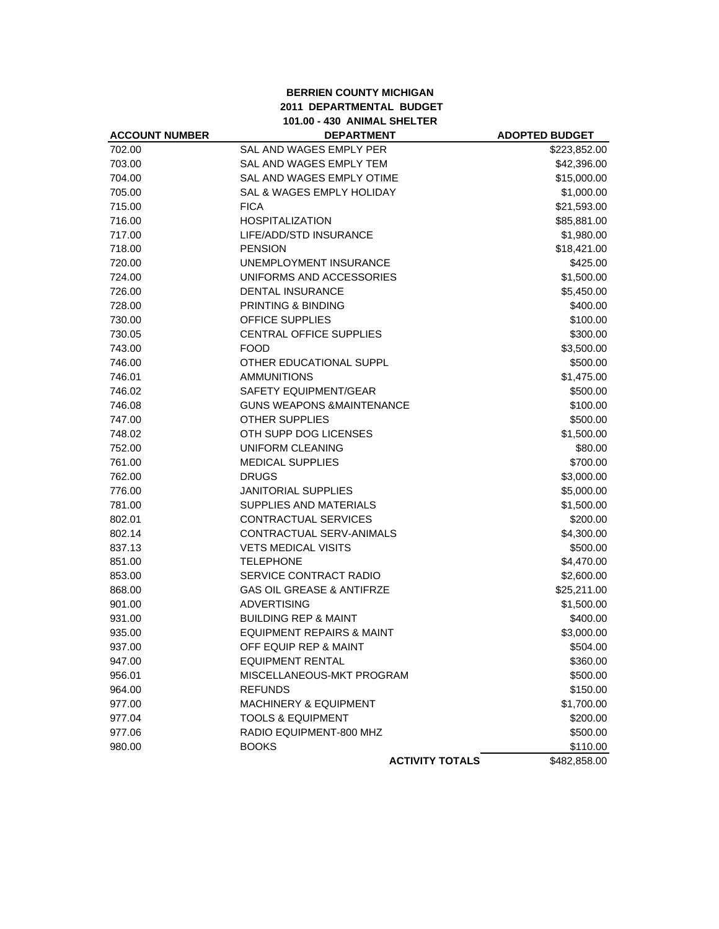## **BERRIEN COUNTY MICHIGAN 2011 DEPARTMENTAL BUDGET 101.00 - 430 ANIMAL SHELTER**

| <b>ACCOUNT NUMBER</b> | <b>DEPARTMENT</b>                    | <b>ADOPTED BUDGET</b> |
|-----------------------|--------------------------------------|-----------------------|
| 702.00                | SAL AND WAGES EMPLY PER              | \$223,852.00          |
| 703.00                | <b>SAL AND WAGES EMPLY TEM</b>       | \$42,396.00           |
| 704.00                | SAL AND WAGES EMPLY OTIME            | \$15,000.00           |
| 705.00                | SAL & WAGES EMPLY HOLIDAY            | \$1,000.00            |
| 715.00                | <b>FICA</b>                          | \$21,593.00           |
| 716.00                | <b>HOSPITALIZATION</b>               | \$85,881.00           |
| 717.00                | LIFE/ADD/STD INSURANCE               | \$1,980.00            |
| 718.00                | <b>PENSION</b>                       | \$18,421.00           |
| 720.00                | UNEMPLOYMENT INSURANCE               | \$425.00              |
| 724.00                | UNIFORMS AND ACCESSORIES             | \$1,500.00            |
| 726.00                | <b>DENTAL INSURANCE</b>              | \$5,450.00            |
| 728.00                | PRINTING & BINDING                   | \$400.00              |
| 730.00                | OFFICE SUPPLIES                      | \$100.00              |
| 730.05                | CENTRAL OFFICE SUPPLIES              | \$300.00              |
| 743.00                | <b>FOOD</b>                          | \$3,500.00            |
| 746.00                | OTHER EDUCATIONAL SUPPL              | \$500.00              |
| 746.01                | <b>AMMUNITIONS</b>                   | \$1,475.00            |
| 746.02                | <b>SAFETY EQUIPMENT/GEAR</b>         | \$500.00              |
| 746.08                | <b>GUNS WEAPONS &amp;MAINTENANCE</b> | \$100.00              |
| 747.00                | <b>OTHER SUPPLIES</b>                | \$500.00              |
| 748.02                | OTH SUPP DOG LICENSES                | \$1,500.00            |
| 752.00                | UNIFORM CLEANING                     | \$80.00               |
| 761.00                | <b>MEDICAL SUPPLIES</b>              | \$700.00              |
| 762.00                | <b>DRUGS</b>                         | \$3,000.00            |
| 776.00                | <b>JANITORIAL SUPPLIES</b>           | \$5,000.00            |
| 781.00                | SUPPLIES AND MATERIALS               | \$1,500.00            |
| 802.01                | CONTRACTUAL SERVICES                 | \$200.00              |
| 802.14                | CONTRACTUAL SERV-ANIMALS             | \$4,300.00            |
| 837.13                | <b>VETS MEDICAL VISITS</b>           | \$500.00              |
| 851.00                | <b>TELEPHONE</b>                     | \$4,470.00            |
| 853.00                | SERVICE CONTRACT RADIO               | \$2,600.00            |
| 868.00                | <b>GAS OIL GREASE &amp; ANTIFRZE</b> | \$25,211.00           |
| 901.00                | <b>ADVERTISING</b>                   | \$1,500.00            |
| 931.00                | <b>BUILDING REP &amp; MAINT</b>      | \$400.00              |
| 935.00                | <b>EQUIPMENT REPAIRS &amp; MAINT</b> | \$3,000.00            |
| 937.00                | OFF EQUIP REP & MAINT                | \$504.00              |
| 947.00                | <b>EQUIPMENT RENTAL</b>              | \$360.00              |
| 956.01                | MISCELLANEOUS-MKT PROGRAM            | \$500.00              |
| 964.00                | <b>REFUNDS</b>                       | \$150.00              |
| 977.00                | <b>MACHINERY &amp; EQUIPMENT</b>     | \$1,700.00            |
| 977.04                | <b>TOOLS &amp; EQUIPMENT</b>         | \$200.00              |
| 977.06                | RADIO EQUIPMENT-800 MHZ              | \$500.00              |
| 980.00                | <b>BOOKS</b>                         | \$110.00              |
|                       | <b>ACTIVITY TOTALS</b>               | \$482,858.00          |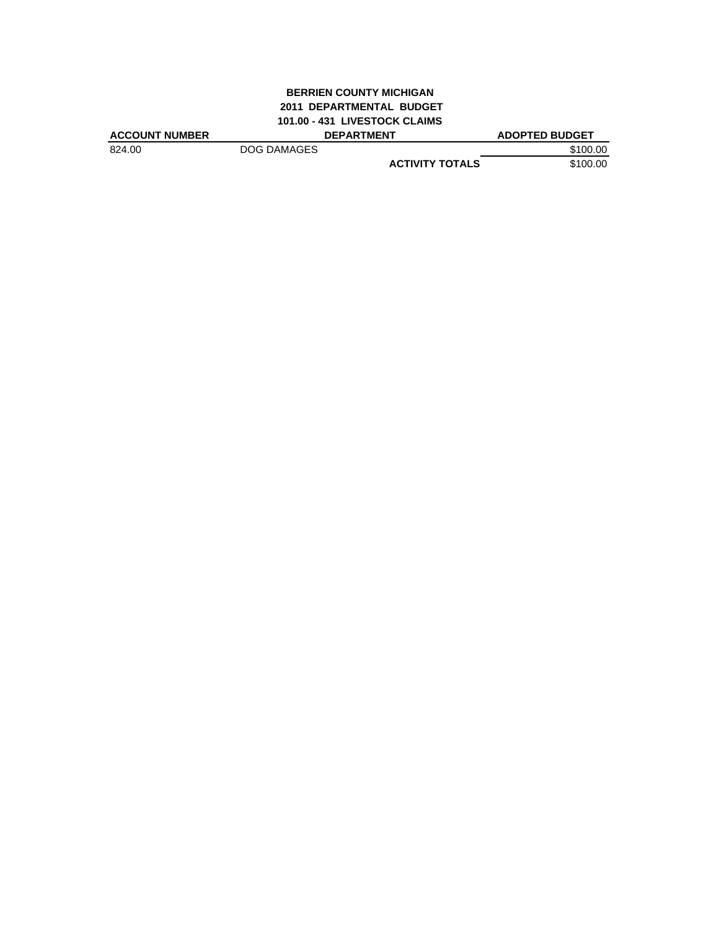# **BERRIEN COUNTY MICHIGAN 2011 DEPARTMENTAL BUDGET 101.00 - 431 LIVESTOCK CLAIMS**

| <b>ACCOUNT NUMBER</b> |             | <b>DEPARTMENT</b>      | <b>ADOPTED BUDGET</b> |
|-----------------------|-------------|------------------------|-----------------------|
| 824.00                | DOG DAMAGES |                        | \$100.00              |
|                       |             | <b>ACTIVITY TOTALS</b> | \$100.00              |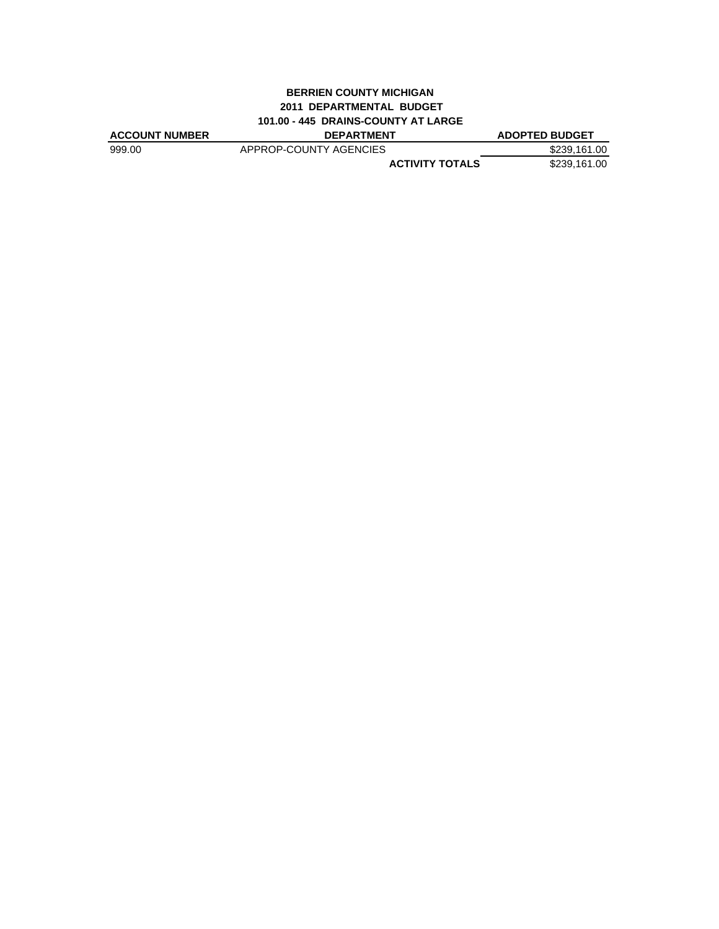# **BERRIEN COUNTY MICHIGAN 2011 DEPARTMENTAL BUDGET 101.00 - 445 DRAINS-COUNTY AT LARGE**

| <b>ACCOUNT NUMBER</b> | <b>DEPARTMENT</b>      | <b>ADOPTED BUDGET</b> |
|-----------------------|------------------------|-----------------------|
| 999.00                | APPROP-COUNTY AGENCIES | \$239.161.00          |
|                       | <b>ACTIVITY TOTALS</b> | \$239.161.00          |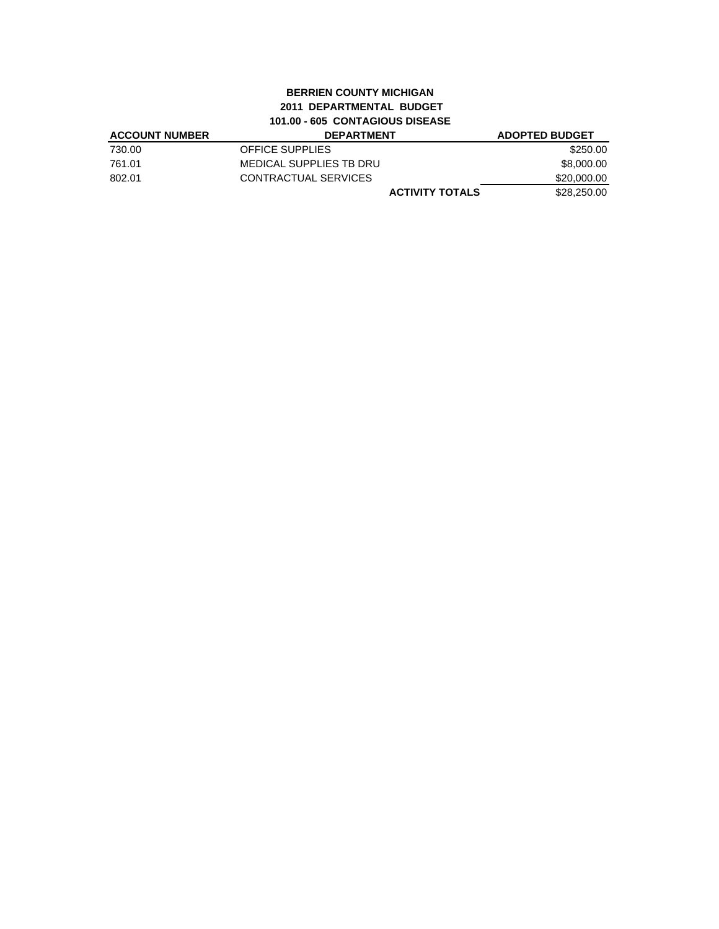# **BERRIEN COUNTY MICHIGAN 2011 DEPARTMENTAL BUDGET 101.00 - 605 CONTAGIOUS DISEASE**

| <b>ACCOUNT NUMBER</b> | <b>DEPARTMENT</b>       | <b>ADOPTED BUDGET</b> |
|-----------------------|-------------------------|-----------------------|
| 730.00                | <b>OFFICE SUPPLIES</b>  | \$250.00              |
| 761.01                | MEDICAL SUPPLIES TB DRU | \$8,000.00            |
| 802.01                | CONTRACTUAL SERVICES    | \$20,000,00           |
|                       | <b>ACTIVITY TOTALS</b>  | \$28,250,00           |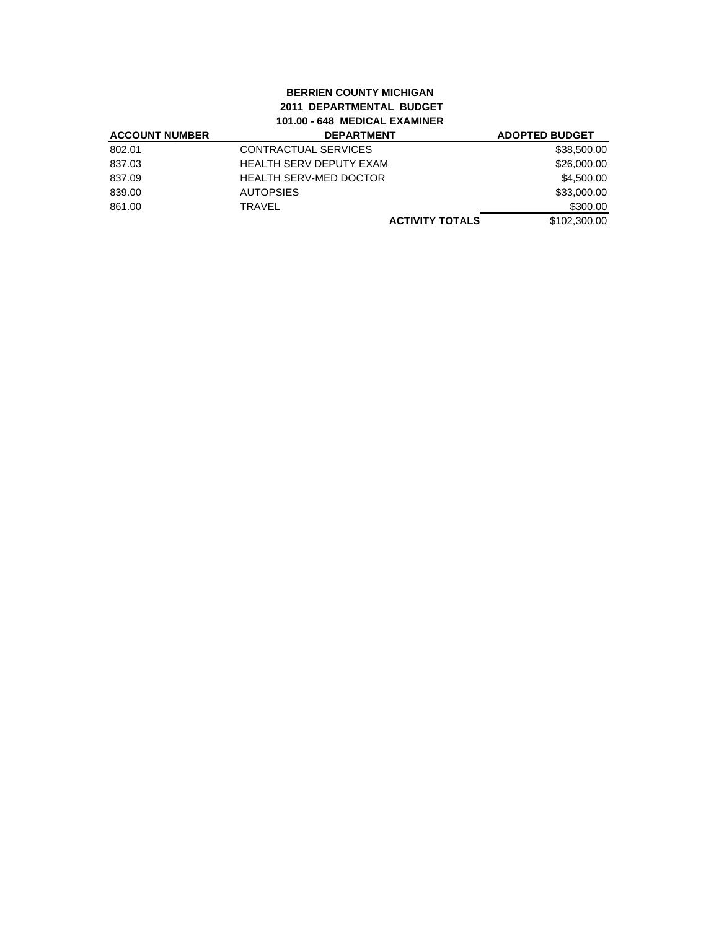# **BERRIEN COUNTY MICHIGAN 2011 DEPARTMENTAL BUDGET 101.00 - 648 MEDICAL EXAMINER**

| <b>ACCOUNT NUMBER</b> | <b>DEPARTMENT</b>              | <b>ADOPTED BUDGET</b> |
|-----------------------|--------------------------------|-----------------------|
| 802.01                | CONTRACTUAL SERVICES           | \$38,500.00           |
| 837.03                | <b>HEALTH SERV DEPUTY EXAM</b> | \$26,000.00           |
| 837.09                | <b>HEALTH SERV-MED DOCTOR</b>  | \$4,500.00            |
| 839.00                | <b>AUTOPSIES</b>               | \$33,000.00           |
| 861.00                | <b>TRAVEL</b>                  | \$300.00              |
|                       | <b>ACTIVITY TOTALS</b>         | \$102,300.00          |
|                       |                                |                       |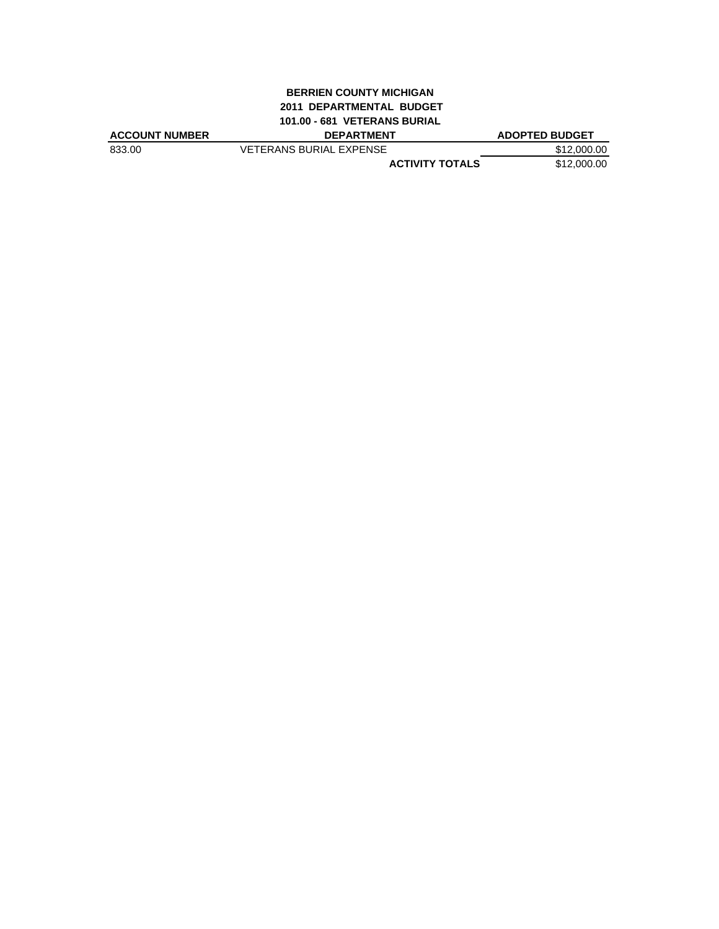### **BERRIEN COUNTY MICHIGAN 2011 DEPARTMENTAL BUDGET 101.00 - 681 VETERANS BURIAL**

| <b>ACCOUNT NUMBER</b> | <b>DEPARTMENT</b>              | <b>ADOPTED BUDGET</b> |
|-----------------------|--------------------------------|-----------------------|
| 833.00                | <b>VETERANS BURIAL EXPENSE</b> | \$12,000.00           |
|                       | <b>ACTIVITY TOTALS</b>         | \$12,000.00           |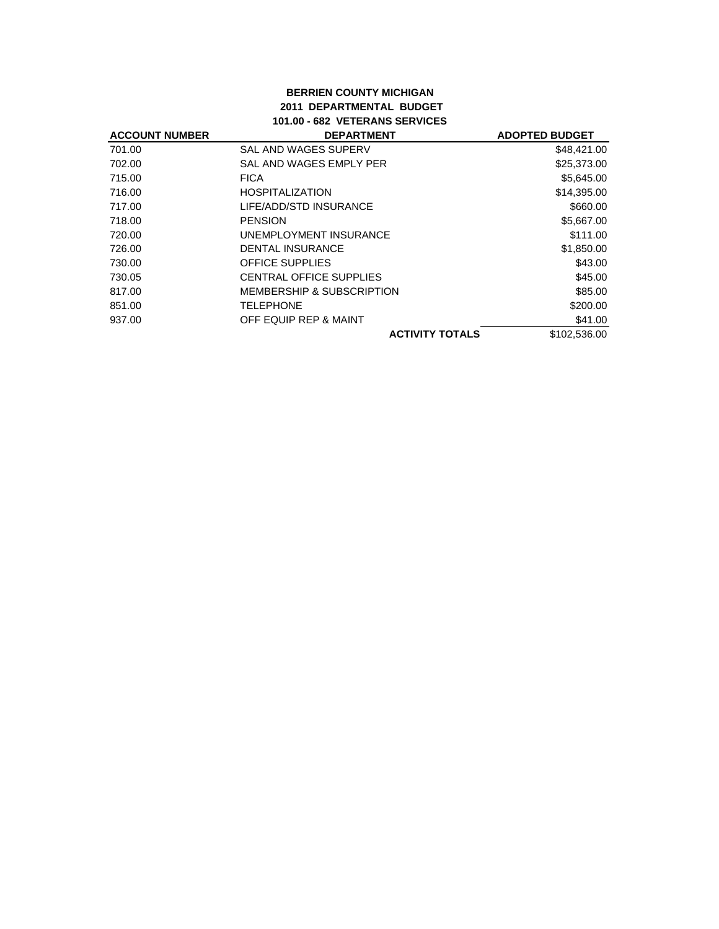## **BERRIEN COUNTY MICHIGAN 2011 DEPARTMENTAL BUDGET 101.00 - 682 VETERANS SERVICES**

| <b>ACCOUNT NUMBER</b> | <b>DEPARTMENT</b>                    | <b>ADOPTED BUDGET</b> |
|-----------------------|--------------------------------------|-----------------------|
| 701.00                | SAL AND WAGES SUPERV                 | \$48,421.00           |
| 702.00                | SAL AND WAGES EMPLY PER              | \$25,373.00           |
| 715.00                | <b>FICA</b>                          | \$5,645.00            |
| 716.00                | <b>HOSPITALIZATION</b>               | \$14,395.00           |
| 717.00                | LIFE/ADD/STD INSURANCE               | \$660.00              |
| 718.00                | <b>PENSION</b>                       | \$5,667.00            |
| 720.00                | UNEMPLOYMENT INSURANCE               | \$111.00              |
| 726.00                | <b>DENTAL INSURANCE</b>              | \$1,850.00            |
| 730.00                | <b>OFFICE SUPPLIES</b>               | \$43.00               |
| 730.05                | CENTRAL OFFICE SUPPLIES              | \$45.00               |
| 817.00                | <b>MEMBERSHIP &amp; SUBSCRIPTION</b> | \$85.00               |
| 851.00                | <b>TELEPHONE</b>                     | \$200.00              |
| 937.00                | OFF EQUIP REP & MAINT                | \$41.00               |
|                       | <b>ACTIVITY TOTALS</b>               | \$102,536.00          |
|                       |                                      |                       |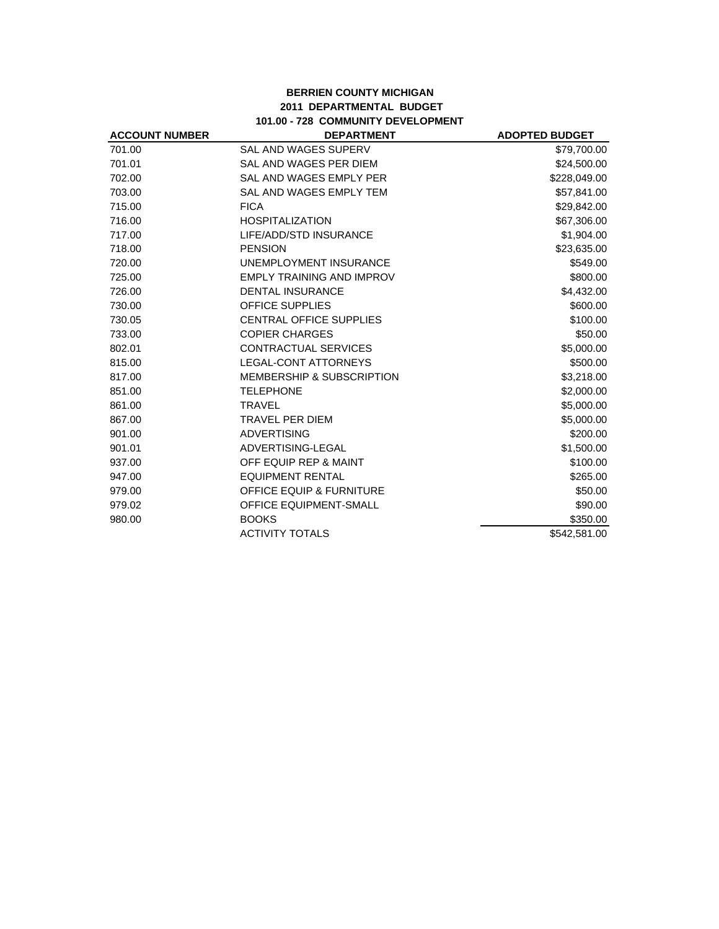# **BERRIEN COUNTY MICHIGAN 2011 DEPARTMENTAL BUDGET 101.00 - 728 COMMUNITY DEVELOPMENT**

| <b>ACCOUNT NUMBER</b> | <b>DEPARTMENT</b>                    | <b>ADOPTED BUDGET</b> |
|-----------------------|--------------------------------------|-----------------------|
| 701.00                | <b>SAL AND WAGES SUPERV</b>          | \$79,700.00           |
| 701.01                | SAL AND WAGES PER DIEM               | \$24,500.00           |
| 702.00                | SAL AND WAGES EMPLY PER              | \$228,049.00          |
| 703.00                | SAL AND WAGES EMPLY TEM              | \$57,841.00           |
| 715.00                | <b>FICA</b>                          | \$29,842.00           |
| 716.00                | <b>HOSPITALIZATION</b>               | \$67,306.00           |
| 717.00                | LIFE/ADD/STD INSURANCE               | \$1,904.00            |
| 718.00                | <b>PENSION</b>                       | \$23,635.00           |
| 720.00                | UNEMPLOYMENT INSURANCE               | \$549.00              |
| 725.00                | <b>EMPLY TRAINING AND IMPROV</b>     | \$800.00              |
| 726.00                | <b>DENTAL INSURANCE</b>              | \$4,432.00            |
| 730.00                | OFFICE SUPPLIES                      | \$600.00              |
| 730.05                | <b>CENTRAL OFFICE SUPPLIES</b>       | \$100.00              |
| 733.00                | <b>COPIER CHARGES</b>                | \$50.00               |
| 802.01                | CONTRACTUAL SERVICES                 | \$5,000.00            |
| 815.00                | LEGAL-CONT ATTORNEYS                 | \$500.00              |
| 817.00                | <b>MEMBERSHIP &amp; SUBSCRIPTION</b> | \$3,218.00            |
| 851.00                | <b>TELEPHONE</b>                     | \$2,000.00            |
| 861.00                | <b>TRAVEL</b>                        | \$5,000.00            |
| 867.00                | <b>TRAVEL PER DIEM</b>               | \$5,000.00            |
| 901.00                | <b>ADVERTISING</b>                   | \$200.00              |
| 901.01                | ADVERTISING-LEGAL                    | \$1,500.00            |
| 937.00                | OFF EQUIP REP & MAINT                | \$100.00              |
| 947.00                | <b>EQUIPMENT RENTAL</b>              | \$265.00              |
| 979.00                | <b>OFFICE EQUIP &amp; FURNITURE</b>  | \$50.00               |
| 979.02                | <b>OFFICE EQUIPMENT-SMALL</b>        | \$90.00               |
| 980.00                | <b>BOOKS</b>                         | \$350.00              |
|                       | <b>ACTIVITY TOTALS</b>               | \$542,581.00          |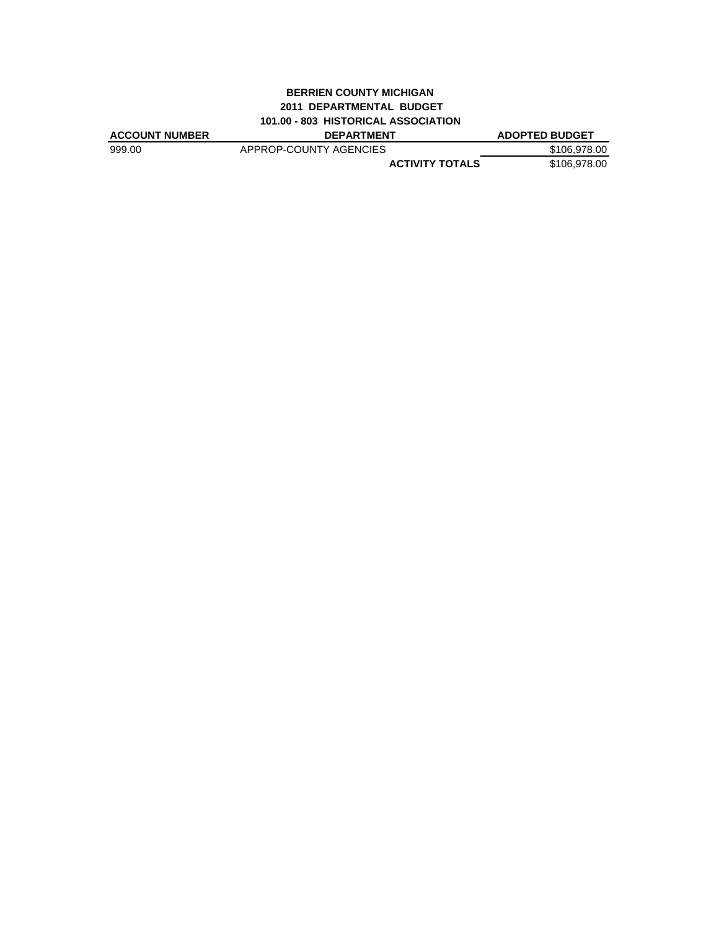### **BERRIEN COUNTY MICHIGAN 2011 DEPARTMENTAL BUDGET 101.00 - 803 HISTORICAL ASSOCIATION**

| <b>ACCOUNT NUMBER</b> | <b>DEPARTMENT</b>      | <b>ADOPTED BUDGET</b> |
|-----------------------|------------------------|-----------------------|
| 999.00                | APPROP-COUNTY AGENCIES | \$106,978,00          |
|                       | <b>ACTIVITY TOTALS</b> | \$106.978.00          |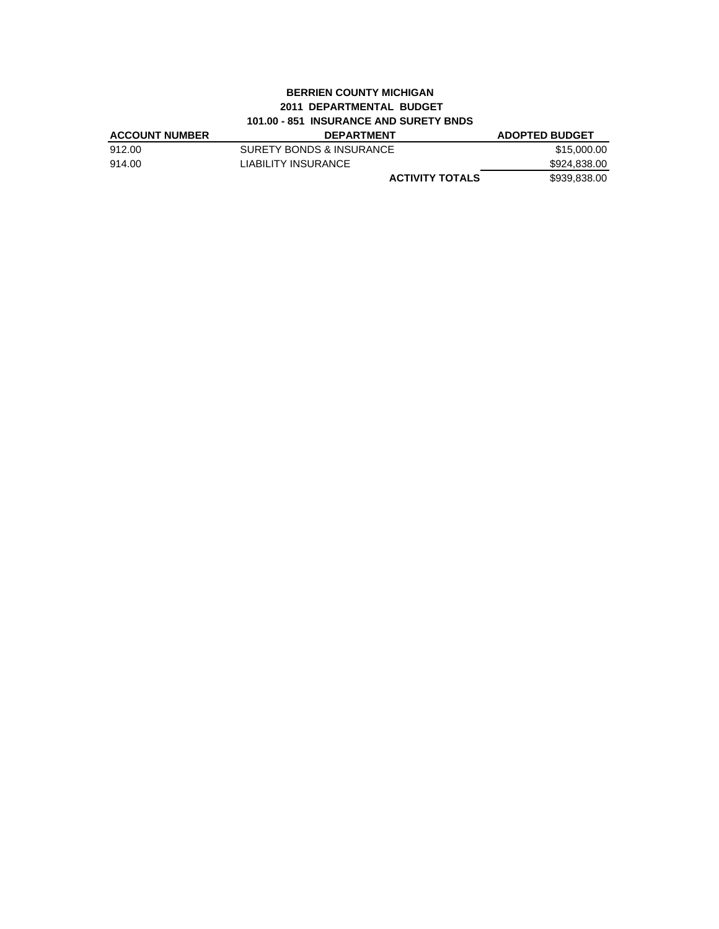### **BERRIEN COUNTY MICHIGAN 2011 DEPARTMENTAL BUDGET 101.00 - 851 INSURANCE AND SURETY BNDS**

| <b>ACCOUNT NUMBER</b> | <b>DEPARTMENT</b>        | <b>ADOPTED BUDGET</b> |
|-----------------------|--------------------------|-----------------------|
| 912.00                | SURETY BONDS & INSURANCE | \$15,000.00           |
| 914.00                | LIABILITY INSURANCE      | \$924,838.00          |
|                       | <b>ACTIVITY TOTALS</b>   | \$939,838.00          |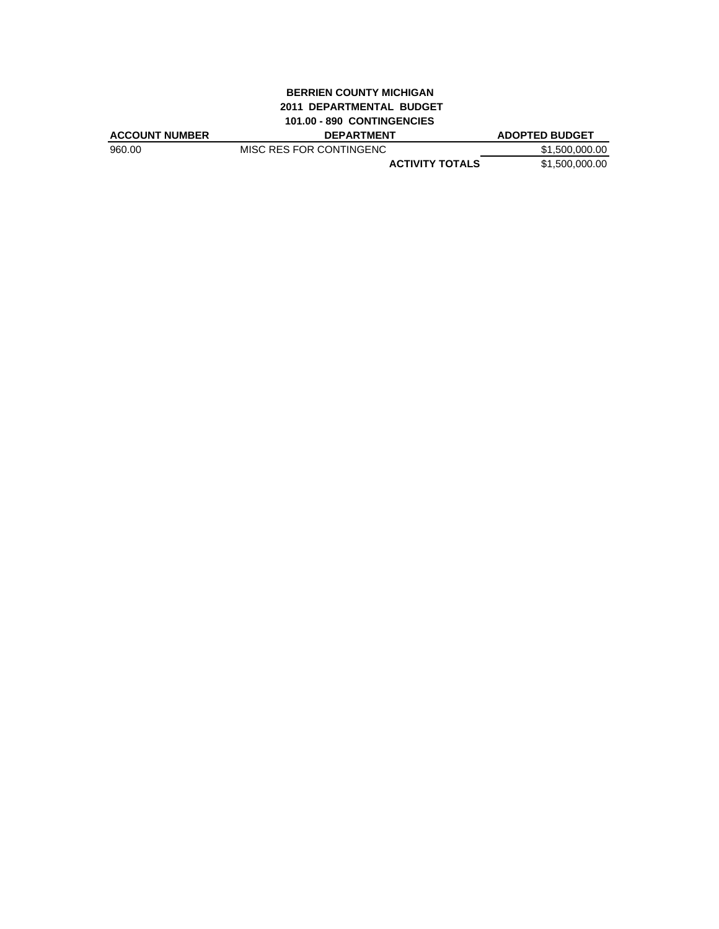# **BERRIEN COUNTY MICHIGAN 2011 DEPARTMENTAL BUDGET 101.00 - 890 CONTINGENCIES**

| ACCOUNT NUMBER | <b>DEPARTMENT</b>       | <b>ADOPTED BUDGET</b> |
|----------------|-------------------------|-----------------------|
| 960.00         | MISC RES FOR CONTINGENC | \$1,500,000.00        |
|                | <b>ACTIVITY TOTALS</b>  | \$1.500.000.00        |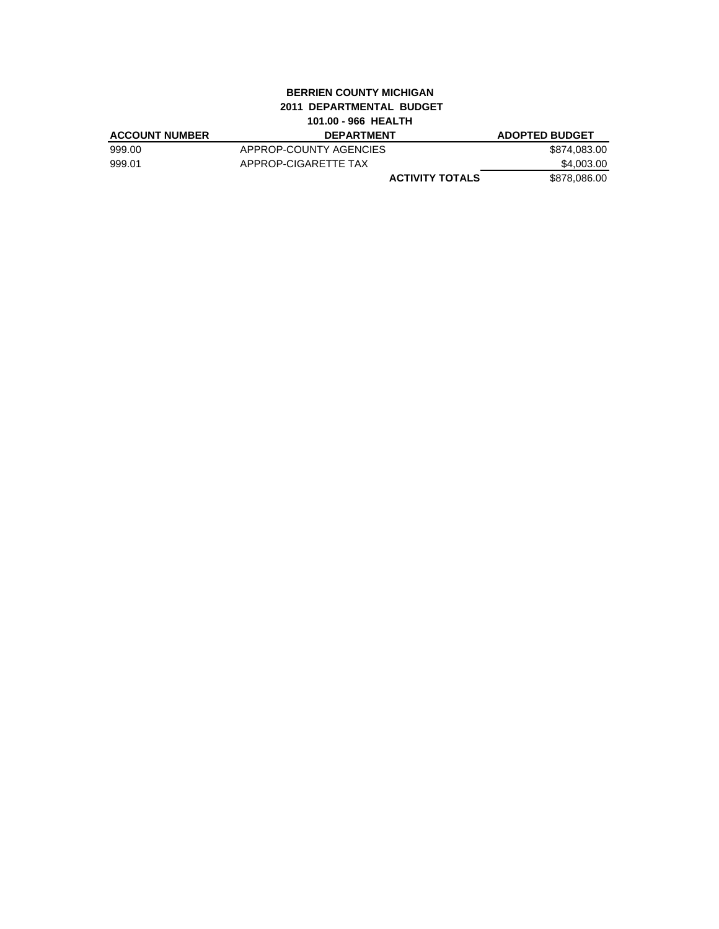### **BERRIEN COUNTY MICHIGAN 2011 DEPARTMENTAL BUDGET 101.00 - 966 HEALTH**

| <b>ACCOUNT NUMBER</b> | <b>DEPARTMENT</b>      | <b>ADOPTED BUDGET</b> |
|-----------------------|------------------------|-----------------------|
| 999.00                | APPROP-COUNTY AGENCIES | \$874,083.00          |
| 999.01                | APPROP-CIGARETTE TAX   | \$4.003.00            |
|                       | <b>ACTIVITY TOTALS</b> | \$878.086.00          |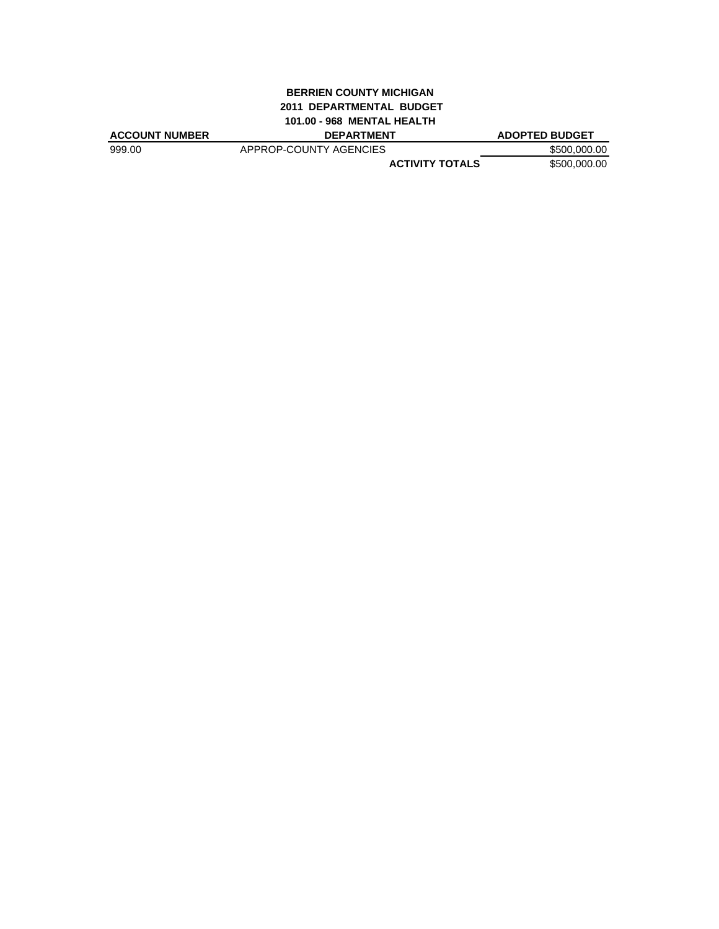# **BERRIEN COUNTY MICHIGAN 2011 DEPARTMENTAL BUDGET 101.00 - 968 MENTAL HEALTH**

| <b>ACCOUNT NUMBER</b> | <b>DEPARTMENT</b>      | <b>ADOPTED BUDGET</b> |
|-----------------------|------------------------|-----------------------|
| 999.00                | APPROP-COUNTY AGENCIES | \$500,000.00          |
|                       | <b>ACTIVITY TOTALS</b> | \$500,000.00          |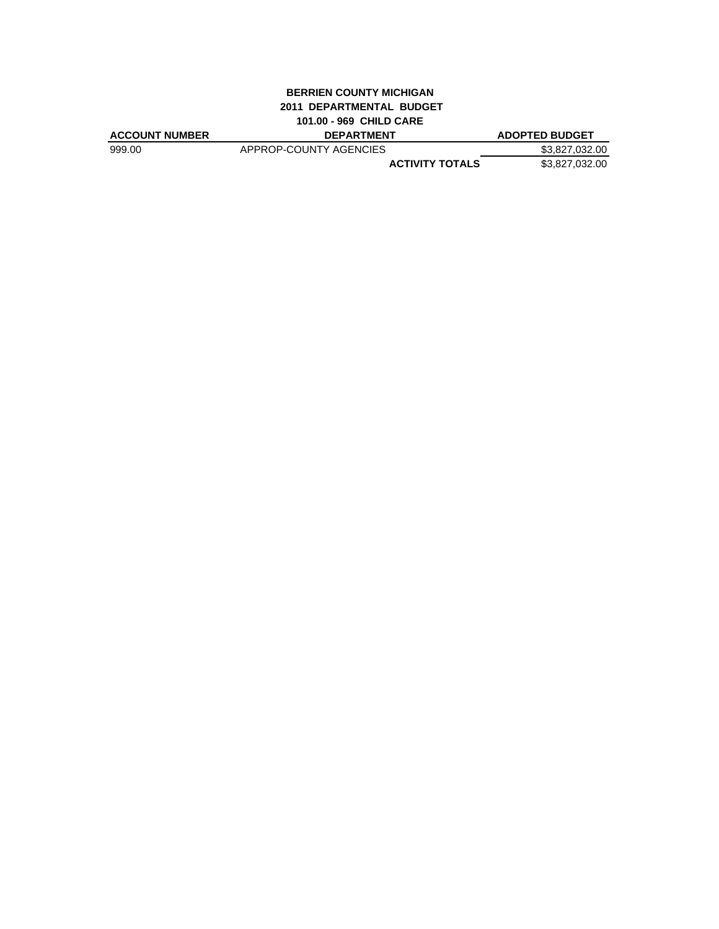### **BERRIEN COUNTY MICHIGAN 2011 DEPARTMENTAL BUDGET 101.00 - 969 CHILD CARE**

| <b>ACCOUNT NUMBER</b> | <b>DEPARTMENT</b>      | <b>ADOPTED BUDGET</b> |
|-----------------------|------------------------|-----------------------|
| 999.00                | APPROP-COUNTY AGENCIES | \$3.827.032.00        |
|                       | <b>ACTIVITY TOTALS</b> | \$3,827,032.00        |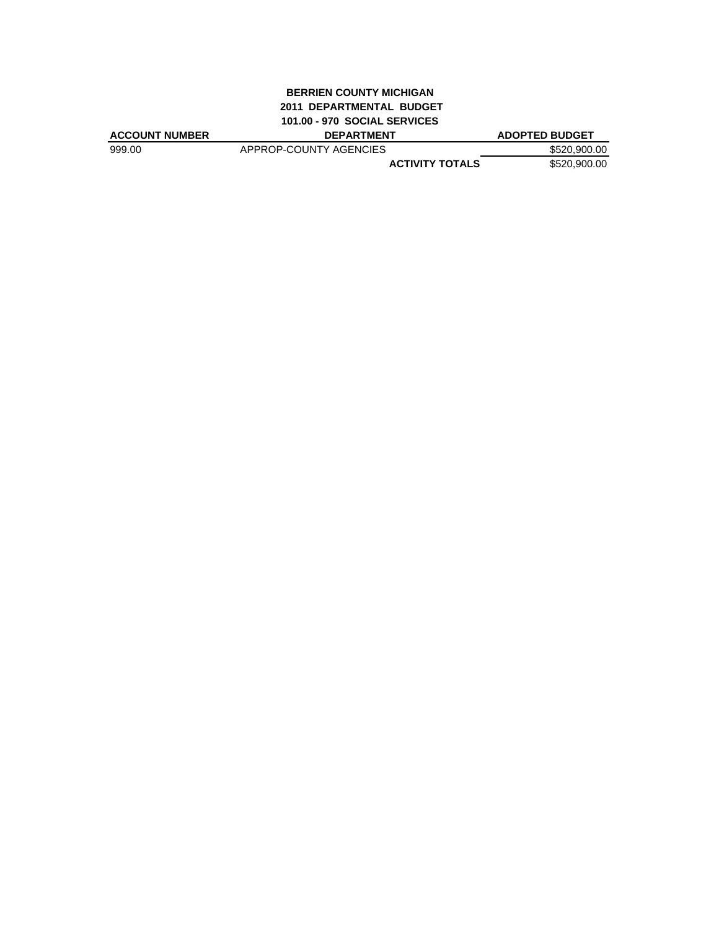## **BERRIEN COUNTY MICHIGAN 2011 DEPARTMENTAL BUDGET 101.00 - 970 SOCIAL SERVICES**

| <b>ACCOUNT NUMBER</b> | <b>DEPARTMENT</b>      | <b>ADOPTED BUDGET</b> |
|-----------------------|------------------------|-----------------------|
| 999.00                | APPROP-COUNTY AGENCIES | \$520,900.00          |
|                       | <b>ACTIVITY TOTALS</b> | \$520,900.00          |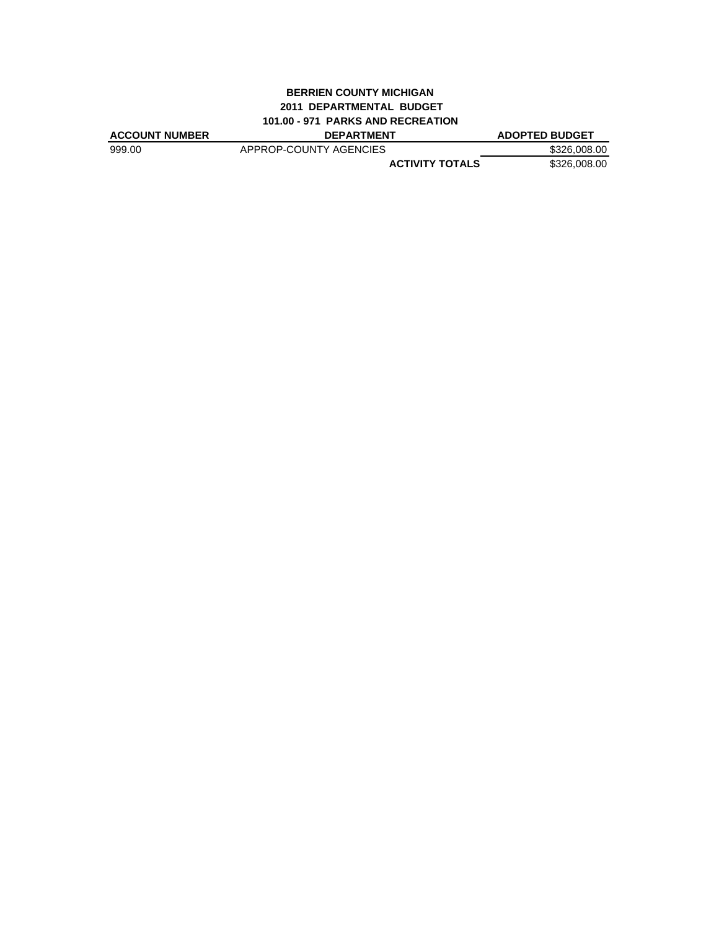# **BERRIEN COUNTY MICHIGAN 2011 DEPARTMENTAL BUDGET 101.00 - 971 PARKS AND RECREATION**

| <b>ACCOUNT NUMBER</b> | <b>DEPARTMENT</b>      | <b>ADOPTED BUDGET</b> |
|-----------------------|------------------------|-----------------------|
| 999.00                | APPROP-COUNTY AGENCIES | \$326,008,00          |
|                       | <b>ACTIVITY TOTALS</b> | \$326,008,00          |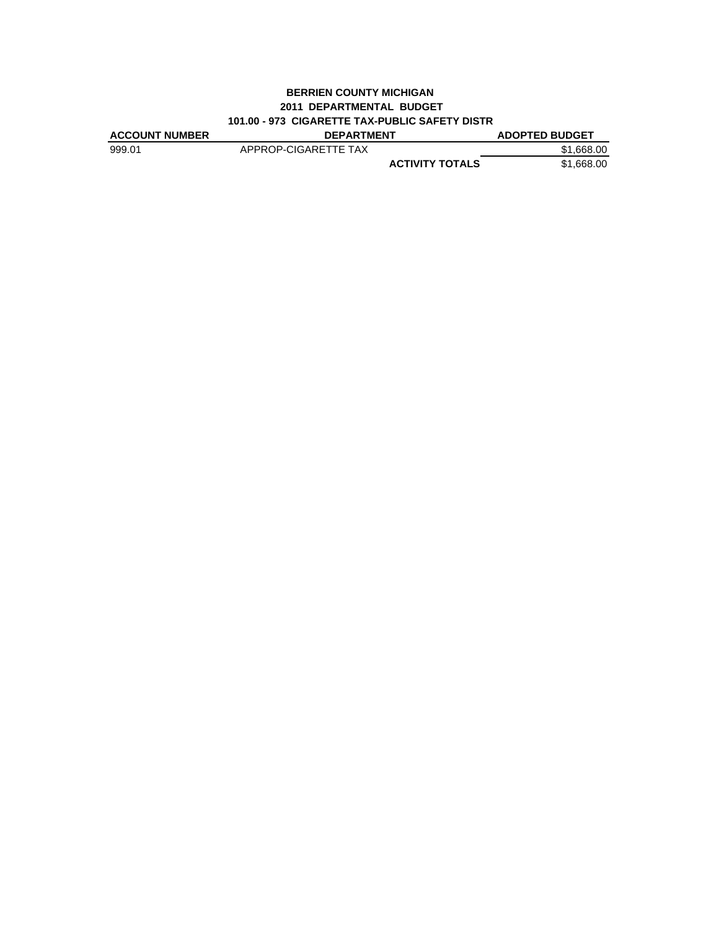### **BERRIEN COUNTY MICHIGAN 2011 DEPARTMENTAL BUDGET 101.00 - 973 CIGARETTE TAX-PUBLIC SAFETY DISTR**

| <b>ACCOUNT NUMBER</b> | <b>DEPARTMENT</b>      | <b>ADOPTED BUDGET</b> |
|-----------------------|------------------------|-----------------------|
| 999.01                | APPROP-CIGARETTE TAX   | \$1,668,00            |
|                       | <b>ACTIVITY TOTALS</b> | \$1,668,00            |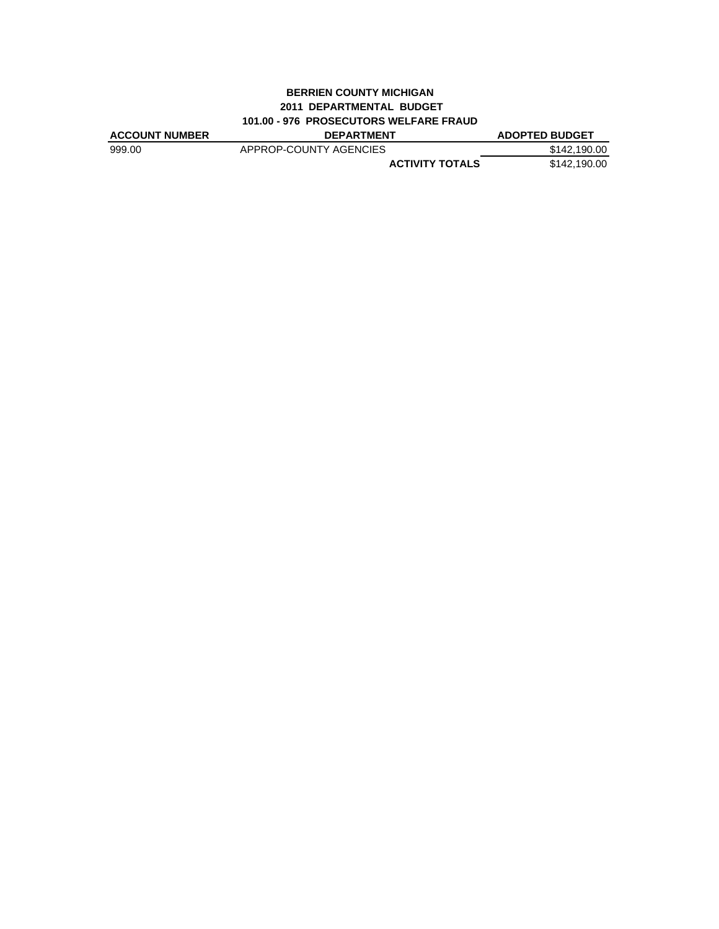### **BERRIEN COUNTY MICHIGAN 2011 DEPARTMENTAL BUDGET 101.00 - 976 PROSECUTORS WELFARE FRAUD**

| <b>ACCOUNT NUMBER</b> | <b>DEPARTMENT</b>      | <b>ADOPTED BUDGET</b> |
|-----------------------|------------------------|-----------------------|
| 999.00                | APPROP-COUNTY AGENCIES | \$142,190.00          |
|                       | <b>ACTIVITY TOTALS</b> | \$142.190.00          |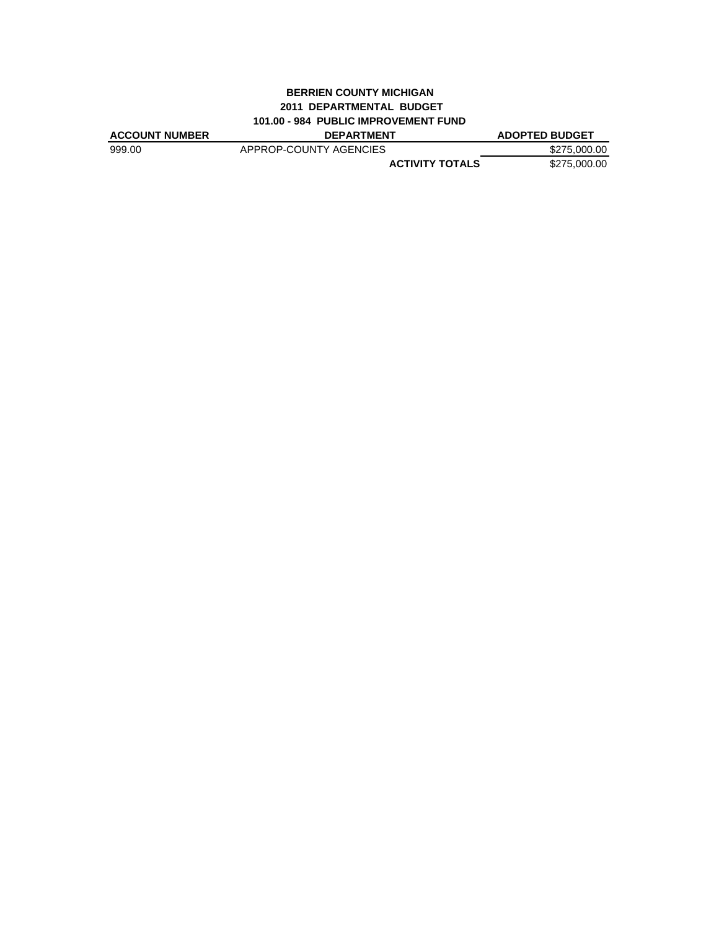## **BERRIEN COUNTY MICHIGAN 2011 DEPARTMENTAL BUDGET 101.00 - 984 PUBLIC IMPROVEMENT FUND**

| <b>ACCOUNT NUMBER</b> | <b>DEPARTMENT</b>      | <b>ADOPTED BUDGET</b> |
|-----------------------|------------------------|-----------------------|
| 999.00                | APPROP-COUNTY AGENCIES | \$275,000.00          |
|                       | <b>ACTIVITY TOTALS</b> | \$275,000,00          |